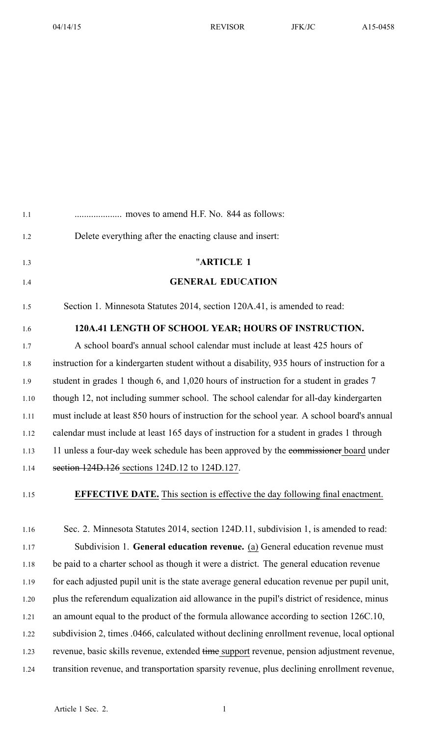| 1.1  |                                                                                             |
|------|---------------------------------------------------------------------------------------------|
| 1.2  | Delete everything after the enacting clause and insert:                                     |
| 1.3  | "ARTICLE 1                                                                                  |
| 1.4  | <b>GENERAL EDUCATION</b>                                                                    |
| 1.5  | Section 1. Minnesota Statutes 2014, section 120A.41, is amended to read:                    |
| 1.6  | 120A.41 LENGTH OF SCHOOL YEAR; HOURS OF INSTRUCTION.                                        |
| 1.7  | A school board's annual school calendar must include at least 425 hours of                  |
| 1.8  | instruction for a kindergarten student without a disability, 935 hours of instruction for a |
| 1.9  | student in grades 1 though 6, and 1,020 hours of instruction for a student in grades 7      |
| 1.10 | though 12, not including summer school. The school calendar for all-day kindergarten        |
| 1.11 | must include at least 850 hours of instruction for the school year. A school board's annual |
| 1.12 | calendar must include at least 165 days of instruction for a student in grades 1 through    |
| 1.13 | 11 unless a four-day week schedule has been approved by the commissioner board under        |
| 1.14 | section 124D.126 sections 124D.12 to 124D.127.                                              |
| 1.15 | <b>EFFECTIVE DATE.</b> This section is effective the day following final enactment.         |
| 1.16 | Sec. 2. Minnesota Statutes 2014, section 124D.11, subdivision 1, is amended to read:        |
| 1.17 | Subdivision 1. General education revenue. (a) General education revenue must                |
| 1.18 | be paid to a charter school as though it were a district. The general education revenue     |
| 1.19 | for each adjusted pupil unit is the state average general education revenue per pupil unit, |
| 1.20 | plus the referendum equalization aid allowance in the pupil's district of residence, minus  |
| 1.21 | an amount equal to the product of the formula allowance according to section 126C.10,       |
| 1.22 | subdivision 2, times .0466, calculated without declining enrollment revenue, local optional |
| 1.23 | revenue, basic skills revenue, extended time support revenue, pension adjustment revenue,   |
| 1.24 | transition revenue, and transportation sparsity revenue, plus declining enrollment revenue, |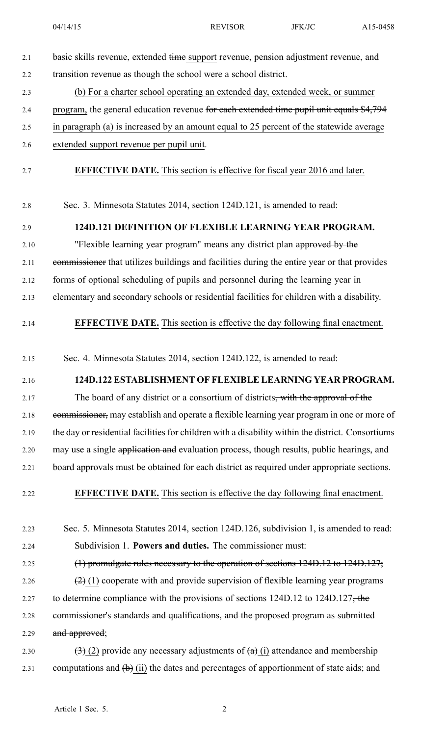| 2.1  | basic skills revenue, extended time support revenue, pension adjustment revenue, and                                         |
|------|------------------------------------------------------------------------------------------------------------------------------|
| 2.2  | transition revenue as though the school were a school district.                                                              |
| 2.3  | (b) For a charter school operating an extended day, extended week, or summer                                                 |
| 2.4  | program, the general education revenue for each extended time pupil unit equals \$4,794                                      |
| 2.5  | in paragraph (a) is increased by an amount equal to 25 percent of the statewide average                                      |
| 2.6  | extended support revenue per pupil unit.                                                                                     |
| 2.7  | <b>EFFECTIVE DATE.</b> This section is effective for fiscal year 2016 and later.                                             |
| 2.8  | Sec. 3. Minnesota Statutes 2014, section 124D.121, is amended to read:                                                       |
| 2.9  | 124D.121 DEFINITION OF FLEXIBLE LEARNING YEAR PROGRAM.                                                                       |
| 2.10 | "Flexible learning year program" means any district plan approved by the                                                     |
| 2.11 | commissioner that utilizes buildings and facilities during the entire year or that provides                                  |
| 2.12 | forms of optional scheduling of pupils and personnel during the learning year in                                             |
| 2.13 | elementary and secondary schools or residential facilities for children with a disability.                                   |
| 2.14 | <b>EFFECTIVE DATE.</b> This section is effective the day following final enactment.                                          |
| 2.15 | Sec. 4. Minnesota Statutes 2014, section 124D.122, is amended to read:                                                       |
| 2.16 | 124D.122 ESTABLISHMENT OF FLEXIBLE LEARNING YEAR PROGRAM.                                                                    |
| 2.17 | The board of any district or a consortium of districts <del>, with the approval of the</del>                                 |
| 2.18 | commissioner, may establish and operate a flexible learning year program in one or more of                                   |
| 2.19 | the day or residential facilities for children with a disability within the district. Consortiums                            |
| 2.20 | may use a single application and evaluation process, though results, public hearings, and                                    |
| 2.21 | board approvals must be obtained for each district as required under appropriate sections.                                   |
| 2.22 | <b>EFFECTIVE DATE.</b> This section is effective the day following final enactment.                                          |
| 2.23 | Sec. 5. Minnesota Statutes 2014, section 124D.126, subdivision 1, is amended to read:                                        |
| 2.24 | Subdivision 1. Powers and duties. The commissioner must:                                                                     |
| 2.25 | $(1)$ promulgate rules necessary to the operation of sections 124D.12 to 124D.127;                                           |
| 2.26 | $(2)$ (1) cooperate with and provide supervision of flexible learning year programs                                          |
| 2.27 | to determine compliance with the provisions of sections $124D.12$ to $124D.127$ , the                                        |
| 2.28 | commissioner's standards and qualifications, and the proposed program as submitted                                           |
| 2.29 | and approved;                                                                                                                |
| 2.30 | $\left(\frac{1}{2}\right)$ (2) provide any necessary adjustments of $\left(\frac{1}{2}\right)$ (i) attendance and membership |
| 2.31 | computations and $(\theta)$ (ii) the dates and percentages of apportionment of state aids; and                               |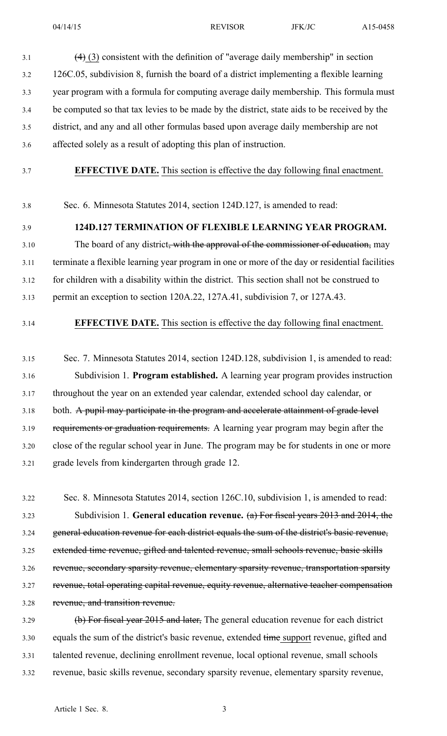$(4)$  (3) consistent with the definition of "average daily membership" in section 3.2 126C.05, subdivision 8, furnish the board of <sup>a</sup> district implementing <sup>a</sup> flexible learning 3.3 year program with <sup>a</sup> formula for computing average daily membership. This formula must 3.4 be computed so that tax levies to be made by the district, state aids to be received by the 3.5 district, and any and all other formulas based upon average daily membership are not 3.6 affected solely as <sup>a</sup> result of adopting this plan of instruction.

3.7 **EFFECTIVE DATE.** This section is effective the day following final enactment.

3.8 Sec. 6. Minnesota Statutes 2014, section 124D.127, is amended to read:

## 3.9 **124D.127 TERMINATION OF FLEXIBLE LEARNING YEAR PROGRAM.**

3.10 The board of any district<del>, with the approval of the commissioner of education,</del> may 3.11 terminate <sup>a</sup> flexible learning year program in one or more of the day or residential facilities 3.12 for children with <sup>a</sup> disability within the district. This section shall not be construed to 3.13 permit an exception to section 120A.22, 127A.41, subdivision 7, or 127A.43.

### 3.14 **EFFECTIVE DATE.** This section is effective the day following final enactment.

3.15 Sec. 7. Minnesota Statutes 2014, section 124D.128, subdivision 1, is amended to read: 3.16 Subdivision 1. **Program established.** A learning year program provides instruction 3.17 throughout the year on an extended year calendar, extended school day calendar, or 3.18 both. A pupil may participate in the program and accelerate attainment of grade level 3.19 requirements or graduation requirements. A learning year program may begin after the 3.20 close of the regular school year in June. The program may be for students in one or more 3.21 grade levels from kindergarten through grade 12.

3.22 Sec. 8. Minnesota Statutes 2014, section 126C.10, subdivision 1, is amended to read: 3.23 Subdivision 1. **General education revenue.** (a) For fiscal years 2013 and 2014, the 3.24 general education revenue for each district equals the sum of the district's basic revenue, 3.25 extended time revenue, gifted and talented revenue, small schools revenue, basic skills 3.26 revenue, secondary sparsity revenue, elementary sparsity revenue, transportation sparsity 3.27 revenue, total operating capital revenue, equity revenue, alternative teacher compensation 3.28 revenue, and transition revenue.

3.29 (b) For fiscal year 2015 and later, The general education revenue for each district 3.30 equals the sum of the district's basic revenue, extended time suppor<sup>t</sup> revenue, gifted and 3.31 talented revenue, declining enrollment revenue, local optional revenue, small schools 3.32 revenue, basic skills revenue, secondary sparsity revenue, elementary sparsity revenue,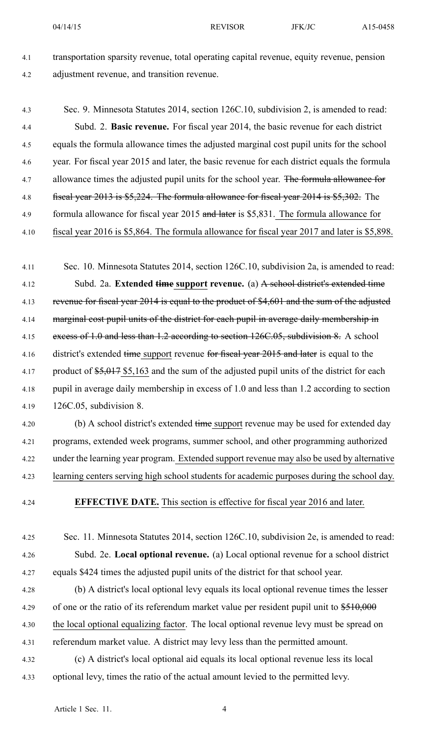4.1 transportation sparsity revenue, total operating capital revenue, equity revenue, pension 4.2 adjustment revenue, and transition revenue.

4.3 Sec. 9. Minnesota Statutes 2014, section 126C.10, subdivision 2, is amended to read: 4.4 Subd. 2. **Basic revenue.** For fiscal year 2014, the basic revenue for each district 4.5 equals the formula allowance times the adjusted marginal cost pupil units for the school 4.6 year. For fiscal year 2015 and later, the basic revenue for each district equals the formula 4.7 allowance times the adjusted pupil units for the school year. The formula allowance for 4.8 fiscal year 2013 is \$5,224. The formula allowance for fiscal year 2014 is \$5,302. The 4.9 formula allowance for fiscal year 2015 and later is \$5,831. The formula allowance for 4.10 fiscal year 2016 is \$5,864. The formula allowance for fiscal year 2017 and later is \$5,898.

4.11 Sec. 10. Minnesota Statutes 2014, section 126C.10, subdivision 2a, is amended to read: 4.12 Subd. 2a. **Extended time suppor<sup>t</sup> revenue.** (a) A school district's extended time 4.13 revenue for fiscal year 2014 is equal to the product of \$4,601 and the sum of the adjusted 4.14 marginal cost pupil units of the district for each pupil in average daily membership in 4.15 excess of 1.0 and less than 1.2 according to section 126C.05, subdivision 8. A school 4.16 district's extended time support revenue for fiscal year 2015 and later is equal to the 4.17 product of  $\frac{1}{5,017}$  \$5,163 and the sum of the adjusted pupil units of the district for each 4.18 pupil in average daily membership in excess of 1.0 and less than 1.2 according to section 4.19 126C.05, subdivision 8.

4.20 (b) A school district's extended time support revenue may be used for extended day 4.21 programs, extended week programs, summer school, and other programming authorized 4.22 under the learning year program. Extended suppor<sup>t</sup> revenue may also be used by alternative 4.23 learning centers serving high school students for academic purposes during the school day.

4.24 **EFFECTIVE DATE.** This section is effective for fiscal year 2016 and later.

4.25 Sec. 11. Minnesota Statutes 2014, section 126C.10, subdivision 2e, is amended to read: 4.26 Subd. 2e. **Local optional revenue.** (a) Local optional revenue for <sup>a</sup> school district 4.27 equals \$424 times the adjusted pupil units of the district for that school year.

4.28 (b) A district's local optional levy equals its local optional revenue times the lesser 4.29 of one or the ratio of its referendum market value per resident pupil unit to  $$510,000$ 4.30 the local optional equalizing factor. The local optional revenue levy must be spread on 4.31 referendum market value. A district may levy less than the permitted amount.

4.32 (c) A district's local optional aid equals its local optional revenue less its local 4.33 optional levy, times the ratio of the actual amount levied to the permitted levy.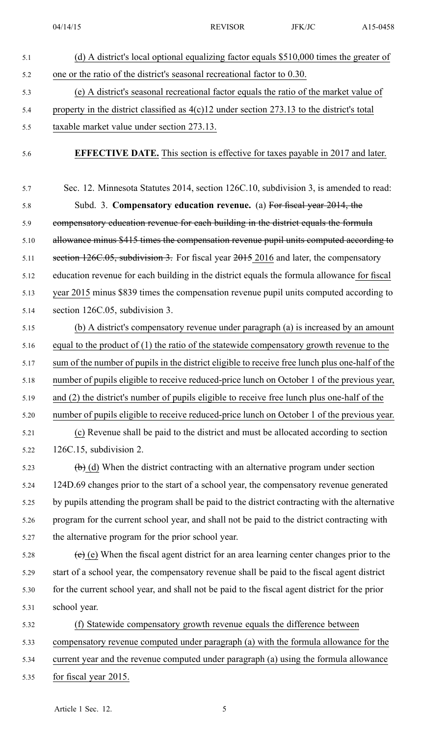| 5.1  | (d) A district's local optional equalizing factor equals \$510,000 times the greater of                |
|------|--------------------------------------------------------------------------------------------------------|
| 5.2  | one or the ratio of the district's seasonal recreational factor to 0.30.                               |
| 5.3  | (e) A district's seasonal recreational factor equals the ratio of the market value of                  |
| 5.4  | property in the district classified as $4(c)12$ under section 273.13 to the district's total           |
| 5.5  | taxable market value under section 273.13.                                                             |
| 5.6  | <b>EFFECTIVE DATE.</b> This section is effective for taxes payable in 2017 and later.                  |
| 5.7  | Sec. 12. Minnesota Statutes 2014, section 126C.10, subdivision 3, is amended to read:                  |
| 5.8  | Subd. 3. Compensatory education revenue. (a) For fiscal year 2014, the                                 |
| 5.9  | compensatory education revenue for each building in the district equals the formula                    |
| 5.10 | allowance minus \$415 times the compensation revenue pupil units computed according to                 |
| 5.11 | section 126C.05, subdivision 3. For fiscal year 2015 2016 and later, the compensatory                  |
| 5.12 | education revenue for each building in the district equals the formula allowance for fiscal            |
| 5.13 | year 2015 minus \$839 times the compensation revenue pupil units computed according to                 |
| 5.14 | section 126C.05, subdivision 3.                                                                        |
| 5.15 | (b) A district's compensatory revenue under paragraph (a) is increased by an amount                    |
| 5.16 | equal to the product of $(1)$ the ratio of the statewide compensatory growth revenue to the            |
| 5.17 | sum of the number of pupils in the district eligible to receive free lunch plus one-half of the        |
| 5.18 | number of pupils eligible to receive reduced-price lunch on October 1 of the previous year,            |
| 5.19 | and (2) the district's number of pupils eligible to receive free lunch plus one-half of the            |
| 5.20 | number of pupils eligible to receive reduced-price lunch on October 1 of the previous year.            |
| 5.21 | (c) Revenue shall be paid to the district and must be allocated according to section                   |
| 5.22 | $126C.15$ , subdivision 2.                                                                             |
| 5.23 | $\left(\frac{1}{2}\right)$ (d) When the district contracting with an alternative program under section |
| 5.24 | 124D.69 changes prior to the start of a school year, the compensatory revenue generated                |
| 5.25 | by pupils attending the program shall be paid to the district contracting with the alternative         |
| 5.26 | program for the current school year, and shall not be paid to the district contracting with            |
| 5.27 | the alternative program for the prior school year.                                                     |
| 5.28 | $(e)$ (e) When the fiscal agent district for an area learning center changes prior to the              |
| 5.29 | start of a school year, the compensatory revenue shall be paid to the fiscal agent district            |
| 5.30 | for the current school year, and shall not be paid to the fiscal agent district for the prior          |
| 5.31 | school year.                                                                                           |
| 5.32 | (f) Statewide compensatory growth revenue equals the difference between                                |
| 5.33 | compensatory revenue computed under paragraph (a) with the formula allowance for the                   |
| 5.34 | current year and the revenue computed under paragraph (a) using the formula allowance                  |
| 5.35 | for fiscal year 2015.                                                                                  |
|      |                                                                                                        |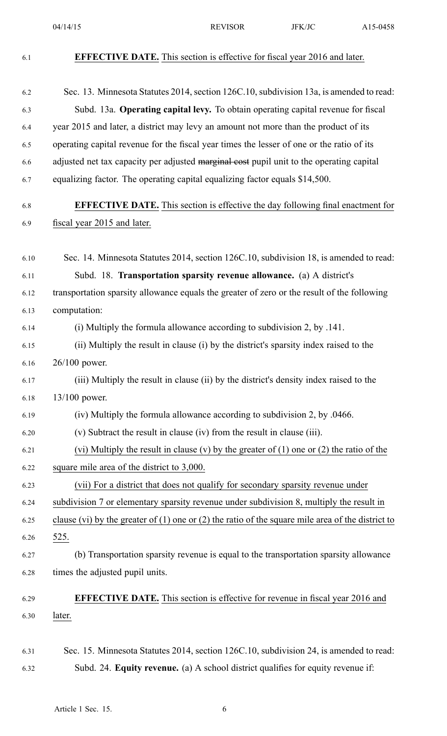04/14/15 **REVISOR** JFK/JC **A15-0458** 6.1 **EFFECTIVE DATE.** This section is effective for fiscal year 2016 and later. 6.2 Sec. 13. Minnesota Statutes 2014, section 126C.10, subdivision 13a, is amended to read: 6.3 Subd. 13a. **Operating capital levy.** To obtain operating capital revenue for fiscal 6.4 year 2015 and later, <sup>a</sup> district may levy an amount not more than the product of its 6.5 operating capital revenue for the fiscal year times the lesser of one or the ratio of its 6.6 adjusted net tax capacity per adjusted marginal cost pupil unit to the operating capital 6.7 equalizing factor. The operating capital equalizing factor equals \$14,500. 6.8 **EFFECTIVE DATE.** This section is effective the day following final enactment for 6.9 fiscal year 2015 and later. 6.10 Sec. 14. Minnesota Statutes 2014, section 126C.10, subdivision 18, is amended to read: 6.11 Subd. 18. **Transportation sparsity revenue allowance.** (a) A district's 6.12 transportation sparsity allowance equals the greater of zero or the result of the following 6.13 computation: 6.14 (i) Multiply the formula allowance according to subdivision 2, by .141. 6.15 (ii) Multiply the result in clause (i) by the district's sparsity index raised to the 6.16 26/100 power. 6.17 (iii) Multiply the result in clause (ii) by the district's density index raised to the 6.18 13/100 power. 6.19 (iv) Multiply the formula allowance according to subdivision 2, by .0466. 6.20 (v) Subtract the result in clause (iv) from the result in clause (iii). 6.21 (vi) Multiply the result in clause (v) by the greater of  $(1)$  one or  $(2)$  the ratio of the 6.22 square mile area of the district to 3,000. 6.23 (vii) For <sup>a</sup> district that does not qualify for secondary sparsity revenue under 6.24 subdivision 7 or elementary sparsity revenue under subdivision 8, multiply the result in 6.25 clause (vi) by the greater of (1) one or (2) the ratio of the square mile area of the district to 6.26 525. 6.27 (b) Transportation sparsity revenue is equal to the transportation sparsity allowance 6.28 times the adjusted pupil units. 6.29 **EFFECTIVE DATE.** This section is effective for revenue in fiscal year 2016 and 6.30 later. 6.31 Sec. 15. Minnesota Statutes 2014, section 126C.10, subdivision 24, is amended to read: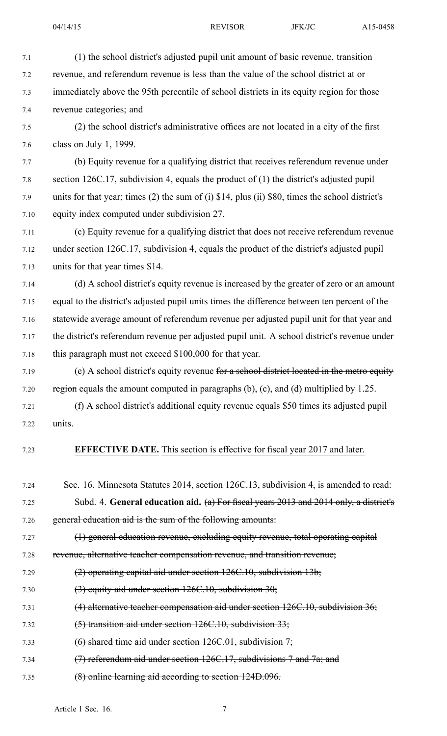7.1 (1) the school district's adjusted pupil unit amount of basic revenue, transition 7.2 revenue, and referendum revenue is less than the value of the school district at or 7.3 immediately above the 95th percentile of school districts in its equity region for those 7.4 revenue categories; and 7.5 (2) the school district's administrative offices are not located in <sup>a</sup> city of the first 7.6 class on July 1, 1999. 7.7 (b) Equity revenue for <sup>a</sup> qualifying district that receives referendum revenue under 7.8 section 126C.17, subdivision 4, equals the product of (1) the district's adjusted pupil 7.9 units for that year; times (2) the sum of (i) \$14, plus (ii) \$80, times the school district's 7.10 equity index computed under subdivision 27. 7.11 (c) Equity revenue for <sup>a</sup> qualifying district that does not receive referendum revenue 7.12 under section 126C.17, subdivision 4, equals the product of the district's adjusted pupil 7.13 units for that year times \$14. 7.14 (d) A school district's equity revenue is increased by the greater of zero or an amount 7.15 equal to the district's adjusted pupil units times the difference between ten percen<sup>t</sup> of the 7.16 statewide average amount of referendum revenue per adjusted pupil unit for that year and 7.17 the district's referendum revenue per adjusted pupil unit. A school district's revenue under

7.18 this paragraph must not exceed \$100,000 for that year.

7.19 (e) A school district's equity revenue for a school district located in the metro equity 7.20 region equals the amount computed in paragraphs (b), (c), and (d) multiplied by 1.25.

7.21 (f) A school district's additional equity revenue equals \$50 times its adjusted pupil 7.22 units.

## 7.23 **EFFECTIVE DATE.** This section is effective for fiscal year 2017 and later.

- 7.24 Sec. 16. Minnesota Statutes 2014, section 126C.13, subdivision 4, is amended to read: 7.25 Subd. 4. **General education aid.** (a) For fiscal years 2013 and 2014 only, <sup>a</sup> district's 7.26 general education aid is the sum of the following amounts:
- 7.27 (1) general education revenue, excluding equity revenue, total operating capital
- 7.28 revenue, alternative teacher compensation revenue, and transition revenue;
- 7.29 (2) operating capital aid under section 126C.10, subdivision 13b;
- 7.30 (3) equity aid under section  $126C.10$ , subdivision  $30$ ;
- 7.31 (4) alternative teacher compensation aid under section 126C.10, subdivision 36;
- 7.32 (5) transition aid under section 126C.10, subdivision 33;
- 7.33 (6) shared time aid under section  $126C.01$ , subdivision  $7$ ;
- 7.34 (7) referendum aid under section 126C.17, subdivisions 7 and 7a; and
- 7.35 (8) online learning aid according to section 124D.096.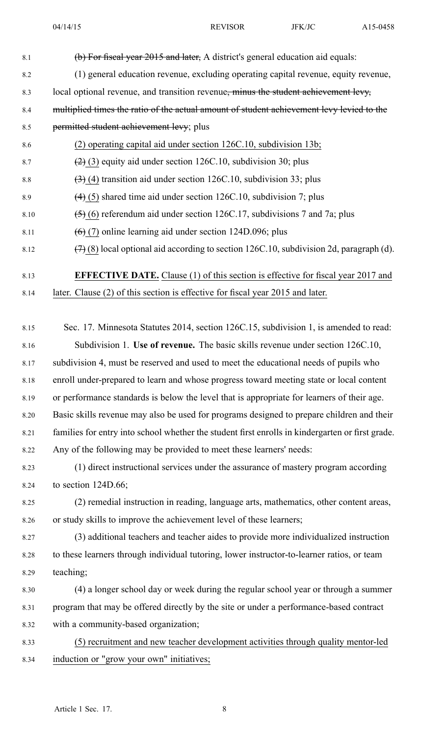| 8.1  | (b) For fiscal year 2015 and later, A district's general education aid equals:                   |
|------|--------------------------------------------------------------------------------------------------|
| 8.2  | (1) general education revenue, excluding operating capital revenue, equity revenue,              |
| 8.3  | local optional revenue, and transition revenue, minus the student achievement levy,              |
| 8.4  | multiplied times the ratio of the actual amount of student achievement levy levied to the        |
| 8.5  | permitted student achievement levy; plus                                                         |
| 8.6  | (2) operating capital aid under section 126C.10, subdivision 13b;                                |
| 8.7  | $(2)$ (3) equity aid under section 126C.10, subdivision 30; plus                                 |
| 8.8  | $(3)$ (4) transition aid under section 126C.10, subdivision 33; plus                             |
| 8.9  | $(4)$ (5) shared time aid under section 126C.10, subdivision 7; plus                             |
| 8.10 | $(5)$ (6) referendum aid under section 126C.17, subdivisions 7 and 7a; plus                      |
| 8.11 | $(6)$ (7) online learning aid under section 124D.096; plus                                       |
| 8.12 | $(7)$ (8) local optional aid according to section 126C.10, subdivision 2d, paragraph (d).        |
| 8.13 | <b>EFFECTIVE DATE.</b> Clause (1) of this section is effective for fiscal year 2017 and          |
| 8.14 | later. Clause (2) of this section is effective for fiscal year 2015 and later.                   |
|      |                                                                                                  |
| 8.15 | Sec. 17. Minnesota Statutes 2014, section 126C.15, subdivision 1, is amended to read:            |
| 8.16 | Subdivision 1. Use of revenue. The basic skills revenue under section 126C.10,                   |
| 8.17 | subdivision 4, must be reserved and used to meet the educational needs of pupils who             |
| 8.18 | enroll under-prepared to learn and whose progress toward meeting state or local content          |
| 8.19 | or performance standards is below the level that is appropriate for learners of their age.       |
| 8.20 | Basic skills revenue may also be used for programs designed to prepare children and their        |
| 8.21 | families for entry into school whether the student first enrolls in kindergarten or first grade. |
| 8.22 | Any of the following may be provided to meet these learners' needs:                              |
| 8.23 | (1) direct instructional services under the assurance of mastery program according               |
| 8.24 | to section $124D.66$ ;                                                                           |
| 8.25 | (2) remedial instruction in reading, language arts, mathematics, other content areas,            |
| 8.26 | or study skills to improve the achievement level of these learners;                              |
| 8.27 | (3) additional teachers and teacher aides to provide more individualized instruction             |
| 8.28 | to these learners through individual tutoring, lower instructor-to-learner ratios, or team       |
| 8.29 | teaching;                                                                                        |
| 8.30 | (4) a longer school day or week during the regular school year or through a summer               |
| 8.31 | program that may be offered directly by the site or under a performance-based contract           |
| 8.32 | with a community-based organization;                                                             |
| 8.33 | (5) recruitment and new teacher development activities through quality mentor-led                |
| 8.34 | induction or "grow your own" initiatives;                                                        |
|      |                                                                                                  |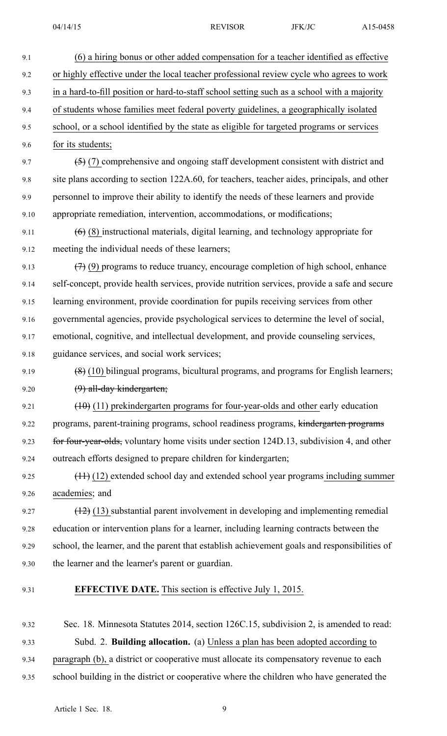9.1 (6) <sup>a</sup> hiring bonus or other added compensation for <sup>a</sup> teacher identified as effective 9.2 or highly effective under the local teacher professional review cycle who agrees to work 9.3 in <sup>a</sup> hard-to-fill position or hard-to-staff school setting such as <sup>a</sup> school with <sup>a</sup> majority 9.4 of students whose families meet federal poverty guidelines, <sup>a</sup> geographically isolated 9.5 school, or <sup>a</sup> school identified by the state as eligible for targeted programs or services 9.6 for its students; 9.7 (5) (7) comprehensive and ongoing staff development consistent with district and 9.8 site plans according to section 122A.60, for teachers, teacher aides, principals, and other 9.9 personnel to improve their ability to identify the needs of these learners and provide 9.10 appropriate remediation, intervention, accommodations, or modifications; 9.11  $(6)$  (8) instructional materials, digital learning, and technology appropriate for 9.12 meeting the individual needs of these learners; 9.13  $(7)(9)$  programs to reduce truancy, encourage completion of high school, enhance 9.14 self-concept, provide health services, provide nutrition services, provide <sup>a</sup> safe and secure 9.15 learning environment, provide coordination for pupils receiving services from other 9.16 governmental agencies, provide psychological services to determine the level of social, 9.17 emotional, cognitive, and intellectual development, and provide counseling services, 9.18 guidance services, and social work services; 9.19  $(8)(10)$  bilingual programs, bicultural programs, and programs for English learners; 9.20 (9) all-day kindergarten; 9.21  $(10)(11)$  prekindergarten programs for four-year-olds and other early education 9.22 programs, parent-training programs, school readiness programs, kindergarten programs 9.23 for four-year-olds, voluntary home visits under section 124D.13, subdivision 4, and other 9.24 outreach efforts designed to prepare children for kindergarten; 9.25 (11) (12) extended school day and extended school year programs including summer 9.26 academies; and 9.27 (12) (13) substantial paren<sup>t</sup> involvement in developing and implementing remedial 9.28 education or intervention plans for <sup>a</sup> learner, including learning contracts between the 9.29 school, the learner, and the paren<sup>t</sup> that establish achievement goals and responsibilities of 9.30 the learner and the learner's paren<sup>t</sup> or guardian. 9.31 **EFFECTIVE DATE.** This section is effective July 1, 2015.

9.32 Sec. 18. Minnesota Statutes 2014, section 126C.15, subdivision 2, is amended to read: 9.33 Subd. 2. **Building allocation.** (a) Unless <sup>a</sup> plan has been adopted according to 9.34 paragraph (b), <sup>a</sup> district or cooperative must allocate its compensatory revenue to each 9.35 school building in the district or cooperative where the children who have generated the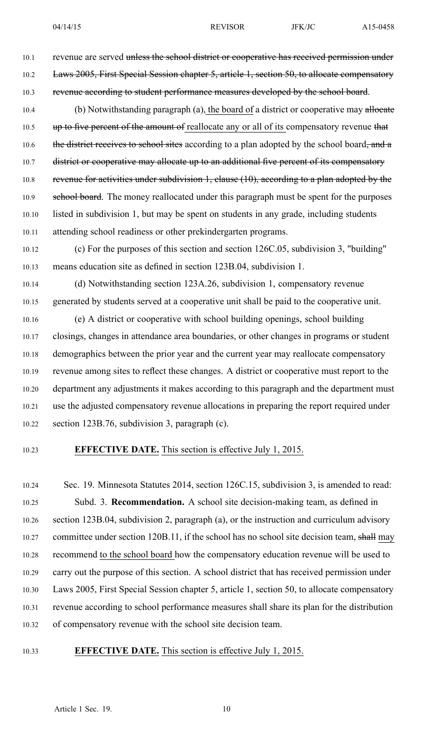10.1 revenue are served unless the school district or cooperative has received permission under 10.2 Laws 2005, First Special Session chapter 5, article 1, section 50, to allocate compensatory 10.3 revenue according to student performance measures developed by the school board. 10.4 (b) Notwithstanding paragraph (a), the board of a district or cooperative may allocate 10.5 up to five percent of the amount of reallocate any or all of its compensatory revenue that 10.6 the district receives to school sites according to a plan adopted by the school board, and a 10.7 district or cooperative may allocate up to an additional five percent of its compensatory 10.8 revenue for activities under subdivision 1, clause (10), according to a plan adopted by the 10.9 school board. The money reallocated under this paragraph must be spent for the purposes 10.10 listed in subdivision 1, but may be spen<sup>t</sup> on students in any grade, including students 10.11 attending school readiness or other prekindergarten programs.

10.12 (c) For the purposes of this section and section 126C.05, subdivision 3, "building" 10.13 means education site as defined in section 123B.04, subdivision 1.

10.14 (d) Notwithstanding section 123A.26, subdivision 1, compensatory revenue 10.15 generated by students served at <sup>a</sup> cooperative unit shall be paid to the cooperative unit. 10.16 (e) A district or cooperative with school building openings, school building 10.17 closings, changes in attendance area boundaries, or other changes in programs or student 10.18 demographics between the prior year and the current year may reallocate compensatory 10.19 revenue among sites to reflect these changes. A district or cooperative must repor<sup>t</sup> to the 10.20 department any adjustments it makes according to this paragraph and the department must 10.21 use the adjusted compensatory revenue allocations in preparing the repor<sup>t</sup> required under 10.22 section 123B.76, subdivision 3, paragraph (c).

## 10.23 **EFFECTIVE DATE.** This section is effective July 1, 2015.

10.24 Sec. 19. Minnesota Statutes 2014, section 126C.15, subdivision 3, is amended to read: 10.25 Subd. 3. **Recommendation.** A school site decision-making team, as defined in 10.26 section 123B.04, subdivision 2, paragraph (a), or the instruction and curriculum advisory 10.27 committee under section 120B.11, if the school has no school site decision team, shall may 10.28 recommend to the school board how the compensatory education revenue will be used to 10.29 carry out the purpose of this section. A school district that has received permission under 10.30 Laws 2005, First Special Session chapter 5, article 1, section 50, to allocate compensatory 10.31 revenue according to school performance measures shall share its plan for the distribution 10.32 of compensatory revenue with the school site decision team.

### 10.33 **EFFECTIVE DATE.** This section is effective July 1, 2015.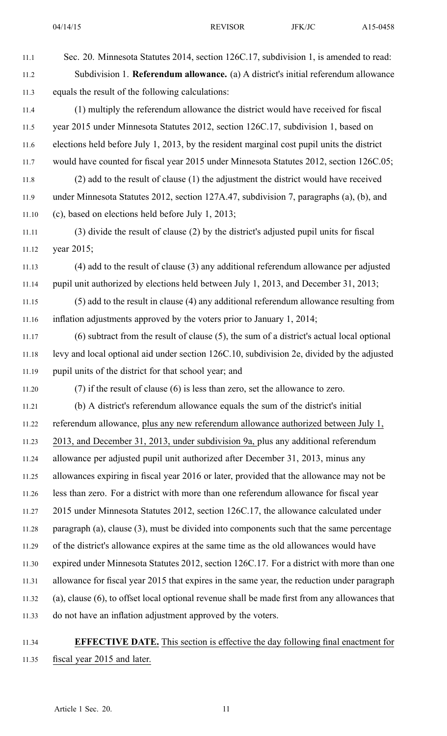| 11.1  | Sec. 20. Minnesota Statutes 2014, section 126C.17, subdivision 1, is amended to read:          |
|-------|------------------------------------------------------------------------------------------------|
| 11.2  | Subdivision 1. Referendum allowance. (a) A district's initial referendum allowance             |
| 11.3  | equals the result of the following calculations:                                               |
| 11.4  | (1) multiply the referendum allowance the district would have received for fiscal              |
| 11.5  | year 2015 under Minnesota Statutes 2012, section 126C.17, subdivision 1, based on              |
| 11.6  | elections held before July 1, 2013, by the resident marginal cost pupil units the district     |
| 11.7  | would have counted for fiscal year 2015 under Minnesota Statutes 2012, section 126C.05;        |
| 11.8  | (2) add to the result of clause (1) the adjustment the district would have received            |
| 11.9  | under Minnesota Statutes 2012, section 127A.47, subdivision 7, paragraphs (a), (b), and        |
| 11.10 | (c), based on elections held before July 1, 2013;                                              |
| 11.11 | (3) divide the result of clause (2) by the district's adjusted pupil units for fiscal          |
| 11.12 | year 2015;                                                                                     |
| 11.13 | (4) add to the result of clause (3) any additional referendum allowance per adjusted           |
| 11.14 | pupil unit authorized by elections held between July 1, 2013, and December 31, 2013;           |
| 11.15 | (5) add to the result in clause (4) any additional referendum allowance resulting from         |
| 11.16 | inflation adjustments approved by the voters prior to January 1, 2014;                         |
| 11.17 | $(6)$ subtract from the result of clause $(5)$ , the sum of a district's actual local optional |
| 11.18 | levy and local optional aid under section 126C.10, subdivision 2e, divided by the adjusted     |
| 11.19 | pupil units of the district for that school year; and                                          |
| 11.20 | (7) if the result of clause (6) is less than zero, set the allowance to zero.                  |
| 11.21 | (b) A district's referendum allowance equals the sum of the district's initial                 |
| 11.22 | referendum allowance, plus any new referendum allowance authorized between July 1,             |
| 11.23 | 2013, and December 31, 2013, under subdivision 9a, plus any additional referendum              |
| 11.24 | allowance per adjusted pupil unit authorized after December 31, 2013, minus any                |
| 11.25 | allowances expiring in fiscal year 2016 or later, provided that the allowance may not be       |
| 11.26 | less than zero. For a district with more than one referendum allowance for fiscal year         |
| 11.27 | 2015 under Minnesota Statutes 2012, section 126C.17, the allowance calculated under            |
| 11.28 | paragraph $(a)$ , clause $(3)$ , must be divided into components such that the same percentage |
| 11.29 | of the district's allowance expires at the same time as the old allowances would have          |
| 11.30 | expired under Minnesota Statutes 2012, section 126C.17. For a district with more than one      |
| 11.31 | allowance for fiscal year 2015 that expires in the same year, the reduction under paragraph    |
| 11.32 | (a), clause (6), to offset local optional revenue shall be made first from any allowances that |
| 11.33 | do not have an inflation adjustment approved by the voters.                                    |
|       |                                                                                                |

# 11.34 **EFFECTIVE DATE.** This section is effective the day following final enactment for 11.35 fiscal year 2015 and later.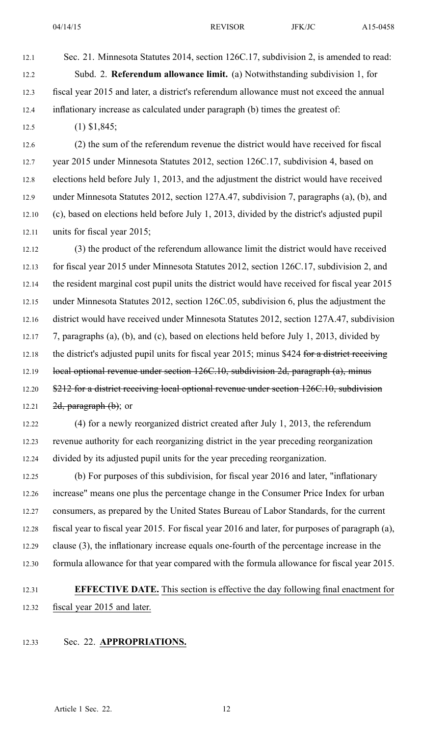12.1 Sec. 21. Minnesota Statutes 2014, section 126C.17, subdivision 2, is amended to read: 12.2 Subd. 2. **Referendum allowance limit.** (a) Notwithstanding subdivision 1, for 12.3 fiscal year 2015 and later, <sup>a</sup> district's referendum allowance must not exceed the annual 12.4 inflationary increase as calculated under paragraph (b) times the greatest of:

12.5 (1) \$1,845;

12.6 (2) the sum of the referendum revenue the district would have received for fiscal 12.7 year 2015 under Minnesota Statutes 2012, section 126C.17, subdivision 4, based on 12.8 elections held before July 1, 2013, and the adjustment the district would have received 12.9 under Minnesota Statutes 2012, section 127A.47, subdivision 7, paragraphs (a), (b), and 12.10 (c), based on elections held before July 1, 2013, divided by the district's adjusted pupil 12.11 units for fiscal year 2015;

12.12 (3) the product of the referendum allowance limit the district would have received 12.13 for fiscal year 2015 under Minnesota Statutes 2012, section 126C.17, subdivision 2, and 12.14 the resident marginal cost pupil units the district would have received for fiscal year 2015 12.15 under Minnesota Statutes 2012, section 126C.05, subdivision 6, plus the adjustment the 12.16 district would have received under Minnesota Statutes 2012, section 127A.47, subdivision 12.17 7, paragraphs (a), (b), and (c), based on elections held before July 1, 2013, divided by 12.18 the district's adjusted pupil units for fiscal year 2015; minus \$424 for a district receiving 12.19 local optional revenue under section 126C.10, subdivision 2d, paragraph (a), minus 12.20 \$212 for a district receiving local optional revenue under section 126C.10, subdivision 12.21  $2d$ , paragraph  $(b)$ ; or

12.22 (4) for <sup>a</sup> newly reorganized district created after July 1, 2013, the referendum 12.23 revenue authority for each reorganizing district in the year preceding reorganization 12.24 divided by its adjusted pupil units for the year preceding reorganization.

12.25 (b) For purposes of this subdivision, for fiscal year 2016 and later, "inflationary 12.26 increase" means one plus the percentage change in the Consumer Price Index for urban 12.27 consumers, as prepared by the United States Bureau of Labor Standards, for the current 12.28 fiscal year to fiscal year 2015. For fiscal year 2016 and later, for purposes of paragraph (a), 12.29 clause (3), the inflationary increase equals one-fourth of the percentage increase in the 12.30 formula allowance for that year compared with the formula allowance for fiscal year 2015.

# 12.31 **EFFECTIVE DATE.** This section is effective the day following final enactment for 12.32 fiscal year 2015 and later.

12.33 Sec. 22. **APPROPRIATIONS.**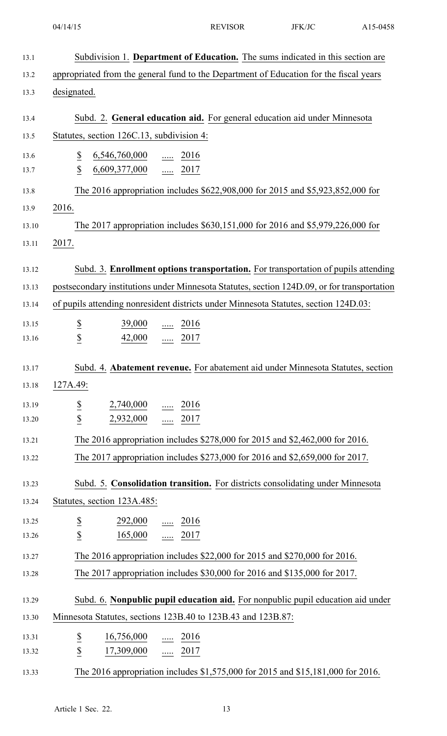| 13.1         | Subdivision 1. Department of Education. The sums indicated in this section are              |
|--------------|---------------------------------------------------------------------------------------------|
| 13.2         | appropriated from the general fund to the Department of Education for the fiscal years      |
| 13.3         | designated.                                                                                 |
|              |                                                                                             |
| 13.4         | Subd. 2. General education aid. For general education aid under Minnesota                   |
| 13.5         | Statutes, section 126C.13, subdivision 4:                                                   |
| 13.6<br>13.7 | $\overline{\mathcal{E}}$<br>$\underline{6,546,760,000}$ 2016<br>\$<br>$6,609,377,000$ 2017  |
|              |                                                                                             |
| 13.8         | The 2016 appropriation includes \$622,908,000 for 2015 and \$5,923,852,000 for              |
| 13.9         | 2016.                                                                                       |
| 13.10        | The 2017 appropriation includes \$630,151,000 for 2016 and \$5,979,226,000 for              |
| 13.11        | 2017.                                                                                       |
| 13.12        | Subd. 3. Enrollment options transportation. For transportation of pupils attending          |
| 13.13        | postsecondary institutions under Minnesota Statutes, section 124D.09, or for transportation |
| 13.14        | of pupils attending nonresident districts under Minnesota Statutes, section 124D.03:        |
| 13.15        | $\frac{39,000}{ }$ 2016                                                                     |
| 13.16        | $rac{S}{S}$<br>$\frac{42,000}{ }$ 2017                                                      |
|              |                                                                                             |
| 13.17        | Subd. 4. Abatement revenue. For abatement aid under Minnesota Statutes, section             |
| 13.18        | 127A.49:                                                                                    |
| 13.19        | $\overline{\mathbf{z}}$<br>$2,740,000$ 2016                                                 |
| 13.20        | $\underline{\mathbb{S}}$<br>2,932,000  2017                                                 |
| 13.21        | The 2016 appropriation includes \$278,000 for 2015 and \$2,462,000 for 2016.                |
| 13.22        | The 2017 appropriation includes \$273,000 for 2016 and \$2,659,000 for 2017.                |
| 13.23        | Subd. 5. Consolidation transition. For districts consolidating under Minnesota              |
| 13.24        | Statutes, section 123A.485:                                                                 |
| 13.25        | $\frac{292,000}{\cdots}$ 2016                                                               |
| 13.26        | $rac{S}{S}$<br>165,000  2017                                                                |
| 13.27        | The 2016 appropriation includes \$22,000 for 2015 and \$270,000 for 2016.                   |
| 13.28        | The 2017 appropriation includes \$30,000 for 2016 and \$135,000 for 2017.                   |
|              |                                                                                             |
| 13.29        | Subd. 6. Nonpublic pupil education aid. For nonpublic pupil education aid under             |
| 13.30        | Minnesota Statutes, sections 123B.40 to 123B.43 and 123B.87:                                |
| 13.31        | $rac{S}{S}$<br>$\frac{16,756,000}{}$ 2016                                                   |
| 13.32        | 17,309,000  2017                                                                            |
| 13.33        | The 2016 appropriation includes \$1,575,000 for 2015 and \$15,181,000 for 2016.             |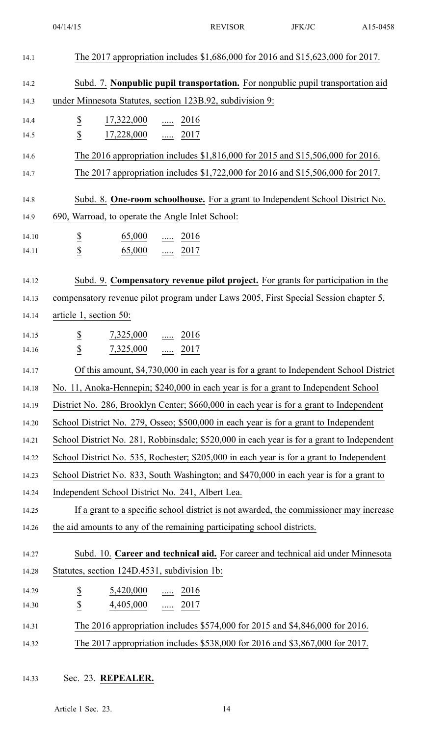## 14.33 Sec. 23. **REPEALER.**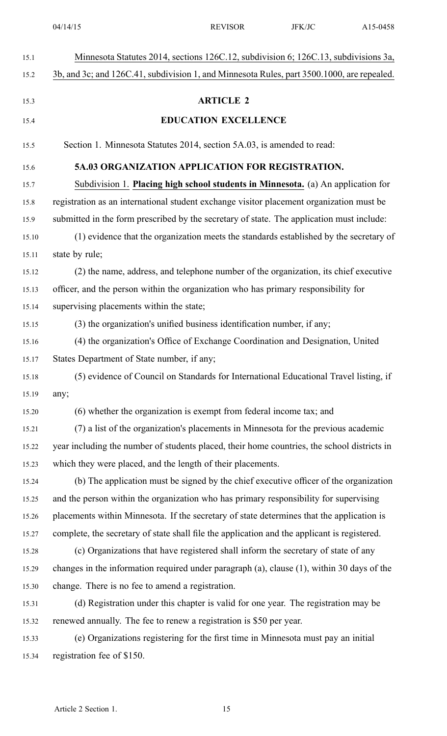| 15.1  | Minnesota Statutes 2014, sections 126C.12, subdivision 6; 126C.13, subdivisions 3a,              |
|-------|--------------------------------------------------------------------------------------------------|
| 15.2  | 3b, and 3c; and 126C.41, subdivision 1, and Minnesota Rules, part 3500.1000, are repealed.       |
|       |                                                                                                  |
| 15.3  | <b>ARTICLE 2</b>                                                                                 |
| 15.4  | <b>EDUCATION EXCELLENCE</b>                                                                      |
| 15.5  | Section 1. Minnesota Statutes 2014, section 5A.03, is amended to read:                           |
| 15.6  | 5A.03 ORGANIZATION APPLICATION FOR REGISTRATION.                                                 |
| 15.7  | Subdivision 1. Placing high school students in Minnesota. (a) An application for                 |
| 15.8  | registration as an international student exchange visitor placement organization must be         |
| 15.9  | submitted in the form prescribed by the secretary of state. The application must include:        |
| 15.10 | (1) evidence that the organization meets the standards established by the secretary of           |
| 15.11 | state by rule;                                                                                   |
| 15.12 | (2) the name, address, and telephone number of the organization, its chief executive             |
| 15.13 | officer, and the person within the organization who has primary responsibility for               |
| 15.14 | supervising placements within the state;                                                         |
| 15.15 | (3) the organization's unified business identification number, if any;                           |
| 15.16 | (4) the organization's Office of Exchange Coordination and Designation, United                   |
| 15.17 | States Department of State number, if any;                                                       |
| 15.18 | (5) evidence of Council on Standards for International Educational Travel listing, if            |
| 15.19 | any;                                                                                             |
| 15.20 | (6) whether the organization is exempt from federal income tax; and                              |
| 15.21 | (7) a list of the organization's placements in Minnesota for the previous academic               |
| 15.22 | year including the number of students placed, their home countries, the school districts in      |
| 15.23 | which they were placed, and the length of their placements.                                      |
| 15.24 | (b) The application must be signed by the chief executive officer of the organization            |
| 15.25 | and the person within the organization who has primary responsibility for supervising            |
| 15.26 | placements within Minnesota. If the secretary of state determines that the application is        |
| 15.27 | complete, the secretary of state shall file the application and the applicant is registered.     |
| 15.28 | (c) Organizations that have registered shall inform the secretary of state of any                |
| 15.29 | changes in the information required under paragraph $(a)$ , clause $(1)$ , within 30 days of the |
| 15.30 | change. There is no fee to amend a registration.                                                 |
| 15.31 | (d) Registration under this chapter is valid for one year. The registration may be               |
| 15.32 | renewed annually. The fee to renew a registration is \$50 per year.                              |
| 15.33 | (e) Organizations registering for the first time in Minnesota must pay an initial                |
| 15.34 | registration fee of \$150.                                                                       |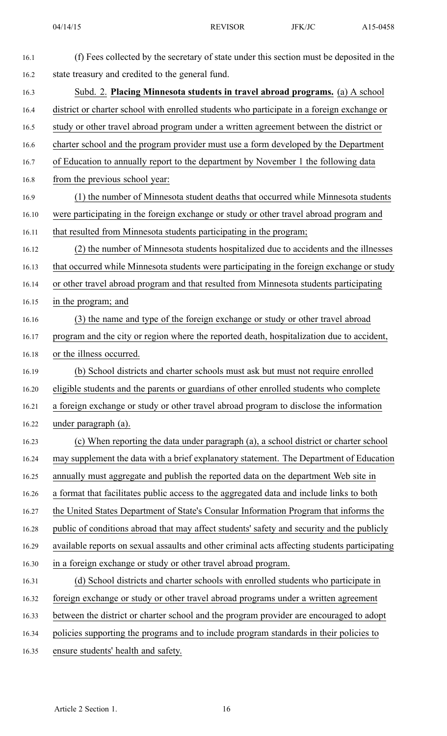| 16.1  | (f) Fees collected by the secretary of state under this section must be deposited in the      |
|-------|-----------------------------------------------------------------------------------------------|
| 16.2  | state treasury and credited to the general fund.                                              |
| 16.3  | Subd. 2. Placing Minnesota students in travel abroad programs. (a) A school                   |
| 16.4  | district or charter school with enrolled students who participate in a foreign exchange or    |
| 16.5  | study or other travel abroad program under a written agreement between the district or        |
| 16.6  | charter school and the program provider must use a form developed by the Department           |
| 16.7  | of Education to annually report to the department by November 1 the following data            |
| 16.8  | from the previous school year:                                                                |
| 16.9  | (1) the number of Minnesota student deaths that occurred while Minnesota students             |
| 16.10 | were participating in the foreign exchange or study or other travel abroad program and        |
| 16.11 | that resulted from Minnesota students participating in the program;                           |
| 16.12 | (2) the number of Minnesota students hospitalized due to accidents and the illnesses          |
| 16.13 | that occurred while Minnesota students were participating in the foreign exchange or study    |
| 16.14 | or other travel abroad program and that resulted from Minnesota students participating        |
| 16.15 | in the program; and                                                                           |
| 16.16 | (3) the name and type of the foreign exchange or study or other travel abroad                 |
| 16.17 | program and the city or region where the reported death, hospitalization due to accident,     |
| 16.18 | or the illness occurred.                                                                      |
| 16.19 | (b) School districts and charter schools must ask but must not require enrolled               |
| 16.20 | eligible students and the parents or guardians of other enrolled students who complete        |
| 16.21 | a foreign exchange or study or other travel abroad program to disclose the information        |
| 16.22 | under paragraph (a).                                                                          |
| 16.23 | (c) When reporting the data under paragraph (a), a school district or charter school          |
| 16.24 | may supplement the data with a brief explanatory statement. The Department of Education       |
| 16.25 | annually must aggregate and publish the reported data on the department Web site in           |
| 16.26 | a format that facilitates public access to the aggregated data and include links to both      |
| 16.27 | the United States Department of State's Consular Information Program that informs the         |
| 16.28 | public of conditions abroad that may affect students' safety and security and the publicly    |
| 16.29 | available reports on sexual assaults and other criminal acts affecting students participating |
| 16.30 | in a foreign exchange or study or other travel abroad program.                                |
| 16.31 | (d) School districts and charter schools with enrolled students who participate in            |
| 16.32 | foreign exchange or study or other travel abroad programs under a written agreement           |
| 16.33 | between the district or charter school and the program provider are encouraged to adopt       |
| 16.34 | policies supporting the programs and to include program standards in their policies to        |
| 16.35 | ensure students' health and safety.                                                           |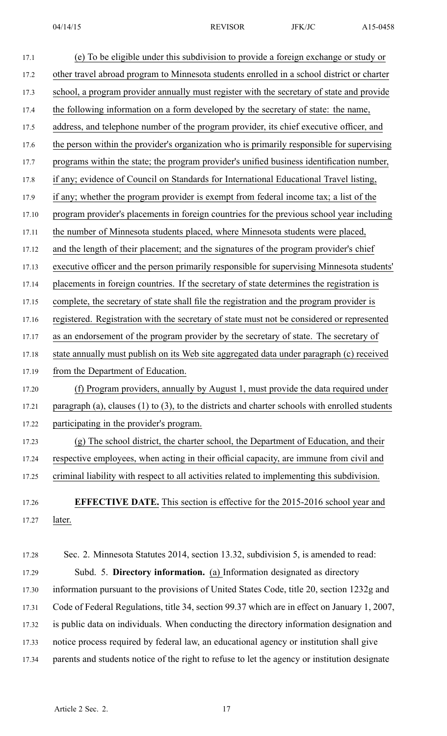| 17.1  | (e) To be eligible under this subdivision to provide a foreign exchange or study or                 |
|-------|-----------------------------------------------------------------------------------------------------|
| 17.2  | other travel abroad program to Minnesota students enrolled in a school district or charter          |
| 17.3  | school, a program provider annually must register with the secretary of state and provide           |
| 17.4  | the following information on a form developed by the secretary of state: the name,                  |
| 17.5  | address, and telephone number of the program provider, its chief executive officer, and             |
| 17.6  | the person within the provider's organization who is primarily responsible for supervising          |
| 17.7  | programs within the state; the program provider's unified business identification number,           |
| 17.8  | if any; evidence of Council on Standards for International Educational Travel listing,              |
| 17.9  | if any; whether the program provider is exempt from federal income tax; a list of the               |
| 17.10 | program provider's placements in foreign countries for the previous school year including           |
| 17.11 | the number of Minnesota students placed, where Minnesota students were placed,                      |
| 17.12 | and the length of their placement; and the signatures of the program provider's chief               |
| 17.13 | executive officer and the person primarily responsible for supervising Minnesota students'          |
| 17.14 | placements in foreign countries. If the secretary of state determines the registration is           |
| 17.15 | complete, the secretary of state shall file the registration and the program provider is            |
| 17.16 | registered. Registration with the secretary of state must not be considered or represented          |
| 17.17 | as an endorsement of the program provider by the secretary of state. The secretary of               |
| 17.18 | state annually must publish on its Web site aggregated data under paragraph (c) received            |
| 17.19 | from the Department of Education.                                                                   |
| 17.20 | (f) Program providers, annually by August 1, must provide the data required under                   |
| 17.21 | paragraph (a), clauses $(1)$ to $(3)$ , to the districts and charter schools with enrolled students |
| 17.22 | participating in the provider's program.                                                            |
| 17.23 | (g) The school district, the charter school, the Department of Education, and their                 |
| 17.24 | respective employees, when acting in their official capacity, are immune from civil and             |
| 17.25 | criminal liability with respect to all activities related to implementing this subdivision.         |
|       | <b>EFFECTIVE DATE.</b> This section is effective for the 2015-2016 school year and                  |
| 17.26 | later.                                                                                              |
| 17.27 |                                                                                                     |
| 17.28 | Sec. 2. Minnesota Statutes 2014, section 13.32, subdivision 5, is amended to read:                  |
| 17.29 | Subd. 5. Directory information. (a) Information designated as directory                             |
| 17.30 | information pursuant to the provisions of United States Code, title 20, section 1232g and           |
| 17.31 | Code of Federal Regulations, title 34, section 99.37 which are in effect on January 1, 2007,        |

17.32 is public data on individuals. When conducting the directory information designation and

- 17.33 notice process required by federal law, an educational agency or institution shall give
- 17.34 parents and students notice of the right to refuse to let the agency or institution designate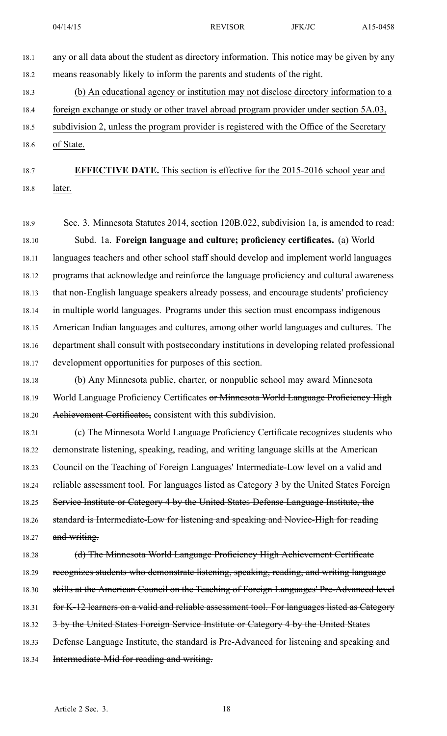18.1 any or all data about the student as directory information. This notice may be given by any 18.2 means reasonably likely to inform the parents and students of the right.

18.3 (b) An educational agency or institution may not disclose directory information to <sup>a</sup>

18.4 foreign exchange or study or other travel abroad program provider under section 5A.03,

18.5 subdivision 2, unless the program provider is registered with the Office of the Secretary 18.6 of State.

18.7 **EFFECTIVE DATE.** This section is effective for the 2015-2016 school year and 18.8 later.

- 18.9 Sec. 3. Minnesota Statutes 2014, section 120B.022, subdivision 1a, is amended to read: 18.10 Subd. 1a. **Foreign language and culture; proficiency certificates.** (a) World 18.11 languages teachers and other school staff should develop and implement world languages 18.12 programs that acknowledge and reinforce the language proficiency and cultural awareness 18.13 that non-English language speakers already possess, and encourage students' proficiency 18.14 in multiple world languages. Programs under this section must encompass indigenous 18.15 American Indian languages and cultures, among other world languages and cultures. The 18.16 department shall consult with postsecondary institutions in developing related professional 18.17 development opportunities for purposes of this section.
- 18.18 (b) Any Minnesota public, charter, or nonpublic school may award Minnesota 18.19 World Language Proficiency Certificates or Minnesota World Language Proficiency High 18.20 Achievement Certificates, consistent with this subdivision.
- 18.21 (c) The Minnesota World Language Proficiency Certificate recognizes students who 18.22 demonstrate listening, speaking, reading, and writing language skills at the American 18.23 Council on the Teaching of Foreign Languages' Intermediate-Low level on <sup>a</sup> valid and 18.24 reliable assessment tool. For languages listed as Category 3 by the United States Foreign 18.25 Service Institute or Category 4 by the United States Defense Language Institute, the 18.26 standard is Intermediate-Low for listening and speaking and Novice-High for reading 18.27 and writing.
- 18.28 (d) The Minnesota World Language Proficiency High Achievement Certificate 18.29 recognizes students who demonstrate listening, speaking, reading, and writing language 18.30 skills at the American Council on the Teaching of Foreign Languages' Pre-Advanced level 18.31 for K-12 learners on a valid and reliable assessment tool. For languages listed as Category 18.32 3 by the United States Foreign Service Institute or Category 4 by the United States 18.33 Defense Language Institute, the standard is Pre-Advanced for listening and speaking and 18.34 Intermediate-Mid for reading and writing.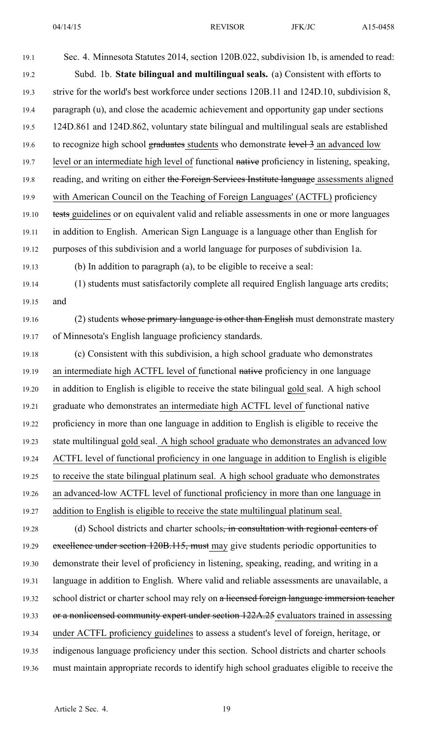| 19.1  | Sec. 4. Minnesota Statutes 2014, section 120B.022, subdivision 1b, is amended to read:         |
|-------|------------------------------------------------------------------------------------------------|
| 19.2  | Subd. 1b. State bilingual and multilingual seals. (a) Consistent with efforts to               |
| 19.3  | strive for the world's best workforce under sections 120B.11 and 124D.10, subdivision 8,       |
| 19.4  | paragraph (u), and close the academic achievement and opportunity gap under sections           |
| 19.5  | 124D.861 and 124D.862, voluntary state bilingual and multilingual seals are established        |
| 19.6  | to recognize high school graduates students who demonstrate level 3 an advanced low            |
| 19.7  | level or an intermediate high level of functional native proficiency in listening, speaking,   |
| 19.8  | reading, and writing on either the Foreign Services Institute language assessments aligned     |
| 19.9  | with American Council on the Teaching of Foreign Languages' (ACTFL) proficiency                |
| 19.10 | tests guidelines or on equivalent valid and reliable assessments in one or more languages      |
| 19.11 | in addition to English. American Sign Language is a language other than English for            |
| 19.12 | purposes of this subdivision and a world language for purposes of subdivision 1a.              |
| 19.13 | (b) In addition to paragraph (a), to be eligible to receive a seal:                            |
| 19.14 | (1) students must satisfactorily complete all required English language arts credits;          |
| 19.15 | and                                                                                            |
| 19.16 | (2) students whose primary language is other than English must demonstrate mastery             |
| 19.17 | of Minnesota's English language proficiency standards.                                         |
| 19.18 | (c) Consistent with this subdivision, a high school graduate who demonstrates                  |
| 19.19 | an intermediate high ACTFL level of functional native proficiency in one language              |
| 19.20 | in addition to English is eligible to receive the state bilingual gold seal. A high school     |
| 19.21 | graduate who demonstrates an intermediate high ACTFL level of functional native                |
| 19.22 | proficiency in more than one language in addition to English is eligible to receive the        |
| 19.23 | state multilingual gold seal. A high school graduate who demonstrates an advanced low          |
| 19.24 | ACTFL level of functional proficiency in one language in addition to English is eligible       |
| 19.25 | to receive the state bilingual platinum seal. A high school graduate who demonstrates          |
| 19.26 | an advanced-low ACTFL level of functional proficiency in more than one language in             |
| 19.27 | addition to English is eligible to receive the state multilingual platinum seal.               |
| 19.28 | (d) School districts and charter schools <del>, in consultation with regional centers of</del> |
| 19.29 | excellence under section 120B.115, must may give students periodic opportunities to            |
| 19.30 | demonstrate their level of proficiency in listening, speaking, reading, and writing in a       |
| 19.31 | language in addition to English. Where valid and reliable assessments are unavailable, a       |
| 19.32 | school district or charter school may rely on a licensed foreign language immersion teacher    |
| 19.33 | or a nonlicensed community expert under section 122A.25 evaluators trained in assessing        |
| 19.34 | under ACTFL proficiency guidelines to assess a student's level of foreign, heritage, or        |
| 19.35 | indigenous language proficiency under this section. School districts and charter schools       |
| 19.36 | must maintain appropriate records to identify high school graduates eligible to receive the    |
|       |                                                                                                |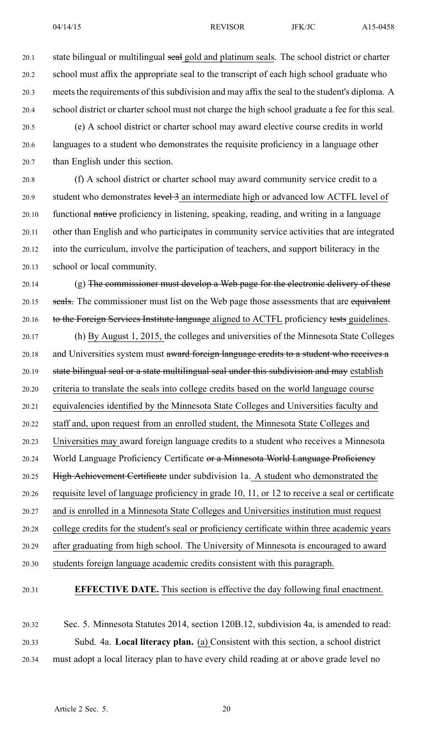20.1 state bilingual or multilingual seal gold and platinum seals. The school district or charter 20.2 school must affix the appropriate seal to the transcript of each high school graduate who 20.3 meets the requirements of this subdivision and may affix the seal to the student's diploma. A 20.4 school district or charter school must not charge the high school graduate <sup>a</sup> fee for this seal.

20.5 (e) A school district or charter school may award elective course credits in world 20.6 languages to <sup>a</sup> student who demonstrates the requisite proficiency in <sup>a</sup> language other 20.7 than English under this section.

20.8 (f) A school district or charter school may award community service credit to <sup>a</sup> 20.9 student who demonstrates level 3 an intermediate high or advanced low ACTFL level of 20.10 functional native proficiency in listening, speaking, reading, and writing in <sup>a</sup> language 20.11 other than English and who participates in community service activities that are integrated 20.12 into the curriculum, involve the participation of teachers, and suppor<sup>t</sup> biliteracy in the 20.13 school or local community.

20.14 (g) The commissioner must develop a Web page for the electronic delivery of these 20.15 seals. The commissioner must list on the Web page those assessments that are equivalent 20.16 to the Foreign Services Institute language aligned to ACTFL proficiency tests guidelines.

20.17 (h) By August 1, 2015, the colleges and universities of the Minnesota State Colleges 20.18 and Universities system must award foreign language credits to a student who receives a 20.19 state bilingual seal or a state multilingual seal under this subdivision and may establish 20.20 criteria to translate the seals into college credits based on the world language course 20.21 equivalencies identified by the Minnesota State Colleges and Universities faculty and 20.22 staff and, upon reques<sup>t</sup> from an enrolled student, the Minnesota State Colleges and 20.23 Universities may award foreign language credits to <sup>a</sup> student who receives <sup>a</sup> Minnesota 20.24 World Language Proficiency Certificate or a Minnesota World Language Proficiency 20.25 High Achievement Certificate under subdivision 1a. A student who demonstrated the 20.26 requisite level of language proficiency in grade 10, 11, or 12 to receive <sup>a</sup> seal or certificate 20.27 and is enrolled in <sup>a</sup> Minnesota State Colleges and Universities institution must reques<sup>t</sup> 20.28 college credits for the student's seal or proficiency certificate within three academic years 20.29 after graduating from high school. The University of Minnesota is encouraged to award 20.30 students foreign language academic credits consistent with this paragraph.

20.31 **EFFECTIVE DATE.** This section is effective the day following final enactment.

20.32 Sec. 5. Minnesota Statutes 2014, section 120B.12, subdivision 4a, is amended to read: 20.33 Subd. 4a. **Local literacy plan.** (a) Consistent with this section, <sup>a</sup> school district 20.34 must adopt <sup>a</sup> local literacy plan to have every child reading at or above grade level no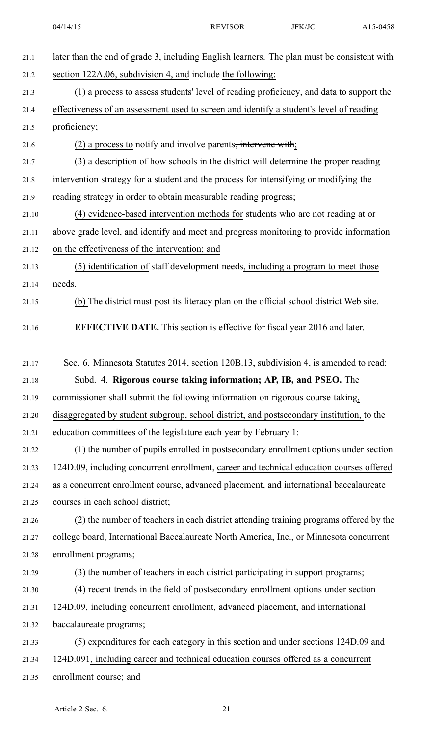| 21.1  | later than the end of grade 3, including English learners. The plan must be consistent with         |
|-------|-----------------------------------------------------------------------------------------------------|
| 21.2  | section 122A.06, subdivision 4, and include the following:                                          |
| 21.3  | (1) a process to assess students' level of reading proficiency, and data to support the             |
| 21.4  | effectiveness of an assessment used to screen and identify a student's level of reading             |
| 21.5  | proficiency;                                                                                        |
| 21.6  | $(2)$ a process to notify and involve parents <del>, intervene with</del> ;                         |
| 21.7  | (3) a description of how schools in the district will determine the proper reading                  |
| 21.8  | intervention strategy for a student and the process for intensifying or modifying the               |
| 21.9  | reading strategy in order to obtain measurable reading progress;                                    |
| 21.10 | (4) evidence-based intervention methods for students who are not reading at or                      |
| 21.11 | above grade level <del>, and identify and meet</del> and progress monitoring to provide information |
| 21.12 | on the effectiveness of the intervention; and                                                       |
| 21.13 | (5) identification of staff development needs, including a program to meet those                    |
| 21.14 | needs.                                                                                              |
| 21.15 | (b) The district must post its literacy plan on the official school district Web site.              |
| 21.16 | <b>EFFECTIVE DATE.</b> This section is effective for fiscal year 2016 and later.                    |
| 21.17 | Sec. 6. Minnesota Statutes 2014, section 120B.13, subdivision 4, is amended to read:                |
| 21.18 | Subd. 4. Rigorous course taking information; AP, IB, and PSEO. The                                  |
| 21.19 | commissioner shall submit the following information on rigorous course taking,                      |
| 21.20 | disaggregated by student subgroup, school district, and postsecondary institution, to the           |
| 21.21 | education committees of the legislature each year by February 1:                                    |
| 21.22 | (1) the number of pupils enrolled in postsecondary enrollment options under section                 |
| 21.23 | 124D.09, including concurrent enrollment, career and technical education courses offered            |
| 21.24 | as a concurrent enrollment course, advanced placement, and international baccalaureate              |
| 21.25 | courses in each school district;                                                                    |
| 21.26 | (2) the number of teachers in each district attending training programs offered by the              |
| 21.27 | college board, International Baccalaureate North America, Inc., or Minnesota concurrent             |
| 21.28 | enrollment programs;                                                                                |
| 21.29 | (3) the number of teachers in each district participating in support programs;                      |
| 21.30 | (4) recent trends in the field of postsecondary enrollment options under section                    |
| 21.31 | 124D.09, including concurrent enrollment, advanced placement, and international                     |
| 21.32 | baccalaureate programs;                                                                             |
| 21.33 | (5) expenditures for each category in this section and under sections 124D.09 and                   |
| 21.34 | 124D.091, including career and technical education courses offered as a concurrent                  |
| 21.35 | enrollment course; and                                                                              |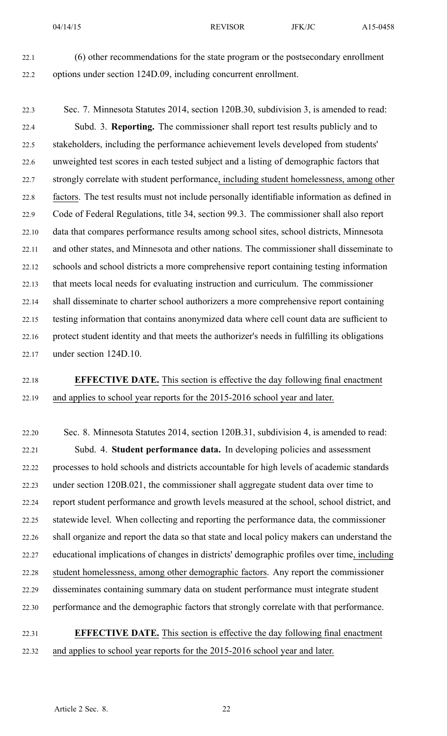22.1 (6) other recommendations for the state program or the postsecondary enrollment 22.2 options under section 124D.09, including concurrent enrollment.

22.3 Sec. 7. Minnesota Statutes 2014, section 120B.30, subdivision 3, is amended to read: 22.4 Subd. 3. **Reporting.** The commissioner shall repor<sup>t</sup> test results publicly and to 22.5 stakeholders, including the performance achievement levels developed from students' 22.6 unweighted test scores in each tested subject and <sup>a</sup> listing of demographic factors that 22.7 strongly correlate with student performance, including student homelessness, among other 22.8 factors. The test results must not include personally identifiable information as defined in 22.9 Code of Federal Regulations, title 34, section 99.3. The commissioner shall also repor<sup>t</sup> 22.10 data that compares performance results among school sites, school districts, Minnesota 22.11 and other states, and Minnesota and other nations. The commissioner shall disseminate to 22.12 schools and school districts <sup>a</sup> more comprehensive repor<sup>t</sup> containing testing information 22.13 that meets local needs for evaluating instruction and curriculum. The commissioner 22.14 shall disseminate to charter school authorizers <sup>a</sup> more comprehensive repor<sup>t</sup> containing 22.15 testing information that contains anonymized data where cell count data are sufficient to 22.16 protect student identity and that meets the authorizer's needs in fulfilling its obligations 22.17 under section 124D.10.

## 22.18 **EFFECTIVE DATE.** This section is effective the day following final enactment 22.19 and applies to school year reports for the 2015-2016 school year and later.

22.20 Sec. 8. Minnesota Statutes 2014, section 120B.31, subdivision 4, is amended to read: 22.21 Subd. 4. **Student performance data.** In developing policies and assessment 22.22 processes to hold schools and districts accountable for high levels of academic standards 22.23 under section 120B.021, the commissioner shall aggregate student data over time to 22.24 repor<sup>t</sup> student performance and growth levels measured at the school, school district, and 22.25 statewide level. When collecting and reporting the performance data, the commissioner 22.26 shall organize and repor<sup>t</sup> the data so that state and local policy makers can understand the 22.27 educational implications of changes in districts' demographic profiles over time, including 22.28 student homelessness, among other demographic factors. Any repor<sup>t</sup> the commissioner 22.29 disseminates containing summary data on student performance must integrate student 22.30 performance and the demographic factors that strongly correlate with that performance.

## 22.31 **EFFECTIVE DATE.** This section is effective the day following final enactment 22.32 and applies to school year reports for the 2015-2016 school year and later.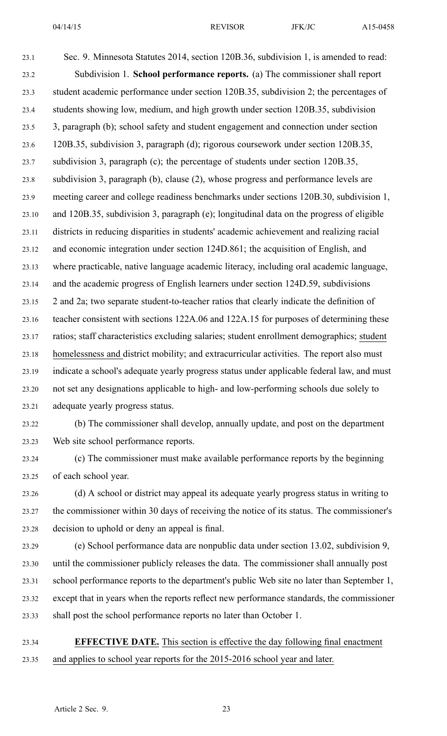23.1 Sec. 9. Minnesota Statutes 2014, section 120B.36, subdivision 1, is amended to read: 23.2 Subdivision 1. **School performance reports.** (a) The commissioner shall repor<sup>t</sup> 23.3 student academic performance under section 120B.35, subdivision 2; the percentages of 23.4 students showing low, medium, and high growth under section 120B.35, subdivision 23.5 3, paragraph (b); school safety and student engagemen<sup>t</sup> and connection under section 23.6 120B.35, subdivision 3, paragraph (d); rigorous coursework under section 120B.35, 23.7 subdivision 3, paragraph (c); the percentage of students under section 120B.35, 23.8 subdivision 3, paragraph (b), clause (2), whose progress and performance levels are 23.9 meeting career and college readiness benchmarks under sections 120B.30, subdivision 1, 23.10 and 120B.35, subdivision 3, paragraph (e); longitudinal data on the progress of eligible 23.11 districts in reducing disparities in students' academic achievement and realizing racial 23.12 and economic integration under section 124D.861; the acquisition of English, and 23.13 where practicable, native language academic literacy, including oral academic language, 23.14 and the academic progress of English learners under section 124D.59, subdivisions 23.15 2 and 2a; two separate student-to-teacher ratios that clearly indicate the definition of 23.16 teacher consistent with sections 122A.06 and 122A.15 for purposes of determining these 23.17 ratios; staff characteristics excluding salaries; student enrollment demographics; student 23.18 homelessness and district mobility; and extracurricular activities. The repor<sup>t</sup> also must 23.19 indicate <sup>a</sup> school's adequate yearly progress status under applicable federal law, and must 23.20 not set any designations applicable to high- and low-performing schools due solely to 23.21 adequate yearly progress status. 23.22 (b) The commissioner shall develop, annually update, and pos<sup>t</sup> on the department 23.23 Web site school performance reports. 23.24 (c) The commissioner must make available performance reports by the beginning 23.25 of each school year.

23.26 (d) A school or district may appeal its adequate yearly progress status in writing to 23.27 the commissioner within 30 days of receiving the notice of its status. The commissioner's 23.28 decision to uphold or deny an appeal is final.

23.29 (e) School performance data are nonpublic data under section 13.02, subdivision 9, 23.30 until the commissioner publicly releases the data. The commissioner shall annually pos<sup>t</sup> 23.31 school performance reports to the department's public Web site no later than September 1, 23.32 excep<sup>t</sup> that in years when the reports reflect new performance standards, the commissioner 23.33 shall pos<sup>t</sup> the school performance reports no later than October 1.

23.34 **EFFECTIVE DATE.** This section is effective the day following final enactment 23.35 and applies to school year reports for the 2015-2016 school year and later.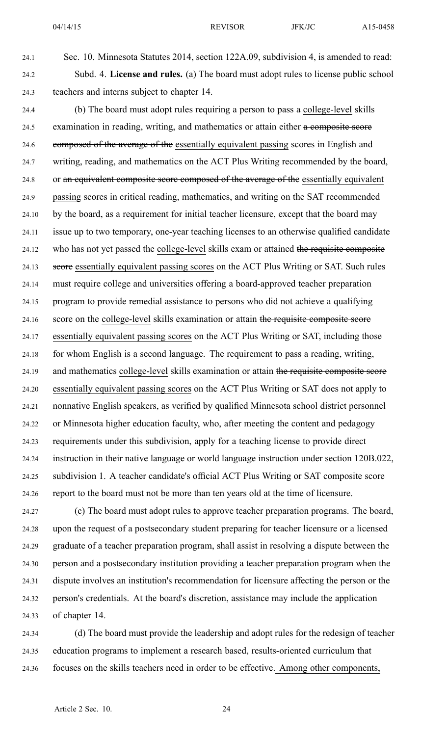24.1 Sec. 10. Minnesota Statutes 2014, section 122A.09, subdivision 4, is amended to read: 24.2 Subd. 4. **License and rules.** (a) The board must adopt rules to license public school 24.3 teachers and interns subject to chapter 14.

24.4 (b) The board must adopt rules requiring <sup>a</sup> person to pass <sup>a</sup> college-level skills 24.5 examination in reading, writing, and mathematics or attain either a composite score 24.6 composed of the average of the essentially equivalent passing scores in English and 24.7 writing, reading, and mathematics on the ACT Plus Writing recommended by the board, 24.8 or an equivalent composite score composed of the average of the essentially equivalent 24.9 passing scores in critical reading, mathematics, and writing on the SAT recommended 24.10 by the board, as <sup>a</sup> requirement for initial teacher licensure, excep<sup>t</sup> that the board may 24.11 issue up to two temporary, one-year teaching licenses to an otherwise qualified candidate 24.12 who has not ye<sup>t</sup> passed the college-level skills exam or attained the requisite composite 24.13 score essentially equivalent passing scores on the ACT Plus Writing or SAT. Such rules 24.14 must require college and universities offering <sup>a</sup> board-approved teacher preparation 24.15 program to provide remedial assistance to persons who did not achieve <sup>a</sup> qualifying 24.16 score on the college-level skills examination or attain the requisite composite score 24.17 essentially equivalent passing scores on the ACT Plus Writing or SAT, including those 24.18 for whom English is <sup>a</sup> second language. The requirement to pass <sup>a</sup> reading, writing, 24.19 and mathematics college-level skills examination or attain the requisite composite score 24.20 essentially equivalent passing scores on the ACT Plus Writing or SAT does not apply to 24.21 nonnative English speakers, as verified by qualified Minnesota school district personnel 24.22 or Minnesota higher education faculty, who, after meeting the content and pedagogy 24.23 requirements under this subdivision, apply for <sup>a</sup> teaching license to provide direct 24.24 instruction in their native language or world language instruction under section 120B.022, 24.25 subdivision 1. A teacher candidate's official ACT Plus Writing or SAT composite score 24.26 repor<sup>t</sup> to the board must not be more than ten years old at the time of licensure.

24.27 (c) The board must adopt rules to approve teacher preparation programs. The board, 24.28 upon the reques<sup>t</sup> of <sup>a</sup> postsecondary student preparing for teacher licensure or <sup>a</sup> licensed 24.29 graduate of <sup>a</sup> teacher preparation program, shall assist in resolving <sup>a</sup> dispute between the 24.30 person and <sup>a</sup> postsecondary institution providing <sup>a</sup> teacher preparation program when the 24.31 dispute involves an institution's recommendation for licensure affecting the person or the 24.32 person's credentials. At the board's discretion, assistance may include the application 24.33 of chapter 14.

24.34 (d) The board must provide the leadership and adopt rules for the redesign of teacher 24.35 education programs to implement <sup>a</sup> research based, results-oriented curriculum that 24.36 focuses on the skills teachers need in order to be effective. Among other components,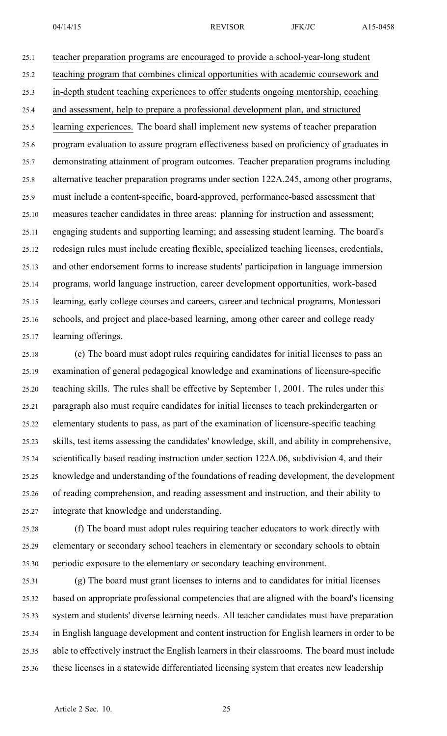25.1 teacher preparation programs are encouraged to provide <sup>a</sup> school-year-long student 25.2 teaching program that combines clinical opportunities with academic coursework and 25.3 in-depth student teaching experiences to offer students ongoing mentorship, coaching 25.4 and assessment, help to prepare <sup>a</sup> professional development plan, and structured 25.5 learning experiences. The board shall implement new systems of teacher preparation 25.6 program evaluation to assure program effectiveness based on proficiency of graduates in 25.7 demonstrating attainment of program outcomes. Teacher preparation programs including 25.8 alternative teacher preparation programs under section 122A.245, among other programs, 25.9 must include <sup>a</sup> content-specific, board-approved, performance-based assessment that 25.10 measures teacher candidates in three areas: planning for instruction and assessment; 25.11 engaging students and supporting learning; and assessing student learning. The board's 25.12 redesign rules must include creating flexible, specialized teaching licenses, credentials, 25.13 and other endorsement forms to increase students' participation in language immersion 25.14 programs, world language instruction, career development opportunities, work-based 25.15 learning, early college courses and careers, career and technical programs, Montessori 25.16 schools, and project and place-based learning, among other career and college ready 25.17 learning offerings.

25.18 (e) The board must adopt rules requiring candidates for initial licenses to pass an 25.19 examination of general pedagogical knowledge and examinations of licensure-specific 25.20 teaching skills. The rules shall be effective by September 1, 2001. The rules under this 25.21 paragraph also must require candidates for initial licenses to teach prekindergarten or 25.22 elementary students to pass, as par<sup>t</sup> of the examination of licensure-specific teaching 25.23 skills, test items assessing the candidates' knowledge, skill, and ability in comprehensive, 25.24 scientifically based reading instruction under section 122A.06, subdivision 4, and their 25.25 knowledge and understanding of the foundations of reading development, the development 25.26 of reading comprehension, and reading assessment and instruction, and their ability to 25.27 integrate that knowledge and understanding.

25.28 (f) The board must adopt rules requiring teacher educators to work directly with 25.29 elementary or secondary school teachers in elementary or secondary schools to obtain 25.30 periodic exposure to the elementary or secondary teaching environment.

25.31 (g) The board must gran<sup>t</sup> licenses to interns and to candidates for initial licenses 25.32 based on appropriate professional competencies that are aligned with the board's licensing 25.33 system and students' diverse learning needs. All teacher candidates must have preparation 25.34 in English language development and content instruction for English learners in order to be 25.35 able to effectively instruct the English learners in their classrooms. The board must include 25.36 these licenses in <sup>a</sup> statewide differentiated licensing system that creates new leadership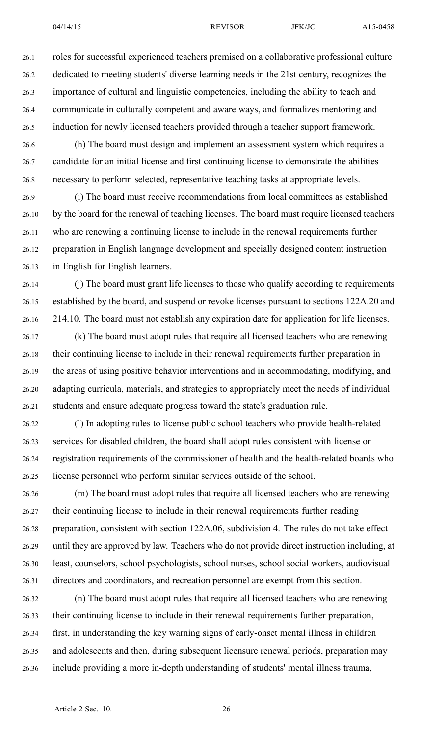26.1 roles for successful experienced teachers premised on <sup>a</sup> collaborative professional culture 26.2 dedicated to meeting students' diverse learning needs in the 21st century, recognizes the 26.3 importance of cultural and linguistic competencies, including the ability to teach and 26.4 communicate in culturally competent and aware ways, and formalizes mentoring and 26.5 induction for newly licensed teachers provided through <sup>a</sup> teacher suppor<sup>t</sup> framework.

26.6 (h) The board must design and implement an assessment system which requires <sup>a</sup> 26.7 candidate for an initial license and first continuing license to demonstrate the abilities 26.8 necessary to perform selected, representative teaching tasks at appropriate levels.

26.9 (i) The board must receive recommendations from local committees as established 26.10 by the board for the renewal of teaching licenses. The board must require licensed teachers 26.11 who are renewing <sup>a</sup> continuing license to include in the renewal requirements further 26.12 preparation in English language development and specially designed content instruction 26.13 in English for English learners.

26.14 (j) The board must gran<sup>t</sup> life licenses to those who qualify according to requirements 26.15 established by the board, and suspend or revoke licenses pursuan<sup>t</sup> to sections 122A.20 and 26.16 214.10. The board must not establish any expiration date for application for life licenses.

26.17 (k) The board must adopt rules that require all licensed teachers who are renewing 26.18 their continuing license to include in their renewal requirements further preparation in 26.19 the areas of using positive behavior interventions and in accommodating, modifying, and 26.20 adapting curricula, materials, and strategies to appropriately meet the needs of individual 26.21 students and ensure adequate progress toward the state's graduation rule.

26.22 (l) In adopting rules to license public school teachers who provide health-related 26.23 services for disabled children, the board shall adopt rules consistent with license or 26.24 registration requirements of the commissioner of health and the health-related boards who 26.25 license personnel who perform similar services outside of the school.

26.26 (m) The board must adopt rules that require all licensed teachers who are renewing 26.27 their continuing license to include in their renewal requirements further reading 26.28 preparation, consistent with section 122A.06, subdivision 4. The rules do not take effect 26.29 until they are approved by law. Teachers who do not provide direct instruction including, at 26.30 least, counselors, school psychologists, school nurses, school social workers, audiovisual 26.31 directors and coordinators, and recreation personnel are exemp<sup>t</sup> from this section.

26.32 (n) The board must adopt rules that require all licensed teachers who are renewing 26.33 their continuing license to include in their renewal requirements further preparation, 26.34 first, in understanding the key warning signs of early-onset mental illness in children 26.35 and adolescents and then, during subsequent licensure renewal periods, preparation may 26.36 include providing <sup>a</sup> more in-depth understanding of students' mental illness trauma,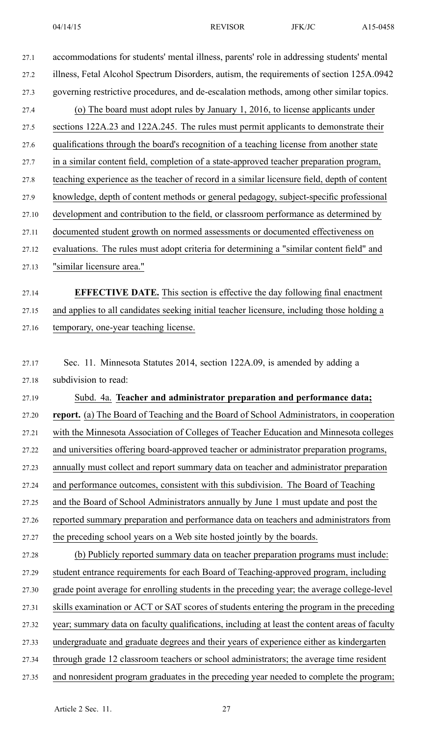27.1 accommodations for students' mental illness, parents' role in addressing students' mental 27.2 illness, Fetal Alcohol Spectrum Disorders, autism, the requirements of section 125A.0942 27.3 governing restrictive procedures, and de-escalation methods, among other similar topics. 27.4 (o) The board must adopt rules by January 1, 2016, to license applicants under 27.5 sections 122A.23 and 122A.245. The rules must permit applicants to demonstrate their 27.6 qualifications through the board's recognition of <sup>a</sup> teaching license from another state 27.7 in <sup>a</sup> similar content field, completion of <sup>a</sup> state-approved teacher preparation program, 27.8 teaching experience as the teacher of record in <sup>a</sup> similar licensure field, depth of content 27.9 knowledge, depth of content methods or general pedagogy, subject-specific professional 27.10 development and contribution to the field, or classroom performance as determined by 27.11 documented student growth on normed assessments or documented effectiveness on 27.12 evaluations. The rules must adopt criteria for determining <sup>a</sup> "similar content field" and 27.13 "similar licensure area." 27.14 **EFFECTIVE DATE.** This section is effective the day following final enactment 27.15 and applies to all candidates seeking initial teacher licensure, including those holding <sup>a</sup> 27.16 temporary, one-year teaching license. 27.17 Sec. 11. Minnesota Statutes 2014, section 122A.09, is amended by adding <sup>a</sup> 27.18 subdivision to read: 27.19 Subd. 4a. **Teacher and administrator preparation and performance data;** 27.20 **report.** (a) The Board of Teaching and the Board of School Administrators, in cooperation 27.21 with the Minnesota Association of Colleges of Teacher Education and Minnesota colleges 27.22 and universities offering board-approved teacher or administrator preparation programs, 27.23 annually must collect and repor<sup>t</sup> summary data on teacher and administrator preparation 27.24 and performance outcomes, consistent with this subdivision. The Board of Teaching 27.25 and the Board of School Administrators annually by June 1 must update and pos<sup>t</sup> the 27.26 reported summary preparation and performance data on teachers and administrators from 27.27 the preceding school years on <sup>a</sup> Web site hosted jointly by the boards. 27.28 (b) Publicly reported summary data on teacher preparation programs must include: 27.29 student entrance requirements for each Board of Teaching-approved program, including 27.30 grade point average for enrolling students in the preceding year; the average college-level 27.31 skills examination or ACT or SAT scores of students entering the program in the preceding 27.32 year; summary data on faculty qualifications, including at least the content areas of faculty 27.33 undergraduate and graduate degrees and their years of experience either as kindergarten 27.34 through grade 12 classroom teachers or school administrators; the average time resident 27.35 and nonresident program graduates in the preceding year needed to complete the program;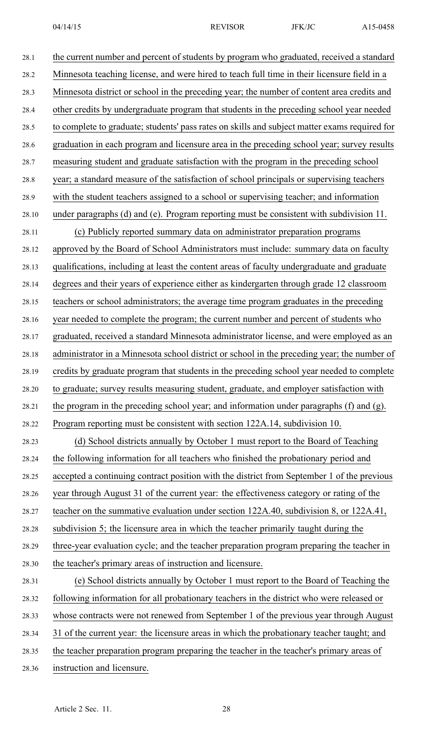28.1 the current number and percen<sup>t</sup> of students by program who graduated, received <sup>a</sup> standard 28.2 Minnesota teaching license, and were hired to teach full time in their licensure field in <sup>a</sup> 28.3 Minnesota district or school in the preceding year; the number of content area credits and 28.4 other credits by undergraduate program that students in the preceding school year needed 28.5 to complete to graduate; students' pass rates on skills and subject matter exams required for 28.6 graduation in each program and licensure area in the preceding school year; survey results 28.7 measuring student and graduate satisfaction with the program in the preceding school 28.8 year; <sup>a</sup> standard measure of the satisfaction of school principals or supervising teachers 28.9 with the student teachers assigned to <sup>a</sup> school or supervising teacher; and information 28.10 under paragraphs (d) and (e). Program reporting must be consistent with subdivision 11. 28.11 (c) Publicly reported summary data on administrator preparation programs 28.12 approved by the Board of School Administrators must include: summary data on faculty 28.13 qualifications, including at least the content areas of faculty undergraduate and graduate 28.14 degrees and their years of experience either as kindergarten through grade 12 classroom 28.15 teachers or school administrators; the average time program graduates in the preceding 28.16 year needed to complete the program; the current number and percen<sup>t</sup> of students who 28.17 graduated, received <sup>a</sup> standard Minnesota administrator license, and were employed as an 28.18 administrator in <sup>a</sup> Minnesota school district or school in the preceding year; the number of 28.19 credits by graduate program that students in the preceding school year needed to complete 28.20 to graduate; survey results measuring student, graduate, and employer satisfaction with 28.21 the program in the preceding school year; and information under paragraphs (f) and (g). 28.22 Program reporting must be consistent with section 122A.14, subdivision 10. 28.23 (d) School districts annually by October 1 must repor<sup>t</sup> to the Board of Teaching 28.24 the following information for all teachers who finished the probationary period and 28.25 accepted <sup>a</sup> continuing contract position with the district from September 1 of the previous 28.26 year through August 31 of the current year: the effectiveness category or rating of the 28.27 teacher on the summative evaluation under section 122A.40, subdivision 8, or 122A.41, 28.28 subdivision 5; the licensure area in which the teacher primarily taught during the 28.29 three-year evaluation cycle; and the teacher preparation program preparing the teacher in 28.30 the teacher's primary areas of instruction and licensure. 28.31 (e) School districts annually by October 1 must repor<sup>t</sup> to the Board of Teaching the 28.32 following information for all probationary teachers in the district who were released or 28.33 whose contracts were not renewed from September 1 of the previous year through August 28.34 31 of the current year: the licensure areas in which the probationary teacher taught; and 28.35 the teacher preparation program preparing the teacher in the teacher's primary areas of

28.36 instruction and licensure.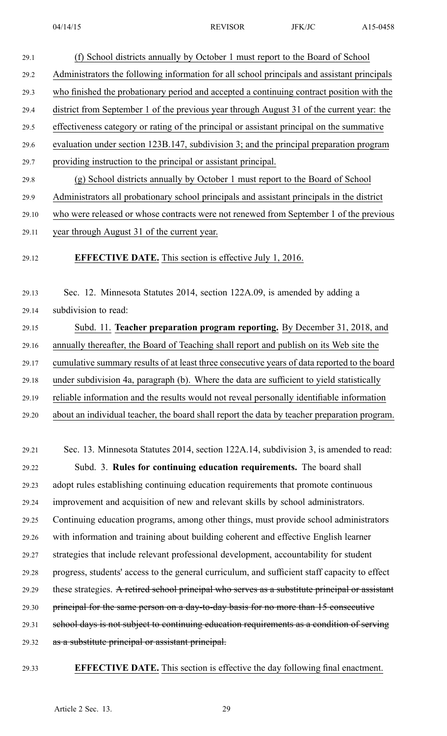| 29.1  | (f) School districts annually by October 1 must report to the Board of School               |
|-------|---------------------------------------------------------------------------------------------|
| 29.2  | Administrators the following information for all school principals and assistant principals |
| 29.3  | who finished the probationary period and accepted a continuing contract position with the   |
| 29.4  | district from September 1 of the previous year through August 31 of the current year: the   |
| 29.5  | effectiveness category or rating of the principal or assistant principal on the summative   |
| 29.6  | evaluation under section 123B.147, subdivision 3; and the principal preparation program     |
| 29.7  | providing instruction to the principal or assistant principal.                              |
| 29.8  | (g) School districts annually by October 1 must report to the Board of School               |
| 29.9  | Administrators all probationary school principals and assistant principals in the district  |
| 29.10 | who were released or whose contracts were not renewed from September 1 of the previous      |
|       |                                                                                             |

29.11 year through August 31 of the current year.

#### 29.12 **EFFECTIVE DATE.** This section is effective July 1, 2016.

29.13 Sec. 12. Minnesota Statutes 2014, section 122A.09, is amended by adding <sup>a</sup> 29.14 subdivision to read:

29.15 Subd. 11. **Teacher preparation program reporting.** By December 31, 2018, and 29.16 annually thereafter, the Board of Teaching shall repor<sup>t</sup> and publish on its Web site the 29.17 cumulative summary results of at least three consecutive years of data reported to the board 29.18 under subdivision 4a, paragraph (b). Where the data are sufficient to yield statistically 29.19 reliable information and the results would not reveal personally identifiable information 29.20 about an individual teacher, the board shall repor<sup>t</sup> the data by teacher preparation program.

29.21 Sec. 13. Minnesota Statutes 2014, section 122A.14, subdivision 3, is amended to read: 29.22 Subd. 3. **Rules for continuing education requirements.** The board shall 29.23 adopt rules establishing continuing education requirements that promote continuous 29.24 improvement and acquisition of new and relevant skills by school administrators. 29.25 Continuing education programs, among other things, must provide school administrators 29.26 with information and training about building coherent and effective English learner 29.27 strategies that include relevant professional development, accountability for student 29.28 progress, students' access to the general curriculum, and sufficient staff capacity to effect 29.29 these strategies. A retired school principal who serves as <sup>a</sup> substitute principal or assistant 29.30 principal for the same person on <sup>a</sup> day-to-day basis for no more than 15 consecutive 29.31 school days is not subject to continuing education requirements as <sup>a</sup> condition of serving 29.32 as a substitute principal or assistant principal.

29.33 **EFFECTIVE DATE.** This section is effective the day following final enactment.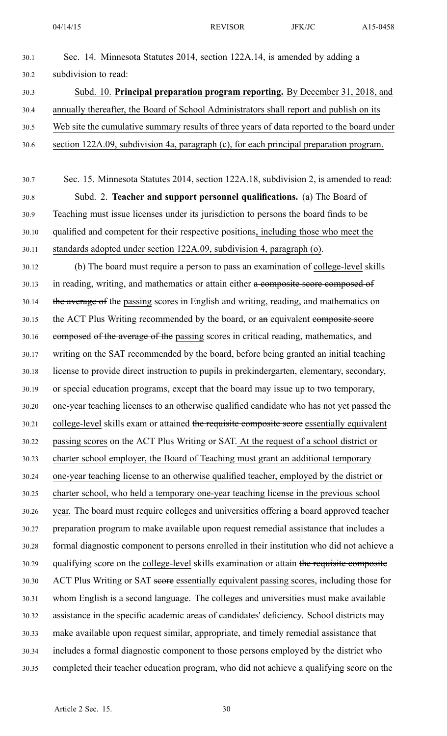30.1 Sec. 14. Minnesota Statutes 2014, section 122A.14, is amended by adding <sup>a</sup> 30.2 subdivision to read: 30.3 Subd. 10. **Principal preparation program reporting.** By December 31, 2018, and 30.4 annually thereafter, the Board of School Administrators shall repor<sup>t</sup> and publish on its 30.5 Web site the cumulative summary results of three years of data reported to the board under 30.6 section 122A.09, subdivision 4a, paragraph (c), for each principal preparation program. 30.7 Sec. 15. Minnesota Statutes 2014, section 122A.18, subdivision 2, is amended to read: 30.8 Subd. 2. **Teacher and suppor<sup>t</sup> personnel qualifications.** (a) The Board of 30.9 Teaching must issue licenses under its jurisdiction to persons the board finds to be 30.10 qualified and competent for their respective positions, including those who meet the 30.11 standards adopted under section 122A.09, subdivision 4, paragraph (o). 30.12 (b) The board must require <sup>a</sup> person to pass an examination of college-level skills 30.13 in reading, writing, and mathematics or attain either a composite score composed of 30.14 the average of the passing scores in English and writing, reading, and mathematics on 30.15 the ACT Plus Writing recommended by the board, or an equivalent composite score 30.16 composed of the average of the passing scores in critical reading, mathematics, and 30.17 writing on the SAT recommended by the board, before being granted an initial teaching 30.18 license to provide direct instruction to pupils in prekindergarten, elementary, secondary, 30.19 or special education programs, excep<sup>t</sup> that the board may issue up to two temporary, 30.20 one-year teaching licenses to an otherwise qualified candidate who has not ye<sup>t</sup> passed the 30.21 college-level skills exam or attained the requisite composite score essentially equivalent 30.22 passing scores on the ACT Plus Writing or SAT. At the reques<sup>t</sup> of <sup>a</sup> school district or 30.23 charter school employer, the Board of Teaching must gran<sup>t</sup> an additional temporary 30.24 one-year teaching license to an otherwise qualified teacher, employed by the district or 30.25 charter school, who held <sup>a</sup> temporary one-year teaching license in the previous school 30.26 year. The board must require colleges and universities offering <sup>a</sup> board approved teacher 30.27 preparation program to make available upon reques<sup>t</sup> remedial assistance that includes <sup>a</sup> 30.28 formal diagnostic componen<sup>t</sup> to persons enrolled in their institution who did not achieve <sup>a</sup> 30.29 qualifying score on the college-level skills examination or attain the requisite composite 30.30 ACT Plus Writing or SAT seore essentially equivalent passing scores, including those for 30.31 whom English is <sup>a</sup> second language. The colleges and universities must make available 30.32 assistance in the specific academic areas of candidates' deficiency. School districts may 30.33 make available upon reques<sup>t</sup> similar, appropriate, and timely remedial assistance that 30.34 includes <sup>a</sup> formal diagnostic componen<sup>t</sup> to those persons employed by the district who 30.35 completed their teacher education program, who did not achieve <sup>a</sup> qualifying score on the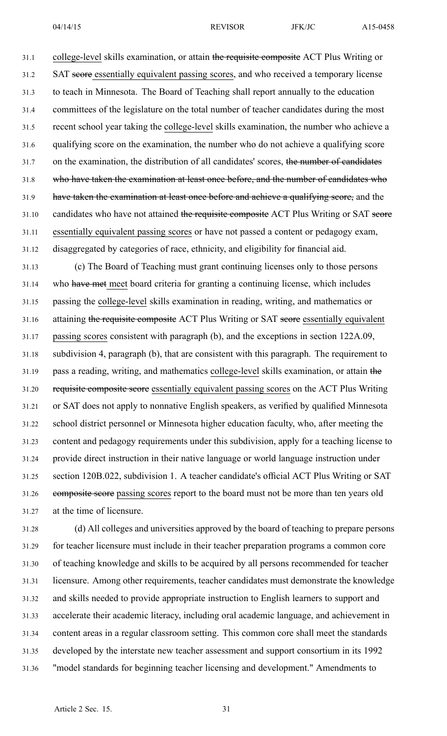31.1 college-level skills examination, or attain the requisite composite ACT Plus Writing or 31.2 SAT score essentially equivalent passing scores, and who received <sup>a</sup> temporary license 31.3 to teach in Minnesota. The Board of Teaching shall repor<sup>t</sup> annually to the education 31.4 committees of the legislature on the total number of teacher candidates during the most 31.5 recent school year taking the college-level skills examination, the number who achieve <sup>a</sup> 31.6 qualifying score on the examination, the number who do not achieve <sup>a</sup> qualifying score 31.7 on the examination, the distribution of all candidates' scores, the number of candidates 31.8 who have taken the examination at least once before, and the number of candidates who 31.9 have taken the examination at least once before and achieve <sup>a</sup> qualifying score, and the 31.10 candidates who have not attained the requisite composite ACT Plus Writing or SAT score 31.11 essentially equivalent passing scores or have not passed <sup>a</sup> content or pedagogy exam, 31.12 disaggregated by categories of race, ethnicity, and eligibility for financial aid.

31.13 (c) The Board of Teaching must gran<sup>t</sup> continuing licenses only to those persons 31.14 who have met meet board criteria for granting <sup>a</sup> continuing license, which includes 31.15 passing the college-level skills examination in reading, writing, and mathematics or 31.16 attaining the requisite composite ACT Plus Writing or SAT score essentially equivalent 31.17 passing scores consistent with paragraph (b), and the exceptions in section 122A.09, 31.18 subdivision 4, paragraph (b), that are consistent with this paragraph. The requirement to 31.19 pass <sup>a</sup> reading, writing, and mathematics college-level skills examination, or attain the 31.20 requisite composite score essentially equivalent passing scores on the ACT Plus Writing 31.21 or SAT does not apply to nonnative English speakers, as verified by qualified Minnesota 31.22 school district personnel or Minnesota higher education faculty, who, after meeting the 31.23 content and pedagogy requirements under this subdivision, apply for <sup>a</sup> teaching license to 31.24 provide direct instruction in their native language or world language instruction under 31.25 section 120B.022, subdivision 1. A teacher candidate's official ACT Plus Writing or SAT 31.26 composite score passing scores repor<sup>t</sup> to the board must not be more than ten years old 31.27 at the time of licensure.

31.28 (d) All colleges and universities approved by the board of teaching to prepare persons 31.29 for teacher licensure must include in their teacher preparation programs <sup>a</sup> common core 31.30 of teaching knowledge and skills to be acquired by all persons recommended for teacher 31.31 licensure. Among other requirements, teacher candidates must demonstrate the knowledge 31.32 and skills needed to provide appropriate instruction to English learners to suppor<sup>t</sup> and 31.33 accelerate their academic literacy, including oral academic language, and achievement in 31.34 content areas in <sup>a</sup> regular classroom setting. This common core shall meet the standards 31.35 developed by the interstate new teacher assessment and suppor<sup>t</sup> consortium in its 1992 31.36 "model standards for beginning teacher licensing and development." Amendments to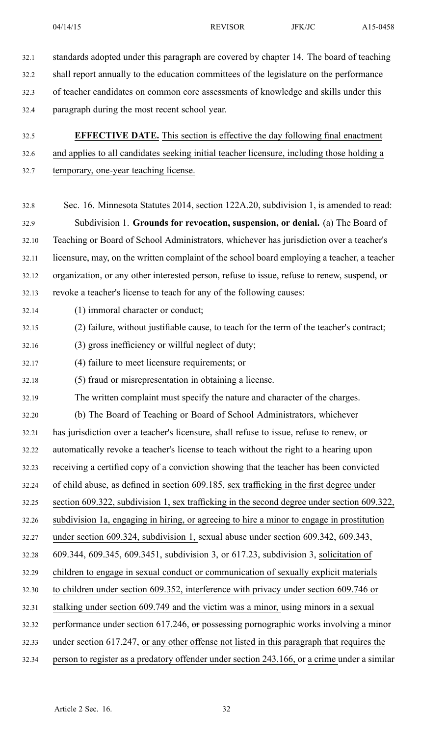- 32.1 standards adopted under this paragraph are covered by chapter 14. The board of teaching 32.2 shall repor<sup>t</sup> annually to the education committees of the legislature on the performance 32.3 of teacher candidates on common core assessments of knowledge and skills under this 32.4 paragraph during the most recent school year.
- 32.5 **EFFECTIVE DATE.** This section is effective the day following final enactment 32.6 and applies to all candidates seeking initial teacher licensure, including those holding <sup>a</sup>
- 32.7 temporary, one-year teaching license.
- 32.8 Sec. 16. Minnesota Statutes 2014, section 122A.20, subdivision 1, is amended to read: 32.9 Subdivision 1. **Grounds for revocation, suspension, or denial.** (a) The Board of 32.10 Teaching or Board of School Administrators, whichever has jurisdiction over <sup>a</sup> teacher's 32.11 licensure, may, on the written complaint of the school board employing <sup>a</sup> teacher, <sup>a</sup> teacher 32.12 organization, or any other interested person, refuse to issue, refuse to renew, suspend, or 32.13 revoke <sup>a</sup> teacher's license to teach for any of the following causes:
- 32.14 (1) immoral character or conduct;
- 32.15 (2) failure, without justifiable cause, to teach for the term of the teacher's contract;
- 32.16 (3) gross inefficiency or willful neglect of duty;
- 32.17 (4) failure to meet licensure requirements; or
- 32.18 (5) fraud or misrepresentation in obtaining <sup>a</sup> license.
- 32.19 The written complaint must specify the nature and character of the charges.
- 32.20 (b) The Board of Teaching or Board of School Administrators, whichever
- 32.21 has jurisdiction over <sup>a</sup> teacher's licensure, shall refuse to issue, refuse to renew, or
- 32.22 automatically revoke <sup>a</sup> teacher's license to teach without the right to <sup>a</sup> hearing upon
- 32.23 receiving <sup>a</sup> certified copy of <sup>a</sup> conviction showing that the teacher has been convicted
- 32.24 of child abuse, as defined in section 609.185, sex trafficking in the first degree under
- 32.25 section 609.322, subdivision 1, sex trafficking in the second degree under section 609.322,
- 32.26 subdivision 1a, engaging in hiring, or agreeing to hire <sup>a</sup> minor to engage in prostitution
- 32.27 under section 609.324, subdivision 1, sexual abuse under section 609.342, 609.343,
- 32.28 609.344, 609.345, 609.3451, subdivision 3, or 617.23, subdivision 3, solicitation of
- 32.29 children to engage in sexual conduct or communication of sexually explicit materials
- 32.30 to children under section 609.352, interference with privacy under section 609.746 or
- 32.31 stalking under section 609.749 and the victim was <sup>a</sup> minor, using minors in <sup>a</sup> sexual
- 32.32 performance under section 617.246, or possessing pornographic works involving <sup>a</sup> minor
- 32.33 under section 617.247, or any other offense not listed in this paragraph that requires the
- 32.34 person to register as <sup>a</sup> predatory offender under section 243.166, or <sup>a</sup> crime under <sup>a</sup> similar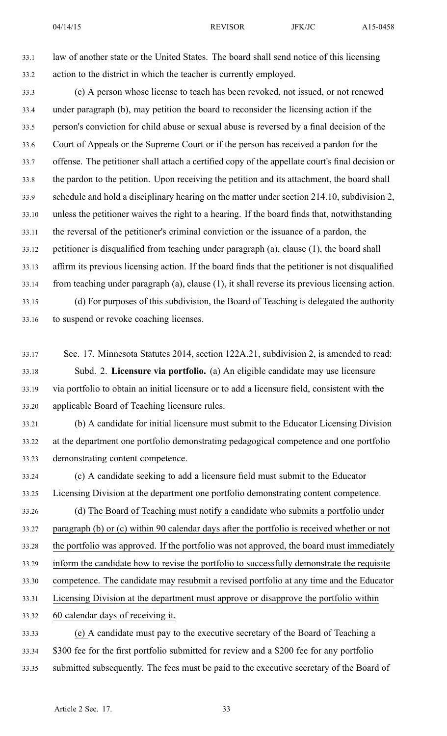33.1 law of another state or the United States. The board shall send notice of this licensing 33.2 action to the district in which the teacher is currently employed.

33.3 (c) A person whose license to teach has been revoked, not issued, or not renewed 33.4 under paragraph (b), may petition the board to reconsider the licensing action if the 33.5 person's conviction for child abuse or sexual abuse is reversed by <sup>a</sup> final decision of the 33.6 Court of Appeals or the Supreme Court or if the person has received <sup>a</sup> pardon for the 33.7 offense. The petitioner shall attach <sup>a</sup> certified copy of the appellate court's final decision or 33.8 the pardon to the petition. Upon receiving the petition and its attachment, the board shall 33.9 schedule and hold <sup>a</sup> disciplinary hearing on the matter under section 214.10, subdivision 2, 33.10 unless the petitioner waives the right to <sup>a</sup> hearing. If the board finds that, notwithstanding 33.11 the reversal of the petitioner's criminal conviction or the issuance of <sup>a</sup> pardon, the 33.12 petitioner is disqualified from teaching under paragraph (a), clause (1), the board shall 33.13 affirm its previous licensing action. If the board finds that the petitioner is not disqualified 33.14 from teaching under paragraph (a), clause (1), it shall reverse its previous licensing action. 33.15 (d) For purposes of this subdivision, the Board of Teaching is delegated the authority

33.16 to suspend or revoke coaching licenses.

- 33.17 Sec. 17. Minnesota Statutes 2014, section 122A.21, subdivision 2, is amended to read: 33.18 Subd. 2. **Licensure via portfolio.** (a) An eligible candidate may use licensure 33.19 via portfolio to obtain an initial licensure or to add <sup>a</sup> licensure field, consistent with the 33.20 applicable Board of Teaching licensure rules.
- 33.21 (b) A candidate for initial licensure must submit to the Educator Licensing Division 33.22 at the department one portfolio demonstrating pedagogical competence and one portfolio 33.23 demonstrating content competence.
- 33.24 (c) A candidate seeking to add <sup>a</sup> licensure field must submit to the Educator 33.25 Licensing Division at the department one portfolio demonstrating content competence.
- 33.26 (d) The Board of Teaching must notify <sup>a</sup> candidate who submits <sup>a</sup> portfolio under 33.27 paragraph (b) or (c) within 90 calendar days after the portfolio is received whether or not 33.28 the portfolio was approved. If the portfolio was not approved, the board must immediately 33.29 inform the candidate how to revise the portfolio to successfully demonstrate the requisite 33.30 competence. The candidate may resubmit <sup>a</sup> revised portfolio at any time and the Educator 33.31 Licensing Division at the department must approve or disapprove the portfolio within 33.32 60 calendar days of receiving it.
- 33.33 (e) A candidate must pay to the executive secretary of the Board of Teaching <sup>a</sup> 33.34 \$300 fee for the first portfolio submitted for review and <sup>a</sup> \$200 fee for any portfolio 33.35 submitted subsequently. The fees must be paid to the executive secretary of the Board of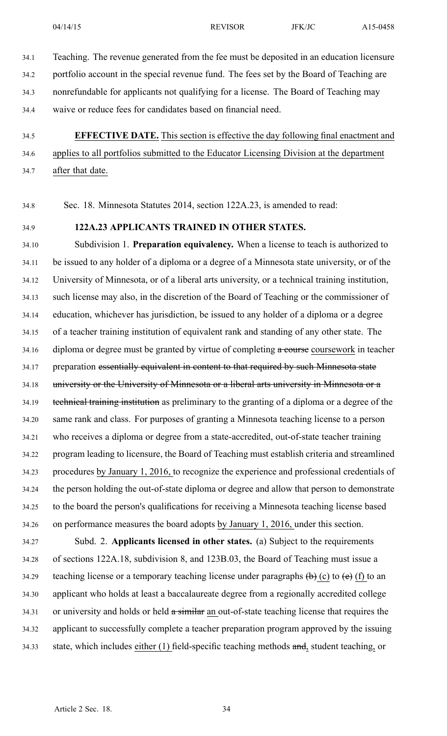- 34.1 Teaching. The revenue generated from the fee must be deposited in an education licensure 34.2 portfolio account in the special revenue fund. The fees set by the Board of Teaching are 34.3 nonrefundable for applicants not qualifying for <sup>a</sup> license. The Board of Teaching may 34.4 waive or reduce fees for candidates based on financial need.
- 34.5 **EFFECTIVE DATE.** This section is effective the day following final enactment and 34.6 applies to all portfolios submitted to the Educator Licensing Division at the department 34.7 after that date.

34.8 Sec. 18. Minnesota Statutes 2014, section 122A.23, is amended to read:

## 34.9 **122A.23 APPLICANTS TRAINED IN OTHER STATES.**

34.10 Subdivision 1. **Preparation equivalency.** When <sup>a</sup> license to teach is authorized to 34.11 be issued to any holder of <sup>a</sup> diploma or <sup>a</sup> degree of <sup>a</sup> Minnesota state university, or of the 34.12 University of Minnesota, or of <sup>a</sup> liberal arts university, or <sup>a</sup> technical training institution, 34.13 such license may also, in the discretion of the Board of Teaching or the commissioner of 34.14 education, whichever has jurisdiction, be issued to any holder of <sup>a</sup> diploma or <sup>a</sup> degree 34.15 of <sup>a</sup> teacher training institution of equivalent rank and standing of any other state. The 34.16 diploma or degree must be granted by virtue of completing a course course work in teacher 34.17 preparation essentially equivalent in content to that required by such Minnesota state 34.18 university or the University of Minnesota or <sup>a</sup> liberal arts university in Minnesota or <sup>a</sup> 34.19 technical training institution as preliminary to the granting of <sup>a</sup> diploma or <sup>a</sup> degree of the 34.20 same rank and class. For purposes of granting <sup>a</sup> Minnesota teaching license to <sup>a</sup> person 34.21 who receives <sup>a</sup> diploma or degree from <sup>a</sup> state-accredited, out-of-state teacher training 34.22 program leading to licensure, the Board of Teaching must establish criteria and streamlined 34.23 procedures by January 1, 2016, to recognize the experience and professional credentials of 34.24 the person holding the out-of-state diploma or degree and allow that person to demonstrate 34.25 to the board the person's qualifications for receiving <sup>a</sup> Minnesota teaching license based 34.26 on performance measures the board adopts by January 1, 2016, under this section.

34.27 Subd. 2. **Applicants licensed in other states.** (a) Subject to the requirements 34.28 of sections 122A.18, subdivision 8, and 123B.03, the Board of Teaching must issue <sup>a</sup> 34.29 teaching license or a temporary teaching license under paragraphs  $\left(\frac{b}{c}\right)$  (c) to  $\left(\frac{e}{c}\right)$  (f) to an 34.30 applicant who holds at least <sup>a</sup> baccalaureate degree from <sup>a</sup> regionally accredited college 34.31 or university and holds or held a similar an out-of-state teaching license that requires the 34.32 applicant to successfully complete <sup>a</sup> teacher preparation program approved by the issuing 34.33 state, which includes either (1) field-specific teaching methods and, student teaching, or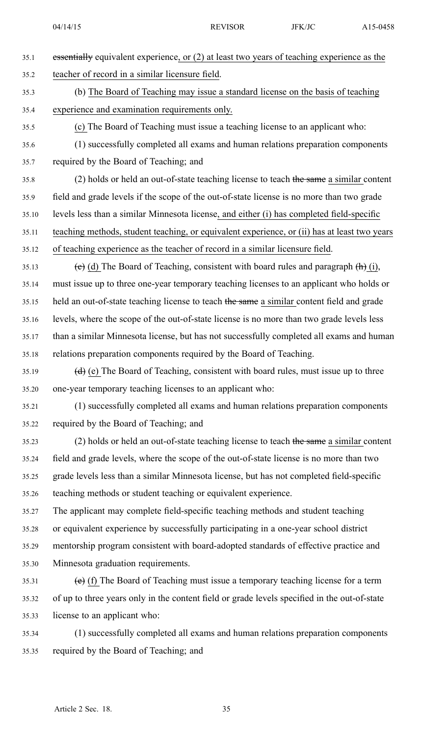| 35.1  | essentially equivalent experience, or (2) at least two years of teaching experience as the   |
|-------|----------------------------------------------------------------------------------------------|
| 35.2  | teacher of record in a similar licensure field.                                              |
| 35.3  | (b) The Board of Teaching may issue a standard license on the basis of teaching              |
| 35.4  | experience and examination requirements only.                                                |
| 35.5  | (c) The Board of Teaching must issue a teaching license to an applicant who:                 |
| 35.6  | (1) successfully completed all exams and human relations preparation components              |
| 35.7  | required by the Board of Teaching; and                                                       |
| 35.8  | (2) holds or held an out-of-state teaching license to teach the same a similar content       |
| 35.9  | field and grade levels if the scope of the out-of-state license is no more than two grade    |
| 35.10 | levels less than a similar Minnesota license, and either (i) has completed field-specific    |
| 35.11 | teaching methods, student teaching, or equivalent experience, or (ii) has at least two years |
| 35.12 | of teaching experience as the teacher of record in a similar licensure field.                |
| 35.13 | (e) (d) The Board of Teaching, consistent with board rules and paragraph $(h)$ (i),          |
| 35.14 | must issue up to three one-year temporary teaching licenses to an applicant who holds or     |
| 35.15 | held an out-of-state teaching license to teach the same a similar content field and grade    |
| 35.16 | levels, where the scope of the out-of-state license is no more than two grade levels less    |
| 35.17 | than a similar Minnesota license, but has not successfully completed all exams and human     |
| 35.18 | relations preparation components required by the Board of Teaching.                          |
| 35.19 | (d) (e) The Board of Teaching, consistent with board rules, must issue up to three           |
| 35.20 | one-year temporary teaching licenses to an applicant who:                                    |
| 35.21 | (1) successfully completed all exams and human relations preparation components              |
| 35.22 | required by the Board of Teaching; and                                                       |
| 35.23 | (2) holds or held an out-of-state teaching license to teach the same a similar content       |
| 35.24 | field and grade levels, where the scope of the out-of-state license is no more than two      |
| 35.25 | grade levels less than a similar Minnesota license, but has not completed field-specific     |
| 35.26 | teaching methods or student teaching or equivalent experience.                               |
| 35.27 | The applicant may complete field-specific teaching methods and student teaching              |
| 35.28 | or equivalent experience by successfully participating in a one-year school district         |
| 35.29 | mentorship program consistent with board-adopted standards of effective practice and         |
| 35.30 | Minnesota graduation requirements.                                                           |
| 35.31 | $(e)$ (f) The Board of Teaching must issue a temporary teaching license for a term           |
| 35.32 | of up to three years only in the content field or grade levels specified in the out-of-state |
| 35.33 | license to an applicant who:                                                                 |
|       |                                                                                              |

35.34 (1) successfully completed all exams and human relations preparation components 35.35 required by the Board of Teaching; and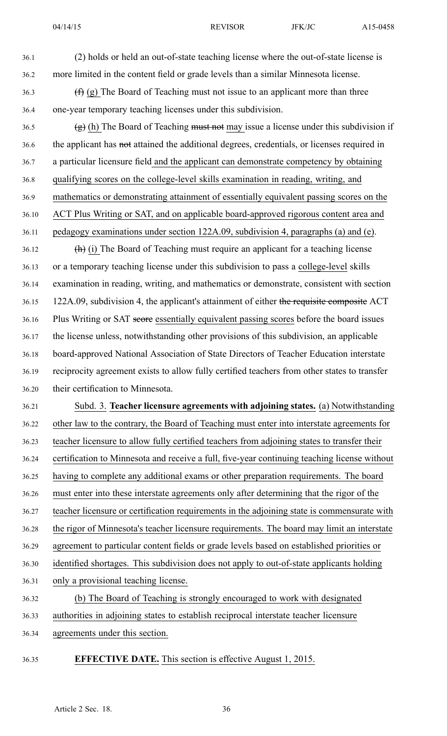36.1 (2) holds or held an out-of-state teaching license where the out-of-state license is 36.2 more limited in the content field or grade levels than <sup>a</sup> similar Minnesota license. 36.3 (f) (g) The Board of Teaching must not issue to an applicant more than three 36.4 one-year temporary teaching licenses under this subdivision. 36.5 (g) (h) The Board of Teaching must not may issue a license under this subdivision if 36.6 the applicant has not attained the additional degrees, credentials, or licenses required in 36.7 <sup>a</sup> particular licensure field and the applicant can demonstrate competency by obtaining 36.8 qualifying scores on the college-level skills examination in reading, writing, and 36.9 mathematics or demonstrating attainment of essentially equivalent passing scores on the 36.10 ACT Plus Writing or SAT, and on applicable board-approved rigorous content area and 36.11 pedagogy examinations under section 122A.09, subdivision 4, paragraphs (a) and (e). 36.12 (h) (i) The Board of Teaching must require an applicant for <sup>a</sup> teaching license 36.13 or <sup>a</sup> temporary teaching license under this subdivision to pass <sup>a</sup> college-level skills 36.14 examination in reading, writing, and mathematics or demonstrate, consistent with section 36.15 122A.09, subdivision 4, the applicant's attainment of either the requisite composite ACT 36.16 Plus Writing or SAT secre essentially equivalent passing scores before the board issues 36.17 the license unless, notwithstanding other provisions of this subdivision, an applicable 36.18 board-approved National Association of State Directors of Teacher Education interstate 36.19 reciprocity agreemen<sup>t</sup> exists to allow fully certified teachers from other states to transfer 36.20 their certification to Minnesota. 36.21 Subd. 3. **Teacher licensure agreements with adjoining states.** (a) Notwithstanding

36.22 other law to the contrary, the Board of Teaching must enter into interstate agreements for 36.23 teacher licensure to allow fully certified teachers from adjoining states to transfer their 36.24 certification to Minnesota and receive <sup>a</sup> full, five-year continuing teaching license without 36.25 having to complete any additional exams or other preparation requirements. The board 36.26 must enter into these interstate agreements only after determining that the rigor of the 36.27 teacher licensure or certification requirements in the adjoining state is commensurate with 36.28 the rigor of Minnesota's teacher licensure requirements. The board may limit an interstate 36.29 agreemen<sup>t</sup> to particular content fields or grade levels based on established priorities or 36.30 identified shortages. This subdivision does not apply to out-of-state applicants holding 36.31 only <sup>a</sup> provisional teaching license. 36.32 (b) The Board of Teaching is strongly encouraged to work with designated 36.33 authorities in adjoining states to establish reciprocal interstate teacher licensure

- 36.34 agreements under this section.
- 36.35 **EFFECTIVE DATE.** This section is effective August 1, 2015.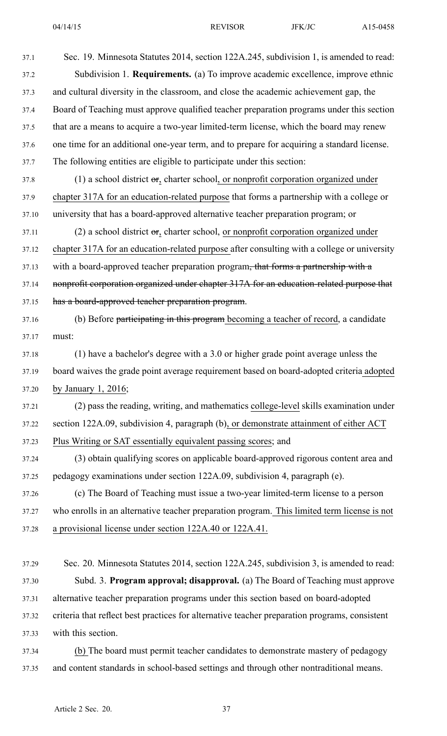| 37.1  | Sec. 19. Minnesota Statutes 2014, section 122A.245, subdivision 1, is amended to read:         |
|-------|------------------------------------------------------------------------------------------------|
| 37.2  | Subdivision 1. Requirements. (a) To improve academic excellence, improve ethnic                |
| 37.3  | and cultural diversity in the classroom, and close the academic achievement gap, the           |
| 37.4  | Board of Teaching must approve qualified teacher preparation programs under this section       |
| 37.5  | that are a means to acquire a two-year limited-term license, which the board may renew         |
| 37.6  | one time for an additional one-year term, and to prepare for acquiring a standard license.     |
| 37.7  | The following entities are eligible to participate under this section:                         |
| 37.8  | (1) a school district $\sigma_{z}$ charter school, or nonprofit corporation organized under    |
| 37.9  | chapter 317A for an education-related purpose that forms a partnership with a college or       |
| 37.10 | university that has a board-approved alternative teacher preparation program; or               |
| 37.11 | (2) a school district $\sigma$ , charter school, or nonprofit corporation organized under      |
| 37.12 | chapter 317A for an education-related purpose after consulting with a college or university    |
| 37.13 | with a board-approved teacher preparation program <del>, that forms a partnership with a</del> |
| 37.14 | nonprofit corporation organized under chapter 317A for an education-related purpose that       |
| 37.15 | has a board-approved teacher preparation program.                                              |
| 37.16 | (b) Before participating in this program becoming a teacher of record, a candidate             |
| 37.17 | must:                                                                                          |
| 37.18 | (1) have a bachelor's degree with a 3.0 or higher grade point average unless the               |
| 37.19 | board waives the grade point average requirement based on board-adopted criteria adopted       |
| 37.20 | by January 1, 2016;                                                                            |
| 37.21 | (2) pass the reading, writing, and mathematics college-level skills examination under          |
| 37.22 | section 122A.09, subdivision 4, paragraph (b), or demonstrate attainment of either ACT         |
| 37.23 | Plus Writing or SAT essentially equivalent passing scores; and                                 |
| 37.24 | (3) obtain qualifying scores on applicable board-approved rigorous content area and            |
| 37.25 | pedagogy examinations under section 122A.09, subdivision 4, paragraph (e).                     |
| 37.26 | (c) The Board of Teaching must issue a two-year limited-term license to a person               |
| 37.27 | who enrolls in an alternative teacher preparation program. This limited term license is not    |
| 37.28 | a provisional license under section 122A.40 or 122A.41.                                        |
| 37.29 | Sec. 20. Minnesota Statutes 2014, section 122A.245, subdivision 3, is amended to read:         |
| 37.30 | Subd. 3. Program approval; disapproval. (a) The Board of Teaching must approve                 |
| 37.31 | alternative teacher preparation programs under this section based on board-adopted             |
| 37.32 | criteria that reflect best practices for alternative teacher preparation programs, consistent  |
| 37.33 | with this section.                                                                             |
|       |                                                                                                |

37.34 (b) The board must permit teacher candidates to demonstrate mastery of pedagogy 37.35 and content standards in school-based settings and through other nontraditional means.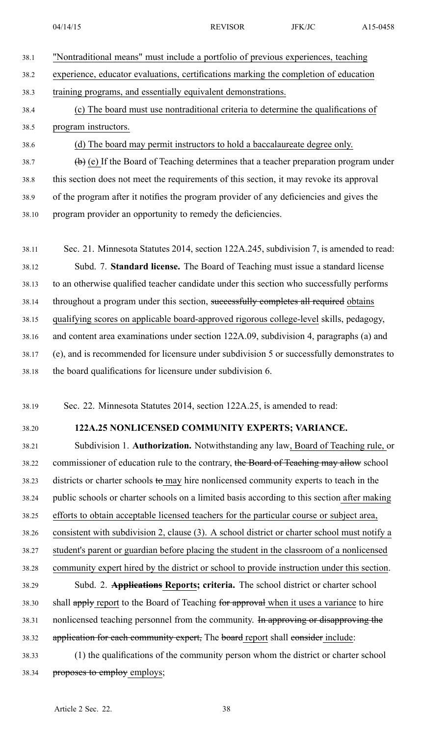|      | 04/14/15                                                                                    | <b>REVISOR</b> | JFK/JC | A15-0458 |
|------|---------------------------------------------------------------------------------------------|----------------|--------|----------|
| 38.1 | "Nontraditional means" must include a portfolio of previous experiences, teaching           |                |        |          |
| 38.2 | experience, educator evaluations, certifications marking the completion of education        |                |        |          |
| 38.3 | training programs, and essentially equivalent demonstrations.                               |                |        |          |
| 38.4 | (c) The board must use nontraditional criteria to determine the qualifications of           |                |        |          |
| 38.5 | program instructors.                                                                        |                |        |          |
| 38.6 | (d) The board may permit instructors to hold a baccalaureate degree only.                   |                |        |          |
| 38.7 | $(\theta)$ (e) If the Board of Teaching determines that a teacher preparation program under |                |        |          |
| 38.8 | this section does not meet the requirements of this section, it may revoke its approval     |                |        |          |
| 38.9 | of the program after it notifies the program provider of any deficiencies and gives the     |                |        |          |
|      |                                                                                             |                |        |          |

38.11 Sec. 21. Minnesota Statutes 2014, section 122A.245, subdivision 7, is amended to read: 38.12 Subd. 7. **Standard license.** The Board of Teaching must issue <sup>a</sup> standard license 38.13 to an otherwise qualified teacher candidate under this section who successfully performs 38.14 throughout a program under this section, successfully completes all required obtains 38.15 qualifying scores on applicable board-approved rigorous college-level skills, pedagogy, 38.16 and content area examinations under section 122A.09, subdivision 4, paragraphs (a) and 38.17 (e), and is recommended for licensure under subdivision 5 or successfully demonstrates to 38.18 the board qualifications for licensure under subdivision 6.

38.19 Sec. 22. Minnesota Statutes 2014, section 122A.25, is amended to read:

38.10 program provider an opportunity to remedy the deficiencies.

### 38.20 **122A.25 NONLICENSED COMMUNITY EXPERTS; VARIANCE.**

38.21 Subdivision 1. **Authorization.** Notwithstanding any law, Board of Teaching rule, or 38.22 commissioner of education rule to the contrary, the Board of Teaching may allow school 38.23 districts or charter schools to may hire nonlicensed community experts to teach in the 38.24 public schools or charter schools on <sup>a</sup> limited basis according to this section after making 38.25 efforts to obtain acceptable licensed teachers for the particular course or subject area, 38.26 consistent with subdivision 2, clause (3). A school district or charter school must notify <sup>a</sup> 38.27 student's paren<sup>t</sup> or guardian before placing the student in the classroom of <sup>a</sup> nonlicensed 38.28 community exper<sup>t</sup> hired by the district or school to provide instruction under this section. 38.29 Subd. 2. **Applications Reports; criteria.** The school district or charter school

38.30 shall apply report to the Board of Teaching for approval when it uses a variance to hire 38.31 nonlicensed teaching personnel from the community. In approving or disapproving the 38.32 application for each community expert, The board report shall consider include:

38.33 (1) the qualifications of the community person whom the district or charter school 38.34 proposes to employ employs;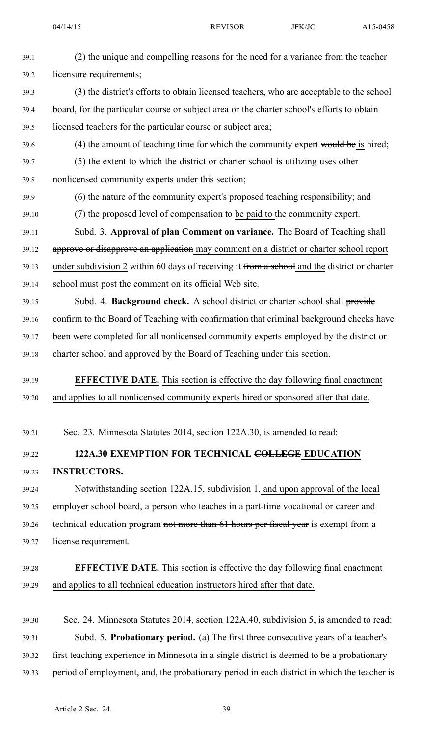| 39.1  | (2) the unique and compelling reasons for the need for a variance from the teacher           |
|-------|----------------------------------------------------------------------------------------------|
| 39.2  | licensure requirements;                                                                      |
| 39.3  | (3) the district's efforts to obtain licensed teachers, who are acceptable to the school     |
| 39.4  | board, for the particular course or subject area or the charter school's efforts to obtain   |
| 39.5  | licensed teachers for the particular course or subject area;                                 |
| 39.6  | (4) the amount of teaching time for which the community expert would be is hired;            |
| 39.7  | $(5)$ the extent to which the district or charter school is utilizing uses other             |
| 39.8  | nonlicensed community experts under this section;                                            |
| 39.9  | (6) the nature of the community expert's proposed teaching responsibility; and               |
| 39.10 | (7) the proposed level of compensation to be paid to the community expert.                   |
| 39.11 | Subd. 3. Approval of plan Comment on variance. The Board of Teaching shall                   |
| 39.12 | approve or disapprove an application may comment on a district or charter school report      |
| 39.13 | under subdivision 2 within 60 days of receiving it from a school and the district or charter |
| 39.14 | school must post the comment on its official Web site.                                       |
| 39.15 | Subd. 4. Background check. A school district or charter school shall provide                 |
| 39.16 | confirm to the Board of Teaching with confirmation that criminal background checks have      |
| 39.17 | been were completed for all nonlicensed community experts employed by the district or        |
| 39.18 | charter school and approved by the Board of Teaching under this section.                     |
| 39.19 | <b>EFFECTIVE DATE.</b> This section is effective the day following final enactment           |
| 39.20 | and applies to all nonlicensed community experts hired or sponsored after that date.         |
|       |                                                                                              |
| 39.21 | Sec. 23. Minnesota Statutes 2014, section 122A.30, is amended to read:                       |
| 39.22 | 122A.30 EXEMPTION FOR TECHNICAL COLLEGE EDUCATION                                            |
| 39.23 | <b>INSTRUCTORS.</b>                                                                          |
| 39.24 | Notwithstanding section 122A.15, subdivision 1, and upon approval of the local               |
| 39.25 | employer school board, a person who teaches in a part-time vocational or career and          |
| 39.26 | technical education program not more than 61 hours per fiscal year is exempt from a          |
| 39.27 | license requirement.                                                                         |
| 39.28 | <b>EFFECTIVE DATE.</b> This section is effective the day following final enactment           |
| 39.29 | and applies to all technical education instructors hired after that date.                    |
|       |                                                                                              |
|       |                                                                                              |

39.30 Sec. 24. Minnesota Statutes 2014, section 122A.40, subdivision 5, is amended to read: 39.31 Subd. 5. **Probationary period.** (a) The first three consecutive years of <sup>a</sup> teacher's 39.32 first teaching experience in Minnesota in <sup>a</sup> single district is deemed to be <sup>a</sup> probationary 39.33 period of employment, and, the probationary period in each district in which the teacher is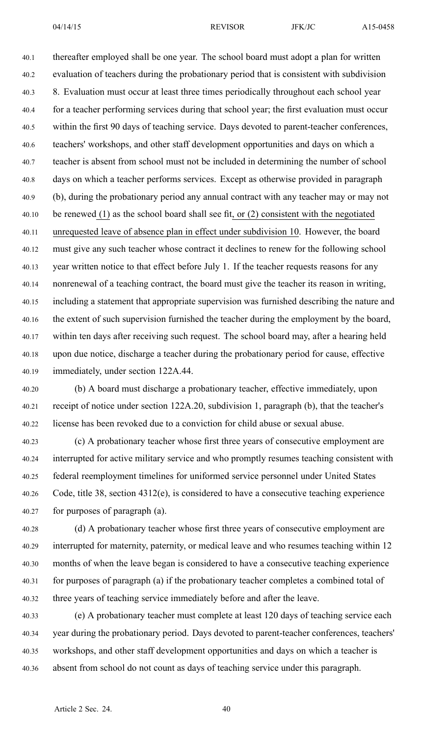40.1 thereafter employed shall be one year. The school board must adopt <sup>a</sup> plan for written 40.2 evaluation of teachers during the probationary period that is consistent with subdivision 40.3 8. Evaluation must occur at least three times periodically throughout each school year 40.4 for <sup>a</sup> teacher performing services during that school year; the first evaluation must occur 40.5 within the first 90 days of teaching service. Days devoted to parent-teacher conferences, 40.6 teachers' workshops, and other staff development opportunities and days on which <sup>a</sup> 40.7 teacher is absent from school must not be included in determining the number of school 40.8 days on which <sup>a</sup> teacher performs services. Except as otherwise provided in paragraph 40.9 (b), during the probationary period any annual contract with any teacher may or may not 40.10 be renewed (1) as the school board shall see fit, or (2) consistent with the negotiated 40.11 unrequested leave of absence plan in effect under subdivision 10. However, the board 40.12 must give any such teacher whose contract it declines to renew for the following school 40.13 year written notice to that effect before July 1. If the teacher requests reasons for any 40.14 nonrenewal of <sup>a</sup> teaching contract, the board must give the teacher its reason in writing, 40.15 including <sup>a</sup> statement that appropriate supervision was furnished describing the nature and 40.16 the extent of such supervision furnished the teacher during the employment by the board, 40.17 within ten days after receiving such request. The school board may, after <sup>a</sup> hearing held 40.18 upon due notice, discharge <sup>a</sup> teacher during the probationary period for cause, effective 40.19 immediately, under section 122A.44.

40.20 (b) A board must discharge <sup>a</sup> probationary teacher, effective immediately, upon 40.21 receipt of notice under section 122A.20, subdivision 1, paragraph (b), that the teacher's 40.22 license has been revoked due to <sup>a</sup> conviction for child abuse or sexual abuse.

40.23 (c) A probationary teacher whose first three years of consecutive employment are 40.24 interrupted for active military service and who promptly resumes teaching consistent with 40.25 federal reemployment timelines for uniformed service personnel under United States 40.26 Code, title 38, section 4312(e), is considered to have <sup>a</sup> consecutive teaching experience 40.27 for purposes of paragraph (a).

40.28 (d) A probationary teacher whose first three years of consecutive employment are 40.29 interrupted for maternity, paternity, or medical leave and who resumes teaching within 12 40.30 months of when the leave began is considered to have <sup>a</sup> consecutive teaching experience 40.31 for purposes of paragraph (a) if the probationary teacher completes <sup>a</sup> combined total of 40.32 three years of teaching service immediately before and after the leave.

40.33 (e) A probationary teacher must complete at least 120 days of teaching service each 40.34 year during the probationary period. Days devoted to parent-teacher conferences, teachers' 40.35 workshops, and other staff development opportunities and days on which <sup>a</sup> teacher is 40.36 absent from school do not count as days of teaching service under this paragraph.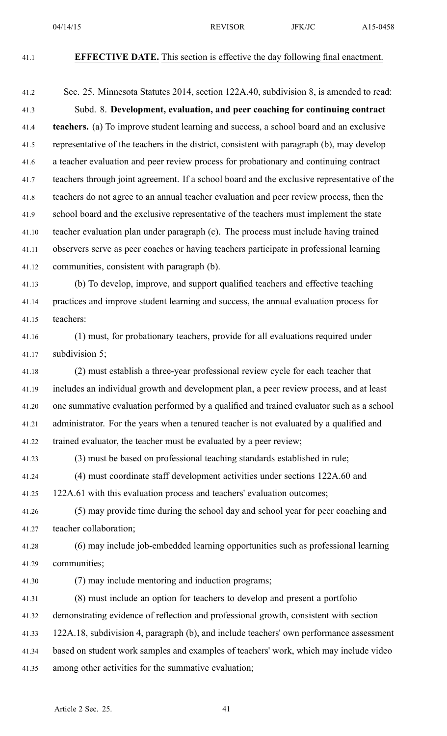### 41.1 **EFFECTIVE DATE.** This section is effective the day following final enactment.

41.2 Sec. 25. Minnesota Statutes 2014, section 122A.40, subdivision 8, is amended to read: 41.3 Subd. 8. **Development, evaluation, and peer coaching for continuing contract** 41.4 **teachers.** (a) To improve student learning and success, <sup>a</sup> school board and an exclusive 41.5 representative of the teachers in the district, consistent with paragraph (b), may develop 41.6 <sup>a</sup> teacher evaluation and peer review process for probationary and continuing contract 41.7 teachers through joint agreement. If <sup>a</sup> school board and the exclusive representative of the 41.8 teachers do not agree to an annual teacher evaluation and peer review process, then the 41.9 school board and the exclusive representative of the teachers must implement the state 41.10 teacher evaluation plan under paragraph (c). The process must include having trained 41.11 observers serve as peer coaches or having teachers participate in professional learning 41.12 communities, consistent with paragraph (b).

41.13 (b) To develop, improve, and suppor<sup>t</sup> qualified teachers and effective teaching 41.14 practices and improve student learning and success, the annual evaluation process for 41.15 teachers:

41.16 (1) must, for probationary teachers, provide for all evaluations required under 41.17 subdivision 5;

41.18 (2) must establish <sup>a</sup> three-year professional review cycle for each teacher that 41.19 includes an individual growth and development plan, <sup>a</sup> peer review process, and at least 41.20 one summative evaluation performed by <sup>a</sup> qualified and trained evaluator such as <sup>a</sup> school 41.21 administrator. For the years when <sup>a</sup> tenured teacher is not evaluated by <sup>a</sup> qualified and 41.22 trained evaluator, the teacher must be evaluated by <sup>a</sup> peer review;

41.23 (3) must be based on professional teaching standards established in rule;

41.24 (4) must coordinate staff development activities under sections 122A.60 and

41.25 122A.61 with this evaluation process and teachers' evaluation outcomes;

41.26 (5) may provide time during the school day and school year for peer coaching and 41.27 teacher collaboration;

41.28 (6) may include job-embedded learning opportunities such as professional learning 41.29 communities;

41.30 (7) may include mentoring and induction programs;

41.31 (8) must include an option for teachers to develop and presen<sup>t</sup> <sup>a</sup> portfolio 41.32 demonstrating evidence of reflection and professional growth, consistent with section 41.33 122A.18, subdivision 4, paragraph (b), and include teachers' own performance assessment 41.34 based on student work samples and examples of teachers' work, which may include video 41.35 among other activities for the summative evaluation;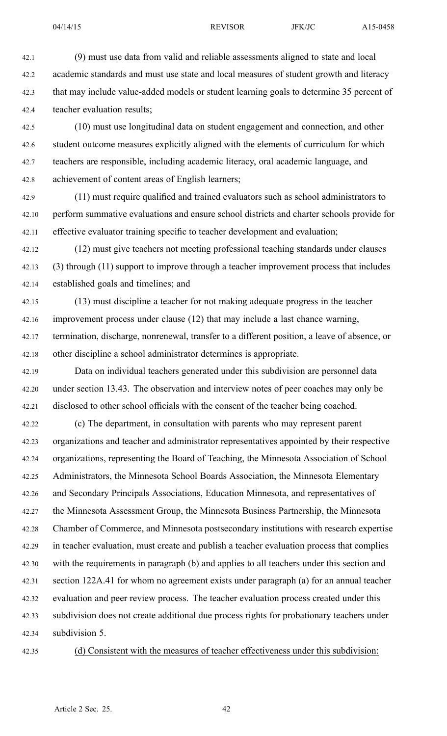42.1 (9) must use data from valid and reliable assessments aligned to state and local 42.2 academic standards and must use state and local measures of student growth and literacy 42.3 that may include value-added models or student learning goals to determine 35 percen<sup>t</sup> of 42.4 teacher evaluation results;

42.5 (10) must use longitudinal data on student engagemen<sup>t</sup> and connection, and other 42.6 student outcome measures explicitly aligned with the elements of curriculum for which 42.7 teachers are responsible, including academic literacy, oral academic language, and 42.8 achievement of content areas of English learners;

42.9 (11) must require qualified and trained evaluators such as school administrators to 42.10 perform summative evaluations and ensure school districts and charter schools provide for 42.11 effective evaluator training specific to teacher development and evaluation;

42.12 (12) must give teachers not meeting professional teaching standards under clauses 42.13 (3) through (11) suppor<sup>t</sup> to improve through <sup>a</sup> teacher improvement process that includes 42.14 established goals and timelines; and

42.15 (13) must discipline <sup>a</sup> teacher for not making adequate progress in the teacher 42.16 improvement process under clause (12) that may include <sup>a</sup> last chance warning, 42.17 termination, discharge, nonrenewal, transfer to <sup>a</sup> different position, <sup>a</sup> leave of absence, or 42.18 other discipline <sup>a</sup> school administrator determines is appropriate.

42.19 Data on individual teachers generated under this subdivision are personnel data 42.20 under section 13.43. The observation and interview notes of peer coaches may only be 42.21 disclosed to other school officials with the consent of the teacher being coached.

42.22 (c) The department, in consultation with parents who may represen<sup>t</sup> paren<sup>t</sup> 42.23 organizations and teacher and administrator representatives appointed by their respective 42.24 organizations, representing the Board of Teaching, the Minnesota Association of School 42.25 Administrators, the Minnesota School Boards Association, the Minnesota Elementary 42.26 and Secondary Principals Associations, Education Minnesota, and representatives of 42.27 the Minnesota Assessment Group, the Minnesota Business Partnership, the Minnesota 42.28 Chamber of Commerce, and Minnesota postsecondary institutions with research expertise 42.29 in teacher evaluation, must create and publish <sup>a</sup> teacher evaluation process that complies 42.30 with the requirements in paragraph (b) and applies to all teachers under this section and 42.31 section 122A.41 for whom no agreemen<sup>t</sup> exists under paragraph (a) for an annual teacher 42.32 evaluation and peer review process. The teacher evaluation process created under this 42.33 subdivision does not create additional due process rights for probationary teachers under 42.34 subdivision 5.

42.35 (d) Consistent with the measures of teacher effectiveness under this subdivision: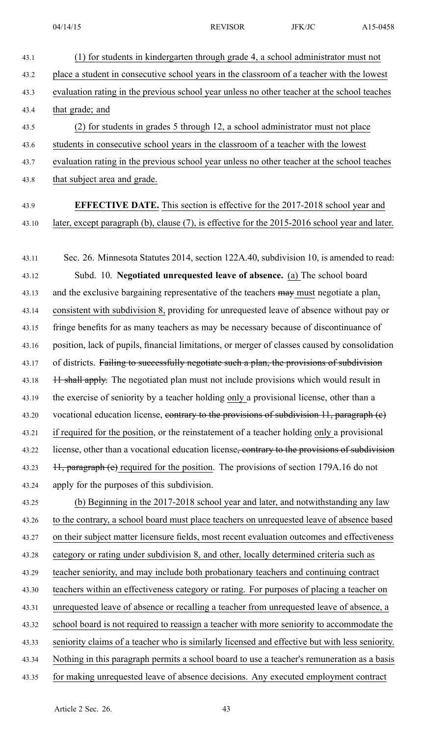43.1 (1) for students in kindergarten through grade 4, <sup>a</sup> school administrator must not 43.2 place <sup>a</sup> student in consecutive school years in the classroom of <sup>a</sup> teacher with the lowest 43.3 evaluation rating in the previous school year unless no other teacher at the school teaches 43.4 that grade; and 43.5 (2) for students in grades 5 through 12, <sup>a</sup> school administrator must not place 43.6 students in consecutive school years in the classroom of <sup>a</sup> teacher with the lowest 43.7 evaluation rating in the previous school year unless no other teacher at the school teaches 43.8 that subject area and grade. 43.9 **EFFECTIVE DATE.** This section is effective for the 2017-2018 school year and 43.10 later, excep<sup>t</sup> paragraph (b), clause (7), is effective for the 2015-2016 school year and later. 43.11 Sec. 26. Minnesota Statutes 2014, section 122A.40, subdivision 10, is amended to read: 43.12 Subd. 10. **Negotiated unrequested leave of absence.** (a) The school board 43.13 and the exclusive bargaining representative of the teachers may must negotiate a plan, 43.14 consistent with subdivision 8, providing for unrequested leave of absence without pay or 43.15 fringe benefits for as many teachers as may be necessary because of discontinuance of 43.16 position, lack of pupils, financial limitations, or merger of classes caused by consolidation 43.17 of districts. Failing to successfully negotiate such a plan, the provisions of subdivision 43.18 11 shall apply. The negotiated plan must not include provisions which would result in 43.19 the exercise of seniority by <sup>a</sup> teacher holding only <sup>a</sup> provisional license, other than <sup>a</sup> 43.20 vocational education license, contrary to the provisions of subdivision 11, paragraph (e) 43.21 if required for the position, or the reinstatement of <sup>a</sup> teacher holding only <sup>a</sup> provisional 43.22 license, other than a vocational education license<del>, contrary to the provisions of subdivision</del> 43.23 11, paragraph (e) required for the position. The provisions of section 179A.16 do not 43.24 apply for the purposes of this subdivision. 43.25 (b) Beginning in the 2017-2018 school year and later, and notwithstanding any law 43.26 to the contrary, <sup>a</sup> school board must place teachers on unrequested leave of absence based 43.27 on their subject matter licensure fields, most recent evaluation outcomes and effectiveness 43.28 category or rating under subdivision 8, and other, locally determined criteria such as 43.29 teacher seniority, and may include both probationary teachers and continuing contract 43.30 teachers within an effectiveness category or rating. For purposes of placing <sup>a</sup> teacher on 43.31 unrequested leave of absence or recalling <sup>a</sup> teacher from unrequested leave of absence, <sup>a</sup> 43.32 school board is not required to reassign <sup>a</sup> teacher with more seniority to accommodate the 43.33 seniority claims of <sup>a</sup> teacher who is similarly licensed and effective but with less seniority. 43.34 Nothing in this paragraph permits <sup>a</sup> school board to use <sup>a</sup> teacher's remuneration as <sup>a</sup> basis 43.35 for making unrequested leave of absence decisions. Any executed employment contract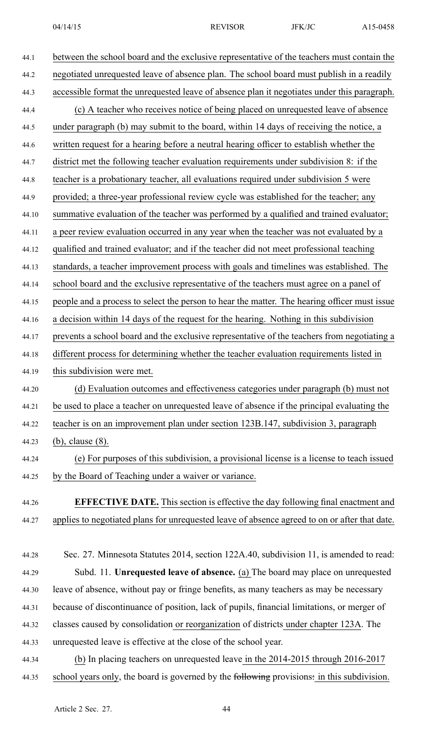| 44.1  | between the school board and the exclusive representative of the teachers must contain the    |
|-------|-----------------------------------------------------------------------------------------------|
| 44.2  | negotiated unrequested leave of absence plan. The school board must publish in a readily      |
| 44.3  | accessible format the unrequested leave of absence plan it negotiates under this paragraph.   |
| 44.4  | (c) A teacher who receives notice of being placed on unrequested leave of absence             |
| 44.5  | under paragraph (b) may submit to the board, within 14 days of receiving the notice, a        |
| 44.6  | written request for a hearing before a neutral hearing officer to establish whether the       |
| 44.7  | district met the following teacher evaluation requirements under subdivision 8: if the        |
| 44.8  | teacher is a probationary teacher, all evaluations required under subdivision 5 were          |
| 44.9  | provided; a three-year professional review cycle was established for the teacher; any         |
| 44.10 | summative evaluation of the teacher was performed by a qualified and trained evaluator;       |
| 44.11 | a peer review evaluation occurred in any year when the teacher was not evaluated by a         |
| 44.12 | qualified and trained evaluator; and if the teacher did not meet professional teaching        |
| 44.13 | standards, a teacher improvement process with goals and timelines was established. The        |
| 44.14 | school board and the exclusive representative of the teachers must agree on a panel of        |
| 44.15 | people and a process to select the person to hear the matter. The hearing officer must issue  |
| 44.16 | a decision within 14 days of the request for the hearing. Nothing in this subdivision         |
| 44.17 | prevents a school board and the exclusive representative of the teachers from negotiating a   |
| 44.18 | different process for determining whether the teacher evaluation requirements listed in       |
| 44.19 | this subdivision were met.                                                                    |
| 44.20 | (d) Evaluation outcomes and effectiveness categories under paragraph (b) must not             |
| 44.21 | be used to place a teacher on unrequested leave of absence if the principal evaluating the    |
| 44.22 | teacher is on an improvement plan under section 123B.147, subdivision 3, paragraph            |
| 44.23 | $(b)$ , clause $(8)$ .                                                                        |
| 44.24 | (e) For purposes of this subdivision, a provisional license is a license to teach issued      |
| 44.25 | by the Board of Teaching under a waiver or variance.                                          |
|       |                                                                                               |
| 44.26 | <b>EFFECTIVE DATE.</b> This section is effective the day following final enactment and        |
| 44.27 | applies to negotiated plans for unrequested leave of absence agreed to on or after that date. |
|       | Sec. 27. Minnesota Statutes 2014, section 122A.40, subdivision 11, is amended to read:        |
| 44.28 |                                                                                               |
| 44.29 | Subd. 11. Unrequested leave of absence. (a) The board may place on unrequested                |
| 44.30 | leave of absence, without pay or fringe benefits, as many teachers as may be necessary        |
| 44.31 | because of discontinuance of position, lack of pupils, financial limitations, or merger of    |
| 44.32 | classes caused by consolidation or reorganization of districts under chapter 123A. The        |
| 44.33 | unrequested leave is effective at the close of the school year.                               |
| 44.34 | (b) In placing teachers on unrequested leave in the 2014-2015 through 2016-2017               |
| 44.35 | school years only, the board is governed by the following provisions: in this subdivision.    |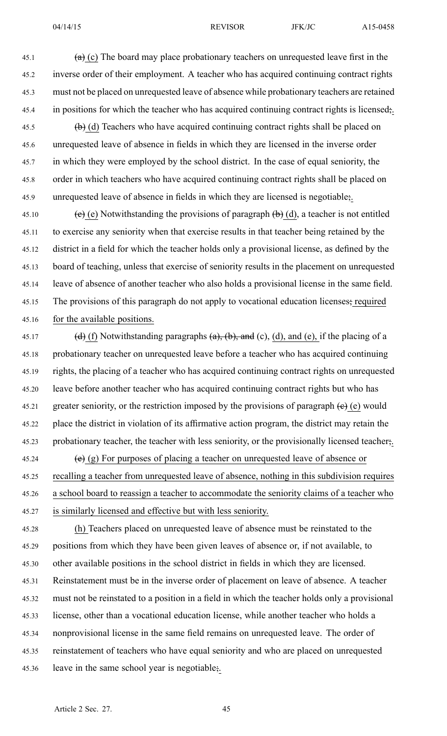45.1 (a) (c) The board may place probationary teachers on unrequested leave first in the 45.2 inverse order of their employment. A teacher who has acquired continuing contract rights 45.3 must not be placed on unrequested leave of absence while probationary teachers are retained 45.4 in positions for which the teacher who has acquired continuing contract rights is licensed.

45.5 (b) (d) Teachers who have acquired continuing contract rights shall be placed on 45.6 unrequested leave of absence in fields in which they are licensed in the inverse order 45.7 in which they were employed by the school district. In the case of equal seniority, the 45.8 order in which teachers who have acquired continuing contract rights shall be placed on 45.9 unrequested leave of absence in fields in which they are licensed is negotiable;.

45.10 (e) Notwithstanding the provisions of paragraph  $(b)$  (d), a teacher is not entitled 45.11 to exercise any seniority when that exercise results in that teacher being retained by the 45.12 district in <sup>a</sup> field for which the teacher holds only <sup>a</sup> provisional license, as defined by the 45.13 board of teaching, unless that exercise of seniority results in the placement on unrequested 45.14 leave of absence of another teacher who also holds <sup>a</sup> provisional license in the same field. 45.15 The provisions of this paragraph do not apply to vocational education licenses; required 45.16 for the available positions.

45.17 (d) (f) Notwithstanding paragraphs  $(a)$ ,  $(b)$ , and  $(c)$ ,  $(d)$ , and  $(e)$ , if the placing of a 45.18 probationary teacher on unrequested leave before <sup>a</sup> teacher who has acquired continuing 45.19 rights, the placing of <sup>a</sup> teacher who has acquired continuing contract rights on unrequested 45.20 leave before another teacher who has acquired continuing contract rights but who has 45.21 greater seniority, or the restriction imposed by the provisions of paragraph  $(e)$  (e) would 45.22 place the district in violation of its affirmative action program, the district may retain the 45.23 probationary teacher, the teacher with less seniority, or the provisionally licensed teacher;. 45.24 (e) (g) For purposes of placing a teacher on unrequested leave of absence or

45.25 recalling <sup>a</sup> teacher from unrequested leave of absence, nothing in this subdivision requires 45.26 <sup>a</sup> school board to reassign <sup>a</sup> teacher to accommodate the seniority claims of <sup>a</sup> teacher who 45.27 is similarly licensed and effective but with less seniority.

45.28 (h) Teachers placed on unrequested leave of absence must be reinstated to the 45.29 positions from which they have been given leaves of absence or, if not available, to 45.30 other available positions in the school district in fields in which they are licensed. 45.31 Reinstatement must be in the inverse order of placement on leave of absence. A teacher 45.32 must not be reinstated to <sup>a</sup> position in <sup>a</sup> field in which the teacher holds only <sup>a</sup> provisional 45.33 license, other than <sup>a</sup> vocational education license, while another teacher who holds <sup>a</sup> 45.34 nonprovisional license in the same field remains on unrequested leave. The order of 45.35 reinstatement of teachers who have equal seniority and who are placed on unrequested 45.36 leave in the same school year is negotiable;.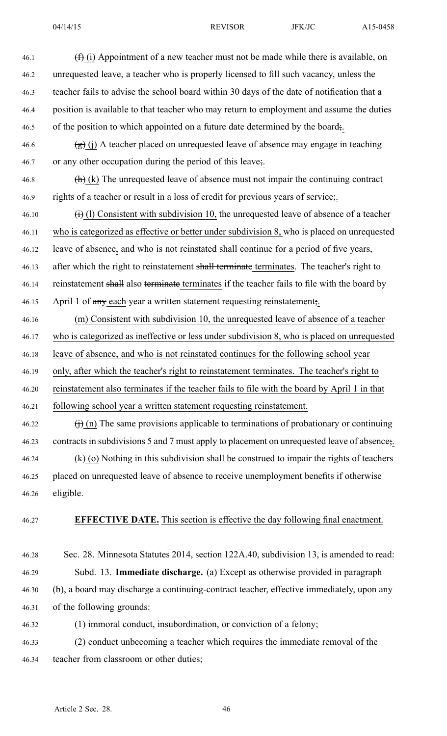| 46.1  | $(\text{f})$ (i) Appointment of a new teacher must not be made while there is available, on              |
|-------|----------------------------------------------------------------------------------------------------------|
| 46.2  | unrequested leave, a teacher who is properly licensed to fill such vacancy, unless the                   |
| 46.3  | teacher fails to advise the school board within 30 days of the date of notification that a               |
| 46.4  | position is available to that teacher who may return to employment and assume the duties                 |
| 46.5  | of the position to which appointed on a future date determined by the board.                             |
| 46.6  | $\left(\frac{1}{2}\right)$ (j) A teacher placed on unrequested leave of absence may engage in teaching   |
| 46.7  | or any other occupation during the period of this leave;                                                 |
| 46.8  | $\left(\frac{h}{h}\right)$ (k) The unrequested leave of absence must not impair the continuing contract  |
| 46.9  | rights of a teacher or result in a loss of credit for previous years of service;                         |
| 46.10 | $\overrightarrow{(t)}$ (1) Consistent with subdivision 10, the unrequested leave of absence of a teacher |
| 46.11 | who is categorized as effective or better under subdivision 8, who is placed on unrequested              |
| 46.12 | leave of absence, and who is not reinstated shall continue for a period of five years,                   |
| 46.13 | after which the right to reinstatement shall terminate terminates. The teacher's right to                |
| 46.14 | reinstatement shall also terminate terminates if the teacher fails to file with the board by             |
| 46.15 | April 1 of any each year a written statement requesting reinstatement.                                   |
| 46.16 | (m) Consistent with subdivision 10, the unrequested leave of absence of a teacher                        |
| 46.17 | who is categorized as ineffective or less under subdivision 8, who is placed on unrequested              |
| 46.18 | leave of absence, and who is not reinstated continues for the following school year                      |
| 46.19 | only, after which the teacher's right to reinstatement terminates. The teacher's right to                |
| 46.20 | reinstatement also terminates if the teacher fails to file with the board by April 1 in that             |
| 46.21 | following school year a written statement requesting reinstatement.                                      |
| 46.22 | $\overrightarrow{()}$ (n) The same provisions applicable to terminations of probationary or continuing   |
| 46.23 | contracts in subdivisions 5 and 7 must apply to placement on unrequested leave of absence;               |
| 46.24 | $\langle k \rangle$ (o) Nothing in this subdivision shall be construed to impair the rights of teachers  |
| 46.25 | placed on unrequested leave of absence to receive unemployment benefits if otherwise                     |
| 46.26 | eligible.                                                                                                |
| 46.27 | <b>EFFECTIVE DATE.</b> This section is effective the day following final enactment.                      |

- 46.28 Sec. 28. Minnesota Statutes 2014, section 122A.40, subdivision 13, is amended to read: 46.29 Subd. 13. **Immediate discharge.** (a) Except as otherwise provided in paragraph 46.30 (b), <sup>a</sup> board may discharge <sup>a</sup> continuing-contract teacher, effective immediately, upon any 46.31 of the following grounds:
- 46.32 (1) immoral conduct, insubordination, or conviction of <sup>a</sup> felony;
- 46.33 (2) conduct unbecoming <sup>a</sup> teacher which requires the immediate removal of the 46.34 teacher from classroom or other duties;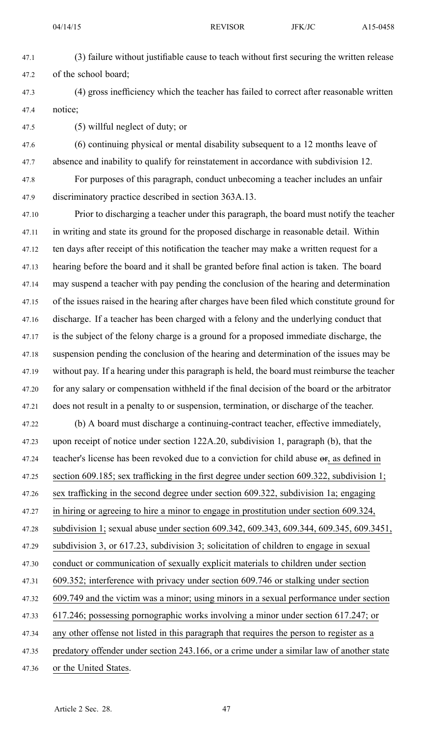- 
- 47.1 (3) failure without justifiable cause to teach without first securing the written release 47.2 of the school board;
- 47.3 (4) gross inefficiency which the teacher has failed to correct after reasonable written 47.4 notice;
- 47.5 (5) willful neglect of duty; or
- 47.6 (6) continuing physical or mental disability subsequent to <sup>a</sup> 12 months leave of 47.7 absence and inability to qualify for reinstatement in accordance with subdivision 12.
- 47.8 For purposes of this paragraph, conduct unbecoming <sup>a</sup> teacher includes an unfair 47.9 discriminatory practice described in section 363A.13.
- 47.10 Prior to discharging <sup>a</sup> teacher under this paragraph, the board must notify the teacher 47.11 in writing and state its ground for the proposed discharge in reasonable detail. Within 47.12 ten days after receipt of this notification the teacher may make <sup>a</sup> written reques<sup>t</sup> for <sup>a</sup> 47.13 hearing before the board and it shall be granted before final action is taken. The board 47.14 may suspend <sup>a</sup> teacher with pay pending the conclusion of the hearing and determination 47.15 of the issues raised in the hearing after charges have been filed which constitute ground for 47.16 discharge. If <sup>a</sup> teacher has been charged with <sup>a</sup> felony and the underlying conduct that 47.17 is the subject of the felony charge is <sup>a</sup> ground for <sup>a</sup> proposed immediate discharge, the 47.18 suspension pending the conclusion of the hearing and determination of the issues may be 47.19 without pay. If <sup>a</sup> hearing under this paragraph is held, the board must reimburse the teacher 47.20 for any salary or compensation withheld if the final decision of the board or the arbitrator 47.21 does not result in <sup>a</sup> penalty to or suspension, termination, or discharge of the teacher.
- 47.22 (b) A board must discharge <sup>a</sup> continuing-contract teacher, effective immediately, 47.23 upon receipt of notice under section 122A.20, subdivision 1, paragraph (b), that the 47.24 teacher's license has been revoked due to a conviction for child abuse  $\sigma$ , as defined in 47.25 section 609.185; sex trafficking in the first degree under section 609.322, subdivision 1; 47.26 sex trafficking in the second degree under section 609.322, subdivision 1a; engaging 47.27 in hiring or agreeing to hire a minor to engage in prostitution under section 609.324, 47.28 subdivision 1; sexual abuse under section 609.342, 609.343, 609.344, 609.345, 609.3451, 47.29 subdivision 3, or 617.23, subdivision 3; solicitation of children to engage in sexual 47.30 conduct or communication of sexually explicit materials to children under section 47.31 609.352; interference with privacy under section 609.746 or stalking under section 47.32 609.749 and the victim was <sup>a</sup> minor; using minors in <sup>a</sup> sexual performance under section 47.33 617.246; possessing pornographic works involving <sup>a</sup> minor under section 617.247; or
- 47.34 any other offense not listed in this paragraph that requires the person to register as <sup>a</sup>
- 47.35 predatory offender under section 243.166, or <sup>a</sup> crime under <sup>a</sup> similar law of another state
- 47.36 or the United States.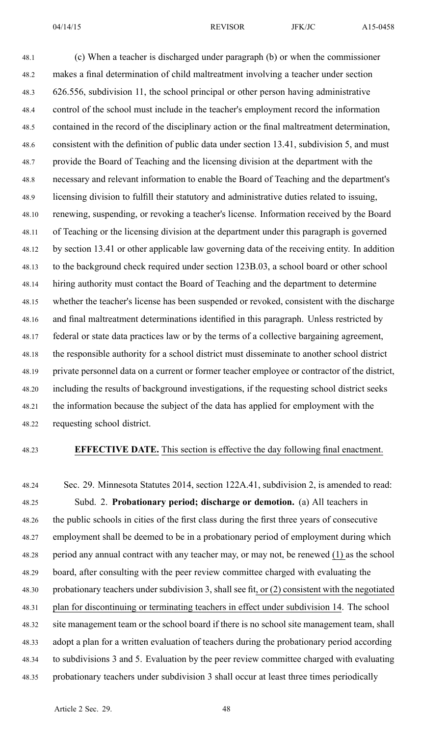48.1 (c) When <sup>a</sup> teacher is discharged under paragraph (b) or when the commissioner 48.2 makes <sup>a</sup> final determination of child maltreatment involving <sup>a</sup> teacher under section 48.3 626.556, subdivision 11, the school principal or other person having administrative 48.4 control of the school must include in the teacher's employment record the information 48.5 contained in the record of the disciplinary action or the final maltreatment determination, 48.6 consistent with the definition of public data under section 13.41, subdivision 5, and must 48.7 provide the Board of Teaching and the licensing division at the department with the 48.8 necessary and relevant information to enable the Board of Teaching and the department's 48.9 licensing division to fulfill their statutory and administrative duties related to issuing, 48.10 renewing, suspending, or revoking <sup>a</sup> teacher's license. Information received by the Board 48.11 of Teaching or the licensing division at the department under this paragraph is governed 48.12 by section 13.41 or other applicable law governing data of the receiving entity. In addition 48.13 to the background check required under section 123B.03, <sup>a</sup> school board or other school 48.14 hiring authority must contact the Board of Teaching and the department to determine 48.15 whether the teacher's license has been suspended or revoked, consistent with the discharge 48.16 and final maltreatment determinations identified in this paragraph. Unless restricted by 48.17 federal or state data practices law or by the terms of <sup>a</sup> collective bargaining agreement, 48.18 the responsible authority for <sup>a</sup> school district must disseminate to another school district 48.19 private personnel data on <sup>a</sup> current or former teacher employee or contractor of the district, 48.20 including the results of background investigations, if the requesting school district seeks 48.21 the information because the subject of the data has applied for employment with the 48.22 requesting school district.

### 48.23 **EFFECTIVE DATE.** This section is effective the day following final enactment.

48.24 Sec. 29. Minnesota Statutes 2014, section 122A.41, subdivision 2, is amended to read: 48.25 Subd. 2. **Probationary period; discharge or demotion.** (a) All teachers in 48.26 the public schools in cities of the first class during the first three years of consecutive 48.27 employment shall be deemed to be in <sup>a</sup> probationary period of employment during which 48.28 period any annual contract with any teacher may, or may not, be renewed (1) as the school 48.29 board, after consulting with the peer review committee charged with evaluating the 48.30 probationary teachers under subdivision 3, shall see fit, or (2) consistent with the negotiated 48.31 plan for discontinuing or terminating teachers in effect under subdivision 14. The school 48.32 site managemen<sup>t</sup> team or the school board if there is no school site managemen<sup>t</sup> team, shall 48.33 adopt <sup>a</sup> plan for <sup>a</sup> written evaluation of teachers during the probationary period according 48.34 to subdivisions 3 and 5. Evaluation by the peer review committee charged with evaluating 48.35 probationary teachers under subdivision 3 shall occur at least three times periodically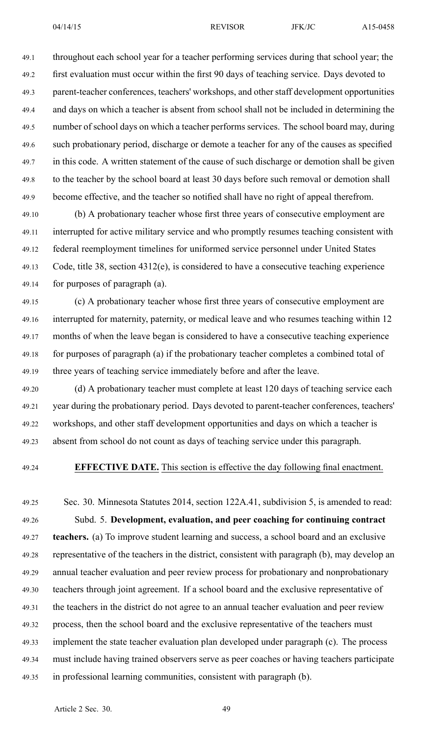49.1 throughout each school year for <sup>a</sup> teacher performing services during that school year; the 49.2 first evaluation must occur within the first 90 days of teaching service. Days devoted to 49.3 parent-teacher conferences, teachers' workshops, and other staff development opportunities 49.4 and days on which <sup>a</sup> teacher is absent from school shall not be included in determining the 49.5 number of school days on which <sup>a</sup> teacher performs services. The school board may, during 49.6 such probationary period, discharge or demote <sup>a</sup> teacher for any of the causes as specified 49.7 in this code. A written statement of the cause of such discharge or demotion shall be given 49.8 to the teacher by the school board at least 30 days before such removal or demotion shall 49.9 become effective, and the teacher so notified shall have no right of appeal therefrom.

49.10 (b) A probationary teacher whose first three years of consecutive employment are 49.11 interrupted for active military service and who promptly resumes teaching consistent with 49.12 federal reemployment timelines for uniformed service personnel under United States 49.13 Code, title 38, section 4312(e), is considered to have <sup>a</sup> consecutive teaching experience 49.14 for purposes of paragraph (a).

49.15 (c) A probationary teacher whose first three years of consecutive employment are 49.16 interrupted for maternity, paternity, or medical leave and who resumes teaching within 12 49.17 months of when the leave began is considered to have <sup>a</sup> consecutive teaching experience 49.18 for purposes of paragraph (a) if the probationary teacher completes <sup>a</sup> combined total of 49.19 three years of teaching service immediately before and after the leave.

49.20 (d) A probationary teacher must complete at least 120 days of teaching service each 49.21 year during the probationary period. Days devoted to parent-teacher conferences, teachers' 49.22 workshops, and other staff development opportunities and days on which <sup>a</sup> teacher is 49.23 absent from school do not count as days of teaching service under this paragraph.

### 49.24 **EFFECTIVE DATE.** This section is effective the day following final enactment.

49.25 Sec. 30. Minnesota Statutes 2014, section 122A.41, subdivision 5, is amended to read: 49.26 Subd. 5. **Development, evaluation, and peer coaching for continuing contract** 49.27 **teachers.** (a) To improve student learning and success, <sup>a</sup> school board and an exclusive 49.28 representative of the teachers in the district, consistent with paragraph (b), may develop an 49.29 annual teacher evaluation and peer review process for probationary and nonprobationary 49.30 teachers through joint agreement. If <sup>a</sup> school board and the exclusive representative of 49.31 the teachers in the district do not agree to an annual teacher evaluation and peer review 49.32 process, then the school board and the exclusive representative of the teachers must 49.33 implement the state teacher evaluation plan developed under paragraph (c). The process 49.34 must include having trained observers serve as peer coaches or having teachers participate 49.35 in professional learning communities, consistent with paragraph (b).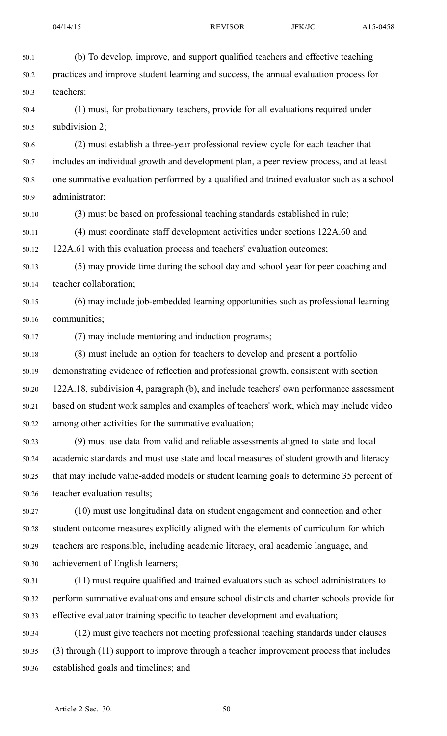| 50.1  | (b) To develop, improve, and support qualified teachers and effective teaching            |
|-------|-------------------------------------------------------------------------------------------|
| 50.2  | practices and improve student learning and success, the annual evaluation process for     |
| 50.3  | teachers:                                                                                 |
| 50.4  | (1) must, for probationary teachers, provide for all evaluations required under           |
| 50.5  | subdivision 2;                                                                            |
| 50.6  | (2) must establish a three-year professional review cycle for each teacher that           |
| 50.7  | includes an individual growth and development plan, a peer review process, and at least   |
| 50.8  | one summative evaluation performed by a qualified and trained evaluator such as a school  |
| 50.9  | administrator;                                                                            |
| 50.10 | (3) must be based on professional teaching standards established in rule;                 |
| 50.11 | (4) must coordinate staff development activities under sections 122A.60 and               |
| 50.12 | 122A.61 with this evaluation process and teachers' evaluation outcomes;                   |
| 50.13 | (5) may provide time during the school day and school year for peer coaching and          |
| 50.14 | teacher collaboration;                                                                    |
| 50.15 | (6) may include job-embedded learning opportunities such as professional learning         |
| 50.16 | communities;                                                                              |
| 50.17 | (7) may include mentoring and induction programs;                                         |
| 50.18 | (8) must include an option for teachers to develop and present a portfolio                |
| 50.19 | demonstrating evidence of reflection and professional growth, consistent with section     |
| 50.20 | 122A.18, subdivision 4, paragraph (b), and include teachers' own performance assessment   |
| 50.21 | based on student work samples and examples of teachers' work, which may include video     |
| 50.22 | among other activities for the summative evaluation;                                      |
| 50.23 | (9) must use data from valid and reliable assessments aligned to state and local          |
| 50.24 | academic standards and must use state and local measures of student growth and literacy   |
| 50.25 | that may include value-added models or student learning goals to determine 35 percent of  |
| 50.26 | teacher evaluation results;                                                               |
| 50.27 | (10) must use longitudinal data on student engagement and connection and other            |
| 50.28 | student outcome measures explicitly aligned with the elements of curriculum for which     |
| 50.29 | teachers are responsible, including academic literacy, oral academic language, and        |
| 50.30 | achievement of English learners;                                                          |
| 50.31 | (11) must require qualified and trained evaluators such as school administrators to       |
| 50.32 | perform summative evaluations and ensure school districts and charter schools provide for |
| 50.33 | effective evaluator training specific to teacher development and evaluation;              |
| 50.34 | (12) must give teachers not meeting professional teaching standards under clauses         |
| 50.35 | (3) through (11) support to improve through a teacher improvement process that includes   |

50.36 established goals and timelines; and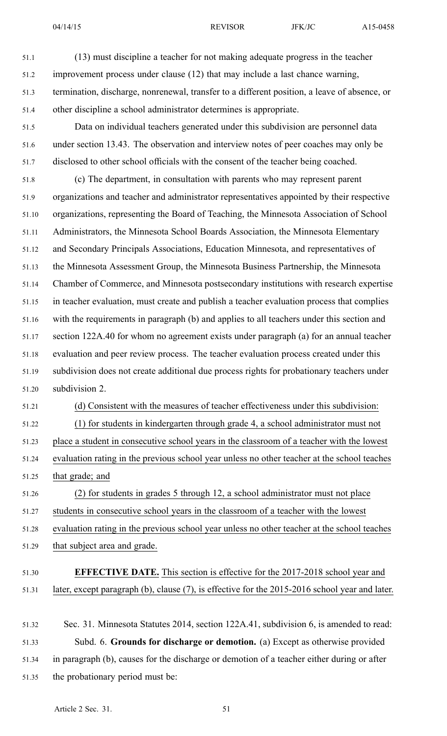| 51.1  | (13) must discipline a teacher for not making adequate progress in the teacher                 |
|-------|------------------------------------------------------------------------------------------------|
| 51.2  | improvement process under clause (12) that may include a last chance warning,                  |
| 51.3  | termination, discharge, nonrenewal, transfer to a different position, a leave of absence, or   |
| 51.4  | other discipline a school administrator determines is appropriate.                             |
| 51.5  | Data on individual teachers generated under this subdivision are personnel data                |
| 51.6  | under section 13.43. The observation and interview notes of peer coaches may only be           |
| 51.7  | disclosed to other school officials with the consent of the teacher being coached.             |
| 51.8  | (c) The department, in consultation with parents who may represent parent                      |
| 51.9  | organizations and teacher and administrator representatives appointed by their respective      |
| 51.10 | organizations, representing the Board of Teaching, the Minnesota Association of School         |
| 51.11 | Administrators, the Minnesota School Boards Association, the Minnesota Elementary              |
| 51.12 | and Secondary Principals Associations, Education Minnesota, and representatives of             |
| 51.13 | the Minnesota Assessment Group, the Minnesota Business Partnership, the Minnesota              |
| 51.14 | Chamber of Commerce, and Minnesota postsecondary institutions with research expertise          |
| 51.15 | in teacher evaluation, must create and publish a teacher evaluation process that complies      |
| 51.16 | with the requirements in paragraph (b) and applies to all teachers under this section and      |
| 51.17 | section 122A.40 for whom no agreement exists under paragraph (a) for an annual teacher         |
| 51.18 | evaluation and peer review process. The teacher evaluation process created under this          |
| 51.19 | subdivision does not create additional due process rights for probationary teachers under      |
| 51.20 | subdivision 2.                                                                                 |
| 51.21 | (d) Consistent with the measures of teacher effectiveness under this subdivision:              |
| 51.22 | (1) for students in kindergarten through grade 4, a school administrator must not              |
| 51.23 | place a student in consecutive school years in the classroom of a teacher with the lowest      |
| 51.24 | evaluation rating in the previous school year unless no other teacher at the school teaches    |
| 51.25 | that grade; and                                                                                |
| 51.26 | (2) for students in grades 5 through 12, a school administrator must not place                 |
| 51.27 | students in consecutive school years in the classroom of a teacher with the lowest             |
| 51.28 | evaluation rating in the previous school year unless no other teacher at the school teaches    |
| 51.29 | that subject area and grade.                                                                   |
| 51.30 | <b>EFFECTIVE DATE.</b> This section is effective for the 2017-2018 school year and             |
| 51.31 | later, except paragraph (b), clause (7), is effective for the 2015-2016 school year and later. |
| 51.32 | Sec. 31. Minnesota Statutes 2014, section 122A.41, subdivision 6, is amended to read:          |
| 51.33 | Subd. 6. Grounds for discharge or demotion. (a) Except as otherwise provided                   |
|       |                                                                                                |

- 51.34 in paragraph (b), causes for the discharge or demotion of <sup>a</sup> teacher either during or after
- 51.35 the probationary period must be: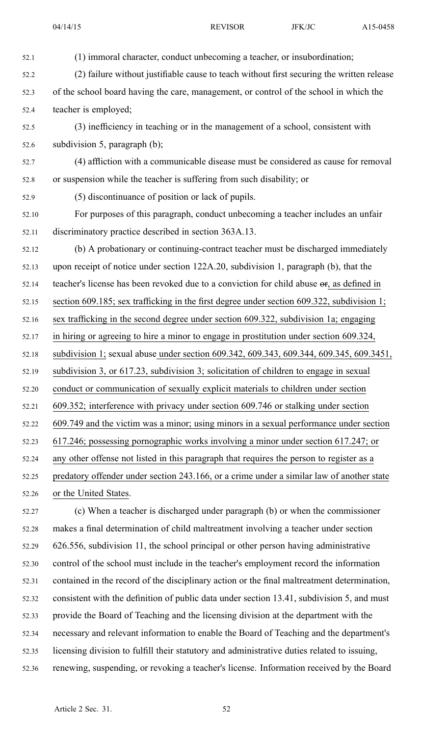| 52.1  | (1) immoral character, conduct unbecoming a teacher, or insubordination;                    |
|-------|---------------------------------------------------------------------------------------------|
| 52.2  | (2) failure without justifiable cause to teach without first securing the written release   |
| 52.3  | of the school board having the care, management, or control of the school in which the      |
| 52.4  | teacher is employed;                                                                        |
| 52.5  | (3) inefficiency in teaching or in the management of a school, consistent with              |
| 52.6  | subdivision 5, paragraph $(b)$ ;                                                            |
| 52.7  | (4) affliction with a communicable disease must be considered as cause for removal          |
| 52.8  | or suspension while the teacher is suffering from such disability; or                       |
| 52.9  | (5) discontinuance of position or lack of pupils.                                           |
| 52.10 | For purposes of this paragraph, conduct unbecoming a teacher includes an unfair             |
| 52.11 | discriminatory practice described in section 363A.13.                                       |
| 52.12 | (b) A probationary or continuing-contract teacher must be discharged immediately            |
| 52.13 | upon receipt of notice under section 122A.20, subdivision 1, paragraph (b), that the        |
| 52.14 | teacher's license has been revoked due to a conviction for child abuse or, as defined in    |
| 52.15 | section 609.185; sex trafficking in the first degree under section 609.322, subdivision 1;  |
| 52.16 | sex trafficking in the second degree under section 609.322, subdivision 1a; engaging        |
| 52.17 | in hiring or agreeing to hire a minor to engage in prostitution under section 609.324,      |
| 52.18 | subdivision 1; sexual abuse under section 609.342, 609.343, 609.344, 609.345, 609.3451,     |
| 52.19 | subdivision 3, or 617.23, subdivision 3; solicitation of children to engage in sexual       |
| 52.20 | conduct or communication of sexually explicit materials to children under section           |
| 52.21 | 609.352; interference with privacy under section 609.746 or stalking under section          |
| 52.22 | 609.749 and the victim was a minor; using minors in a sexual performance under section      |
| 52.23 | 617.246; possessing pornographic works involving a minor under section 617.247; or          |
| 52.24 | any other offense not listed in this paragraph that requires the person to register as a    |
| 52.25 | predatory offender under section 243.166, or a crime under a similar law of another state   |
| 52.26 | or the United States.                                                                       |
| 52.27 | (c) When a teacher is discharged under paragraph (b) or when the commissioner               |
| 52.28 | makes a final determination of child maltreatment involving a teacher under section         |
| 52.29 | 626.556, subdivision 11, the school principal or other person having administrative         |
| 52.30 | control of the school must include in the teacher's employment record the information       |
| 52.31 | contained in the record of the disciplinary action or the final maltreatment determination, |

52.32 consistent with the definition of public data under section 13.41, subdivision 5, and must

- 52.33 provide the Board of Teaching and the licensing division at the department with the
- 52.34 necessary and relevant information to enable the Board of Teaching and the department's
- 52.35 licensing division to fulfill their statutory and administrative duties related to issuing, 52.36 renewing, suspending, or revoking <sup>a</sup> teacher's license. Information received by the Board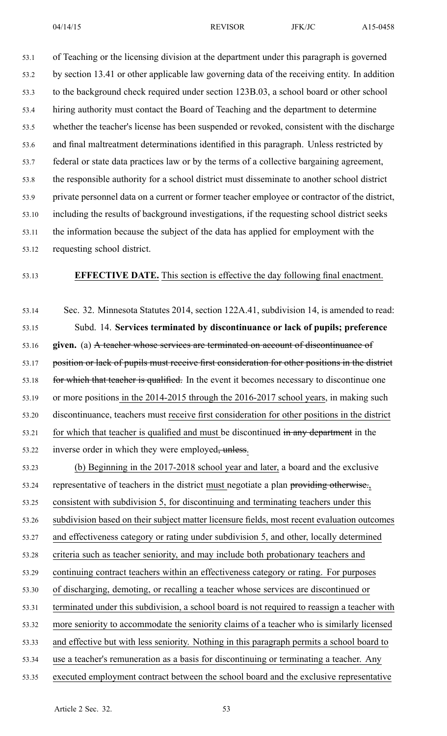53.1 of Teaching or the licensing division at the department under this paragraph is governed 53.2 by section 13.41 or other applicable law governing data of the receiving entity. In addition 53.3 to the background check required under section 123B.03, <sup>a</sup> school board or other school 53.4 hiring authority must contact the Board of Teaching and the department to determine 53.5 whether the teacher's license has been suspended or revoked, consistent with the discharge 53.6 and final maltreatment determinations identified in this paragraph. Unless restricted by 53.7 federal or state data practices law or by the terms of <sup>a</sup> collective bargaining agreement, 53.8 the responsible authority for <sup>a</sup> school district must disseminate to another school district 53.9 private personnel data on <sup>a</sup> current or former teacher employee or contractor of the district, 53.10 including the results of background investigations, if the requesting school district seeks 53.11 the information because the subject of the data has applied for employment with the 53.12 requesting school district.

### 53.13 **EFFECTIVE DATE.** This section is effective the day following final enactment.

53.14 Sec. 32. Minnesota Statutes 2014, section 122A.41, subdivision 14, is amended to read: 53.15 Subd. 14. **Services terminated by discontinuance or lack of pupils; preference** 53.16 **given.** (a) A teacher whose services are terminated on account of discontinuance of 53.17 position or lack of pupils must receive first consideration for other positions in the district 53.18 for which that teacher is qualified. In the event it becomes necessary to discontinue one 53.19 or more positions in the 2014-2015 through the 2016-2017 school years, in making such 53.20 discontinuance, teachers must receive first consideration for other positions in the district 53.21 for which that teacher is qualified and must be discontinued in any department in the 53.22 inverse order in which they were employed, unless.

53.23 (b) Beginning in the 2017-2018 school year and later, <sup>a</sup> board and the exclusive 53.24 representative of teachers in the district must negotiate a plan providing otherwise. 53.25 consistent with subdivision 5, for discontinuing and terminating teachers under this 53.26 subdivision based on their subject matter licensure fields, most recent evaluation outcomes 53.27 and effectiveness category or rating under subdivision 5, and other, locally determined 53.28 criteria such as teacher seniority, and may include both probationary teachers and 53.29 continuing contract teachers within an effectiveness category or rating. For purposes 53.30 of discharging, demoting, or recalling <sup>a</sup> teacher whose services are discontinued or 53.31 terminated under this subdivision, <sup>a</sup> school board is not required to reassign <sup>a</sup> teacher with 53.32 more seniority to accommodate the seniority claims of <sup>a</sup> teacher who is similarly licensed 53.33 and effective but with less seniority. Nothing in this paragraph permits <sup>a</sup> school board to 53.34 use <sup>a</sup> teacher's remuneration as <sup>a</sup> basis for discontinuing or terminating <sup>a</sup> teacher. Any 53.35 executed employment contract between the school board and the exclusive representative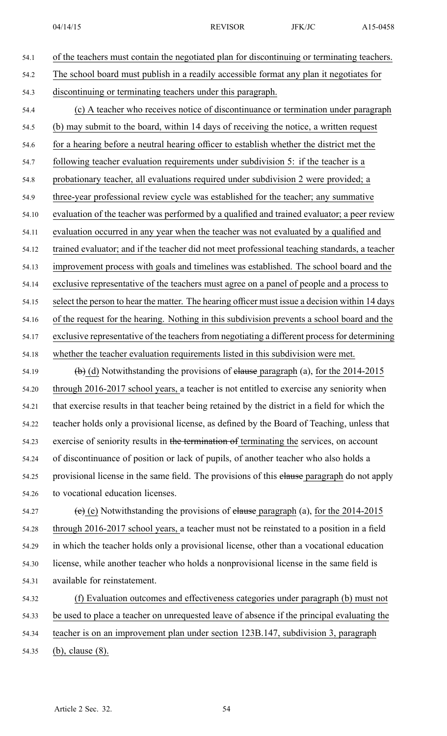54.1 of the teachers must contain the negotiated plan for discontinuing or terminating teachers. 54.2 The school board must publish in <sup>a</sup> readily accessible format any plan it negotiates for 54.3 discontinuing or terminating teachers under this paragraph. 54.4 (c) A teacher who receives notice of discontinuance or termination under paragraph 54.5 (b) may submit to the board, within 14 days of receiving the notice, <sup>a</sup> written reques<sup>t</sup> 54.6 for <sup>a</sup> hearing before <sup>a</sup> neutral hearing officer to establish whether the district met the 54.7 following teacher evaluation requirements under subdivision 5: if the teacher is <sup>a</sup> 54.8 probationary teacher, all evaluations required under subdivision 2 were provided; <sup>a</sup> 54.9 three-year professional review cycle was established for the teacher; any summative 54.10 evaluation of the teacher was performed by <sup>a</sup> qualified and trained evaluator; <sup>a</sup> peer review 54.11 evaluation occurred in any year when the teacher was not evaluated by <sup>a</sup> qualified and 54.12 trained evaluator; and if the teacher did not meet professional teaching standards, <sup>a</sup> teacher 54.13 improvement process with goals and timelines was established. The school board and the 54.14 exclusive representative of the teachers must agree on <sup>a</sup> panel of people and <sup>a</sup> process to 54.15 select the person to hear the matter. The hearing officer must issue <sup>a</sup> decision within 14 days 54.16 of the reques<sup>t</sup> for the hearing. Nothing in this subdivision prevents <sup>a</sup> school board and the 54.17 exclusive representative of the teachers from negotiating a different process for determining 54.18 whether the teacher evaluation requirements listed in this subdivision were met. 54.19 (b) (d) Notwithstanding the provisions of elause paragraph (a), for the  $2014$ -2015 54.20 through 2016-2017 school years, <sup>a</sup> teacher is not entitled to exercise any seniority when 54.21 that exercise results in that teacher being retained by the district in <sup>a</sup> field for which the 54.22 teacher holds only <sup>a</sup> provisional license, as defined by the Board of Teaching, unless that 54.23 exercise of seniority results in the termination of terminating the services, on account 54.24 of discontinuance of position or lack of pupils, of another teacher who also holds <sup>a</sup> 54.25 provisional license in the same field. The provisions of this elause paragraph do not apply 54.26 to vocational education licenses. 54.27 (e) Notwithstanding the provisions of elause paragraph (a), for the  $2014-2015$ 

54.28 through 2016-2017 school years, <sup>a</sup> teacher must not be reinstated to <sup>a</sup> position in <sup>a</sup> field 54.29 in which the teacher holds only <sup>a</sup> provisional license, other than <sup>a</sup> vocational education 54.30 license, while another teacher who holds <sup>a</sup> nonprovisional license in the same field is 54.31 available for reinstatement.

54.32 (f) Evaluation outcomes and effectiveness categories under paragraph (b) must not 54.33 be used to place <sup>a</sup> teacher on unrequested leave of absence if the principal evaluating the 54.34 teacher is on an improvement plan under section 123B.147, subdivision 3, paragraph

54.35 (b), clause (8).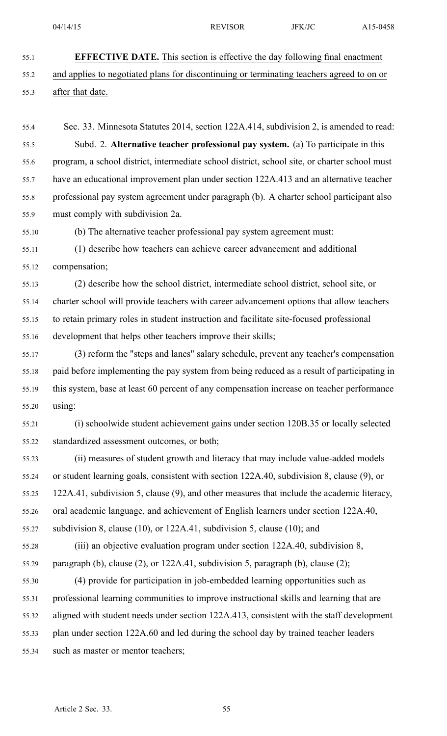- 55.1 **EFFECTIVE DATE.** This section is effective the day following final enactment
- 55.2 and applies to negotiated plans for discontinuing or terminating teachers agreed to on or

### 55.3 after that date.

- 55.4 Sec. 33. Minnesota Statutes 2014, section 122A.414, subdivision 2, is amended to read: 55.5 Subd. 2. **Alternative teacher professional pay system.** (a) To participate in this 55.6 program, <sup>a</sup> school district, intermediate school district, school site, or charter school must 55.7 have an educational improvement plan under section 122A.413 and an alternative teacher 55.8 professional pay system agreemen<sup>t</sup> under paragraph (b). A charter school participant also 55.9 must comply with subdivision 2a.
- 

55.10 (b) The alternative teacher professional pay system agreemen<sup>t</sup> must:

55.11 (1) describe how teachers can achieve career advancement and additional 55.12 compensation;

55.13 (2) describe how the school district, intermediate school district, school site, or 55.14 charter school will provide teachers with career advancement options that allow teachers 55.15 to retain primary roles in student instruction and facilitate site-focused professional 55.16 development that helps other teachers improve their skills;

- 55.17 (3) reform the "steps and lanes" salary schedule, preven<sup>t</sup> any teacher's compensation 55.18 paid before implementing the pay system from being reduced as <sup>a</sup> result of participating in 55.19 this system, base at least 60 percen<sup>t</sup> of any compensation increase on teacher performance 55.20 using:
- 55.21 (i) schoolwide student achievement gains under section 120B.35 or locally selected 55.22 standardized assessment outcomes, or both;

55.23 (ii) measures of student growth and literacy that may include value-added models 55.24 or student learning goals, consistent with section 122A.40, subdivision 8, clause (9), or 55.25 122A.41, subdivision 5, clause (9), and other measures that include the academic literacy, 55.26 oral academic language, and achievement of English learners under section 122A.40,

55.27 subdivision 8, clause (10), or 122A.41, subdivision 5, clause (10); and

55.28 (iii) an objective evaluation program under section 122A.40, subdivision 8, 55.29 paragraph (b), clause (2), or 122A.41, subdivision 5, paragraph (b), clause (2);

55.30 (4) provide for participation in job-embedded learning opportunities such as 55.31 professional learning communities to improve instructional skills and learning that are 55.32 aligned with student needs under section 122A.413, consistent with the staff development 55.33 plan under section 122A.60 and led during the school day by trained teacher leaders 55.34 such as master or mentor teachers;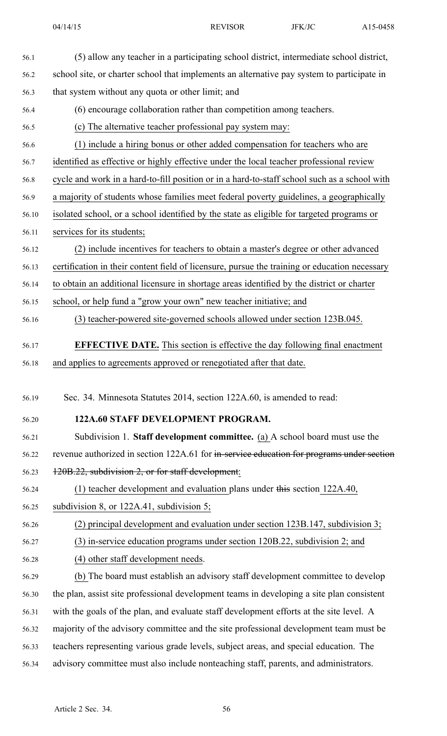| 56.1  | (5) allow any teacher in a participating school district, intermediate school district,       |
|-------|-----------------------------------------------------------------------------------------------|
| 56.2  | school site, or charter school that implements an alternative pay system to participate in    |
| 56.3  | that system without any quota or other limit; and                                             |
| 56.4  | (6) encourage collaboration rather than competition among teachers.                           |
| 56.5  | (c) The alternative teacher professional pay system may:                                      |
| 56.6  | (1) include a hiring bonus or other added compensation for teachers who are                   |
| 56.7  | identified as effective or highly effective under the local teacher professional review       |
| 56.8  | cycle and work in a hard-to-fill position or in a hard-to-staff school such as a school with  |
| 56.9  | a majority of students whose families meet federal poverty guidelines, a geographically       |
| 56.10 | isolated school, or a school identified by the state as eligible for targeted programs or     |
| 56.11 | services for its students;                                                                    |
| 56.12 | (2) include incentives for teachers to obtain a master's degree or other advanced             |
| 56.13 | certification in their content field of licensure, pursue the training or education necessary |
| 56.14 | to obtain an additional licensure in shortage areas identified by the district or charter     |
| 56.15 | school, or help fund a "grow your own" new teacher initiative; and                            |
| 56.16 | (3) teacher-powered site-governed schools allowed under section 123B.045.                     |
| 56.17 | <b>EFFECTIVE DATE.</b> This section is effective the day following final enactment            |
| 56.18 | and applies to agreements approved or renegotiated after that date.                           |
|       |                                                                                               |
| 56.19 | Sec. 34. Minnesota Statutes 2014, section 122A.60, is amended to read:                        |
| 56.20 | 122A.60 STAFF DEVELOPMENT PROGRAM.                                                            |
| 56.21 | Subdivision 1. Staff development committee. (a) A school board must use the                   |
| 56.22 | revenue authorized in section 122A.61 for in-service education for programs under section     |
| 56.23 | 120B.22, subdivision 2, or for staff development:                                             |
| 56.24 | $(1)$ teacher development and evaluation plans under this section 122A.40,                    |
| 56.25 | subdivision 8, or $122A.41$ , subdivision 5;                                                  |
| 56.26 | $(2)$ principal development and evaluation under section 123B.147, subdivision 3;             |
| 56.27 | (3) in-service education programs under section 120B.22, subdivision 2; and                   |
| 56.28 | (4) other staff development needs.                                                            |
| 56.29 | (b) The board must establish an advisory staff development committee to develop               |
| 56.30 | the plan, assist site professional development teams in developing a site plan consistent     |
| 56.31 | with the goals of the plan, and evaluate staff development efforts at the site level. A       |
| 56.32 | majority of the advisory committee and the site professional development team must be         |
| 56.33 | teachers representing various grade levels, subject areas, and special education. The         |
| 56.34 | advisory committee must also include nonteaching staff, parents, and administrators.          |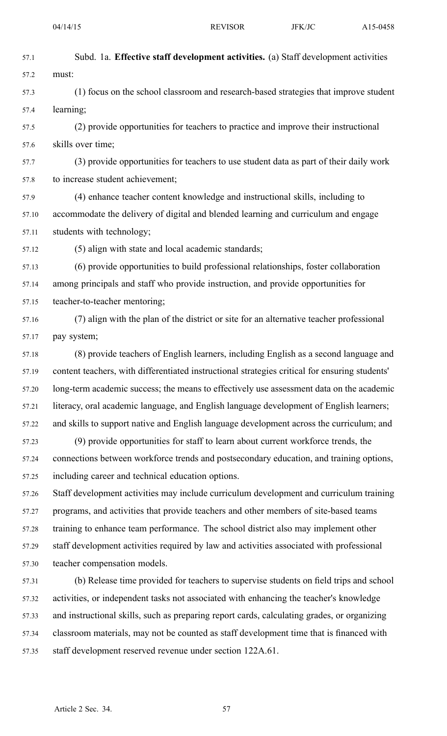| 57.1  | Subd. 1a. Effective staff development activities. (a) Staff development activities             |
|-------|------------------------------------------------------------------------------------------------|
| 57.2  | must:                                                                                          |
| 57.3  | (1) focus on the school classroom and research-based strategies that improve student           |
| 57.4  | learning;                                                                                      |
| 57.5  | (2) provide opportunities for teachers to practice and improve their instructional             |
| 57.6  | skills over time;                                                                              |
| 57.7  | (3) provide opportunities for teachers to use student data as part of their daily work         |
| 57.8  | to increase student achievement;                                                               |
| 57.9  | (4) enhance teacher content knowledge and instructional skills, including to                   |
| 57.10 | accommodate the delivery of digital and blended learning and curriculum and engage             |
| 57.11 | students with technology;                                                                      |
| 57.12 | (5) align with state and local academic standards;                                             |
| 57.13 | (6) provide opportunities to build professional relationships, foster collaboration            |
| 57.14 | among principals and staff who provide instruction, and provide opportunities for              |
| 57.15 | teacher-to-teacher mentoring;                                                                  |
| 57.16 | (7) align with the plan of the district or site for an alternative teacher professional        |
| 57.17 | pay system;                                                                                    |
| 57.18 | (8) provide teachers of English learners, including English as a second language and           |
| 57.19 | content teachers, with differentiated instructional strategies critical for ensuring students' |
| 57.20 | long-term academic success; the means to effectively use assessment data on the academic       |
| 57.21 | literacy, oral academic language, and English language development of English learners;        |
| 57.22 | and skills to support native and English language development across the curriculum; and       |
| 57.23 | (9) provide opportunities for staff to learn about current workforce trends, the               |
| 57.24 | connections between workforce trends and postsecondary education, and training options,        |
| 57.25 | including career and technical education options.                                              |
| 57.26 | Staff development activities may include curriculum development and curriculum training        |
| 57.27 | programs, and activities that provide teachers and other members of site-based teams           |
| 57.28 | training to enhance team performance. The school district also may implement other             |
| 57.29 | staff development activities required by law and activities associated with professional       |
| 57.30 | teacher compensation models.                                                                   |
| 57.31 | (b) Release time provided for teachers to supervise students on field trips and school         |
| 57.32 | activities, or independent tasks not associated with enhancing the teacher's knowledge         |
| 57.33 | and instructional skills, such as preparing report cards, calculating grades, or organizing    |
| 57.34 | classroom materials, may not be counted as staff development time that is financed with        |
| 57.35 | staff development reserved revenue under section 122A.61.                                      |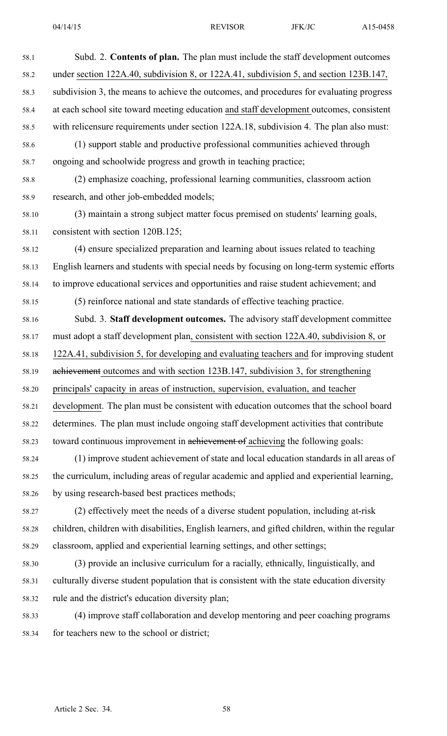| 58.1  | Subd. 2. Contents of plan. The plan must include the staff development outcomes                 |
|-------|-------------------------------------------------------------------------------------------------|
| 58.2  | under section 122A.40, subdivision 8, or 122A.41, subdivision 5, and section 123B.147,          |
| 58.3  | subdivision 3, the means to achieve the outcomes, and procedures for evaluating progress        |
| 58.4  | at each school site toward meeting education and staff development outcomes, consistent         |
| 58.5  | with relicensure requirements under section 122A.18, subdivision 4. The plan also must:         |
| 58.6  | (1) support stable and productive professional communities achieved through                     |
| 58.7  | ongoing and schoolwide progress and growth in teaching practice;                                |
| 58.8  | (2) emphasize coaching, professional learning communities, classroom action                     |
| 58.9  | research, and other job-embedded models;                                                        |
| 58.10 | (3) maintain a strong subject matter focus premised on students' learning goals,                |
| 58.11 | consistent with section 120B.125;                                                               |
| 58.12 | (4) ensure specialized preparation and learning about issues related to teaching                |
| 58.13 | English learners and students with special needs by focusing on long-term systemic efforts      |
| 58.14 | to improve educational services and opportunities and raise student achievement; and            |
| 58.15 | (5) reinforce national and state standards of effective teaching practice.                      |
| 58.16 | Subd. 3. Staff development outcomes. The advisory staff development committee                   |
| 58.17 | must adopt a staff development plan, consistent with section 122A.40, subdivision 8, or         |
| 58.18 | 122A.41, subdivision 5, for developing and evaluating teachers and for improving student        |
| 58.19 | achievement outcomes and with section 123B.147, subdivision 3, for strengthening                |
| 58.20 | principals' capacity in areas of instruction, supervision, evaluation, and teacher              |
| 58.21 | development. The plan must be consistent with education outcomes that the school board          |
| 58.22 | determines. The plan must include ongoing staff development activities that contribute          |
| 58.23 | toward continuous improvement in achievement of achieving the following goals:                  |
| 58.24 | (1) improve student achievement of state and local education standards in all areas of          |
| 58.25 | the curriculum, including areas of regular academic and applied and experiential learning,      |
| 58.26 | by using research-based best practices methods;                                                 |
| 58.27 | (2) effectively meet the needs of a diverse student population, including at-risk               |
| 58.28 | children, children with disabilities, English learners, and gifted children, within the regular |
| 58.29 | classroom, applied and experiential learning settings, and other settings;                      |
| 58.30 | (3) provide an inclusive curriculum for a racially, ethnically, linguistically, and             |
| 58.31 | culturally diverse student population that is consistent with the state education diversity     |
| 58.32 | rule and the district's education diversity plan;                                               |
| 58.33 | (4) improve staff collaboration and develop mentoring and peer coaching programs                |

58.34 for teachers new to the school or district;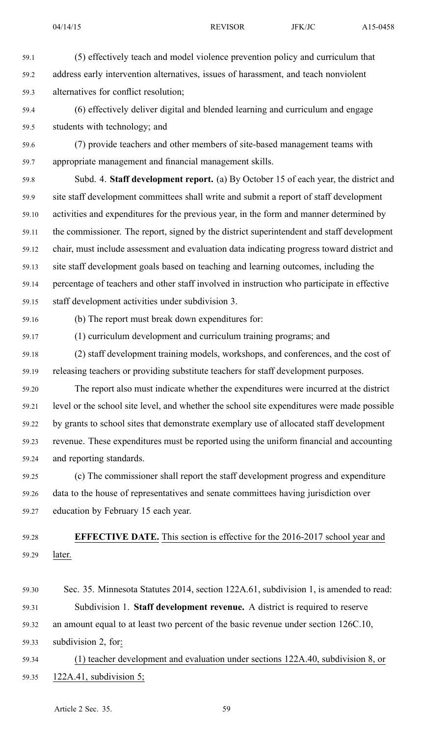59.1 (5) effectively teach and model violence prevention policy and curriculum that 59.2 address early intervention alternatives, issues of harassment, and teach nonviolent 59.3 alternatives for conflict resolution; 59.4 (6) effectively deliver digital and blended learning and curriculum and engage 59.5 students with technology; and 59.6 (7) provide teachers and other members of site-based managemen<sup>t</sup> teams with 59.7 appropriate managemen<sup>t</sup> and financial managemen<sup>t</sup> skills. 59.8 Subd. 4. **Staff development report.** (a) By October 15 of each year, the district and 59.9 site staff development committees shall write and submit <sup>a</sup> repor<sup>t</sup> of staff development 59.10 activities and expenditures for the previous year, in the form and manner determined by 59.11 the commissioner. The report, signed by the district superintendent and staff development 59.12 chair, must include assessment and evaluation data indicating progress toward district and 59.13 site staff development goals based on teaching and learning outcomes, including the 59.14 percentage of teachers and other staff involved in instruction who participate in effective 59.15 staff development activities under subdivision 3. 59.16 (b) The repor<sup>t</sup> must break down expenditures for: 59.17 (1) curriculum development and curriculum training programs; and 59.18 (2) staff development training models, workshops, and conferences, and the cost of 59.19 releasing teachers or providing substitute teachers for staff development purposes. 59.20 The repor<sup>t</sup> also must indicate whether the expenditures were incurred at the district 59.21 level or the school site level, and whether the school site expenditures were made possible 59.22 by grants to school sites that demonstrate exemplary use of allocated staff development

59.23 revenue. These expenditures must be reported using the uniform financial and accounting 59.24 and reporting standards.

59.25 (c) The commissioner shall repor<sup>t</sup> the staff development progress and expenditure 59.26 data to the house of representatives and senate committees having jurisdiction over 59.27 education by February 15 each year.

59.28 **EFFECTIVE DATE.** This section is effective for the 2016-2017 school year and 59.29 later.

59.30 Sec. 35. Minnesota Statutes 2014, section 122A.61, subdivision 1, is amended to read: 59.31 Subdivision 1. **Staff development revenue.** A district is required to reserve 59.32 an amount equal to at least two percen<sup>t</sup> of the basic revenue under section 126C.10, 59.33 subdivision 2, for:

59.34 (1) teacher development and evaluation under sections 122A.40, subdivision 8, or 59.35 122A.41, subdivision 5;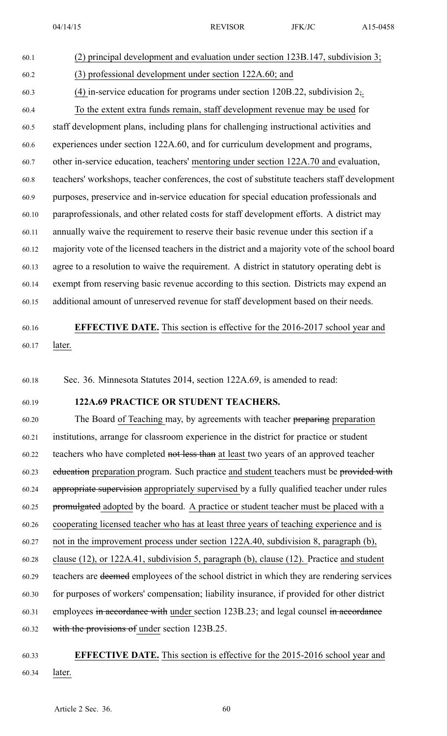60.1 (2) principal development and evaluation under section 123B.147, subdivision 3; 60.2 (3) professional development under section 122A.60; and 60.3 (4) in-service education for programs under section 120B.22, subdivision 2,. 60.4 To the extent extra funds remain, staff development revenue may be used for 60.5 staff development plans, including plans for challenging instructional activities and 60.6 experiences under section 122A.60, and for curriculum development and programs, 60.7 other in-service education, teachers' mentoring under section 122A.70 and evaluation, 60.8 teachers' workshops, teacher conferences, the cost of substitute teachers staff development 60.9 purposes, preservice and in-service education for special education professionals and 60.10 paraprofessionals, and other related costs for staff development efforts. A district may 60.11 annually waive the requirement to reserve their basic revenue under this section if <sup>a</sup> 60.12 majority vote of the licensed teachers in the district and <sup>a</sup> majority vote of the school board 60.13 agree to <sup>a</sup> resolution to waive the requirement. A district in statutory operating debt is 60.14 exemp<sup>t</sup> from reserving basic revenue according to this section. Districts may expend an 60.15 additional amount of unreserved revenue for staff development based on their needs.

# 60.16 **EFFECTIVE DATE.** This section is effective for the 2016-2017 school year and 60.17 later.

60.18 Sec. 36. Minnesota Statutes 2014, section 122A.69, is amended to read:

## 60.19 **122A.69 PRACTICE OR STUDENT TEACHERS.**

60.20 The Board of Teaching may, by agreements with teacher preparing preparation 60.21 institutions, arrange for classroom experience in the district for practice or student 60.22 teachers who have completed not less than at least two years of an approved teacher 60.23 education preparation program. Such practice and student teachers must be provided with 60.24 appropriate supervision appropriately supervised by <sup>a</sup> fully qualified teacher under rules 60.25 promulgated adopted by the board. A practice or student teacher must be placed with <sup>a</sup> 60.26 cooperating licensed teacher who has at least three years of teaching experience and is 60.27 not in the improvement process under section 122A.40, subdivision 8, paragraph (b), 60.28 clause (12), or 122A.41, subdivision 5, paragraph (b), clause (12). Practice and student 60.29 teachers are deemed employees of the school district in which they are rendering services 60.30 for purposes of workers' compensation; liability insurance, if provided for other district 60.31 employees in accordance with under section 123B.23; and legal counsel in accordance 60.32 with the provisions of under section 123B.25.

# 60.33 **EFFECTIVE DATE.** This section is effective for the 2015-2016 school year and 60.34 later.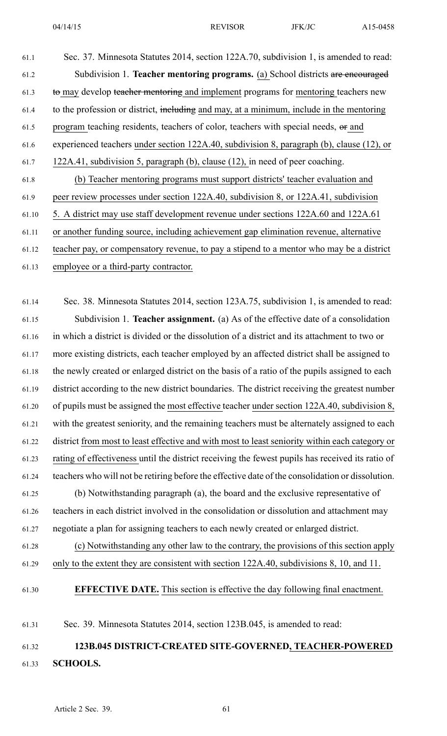61.1 Sec. 37. Minnesota Statutes 2014, section 122A.70, subdivision 1, is amended to read: 61.2 Subdivision 1. **Teacher mentoring programs.** (a) School districts are encouraged 61.3 to may develop teacher mentoring and implement programs for mentoring teachers new 61.4 to the profession or district, including and may, at <sup>a</sup> minimum, include in the mentoring 61.5 program teaching residents, teachers of color, teachers with special needs, or and 61.6 experienced teachers under section 122A.40, subdivision 8, paragraph (b), clause (12), or 61.7 122A.41, subdivision 5, paragraph (b), clause (12), in need of peer coaching. 61.8 (b) Teacher mentoring programs must suppor<sup>t</sup> districts' teacher evaluation and 61.9 peer review processes under section 122A.40, subdivision 8, or 122A.41, subdivision 61.10 5. A district may use staff development revenue under sections 122A.60 and 122A.61 61.11 or another funding source, including achievement gap elimination revenue, alternative 61.12 teacher pay, or compensatory revenue, to pay <sup>a</sup> stipend to <sup>a</sup> mentor who may be <sup>a</sup> district 61.13 employee or <sup>a</sup> third-party contractor.

61.14 Sec. 38. Minnesota Statutes 2014, section 123A.75, subdivision 1, is amended to read: 61.15 Subdivision 1. **Teacher assignment.** (a) As of the effective date of <sup>a</sup> consolidation 61.16 in which <sup>a</sup> district is divided or the dissolution of <sup>a</sup> district and its attachment to two or 61.17 more existing districts, each teacher employed by an affected district shall be assigned to 61.18 the newly created or enlarged district on the basis of <sup>a</sup> ratio of the pupils assigned to each 61.19 district according to the new district boundaries. The district receiving the greatest number 61.20 of pupils must be assigned the most effective teacher under section 122A.40, subdivision 8, 61.21 with the greatest seniority, and the remaining teachers must be alternately assigned to each 61.22 district from most to least effective and with most to least seniority within each category or 61.23 rating of effectiveness until the district receiving the fewest pupils has received its ratio of 61.24 teachers who will not be retiring before the effective date of the consolidation or dissolution. 61.25 (b) Notwithstanding paragraph (a), the board and the exclusive representative of 61.26 teachers in each district involved in the consolidation or dissolution and attachment may 61.27 negotiate <sup>a</sup> plan for assigning teachers to each newly created or enlarged district.

61.28 (c) Notwithstanding any other law to the contrary, the provisions of this section apply 61.29 only to the extent they are consistent with section 122A.40, subdivisions 8, 10, and 11.

61.30 **EFFECTIVE DATE.** This section is effective the day following final enactment.

61.31 Sec. 39. Minnesota Statutes 2014, section 123B.045, is amended to read:

# 61.32 **123B.045 DISTRICT-CREATED SITE-GOVERNED, TEACHER-POWERED** 61.33 **SCHOOLS.**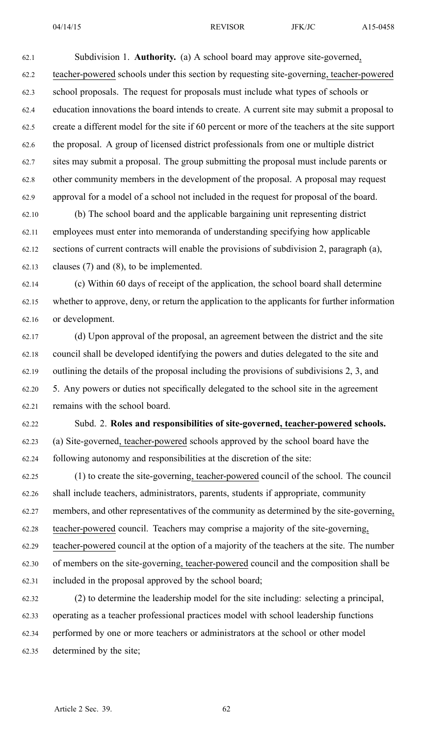62.1 Subdivision 1. **Authority.** (a) A school board may approve site-governed, 62.2 teacher-powered schools under this section by requesting site-governing, teacher-powered 62.3 school proposals. The reques<sup>t</sup> for proposals must include what types of schools or 62.4 education innovations the board intends to create. A current site may submit <sup>a</sup> proposal to 62.5 create <sup>a</sup> different model for the site if 60 percen<sup>t</sup> or more of the teachers at the site suppor<sup>t</sup> 62.6 the proposal. A group of licensed district professionals from one or multiple district 62.7 sites may submit <sup>a</sup> proposal. The group submitting the proposal must include parents or 62.8 other community members in the development of the proposal. A proposal may reques<sup>t</sup> 62.9 approval for <sup>a</sup> model of <sup>a</sup> school not included in the reques<sup>t</sup> for proposal of the board.

62.10 (b) The school board and the applicable bargaining unit representing district 62.11 employees must enter into memoranda of understanding specifying how applicable 62.12 sections of current contracts will enable the provisions of subdivision 2, paragraph (a), 62.13 clauses (7) and (8), to be implemented.

62.14 (c) Within 60 days of receipt of the application, the school board shall determine 62.15 whether to approve, deny, or return the application to the applicants for further information 62.16 or development.

62.17 (d) Upon approval of the proposal, an agreemen<sup>t</sup> between the district and the site 62.18 council shall be developed identifying the powers and duties delegated to the site and 62.19 outlining the details of the proposal including the provisions of subdivisions 2, 3, and 62.20 5. Any powers or duties not specifically delegated to the school site in the agreemen<sup>t</sup> 62.21 remains with the school board.

62.22 Subd. 2. **Roles and responsibilities of site-governed, teacher-powered schools.** 62.23 (a) Site-governed, teacher-powered schools approved by the school board have the 62.24 following autonomy and responsibilities at the discretion of the site:

62.25 (1) to create the site-governing, teacher-powered council of the school. The council 62.26 shall include teachers, administrators, parents, students if appropriate, community 62.27 members, and other representatives of the community as determined by the site-governing, 62.28 teacher-powered council. Teachers may comprise <sup>a</sup> majority of the site-governing, 62.29 teacher-powered council at the option of <sup>a</sup> majority of the teachers at the site. The number 62.30 of members on the site-governing, teacher-powered council and the composition shall be 62.31 included in the proposal approved by the school board;

62.32 (2) to determine the leadership model for the site including: selecting <sup>a</sup> principal, 62.33 operating as <sup>a</sup> teacher professional practices model with school leadership functions 62.34 performed by one or more teachers or administrators at the school or other model 62.35 determined by the site;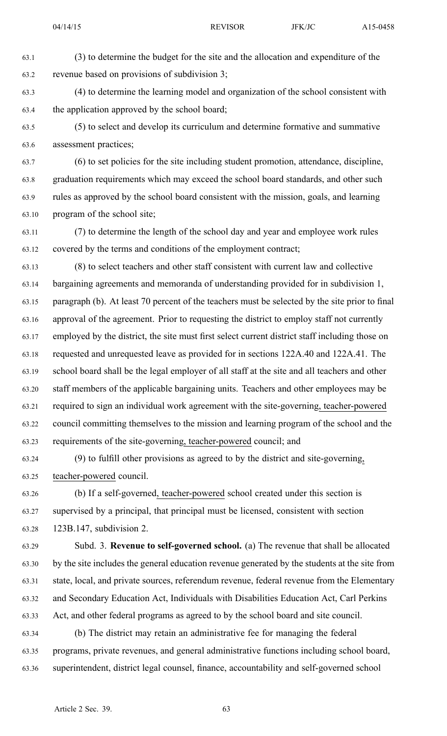63.1 (3) to determine the budget for the site and the allocation and expenditure of the 63.2 revenue based on provisions of subdivision 3;

63.3 (4) to determine the learning model and organization of the school consistent with 63.4 the application approved by the school board;

63.5 (5) to select and develop its curriculum and determine formative and summative 63.6 assessment practices;

63.7 (6) to set policies for the site including student promotion, attendance, discipline, 63.8 graduation requirements which may exceed the school board standards, and other such 63.9 rules as approved by the school board consistent with the mission, goals, and learning 63.10 program of the school site;

63.11 (7) to determine the length of the school day and year and employee work rules 63.12 covered by the terms and conditions of the employment contract;

63.13 (8) to select teachers and other staff consistent with current law and collective 63.14 bargaining agreements and memoranda of understanding provided for in subdivision 1, 63.15 paragraph (b). At least 70 percen<sup>t</sup> of the teachers must be selected by the site prior to final 63.16 approval of the agreement. Prior to requesting the district to employ staff not currently 63.17 employed by the district, the site must first select current district staff including those on 63.18 requested and unrequested leave as provided for in sections 122A.40 and 122A.41. The 63.19 school board shall be the legal employer of all staff at the site and all teachers and other 63.20 staff members of the applicable bargaining units. Teachers and other employees may be 63.21 required to sign an individual work agreemen<sup>t</sup> with the site-governing, teacher-powered 63.22 council committing themselves to the mission and learning program of the school and the 63.23 requirements of the site-governing, teacher-powered council; and

63.24 (9) to fulfill other provisions as agreed to by the district and site-governing, 63.25 teacher-powered council.

63.26 (b) If <sup>a</sup> self-governed, teacher-powered school created under this section is 63.27 supervised by <sup>a</sup> principal, that principal must be licensed, consistent with section 63.28 123B.147, subdivision 2.

63.29 Subd. 3. **Revenue to self-governed school.** (a) The revenue that shall be allocated 63.30 by the site includes the general education revenue generated by the students at the site from 63.31 state, local, and private sources, referendum revenue, federal revenue from the Elementary 63.32 and Secondary Education Act, Individuals with Disabilities Education Act, Carl Perkins 63.33 Act, and other federal programs as agreed to by the school board and site council.

63.34 (b) The district may retain an administrative fee for managing the federal 63.35 programs, private revenues, and general administrative functions including school board, 63.36 superintendent, district legal counsel, finance, accountability and self-governed school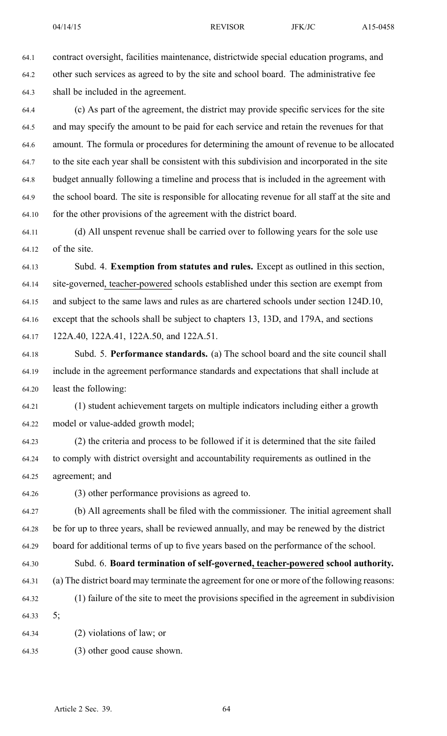64.1 contract oversight, facilities maintenance, districtwide special education programs, and 64.2 other such services as agreed to by the site and school board. The administrative fee 64.3 shall be included in the agreement.

64.4 (c) As par<sup>t</sup> of the agreement, the district may provide specific services for the site 64.5 and may specify the amount to be paid for each service and retain the revenues for that 64.6 amount. The formula or procedures for determining the amount of revenue to be allocated 64.7 to the site each year shall be consistent with this subdivision and incorporated in the site 64.8 budget annually following <sup>a</sup> timeline and process that is included in the agreemen<sup>t</sup> with 64.9 the school board. The site is responsible for allocating revenue for all staff at the site and 64.10 for the other provisions of the agreemen<sup>t</sup> with the district board.

64.11 (d) All unspen<sup>t</sup> revenue shall be carried over to following years for the sole use 64.12 of the site.

64.13 Subd. 4. **Exemption from statutes and rules.** Except as outlined in this section, 64.14 site-governed, teacher-powered schools established under this section are exemp<sup>t</sup> from 64.15 and subject to the same laws and rules as are chartered schools under section 124D.10, 64.16 excep<sup>t</sup> that the schools shall be subject to chapters 13, 13D, and 179A, and sections 64.17 122A.40, 122A.41, 122A.50, and 122A.51.

64.18 Subd. 5. **Performance standards.** (a) The school board and the site council shall 64.19 include in the agreemen<sup>t</sup> performance standards and expectations that shall include at 64.20 least the following:

64.21 (1) student achievement targets on multiple indicators including either <sup>a</sup> growth 64.22 model or value-added growth model;

64.23 (2) the criteria and process to be followed if it is determined that the site failed 64.24 to comply with district oversight and accountability requirements as outlined in the 64.25 agreement; and

64.26 (3) other performance provisions as agreed to.

64.27 (b) All agreements shall be filed with the commissioner. The initial agreemen<sup>t</sup> shall 64.28 be for up to three years, shall be reviewed annually, and may be renewed by the district 64.29 board for additional terms of up to five years based on the performance of the school.

64.30 Subd. 6. **Board termination of self-governed, teacher-powered school authority.**

- 64.31 (a) The district board may terminate the agreemen<sup>t</sup> for one or more of the following reasons: 64.32 (1) failure of the site to meet the provisions specified in the agreemen<sup>t</sup> in subdivision
- 64.33 5;
- 64.34 (2) violations of law; or
- 64.35 (3) other good cause shown.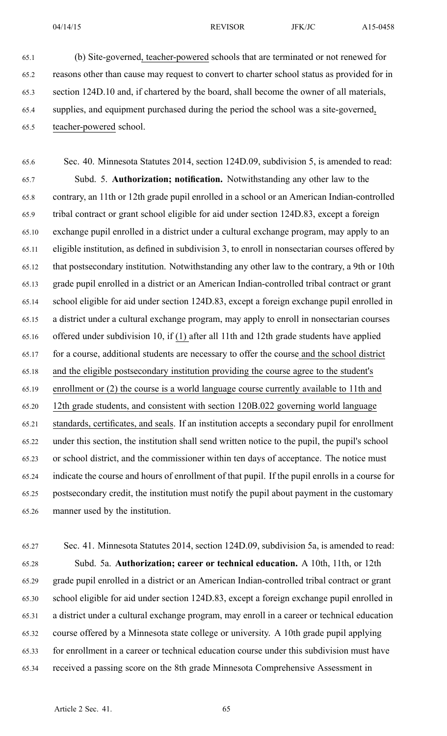65.1 (b) Site-governed, teacher-powered schools that are terminated or not renewed for 65.2 reasons other than cause may reques<sup>t</sup> to convert to charter school status as provided for in 65.3 section 124D.10 and, if chartered by the board, shall become the owner of all materials, 65.4 supplies, and equipment purchased during the period the school was <sup>a</sup> site-governed,

65.5 teacher-powered school.

65.6 Sec. 40. Minnesota Statutes 2014, section 124D.09, subdivision 5, is amended to read: 65.7 Subd. 5. **Authorization; notification.** Notwithstanding any other law to the 65.8 contrary, an 11th or 12th grade pupil enrolled in <sup>a</sup> school or an American Indian-controlled 65.9 tribal contract or gran<sup>t</sup> school eligible for aid under section 124D.83, excep<sup>t</sup> <sup>a</sup> foreign 65.10 exchange pupil enrolled in <sup>a</sup> district under <sup>a</sup> cultural exchange program, may apply to an 65.11 eligible institution, as defined in subdivision 3, to enroll in nonsectarian courses offered by 65.12 that postsecondary institution. Notwithstanding any other law to the contrary, <sup>a</sup> 9th or 10th 65.13 grade pupil enrolled in <sup>a</sup> district or an American Indian-controlled tribal contract or gran<sup>t</sup> 65.14 school eligible for aid under section 124D.83, excep<sup>t</sup> <sup>a</sup> foreign exchange pupil enrolled in 65.15 <sup>a</sup> district under <sup>a</sup> cultural exchange program, may apply to enroll in nonsectarian courses 65.16 offered under subdivision 10, if (1) after all 11th and 12th grade students have applied 65.17 for <sup>a</sup> course, additional students are necessary to offer the course and the school district 65.18 and the eligible postsecondary institution providing the course agree to the student's 65.19 enrollment or (2) the course is <sup>a</sup> world language course currently available to 11th and 65.20 12th grade students, and consistent with section 120B.022 governing world language 65.21 standards, certificates, and seals. If an institution accepts <sup>a</sup> secondary pupil for enrollment 65.22 under this section, the institution shall send written notice to the pupil, the pupil's school 65.23 or school district, and the commissioner within ten days of acceptance. The notice must 65.24 indicate the course and hours of enrollment of that pupil. If the pupil enrolls in <sup>a</sup> course for 65.25 postsecondary credit, the institution must notify the pupil about paymen<sup>t</sup> in the customary 65.26 manner used by the institution.

65.27 Sec. 41. Minnesota Statutes 2014, section 124D.09, subdivision 5a, is amended to read:

65.28 Subd. 5a. **Authorization; career or technical education.** A 10th, 11th, or 12th 65.29 grade pupil enrolled in <sup>a</sup> district or an American Indian-controlled tribal contract or gran<sup>t</sup> 65.30 school eligible for aid under section 124D.83, excep<sup>t</sup> <sup>a</sup> foreign exchange pupil enrolled in 65.31 <sup>a</sup> district under <sup>a</sup> cultural exchange program, may enroll in <sup>a</sup> career or technical education 65.32 course offered by <sup>a</sup> Minnesota state college or university. A 10th grade pupil applying 65.33 for enrollment in <sup>a</sup> career or technical education course under this subdivision must have 65.34 received <sup>a</sup> passing score on the 8th grade Minnesota Comprehensive Assessment in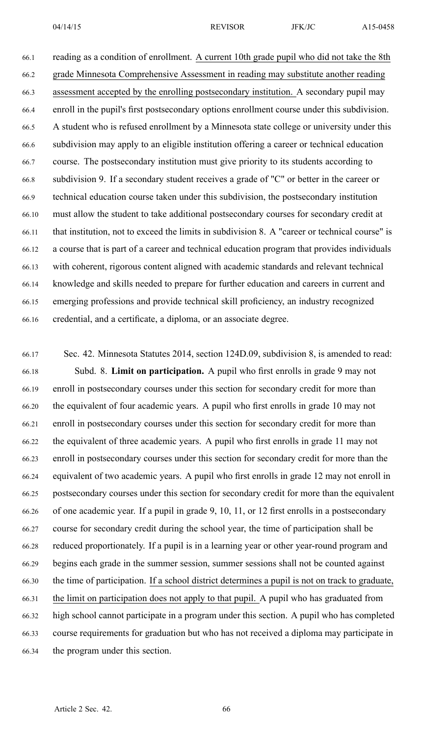66.1 reading as <sup>a</sup> condition of enrollment. A current 10th grade pupil who did not take the 8th 66.2 grade Minnesota Comprehensive Assessment in reading may substitute another reading 66.3 assessment accepted by the enrolling postsecondary institution. A secondary pupil may 66.4 enroll in the pupil's first postsecondary options enrollment course under this subdivision. 66.5 A student who is refused enrollment by <sup>a</sup> Minnesota state college or university under this 66.6 subdivision may apply to an eligible institution offering <sup>a</sup> career or technical education 66.7 course. The postsecondary institution must give priority to its students according to 66.8 subdivision 9. If <sup>a</sup> secondary student receives <sup>a</sup> grade of "C" or better in the career or 66.9 technical education course taken under this subdivision, the postsecondary institution 66.10 must allow the student to take additional postsecondary courses for secondary credit at 66.11 that institution, not to exceed the limits in subdivision 8. A "career or technical course" is 66.12 <sup>a</sup> course that is par<sup>t</sup> of <sup>a</sup> career and technical education program that provides individuals 66.13 with coherent, rigorous content aligned with academic standards and relevant technical 66.14 knowledge and skills needed to prepare for further education and careers in current and 66.15 emerging professions and provide technical skill proficiency, an industry recognized 66.16 credential, and <sup>a</sup> certificate, <sup>a</sup> diploma, or an associate degree.

66.17 Sec. 42. Minnesota Statutes 2014, section 124D.09, subdivision 8, is amended to read: 66.18 Subd. 8. **Limit on participation.** A pupil who first enrolls in grade 9 may not 66.19 enroll in postsecondary courses under this section for secondary credit for more than 66.20 the equivalent of four academic years. A pupil who first enrolls in grade 10 may not 66.21 enroll in postsecondary courses under this section for secondary credit for more than 66.22 the equivalent of three academic years. A pupil who first enrolls in grade 11 may not 66.23 enroll in postsecondary courses under this section for secondary credit for more than the 66.24 equivalent of two academic years. A pupil who first enrolls in grade 12 may not enroll in 66.25 postsecondary courses under this section for secondary credit for more than the equivalent 66.26 of one academic year. If <sup>a</sup> pupil in grade 9, 10, 11, or 12 first enrolls in <sup>a</sup> postsecondary 66.27 course for secondary credit during the school year, the time of participation shall be 66.28 reduced proportionately. If <sup>a</sup> pupil is in <sup>a</sup> learning year or other year-round program and 66.29 begins each grade in the summer session, summer sessions shall not be counted against 66.30 the time of participation. If <sup>a</sup> school district determines <sup>a</sup> pupil is not on track to graduate, 66.31 the limit on participation does not apply to that pupil. A pupil who has graduated from 66.32 high school cannot participate in <sup>a</sup> program under this section. A pupil who has completed 66.33 course requirements for graduation but who has not received <sup>a</sup> diploma may participate in 66.34 the program under this section.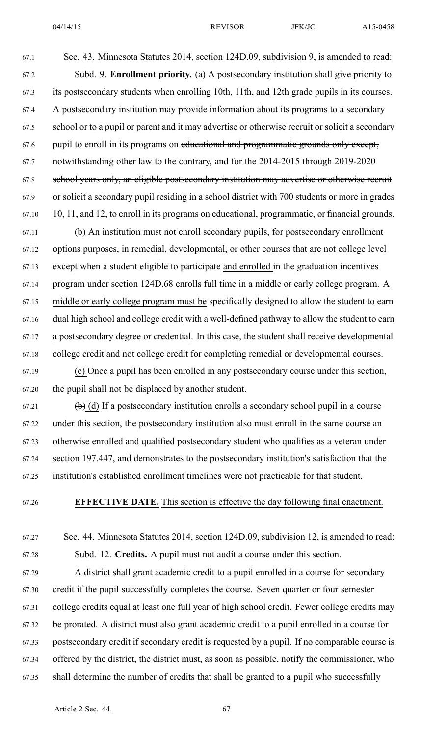67.1 Sec. 43. Minnesota Statutes 2014, section 124D.09, subdivision 9, is amended to read: 67.2 Subd. 9. **Enrollment priority.** (a) A postsecondary institution shall give priority to 67.3 its postsecondary students when enrolling 10th, 11th, and 12th grade pupils in its courses. 67.4 A postsecondary institution may provide information about its programs to <sup>a</sup> secondary 67.5 school or to <sup>a</sup> pupil or paren<sup>t</sup> and it may advertise or otherwise recruit or solicit <sup>a</sup> secondary 67.6 pupil to enroll in its programs on educational and programmatic grounds only except, 67.7 notwithstanding other law to the contrary, and for the 2014-2015 through 2019-2020 67.8 school years only, an eligible postsecondary institution may advertise or otherwise recruit 67.9 or solicit <sup>a</sup> secondary pupil residing in <sup>a</sup> school district with 700 students or more in grades

67.11 (b) An institution must not enroll secondary pupils, for postsecondary enrollment 67.12 options purposes, in remedial, developmental, or other courses that are not college level 67.13 excep<sup>t</sup> when <sup>a</sup> student eligible to participate and enrolled in the graduation incentives 67.14 program under section 124D.68 enrolls full time in <sup>a</sup> middle or early college program. A 67.15 middle or early college program must be specifically designed to allow the student to earn 67.16 dual high school and college credit with <sup>a</sup> well-defined pathway to allow the student to earn 67.17 <sup>a</sup> postsecondary degree or credential. In this case, the student shall receive developmental 67.18 college credit and not college credit for completing remedial or developmental courses.

 $67.10$  10, 11, and 12, to enroll in its programs on educational, programmatic, or financial grounds.

67.19 (c) Once <sup>a</sup> pupil has been enrolled in any postsecondary course under this section, 67.20 the pupil shall not be displaced by another student.

67.21 (b) (d) If a postsecondary institution enrolls a secondary school pupil in a course 67.22 under this section, the postsecondary institution also must enroll in the same course an 67.23 otherwise enrolled and qualified postsecondary student who qualifies as <sup>a</sup> veteran under 67.24 section 197.447, and demonstrates to the postsecondary institution's satisfaction that the 67.25 institution's established enrollment timelines were not practicable for that student.

67.26 **EFFECTIVE DATE.** This section is effective the day following final enactment.

67.27 Sec. 44. Minnesota Statutes 2014, section 124D.09, subdivision 12, is amended to read:

67.28 Subd. 12. **Credits.** A pupil must not audit <sup>a</sup> course under this section.

67.29 A district shall gran<sup>t</sup> academic credit to <sup>a</sup> pupil enrolled in <sup>a</sup> course for secondary 67.30 credit if the pupil successfully completes the course. Seven quarter or four semester 67.31 college credits equal at least one full year of high school credit. Fewer college credits may 67.32 be prorated. A district must also gran<sup>t</sup> academic credit to <sup>a</sup> pupil enrolled in <sup>a</sup> course for 67.33 postsecondary credit if secondary credit is requested by <sup>a</sup> pupil. If no comparable course is 67.34 offered by the district, the district must, as soon as possible, notify the commissioner, who 67.35 shall determine the number of credits that shall be granted to <sup>a</sup> pupil who successfully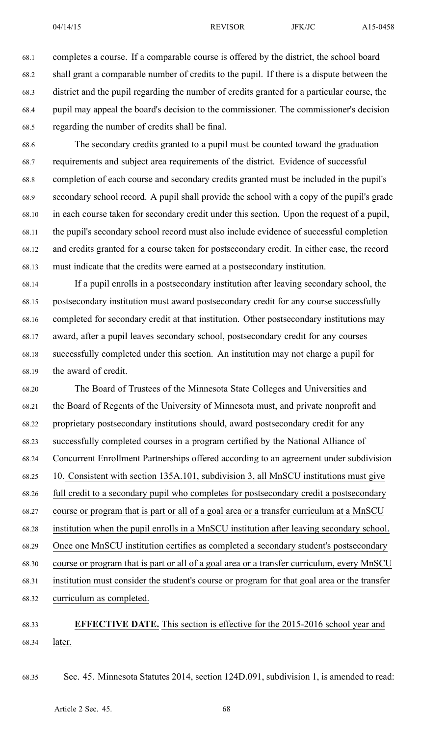68.1 completes <sup>a</sup> course. If <sup>a</sup> comparable course is offered by the district, the school board 68.2 shall gran<sup>t</sup> <sup>a</sup> comparable number of credits to the pupil. If there is <sup>a</sup> dispute between the 68.3 district and the pupil regarding the number of credits granted for <sup>a</sup> particular course, the 68.4 pupil may appeal the board's decision to the commissioner. The commissioner's decision 68.5 regarding the number of credits shall be final.

68.6 The secondary credits granted to <sup>a</sup> pupil must be counted toward the graduation 68.7 requirements and subject area requirements of the district. Evidence of successful 68.8 completion of each course and secondary credits granted must be included in the pupil's 68.9 secondary school record. A pupil shall provide the school with <sup>a</sup> copy of the pupil's grade 68.10 in each course taken for secondary credit under this section. Upon the reques<sup>t</sup> of <sup>a</sup> pupil, 68.11 the pupil's secondary school record must also include evidence of successful completion 68.12 and credits granted for <sup>a</sup> course taken for postsecondary credit. In either case, the record 68.13 must indicate that the credits were earned at <sup>a</sup> postsecondary institution.

68.14 If <sup>a</sup> pupil enrolls in <sup>a</sup> postsecondary institution after leaving secondary school, the 68.15 postsecondary institution must award postsecondary credit for any course successfully 68.16 completed for secondary credit at that institution. Other postsecondary institutions may 68.17 award, after <sup>a</sup> pupil leaves secondary school, postsecondary credit for any courses 68.18 successfully completed under this section. An institution may not charge <sup>a</sup> pupil for 68.19 the award of credit.

68.20 The Board of Trustees of the Minnesota State Colleges and Universities and 68.21 the Board of Regents of the University of Minnesota must, and private nonprofit and 68.22 proprietary postsecondary institutions should, award postsecondary credit for any 68.23 successfully completed courses in <sup>a</sup> program certified by the National Alliance of 68.24 Concurrent Enrollment Partnerships offered according to an agreemen<sup>t</sup> under subdivision 68.25 10. Consistent with section 135A.101, subdivision 3, all MnSCU institutions must give 68.26 full credit to <sup>a</sup> secondary pupil who completes for postsecondary credit <sup>a</sup> postsecondary 68.27 course or program that is par<sup>t</sup> or all of <sup>a</sup> goal area or <sup>a</sup> transfer curriculum at <sup>a</sup> MnSCU 68.28 institution when the pupil enrolls in <sup>a</sup> MnSCU institution after leaving secondary school. 68.29 Once one MnSCU institution certifies as completed <sup>a</sup> secondary student's postsecondary 68.30 course or program that is par<sup>t</sup> or all of <sup>a</sup> goal area or <sup>a</sup> transfer curriculum, every MnSCU 68.31 institution must consider the student's course or program for that goal area or the transfer 68.32 curriculum as completed.

68.33 **EFFECTIVE DATE.** This section is effective for the 2015-2016 school year and 68.34 later.

68.35 Sec. 45. Minnesota Statutes 2014, section 124D.091, subdivision 1, is amended to read: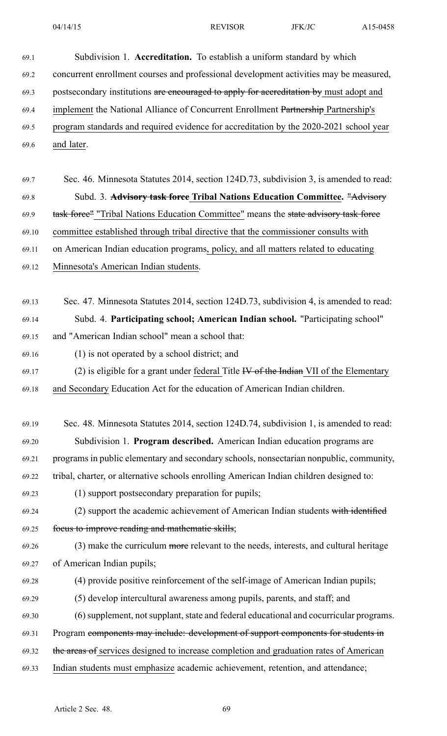| 69.1  | Subdivision 1. Accreditation. To establish a uniform standard by which                  |
|-------|-----------------------------------------------------------------------------------------|
| 69.2  | concurrent enrollment courses and professional development activities may be measured,  |
| 69.3  | postsecondary institutions are encouraged to apply for accreditation by must adopt and  |
| 69.4  | implement the National Alliance of Concurrent Enrollment Partnership Partnership's      |
| 69.5  | program standards and required evidence for accreditation by the 2020-2021 school year  |
| 69.6  | and later.                                                                              |
|       |                                                                                         |
| 69.7  | Sec. 46. Minnesota Statutes 2014, section 124D.73, subdivision 3, is amended to read:   |
| 69.8  | Subd. 3. Advisory task force Tribal Nations Education Committee. "Advisory              |
| 69.9  | task force" "Tribal Nations Education Committee" means the state advisory task force    |
| 69.10 | committee established through tribal directive that the commissioner consults with      |
| 69.11 | on American Indian education programs, policy, and all matters related to educating     |
| 69.12 | Minnesota's American Indian students.                                                   |
|       |                                                                                         |
| 69.13 | Sec. 47. Minnesota Statutes 2014, section 124D.73, subdivision 4, is amended to read:   |
| 69.14 | Subd. 4. Participating school; American Indian school. "Participating school"           |
| 69.15 | and "American Indian school" mean a school that:                                        |
| 69.16 | (1) is not operated by a school district; and                                           |
| 69.17 | (2) is eligible for a grant under federal Title $W$ of the Indian VII of the Elementary |
| 69.18 | and Secondary Education Act for the education of American Indian children.              |
|       |                                                                                         |
| 69.19 | Sec. 48. Minnesota Statutes 2014, section 124D.74, subdivision 1, is amended to read:   |
| 69.20 | Subdivision 1. Program described. American Indian education programs are                |
| 69.21 | programs in public elementary and secondary schools, nonsectarian nonpublic, community, |
| 69.22 | tribal, charter, or alternative schools enrolling American Indian children designed to: |
| 69.23 | (1) support postsecondary preparation for pupils;                                       |
| 69.24 | (2) support the academic achievement of American Indian students with identified        |
| 69.25 | focus to improve reading and mathematic skills;                                         |
| 69.26 | (3) make the curriculum more relevant to the needs, interests, and cultural heritage    |
| 69.27 | of American Indian pupils;                                                              |
| 69.28 | (4) provide positive reinforcement of the self-image of American Indian pupils;         |
| 69.29 | (5) develop intercultural awareness among pupils, parents, and staff; and               |
| 69.30 | (6) supplement, not supplant, state and federal educational and cocurricular programs.  |
| 69.31 | Program components may include: development of support components for students in       |
| 69.32 | the areas of services designed to increase completion and graduation rates of American  |
| 69.33 | Indian students must emphasize academic achievement, retention, and attendance;         |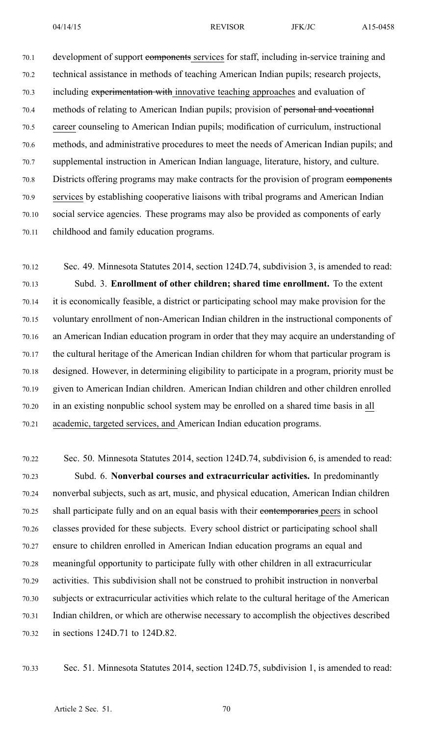70.1 development of support components services for staff, including in-service training and 70.2 technical assistance in methods of teaching American Indian pupils; research projects, 70.3 including experimentation with innovative teaching approaches and evaluation of 70.4 methods of relating to American Indian pupils; provision of personal and vocational 70.5 career counseling to American Indian pupils; modification of curriculum, instructional 70.6 methods, and administrative procedures to meet the needs of American Indian pupils; and 70.7 supplemental instruction in American Indian language, literature, history, and culture. 70.8 Districts offering programs may make contracts for the provision of program eomponents 70.9 services by establishing cooperative liaisons with tribal programs and American Indian 70.10 social service agencies. These programs may also be provided as components of early 70.11 childhood and family education programs.

70.12 Sec. 49. Minnesota Statutes 2014, section 124D.74, subdivision 3, is amended to read: 70.13 Subd. 3. **Enrollment of other children; shared time enrollment.** To the extent 70.14 it is economically feasible, <sup>a</sup> district or participating school may make provision for the 70.15 voluntary enrollment of non-American Indian children in the instructional components of 70.16 an American Indian education program in order that they may acquire an understanding of 70.17 the cultural heritage of the American Indian children for whom that particular program is 70.18 designed. However, in determining eligibility to participate in <sup>a</sup> program, priority must be 70.19 given to American Indian children. American Indian children and other children enrolled 70.20 in an existing nonpublic school system may be enrolled on <sup>a</sup> shared time basis in all 70.21 academic, targeted services, and American Indian education programs.

70.22 Sec. 50. Minnesota Statutes 2014, section 124D.74, subdivision 6, is amended to read: 70.23 Subd. 6. **Nonverbal courses and extracurricular activities.** In predominantly 70.24 nonverbal subjects, such as art, music, and physical education, American Indian children 70.25 shall participate fully and on an equal basis with their contemporaries peers in school 70.26 classes provided for these subjects. Every school district or participating school shall 70.27 ensure to children enrolled in American Indian education programs an equal and 70.28 meaningful opportunity to participate fully with other children in all extracurricular 70.29 activities. This subdivision shall not be construed to prohibit instruction in nonverbal 70.30 subjects or extracurricular activities which relate to the cultural heritage of the American 70.31 Indian children, or which are otherwise necessary to accomplish the objectives described 70.32 in sections 124D.71 to 124D.82.

70.33 Sec. 51. Minnesota Statutes 2014, section 124D.75, subdivision 1, is amended to read: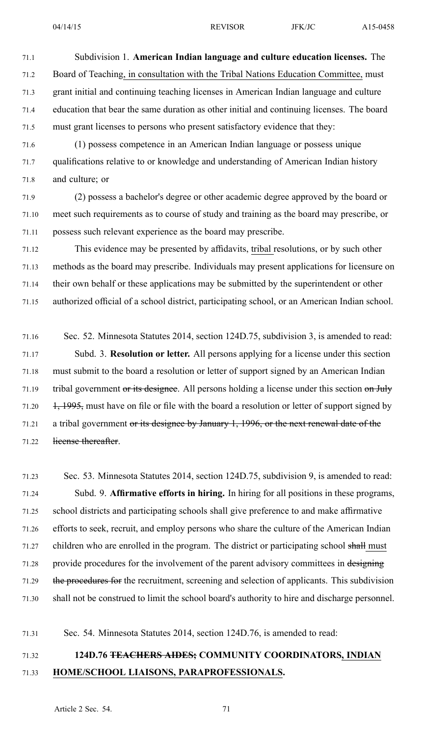71.1 Subdivision 1. **American Indian language and culture education licenses.** The 71.2 Board of Teaching, in consultation with the Tribal Nations Education Committee, must 71.3 gran<sup>t</sup> initial and continuing teaching licenses in American Indian language and culture 71.4 education that bear the same duration as other initial and continuing licenses. The board 71.5 must gran<sup>t</sup> licenses to persons who presen<sup>t</sup> satisfactory evidence that they: 71.6 (1) possess competence in an American Indian language or possess unique

71.7 qualifications relative to or knowledge and understanding of American Indian history 71.8 and culture; or

71.9 (2) possess <sup>a</sup> bachelor's degree or other academic degree approved by the board or 71.10 meet such requirements as to course of study and training as the board may prescribe, or 71.11 possess such relevant experience as the board may prescribe.

71.12 This evidence may be presented by affidavits, tribal resolutions, or by such other 71.13 methods as the board may prescribe. Individuals may presen<sup>t</sup> applications for licensure on 71.14 their own behalf or these applications may be submitted by the superintendent or other 71.15 authorized official of <sup>a</sup> school district, participating school, or an American Indian school.

71.16 Sec. 52. Minnesota Statutes 2014, section 124D.75, subdivision 3, is amended to read: 71.17 Subd. 3. **Resolution or letter.** All persons applying for <sup>a</sup> license under this section 71.18 must submit to the board <sup>a</sup> resolution or letter of suppor<sup>t</sup> signed by an American Indian 71.19 tribal government or its designee. All persons holding a license under this section on July 71.20  $1, 1995$ , must have on file or file with the board a resolution or letter of support signed by 71.21 <sup>a</sup> tribal governmen<sup>t</sup> or its designee by January 1, 1996, or the next renewal date of the 71.22 license thereafter.

71.23 Sec. 53. Minnesota Statutes 2014, section 124D.75, subdivision 9, is amended to read: 71.24 Subd. 9. **Affirmative efforts in hiring.** In hiring for all positions in these programs, 71.25 school districts and participating schools shall give preference to and make affirmative 71.26 efforts to seek, recruit, and employ persons who share the culture of the American Indian 71.27 children who are enrolled in the program. The district or participating school shall must 71.28 provide procedures for the involvement of the parent advisory committees in designing 71.29 the procedures for the recruitment, screening and selection of applicants. This subdivision 71.30 shall not be construed to limit the school board's authority to hire and discharge personnel.

71.31 Sec. 54. Minnesota Statutes 2014, section 124D.76, is amended to read:

# 71.32 **124D.76 TEACHERS AIDES; COMMUNITY COORDINATORS, INDIAN** 71.33 **HOME/SCHOOL LIAISONS, PARAPROFESSIONALS.**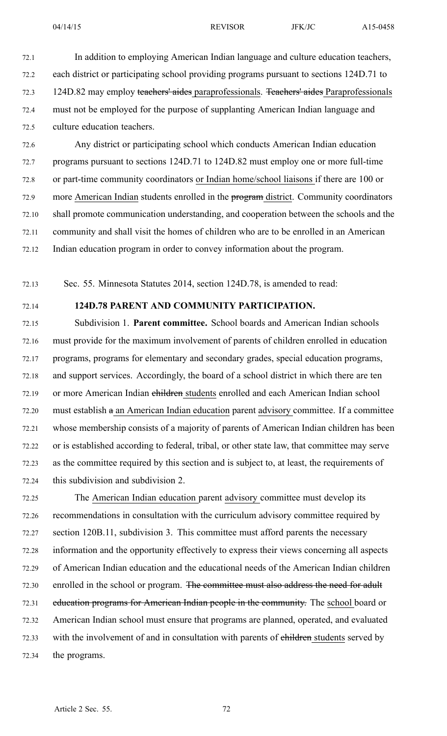72.1 In addition to employing American Indian language and culture education teachers, 72.2 each district or participating school providing programs pursuan<sup>t</sup> to sections 124D.71 to 72.3 124D.82 may employ teachers' aides paraprofessionals. Teachers' aides Paraprofessionals 72.4 must not be employed for the purpose of supplanting American Indian language and 72.5 culture education teachers.

72.6 Any district or participating school which conducts American Indian education 72.7 programs pursuan<sup>t</sup> to sections 124D.71 to 124D.82 must employ one or more full-time 72.8 or part-time community coordinators or Indian home/school liaisons if there are 100 or 72.9 more American Indian students enrolled in the program district. Community coordinators 72.10 shall promote communication understanding, and cooperation between the schools and the 72.11 community and shall visit the homes of children who are to be enrolled in an American 72.12 Indian education program in order to convey information about the program.

72.13 Sec. 55. Minnesota Statutes 2014, section 124D.78, is amended to read:

## 72.14 **124D.78 PARENT AND COMMUNITY PARTICIPATION.**

72.15 Subdivision 1. **Parent committee.** School boards and American Indian schools 72.16 must provide for the maximum involvement of parents of children enrolled in education 72.17 programs, programs for elementary and secondary grades, special education programs, 72.18 and suppor<sup>t</sup> services. Accordingly, the board of <sup>a</sup> school district in which there are ten 72.19 or more American Indian children students enrolled and each American Indian school 72.20 must establish <sup>a</sup> an American Indian education paren<sup>t</sup> advisory committee. If <sup>a</sup> committee 72.21 whose membership consists of <sup>a</sup> majority of parents of American Indian children has been 72.22 or is established according to federal, tribal, or other state law, that committee may serve 72.23 as the committee required by this section and is subject to, at least, the requirements of 72.24 this subdivision and subdivision 2.

72.25 The American Indian education paren<sup>t</sup> advisory committee must develop its 72.26 recommendations in consultation with the curriculum advisory committee required by 72.27 section 120B.11, subdivision 3. This committee must afford parents the necessary 72.28 information and the opportunity effectively to express their views concerning all aspects 72.29 of American Indian education and the educational needs of the American Indian children 72.30 enrolled in the school or program. The committee must also address the need for adult 72.31 education programs for American Indian people in the community. The school board or 72.32 American Indian school must ensure that programs are planned, operated, and evaluated 72.33 with the involvement of and in consultation with parents of ehildren students served by 72.34 the programs.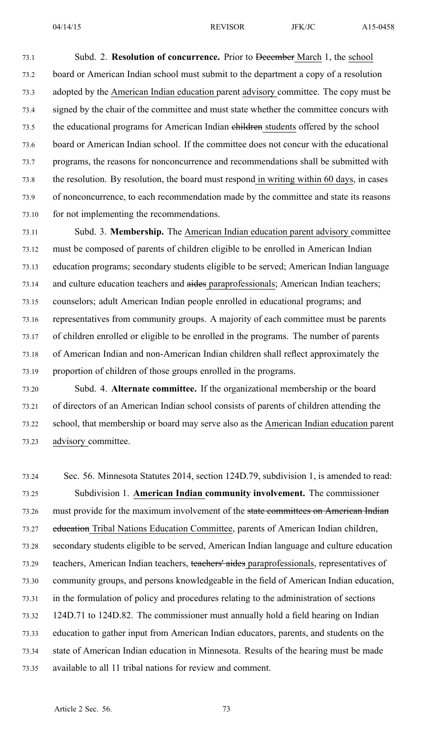73.1 Subd. 2. **Resolution of concurrence.** Prior to December March 1, the school 73.2 board or American Indian school must submit to the department <sup>a</sup> copy of <sup>a</sup> resolution 73.3 adopted by the American Indian education paren<sup>t</sup> advisory committee. The copy must be 73.4 signed by the chair of the committee and must state whether the committee concurs with 73.5 the educational programs for American Indian ehildren students offered by the school 73.6 board or American Indian school. If the committee does not concur with the educational 73.7 programs, the reasons for nonconcurrence and recommendations shall be submitted with 73.8 the resolution. By resolution, the board must respond in writing within 60 days, in cases 73.9 of nonconcurrence, to each recommendation made by the committee and state its reasons 73.10 for not implementing the recommendations.

73.11 Subd. 3. **Membership.** The American Indian education paren<sup>t</sup> advisory committee 73.12 must be composed of parents of children eligible to be enrolled in American Indian 73.13 education programs; secondary students eligible to be served; American Indian language 73.14 and culture education teachers and aides paraprofessionals; American Indian teachers; 73.15 counselors; adult American Indian people enrolled in educational programs; and 73.16 representatives from community groups. A majority of each committee must be parents 73.17 of children enrolled or eligible to be enrolled in the programs. The number of parents 73.18 of American Indian and non-American Indian children shall reflect approximately the 73.19 proportion of children of those groups enrolled in the programs.

73.20 Subd. 4. **Alternate committee.** If the organizational membership or the board 73.21 of directors of an American Indian school consists of parents of children attending the 73.22 school, that membership or board may serve also as the American Indian education paren<sup>t</sup> 73.23 advisory committee.

73.24 Sec. 56. Minnesota Statutes 2014, section 124D.79, subdivision 1, is amended to read: 73.25 Subdivision 1. **American Indian community involvement.** The commissioner 73.26 must provide for the maximum involvement of the state committees on American Indian 73.27 education Tribal Nations Education Committee, parents of American Indian children, 73.28 secondary students eligible to be served, American Indian language and culture education 73.29 teachers, American Indian teachers, teachers' aides paraprofessionals, representatives of 73.30 community groups, and persons knowledgeable in the field of American Indian education, 73.31 in the formulation of policy and procedures relating to the administration of sections 73.32 124D.71 to 124D.82. The commissioner must annually hold <sup>a</sup> field hearing on Indian 73.33 education to gather input from American Indian educators, parents, and students on the 73.34 state of American Indian education in Minnesota. Results of the hearing must be made 73.35 available to all 11 tribal nations for review and comment.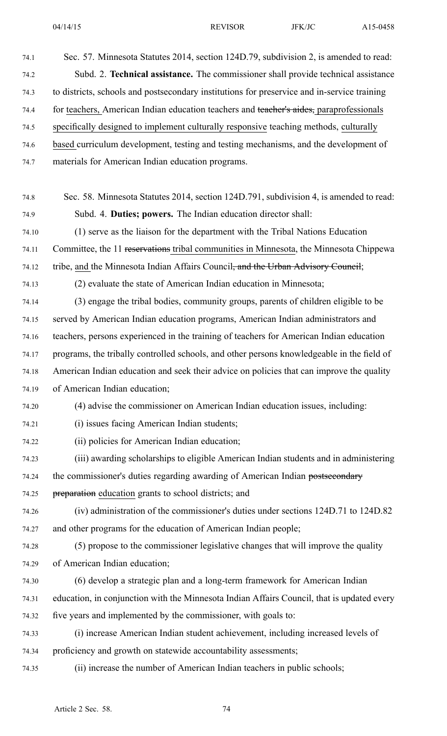74.1 Sec. 57. Minnesota Statutes 2014, section 124D.79, subdivision 2, is amended to read: 74.2 Subd. 2. **Technical assistance.** The commissioner shall provide technical assistance 74.3 to districts, schools and postsecondary institutions for preservice and in-service training 74.4 for teachers, American Indian education teachers and teacher's aides, paraprofessionals 74.5 specifically designed to implement culturally responsive teaching methods, culturally 74.6 based curriculum development, testing and testing mechanisms, and the development of 74.7 materials for American Indian education programs. 74.8 Sec. 58. Minnesota Statutes 2014, section 124D.791, subdivision 4, is amended to read: 74.9 Subd. 4. **Duties; powers.** The Indian education director shall: 74.10 (1) serve as the liaison for the department with the Tribal Nations Education 74.11 Committee, the 11 reservations tribal communities in Minnesota, the Minnesota Chippewa 74.12 tribe, and the Minnesota Indian Affairs Council, and the Urban Advisory Council; 74.13 (2) evaluate the state of American Indian education in Minnesota; 74.14 (3) engage the tribal bodies, community groups, parents of children eligible to be 74.15 served by American Indian education programs, American Indian administrators and 74.16 teachers, persons experienced in the training of teachers for American Indian education 74.17 programs, the tribally controlled schools, and other persons knowledgeable in the field of 74.18 American Indian education and seek their advice on policies that can improve the quality 74.19 of American Indian education; 74.20 (4) advise the commissioner on American Indian education issues, including: 74.21 (i) issues facing American Indian students; 74.22 (ii) policies for American Indian education; 74.23 (iii) awarding scholarships to eligible American Indian students and in administering 74.24 the commissioner's duties regarding awarding of American Indian postsecondary 74.25 preparation education grants to school districts; and 74.26 (iv) administration of the commissioner's duties under sections 124D.71 to 124D.82 74.27 and other programs for the education of American Indian people; 74.28 (5) propose to the commissioner legislative changes that will improve the quality 74.29 of American Indian education; 74.30 (6) develop <sup>a</sup> strategic plan and <sup>a</sup> long-term framework for American Indian 74.31 education, in conjunction with the Minnesota Indian Affairs Council, that is updated every 74.32 five years and implemented by the commissioner, with goals to: 74.33 (i) increase American Indian student achievement, including increased levels of 74.34 proficiency and growth on statewide accountability assessments; 74.35 (ii) increase the number of American Indian teachers in public schools;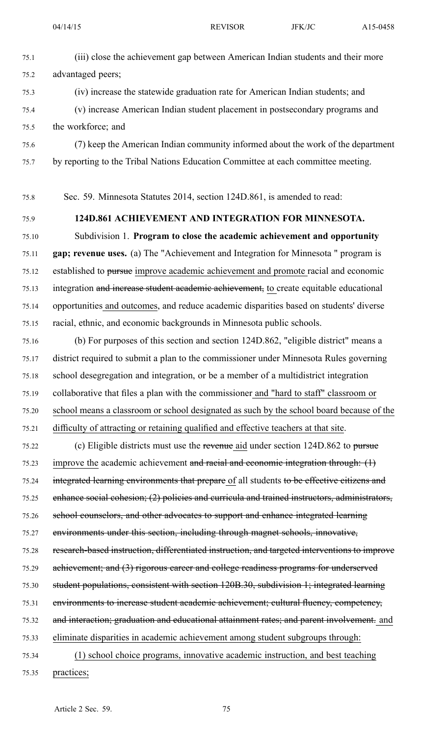- 75.1 (iii) close the achievement gap between American Indian students and their more 75.2 advantaged peers;
- 75.3 (iv) increase the statewide graduation rate for American Indian students; and 75.4 (v) increase American Indian student placement in postsecondary programs and 75.5 the workforce; and
- 75.6 (7) keep the American Indian community informed about the work of the department 75.7 by reporting to the Tribal Nations Education Committee at each committee meeting.

75.8 Sec. 59. Minnesota Statutes 2014, section 124D.861, is amended to read:

### 75.9 **124D.861 ACHIEVEMENT AND INTEGRATION FOR MINNESOTA.**

75.10 Subdivision 1. **Program to close the academic achievement and opportunity** 75.11 **gap; revenue uses.** (a) The "Achievement and Integration for Minnesota " program is 75.12 established to pursue improve academic achievement and promote racial and economic 75.13 integration and increase student academic achievement, to create equitable educational 75.14 opportunities and outcomes, and reduce academic disparities based on students' diverse 75.15 racial, ethnic, and economic backgrounds in Minnesota public schools.

75.16 (b) For purposes of this section and section 124D.862, "eligible district" means <sup>a</sup> 75.17 district required to submit <sup>a</sup> plan to the commissioner under Minnesota Rules governing 75.18 school desegregation and integration, or be <sup>a</sup> member of <sup>a</sup> multidistrict integration 75.19 collaborative that files <sup>a</sup> plan with the commissioner and "hard to staff" classroom or 75.20 school means <sup>a</sup> classroom or school designated as such by the school board because of the 75.21 difficulty of attracting or retaining qualified and effective teachers at that site.

75.22 (c) Eligible districts must use the revenue aid under section 124D.862 to pursue 75.23 improve the academic achievement and racial and economic integration through: (1) 75.24 integrated learning environments that prepare of all students to be effective citizens and 75.25 enhance social cohesion; (2) policies and curricula and trained instructors, administrators, 75.26 school counselors, and other advocates to suppor<sup>t</sup> and enhance integrated learning 75.27 environments under this section, including through magne<sup>t</sup> schools, innovative, 75.28 research-based instruction, differentiated instruction, and targeted interventions to improve 75.29 achievement; and (3) rigorous career and college readiness programs for underserved 75.30 student populations, consistent with section 120B.30, subdivision 1; integrated learning 75.31 environments to increase student academic achievement; cultural fluency, competency, 75.32 and interaction; graduation and educational attainment rates; and paren<sup>t</sup> involvement. and 75.33 eliminate disparities in academic achievement among student subgroups through: 75.34 (1) school choice programs, innovative academic instruction, and best teaching 75.35 practices;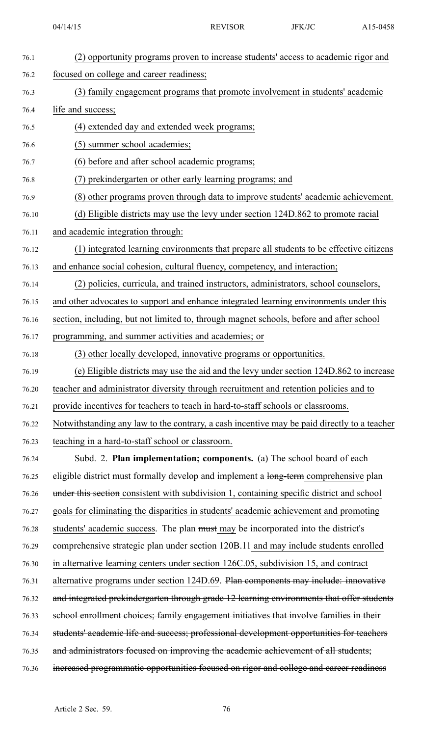| 76.1  | (2) opportunity programs proven to increase students' access to academic rigor and          |
|-------|---------------------------------------------------------------------------------------------|
| 76.2  | focused on college and career readiness;                                                    |
| 76.3  | (3) family engagement programs that promote involvement in students' academic               |
| 76.4  | life and success;                                                                           |
| 76.5  | (4) extended day and extended week programs;                                                |
| 76.6  | (5) summer school academies;                                                                |
| 76.7  | (6) before and after school academic programs;                                              |
| 76.8  | (7) prekindergarten or other early learning programs; and                                   |
| 76.9  | (8) other programs proven through data to improve students' academic achievement.           |
| 76.10 | (d) Eligible districts may use the levy under section 124D.862 to promote racial            |
| 76.11 | and academic integration through:                                                           |
| 76.12 | (1) integrated learning environments that prepare all students to be effective citizens     |
| 76.13 | and enhance social cohesion, cultural fluency, competency, and interaction;                 |
| 76.14 | (2) policies, curricula, and trained instructors, administrators, school counselors,        |
| 76.15 | and other advocates to support and enhance integrated learning environments under this      |
| 76.16 | section, including, but not limited to, through magnet schools, before and after school     |
| 76.17 | programming, and summer activities and academies; or                                        |
| 76.18 | (3) other locally developed, innovative programs or opportunities.                          |
| 76.19 | (e) Eligible districts may use the aid and the levy under section 124D.862 to increase      |
| 76.20 | teacher and administrator diversity through recruitment and retention policies and to       |
| 76.21 | provide incentives for teachers to teach in hard-to-staff schools or classrooms.            |
| 76.22 | Notwithstanding any law to the contrary, a cash incentive may be paid directly to a teacher |
| 76.23 | teaching in a hard-to-staff school or classroom.                                            |
| 76.24 | Subd. 2. Plan implementation; components. (a) The school board of each                      |
| 76.25 | eligible district must formally develop and implement a long-term comprehensive plan        |
| 76.26 | under this section consistent with subdivision 1, containing specific district and school   |
| 76.27 | goals for eliminating the disparities in students' academic achievement and promoting       |
| 76.28 | students' academic success. The plan must may be incorporated into the district's           |
| 76.29 | comprehensive strategic plan under section 120B.11 and may include students enrolled        |
| 76.30 | in alternative learning centers under section 126C.05, subdivision 15, and contract         |
| 76.31 | alternative programs under section 124D.69. Plan components may include: innovative         |
| 76.32 | and integrated prekindergarten through grade 12 learning environments that offer students   |
| 76.33 | school enrollment choices; family engagement initiatives that involve families in their     |
| 76.34 | students' academic life and success; professional development opportunities for teachers    |
| 76.35 | and administrators focused on improving the academic achievement of all students;           |
| 76.36 | increased programmatic opportunities focused on rigor and college and career readiness      |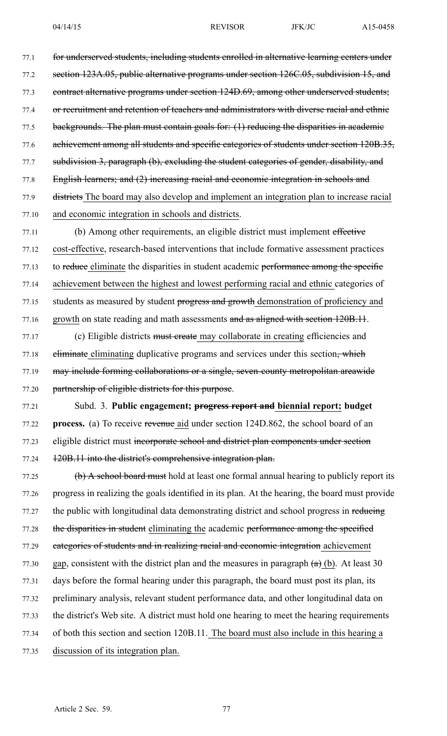77.1 for underserved students, including students enrolled in alternative learning centers under 77.2 section 123A.05, public alternative programs under section 126C.05, subdivision 15, and 77.3 contract alternative programs under section 124D.69, among other underserved students; 77.4 or recruitment and retention of teachers and administrators with diverse racial and ethnic 77.5 backgrounds. The plan must contain goals for: (1) reducing the disparities in academic 77.6 achievement among all students and specific categories of students under section 120B.35, 77.7 subdivision 3, paragraph (b), excluding the student categories of gender, disability, and 77.8 English learners; and (2) increasing racial and economic integration in schools and 77.9 districts The board may also develop and implement an integration plan to increase racial 77.10 and economic integration in schools and districts.

77.11 (b) Among other requirements, an eligible district must implement effective 77.12 cost-effective, research-based interventions that include formative assessment practices 77.13 to reduce eliminate the disparities in student academic performance among the specific 77.14 achievement between the highest and lowest performing racial and ethnic categories of 77.15 students as measured by student progress and growth demonstration of proficiency and 77.16 growth on state reading and math assessments and as aligned with section 120B.11.

77.17 (c) Eligible districts must create may collaborate in creating efficiencies and 77.18 eliminate eliminating duplicative programs and services under this section, which 77.19 may include forming collaborations or a single, seven-county metropolitan areawide 77.20 partnership of eligible districts for this purpose.

77.21 Subd. 3. **Public engagement; progress repor<sup>t</sup> and biennial report; budget** 77.22 **process.** (a) To receive revenue aid under section 124D.862, the school board of an 77.23 eligible district must incorporate school and district plan components under section 77.24 120B.11 into the district's comprehensive integration plan.

77.25 (b) A school board must hold at least one formal annual hearing to publicly repor<sup>t</sup> its 77.26 progress in realizing the goals identified in its plan. At the hearing, the board must provide 77.27 the public with longitudinal data demonstrating district and school progress in reducing 77.28 the disparities in student eliminating the academic performance among the specified 77.29 categories of students and in realizing racial and economic integration achievement 77.30 gap, consistent with the district plan and the measures in paragraph  $(a)$  (b). At least 30 77.31 days before the formal hearing under this paragraph, the board must pos<sup>t</sup> its plan, its 77.32 preliminary analysis, relevant student performance data, and other longitudinal data on 77.33 the district's Web site. A district must hold one hearing to meet the hearing requirements 77.34 of both this section and section 120B.11. The board must also include in this hearing <sup>a</sup> 77.35 discussion of its integration plan.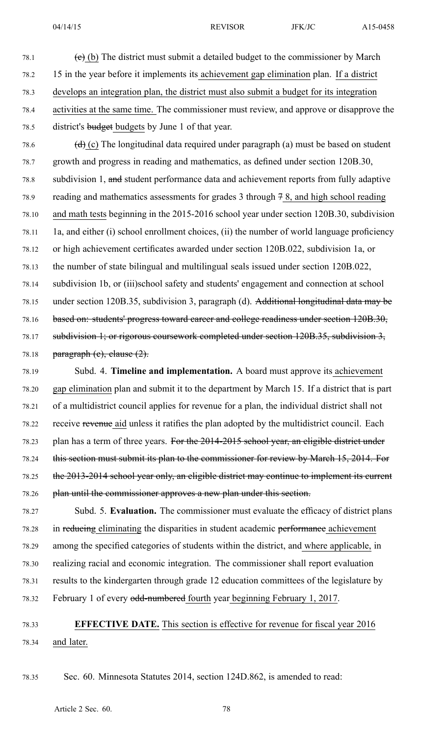- 78.3 develops an integration plan, the district must also submit <sup>a</sup> budget for its integration
- 78.4 activities at the same time. The commissioner must review, and approve or disapprove the 78.5 district's budget budgets by June 1 of that year.
- 78.6  $(d)$  (c) The longitudinal data required under paragraph (a) must be based on student 78.7 growth and progress in reading and mathematics, as defined under section 120B.30, 78.8 subdivision 1, and student performance data and achievement reports from fully adaptive 78.9 reading and mathematics assessments for grades 3 through 7 8, and high school reading 78.10 and math tests beginning in the 2015-2016 school year under section 120B.30, subdivision 78.11 1a, and either (i) school enrollment choices, (ii) the number of world language proficiency 78.12 or high achievement certificates awarded under section 120B.022, subdivision 1a, or 78.13 the number of state bilingual and multilingual seals issued under section 120B.022, 78.14 subdivision 1b, or (iii)school safety and students' engagemen<sup>t</sup> and connection at school 78.15 under section 120B.35, subdivision 3, paragraph (d). Additional longitudinal data may be 78.16 based on: students' progress toward career and college readiness under section 120B.30, 78.17 subdivision 1; or rigorous coursework completed under section 120B.35, subdivision 3, 78.18 paragraph  $(e)$ , clause  $(2)$ .
- 78.19 Subd. 4. **Timeline and implementation.** A board must approve its achievement 78.20 gap elimination plan and submit it to the department by March 15. If <sup>a</sup> district that is par<sup>t</sup> 78.21 of <sup>a</sup> multidistrict council applies for revenue for <sup>a</sup> plan, the individual district shall not 78.22 receive revenue aid unless it ratifies the plan adopted by the multidistrict council. Each 78.23 plan has a term of three years. For the 2014-2015 school year, an eligible district under 78.24 this section must submit its plan to the commissioner for review by March 15, 2014. For 78.25 the 2013-2014 school year only, an eligible district may continue to implement its current 78.26 plan until the commissioner approves <sup>a</sup> new plan under this section.

78.27 Subd. 5. **Evaluation.** The commissioner must evaluate the efficacy of district plans 78.28 in reducing eliminating the disparities in student academic performance achievement 78.29 among the specified categories of students within the district, and where applicable, in 78.30 realizing racial and economic integration. The commissioner shall repor<sup>t</sup> evaluation 78.31 results to the kindergarten through grade 12 education committees of the legislature by 78.32 February 1 of every odd-numbered fourth year beginning February 1, 2017.

# 78.33 **EFFECTIVE DATE.** This section is effective for revenue for fiscal year 2016 78.34 and later.

78.35 Sec. 60. Minnesota Statutes 2014, section 124D.862, is amended to read: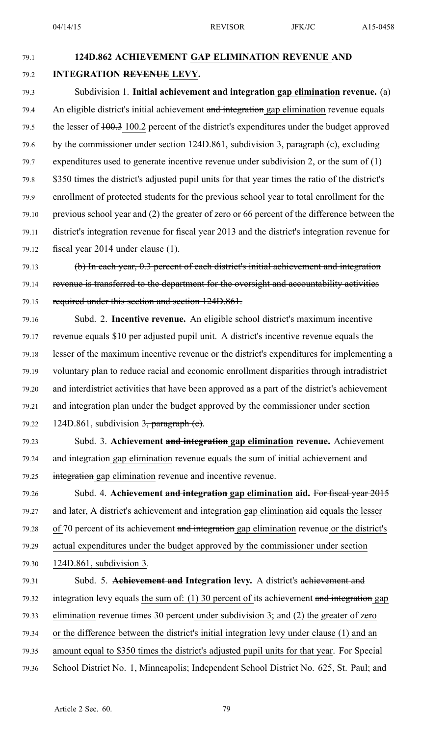## 79.1 **124D.862 ACHIEVEMENT GAP ELIMINATION REVENUE AND** 79.2 **INTEGRATION REVENUE LEVY.**

79.3 Subdivision 1. **Initial achievement and integration gap elimination revenue.** (a) 79.4 An eligible district's initial achievement and integration gap elimination revenue equals 79.5 the lesser of  $\frac{100.3}{100.2}$  percent of the district's expenditures under the budget approved 79.6 by the commissioner under section 124D.861, subdivision 3, paragraph (c), excluding 79.7 expenditures used to generate incentive revenue under subdivision 2, or the sum of (1) 79.8 \$350 times the district's adjusted pupil units for that year times the ratio of the district's 79.9 enrollment of protected students for the previous school year to total enrollment for the 79.10 previous school year and (2) the greater of zero or 66 percen<sup>t</sup> of the difference between the 79.11 district's integration revenue for fiscal year 2013 and the district's integration revenue for 79.12 fiscal year 2014 under clause (1).

79.13 (b) In each year, 0.3 percen<sup>t</sup> of each district's initial achievement and integration 79.14 revenue is transferred to the department for the oversight and accountability activities 79.15 required under this section and section 124D.861.

79.16 Subd. 2. **Incentive revenue.** An eligible school district's maximum incentive 79.17 revenue equals \$10 per adjusted pupil unit. A district's incentive revenue equals the 79.18 lesser of the maximum incentive revenue or the district's expenditures for implementing <sup>a</sup> 79.19 voluntary plan to reduce racial and economic enrollment disparities through intradistrict 79.20 and interdistrict activities that have been approved as <sup>a</sup> par<sup>t</sup> of the district's achievement 79.21 and integration plan under the budget approved by the commissioner under section 79.22 124D.861, subdivision  $3\frac{1}{2}$  paragraph (e).

79.23 Subd. 3. **Achievement and integration gap elimination revenue.** Achievement 79.24 and integration gap elimination revenue equals the sum of initial achievement and 79.25 integration gap elimination revenue and incentive revenue.

79.26 Subd. 4. **Achievement and integration gap elimination aid.** For fiscal year 2015 79.27 and later, A district's achievement and integration gap elimination aid equals the lesser 79.28 of 70 percen<sup>t</sup> of its achievement and integration gap elimination revenue or the district's 79.29 actual expenditures under the budget approved by the commissioner under section 79.30 124D.861, subdivision 3.

79.31 Subd. 5. **Achievement and Integration levy.** A district's achievement and 79.32 integration levy equals the sum of: (1) 30 percent of its achievement and integration gap 79.33 elimination revenue times  $30$  percent under subdivision 3; and (2) the greater of zero 79.34 or the difference between the district's initial integration levy under clause (1) and an 79.35 amount equal to \$350 times the district's adjusted pupil units for that year. For Special 79.36 School District No. 1, Minneapolis; Independent School District No. 625, St. Paul; and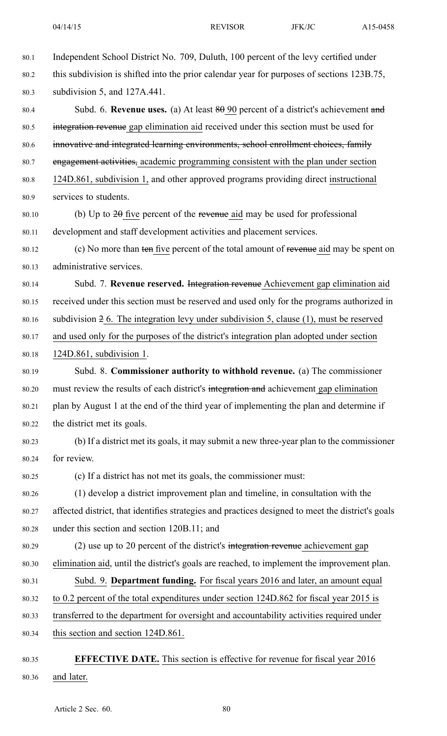- 80.1 Independent School District No. 709, Duluth, 100 percen<sup>t</sup> of the levy certified under 80.2 this subdivision is shifted into the prior calendar year for purposes of sections 123B.75, 80.3 subdivision 5, and 127A.441. 80.4 Subd. 6. **Revenue uses.** (a) At least 80 90 percen<sup>t</sup> of <sup>a</sup> district's achievement and 80.5 integration revenue gap elimination aid received under this section must be used for 80.6 innovative and integrated learning environments, school enrollment choices, family 80.7 engagemen<sup>t</sup> activities, academic programming consistent with the plan under section 80.8 124D.861, subdivision 1, and other approved programs providing direct instructional 80.9 services to students. 80.10 (b) Up to  $2\theta$  five percent of the revenue aid may be used for professional 80.11 development and staff development activities and placement services. 80.12 (c) No more than ten five percen<sup>t</sup> of the total amount of revenue aid may be spen<sup>t</sup> on 80.13 administrative services. 80.14 Subd. 7. **Revenue reserved.** Integration revenue Achievement gap elimination aid 80.15 received under this section must be reserved and used only for the programs authorized in 80.16 subdivision 2 6. The integration levy under subdivision 5, clause (1), must be reserved 80.17 and used only for the purposes of the district's integration plan adopted under section 80.18 124D.861, subdivision 1. 80.19 Subd. 8. **Commissioner authority to withhold revenue.** (a) The commissioner 80.20 must review the results of each district's integration and achievement gap elimination 80.21 plan by August 1 at the end of the third year of implementing the plan and determine if 80.22 the district met its goals. 80.23 (b) If <sup>a</sup> district met its goals, it may submit <sup>a</sup> new three-year plan to the commissioner 80.24 for review. 80.25 (c) If <sup>a</sup> district has not met its goals, the commissioner must: 80.26 (1) develop <sup>a</sup> district improvement plan and timeline, in consultation with the 80.27 affected district, that identifies strategies and practices designed to meet the district's goals 80.28 under this section and section 120B.11; and 80.29 (2) use up to 20 percen<sup>t</sup> of the district's integration revenue achievement gap 80.30 elimination aid, until the district's goals are reached, to implement the improvement plan. 80.31 Subd. 9. **Department funding.** For fiscal years 2016 and later, an amount equal 80.32 to 0.2 percen<sup>t</sup> of the total expenditures under section 124D.862 for fiscal year 2015 is 80.33 transferred to the department for oversight and accountability activities required under 80.34 this section and section 124D.861.
- 80.35 **EFFECTIVE DATE.** This section is effective for revenue for fiscal year 2016 80.36 and later.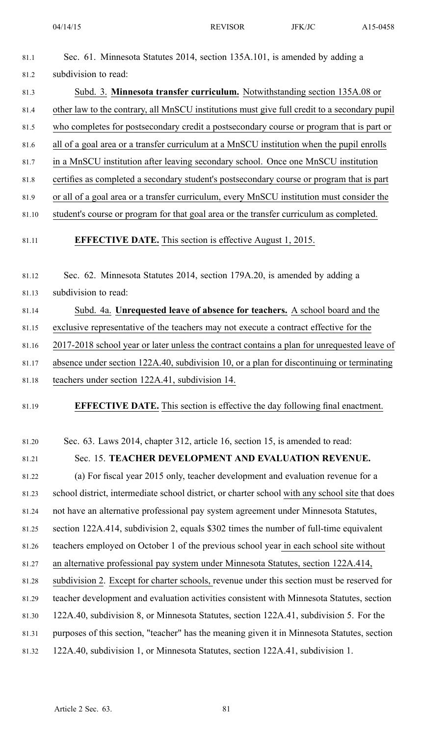- 81.1 Sec. 61. Minnesota Statutes 2014, section 135A.101, is amended by adding <sup>a</sup> 81.2 subdivision to read:
- 81.3 Subd. 3. **Minnesota transfer curriculum.** Notwithstanding section 135A.08 or 81.4 other law to the contrary, all MnSCU institutions must give full credit to <sup>a</sup> secondary pupil 81.5 who completes for postsecondary credit <sup>a</sup> postsecondary course or program that is par<sup>t</sup> or 81.6 all of <sup>a</sup> goal area or <sup>a</sup> transfer curriculum at <sup>a</sup> MnSCU institution when the pupil enrolls 81.7 in <sup>a</sup> MnSCU institution after leaving secondary school. Once one MnSCU institution 81.8 certifies as completed <sup>a</sup> secondary student's postsecondary course or program that is par<sup>t</sup>
- 81.9 or all of <sup>a</sup> goal area or <sup>a</sup> transfer curriculum, every MnSCU institution must consider the
- 81.10 student's course or program for that goal area or the transfer curriculum as completed.
- 81.11 **EFFECTIVE DATE.** This section is effective August 1, 2015.

81.12 Sec. 62. Minnesota Statutes 2014, section 179A.20, is amended by adding <sup>a</sup>

81.13 subdivision to read:

81.14 Subd. 4a. **Unrequested leave of absence for teachers.** A school board and the

81.15 exclusive representative of the teachers may not execute <sup>a</sup> contract effective for the

81.16 2017-2018 school year or later unless the contract contains <sup>a</sup> plan for unrequested leave of

81.17 absence under section 122A.40, subdivision 10, or <sup>a</sup> plan for discontinuing or terminating

| teachers under section 122A.41, subdivision 14.<br>81.18 |
|----------------------------------------------------------|
|----------------------------------------------------------|

81.19 **EFFECTIVE DATE.** This section is effective the day following final enactment.

81.20 Sec. 63. Laws 2014, chapter 312, article 16, section 15, is amended to read:

81.21 Sec. 15. **TEACHER DEVELOPMENT AND EVALUATION REVENUE.**

81.22 (a) For fiscal year 2015 only, teacher development and evaluation revenue for <sup>a</sup> 81.23 school district, intermediate school district, or charter school with any school site that does 81.24 not have an alternative professional pay system agreemen<sup>t</sup> under Minnesota Statutes, 81.25 section 122A.414, subdivision 2, equals \$302 times the number of full-time equivalent 81.26 teachers employed on October 1 of the previous school year in each school site without 81.27 an alternative professional pay system under Minnesota Statutes, section 122A.414, 81.28 subdivision 2. Except for charter schools, revenue under this section must be reserved for 81.29 teacher development and evaluation activities consistent with Minnesota Statutes, section 81.30 122A.40, subdivision 8, or Minnesota Statutes, section 122A.41, subdivision 5. For the 81.31 purposes of this section, "teacher" has the meaning given it in Minnesota Statutes, section 81.32 122A.40, subdivision 1, or Minnesota Statutes, section 122A.41, subdivision 1.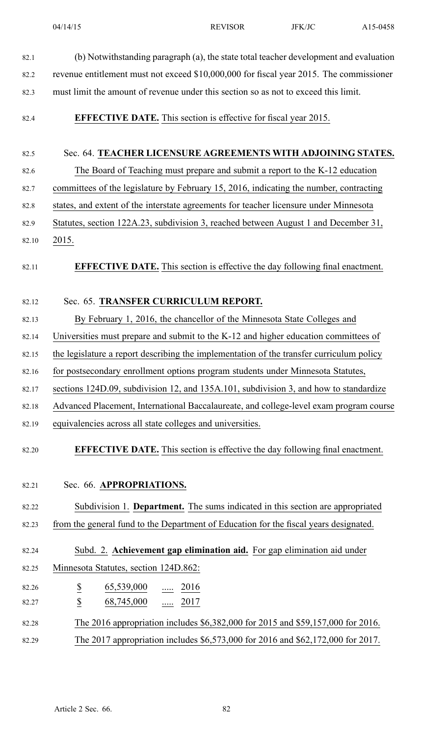| 82.1           | (b) Notwithstanding paragraph (a), the state total teacher development and evaluation    |
|----------------|------------------------------------------------------------------------------------------|
| 82.2           | revenue entitlement must not exceed \$10,000,000 for fiscal year 2015. The commissioner  |
| 82.3           | must limit the amount of revenue under this section so as not to exceed this limit.      |
| 82.4           | <b>EFFECTIVE DATE.</b> This section is effective for fiscal year 2015.                   |
| 82.5           | Sec. 64. TEACHER LICENSURE AGREEMENTS WITH ADJOINING STATES.                             |
| 82.6           | The Board of Teaching must prepare and submit a report to the K-12 education             |
| 82.7           | committees of the legislature by February 15, 2016, indicating the number, contracting   |
| 82.8           | states, and extent of the interstate agreements for teacher licensure under Minnesota    |
| 82.9           | Statutes, section 122A.23, subdivision 3, reached between August 1 and December 31,      |
| 82.10          | 2015.                                                                                    |
| 82.11          | <b>EFFECTIVE DATE.</b> This section is effective the day following final enactment.      |
| 82.12          | Sec. 65. TRANSFER CURRICULUM REPORT.                                                     |
| 82.13          | By February 1, 2016, the chancellor of the Minnesota State Colleges and                  |
| 82.14          | Universities must prepare and submit to the K-12 and higher education committees of      |
| 82.15          | the legislature a report describing the implementation of the transfer curriculum policy |
| 82.16          | for postsecondary enrollment options program students under Minnesota Statutes,          |
| 82.17          | sections 124D.09, subdivision 12, and 135A.101, subdivision 3, and how to standardize    |
| 82.18          | Advanced Placement, International Baccalaureate, and college-level exam program course   |
| 82.19          | equivalencies across all state colleges and universities.                                |
| 82.20          | <b>EFFECTIVE DATE.</b> This section is effective the day following final enactment.      |
| 82.21          | Sec. 66. APPROPRIATIONS.                                                                 |
| 82.22          | Subdivision 1. Department. The sums indicated in this section are appropriated           |
| 82.23          | from the general fund to the Department of Education for the fiscal years designated.    |
|                | Subd. 2. Achievement gap elimination aid. For gap elimination aid under                  |
| 82.24<br>82.25 | Minnesota Statutes, section 124D.862:                                                    |
|                |                                                                                          |
| 82.26<br>82.27 | $rac{S}{S}$<br>$\underline{65,539,000}$ 2016<br>68,745,000  2017                         |
|                |                                                                                          |
| 82.28          | The 2016 appropriation includes \$6,382,000 for 2015 and \$59,157,000 for 2016.          |
| 82.29          | The 2017 appropriation includes \$6,573,000 for 2016 and \$62,172,000 for 2017.          |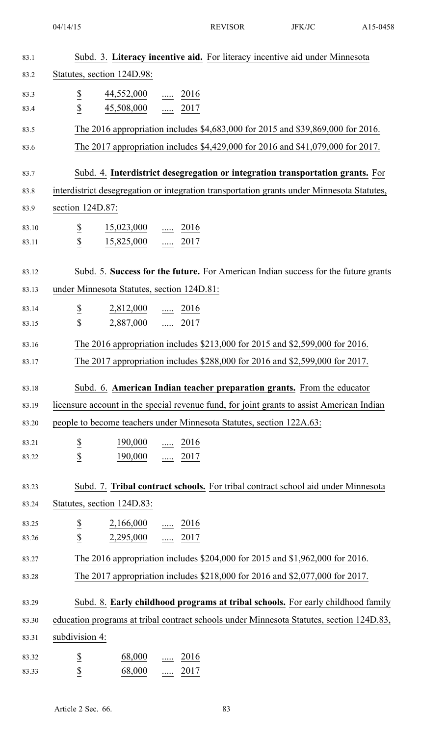| 83.1  |                                         |                                                   | Subd. 3. Literacy incentive aid. For literacy incentive aid under Minnesota                |
|-------|-----------------------------------------|---------------------------------------------------|--------------------------------------------------------------------------------------------|
| 83.2  |                                         | Statutes, section 124D.98:                        |                                                                                            |
| 83.3  | $\overline{\mathcal{E}}$                | $\frac{44,552,000}{\cdots}$ $\frac{2016}{\cdots}$ |                                                                                            |
| 83.4  | $\overline{2}$                          | $\frac{45,508,000}{}$ 2017                        |                                                                                            |
| 83.5  |                                         |                                                   | The 2016 appropriation includes \$4,683,000 for 2015 and \$39,869,000 for 2016.            |
| 83.6  |                                         |                                                   | The 2017 appropriation includes \$4,429,000 for 2016 and \$41,079,000 for 2017.            |
| 83.7  |                                         |                                                   | Subd. 4. Interdistrict desegregation or integration transportation grants. For             |
| 83.8  |                                         |                                                   | interdistrict desegregation or integration transportation grants under Minnesota Statutes, |
| 83.9  | section 124D.87:                        |                                                   |                                                                                            |
| 83.10 | $\underline{\$}$                        | $\frac{15,023,000}{}$ 2016                        |                                                                                            |
| 83.11 | \$                                      | $\frac{15,825,000}{}$ 2017                        |                                                                                            |
|       |                                         |                                                   |                                                                                            |
| 83.12 |                                         |                                                   | Subd. 5. Success for the future. For American Indian success for the future grants         |
| 83.13 |                                         | under Minnesota Statutes, section 124D.81:        |                                                                                            |
| 83.14 | $\overline{\mathcal{E}}$                | $2,812,000$ 2016                                  |                                                                                            |
| 83.15 | $\overline{2}$                          | $2,887,000$ 2017                                  |                                                                                            |
| 83.16 |                                         |                                                   | The 2016 appropriation includes \$213,000 for 2015 and \$2,599,000 for 2016.               |
| 83.17 |                                         |                                                   | The 2017 appropriation includes \$288,000 for 2016 and \$2,599,000 for 2017.               |
| 83.18 |                                         |                                                   | Subd. 6. American Indian teacher preparation grants. From the educator                     |
| 83.19 |                                         |                                                   | licensure account in the special revenue fund, for joint grants to assist American Indian  |
| 83.20 |                                         |                                                   | people to become teachers under Minnesota Statutes, section 122A.63:                       |
| 83.21 |                                         | $\frac{190,000}{\cdots}$ $\frac{2016}{\cdots}$    |                                                                                            |
| 83.22 | $rac{S}{S}$                             | 190,000  2017                                     |                                                                                            |
| 83.23 |                                         |                                                   | Subd. 7. Tribal contract schools. For tribal contract school aid under Minnesota           |
| 83.24 |                                         | Statutes, section 124D.83:                        |                                                                                            |
| 83.25 |                                         |                                                   |                                                                                            |
| 83.26 | $\overline{\partial}$<br>$\overline{2}$ | $2,166,000$ 2016<br>$2,295,000$ 2017              |                                                                                            |
| 83.27 |                                         |                                                   | The 2016 appropriation includes \$204,000 for 2015 and \$1,962,000 for 2016.               |
| 83.28 |                                         |                                                   | The 2017 appropriation includes \$218,000 for 2016 and \$2,077,000 for 2017.               |
|       |                                         |                                                   |                                                                                            |
| 83.29 |                                         |                                                   | Subd. 8. Early childhood programs at tribal schools. For early childhood family            |
| 83.30 |                                         |                                                   | education programs at tribal contract schools under Minnesota Statutes, section 124D.83,   |
| 83.31 | subdivision 4:                          |                                                   |                                                                                            |
| 83.32 | $\overline{\mathcal{E}}$                | 68,000                                            | $\underline{\cdots}$ 2016                                                                  |
| 83.33 | \$                                      | 68,000  2017                                      |                                                                                            |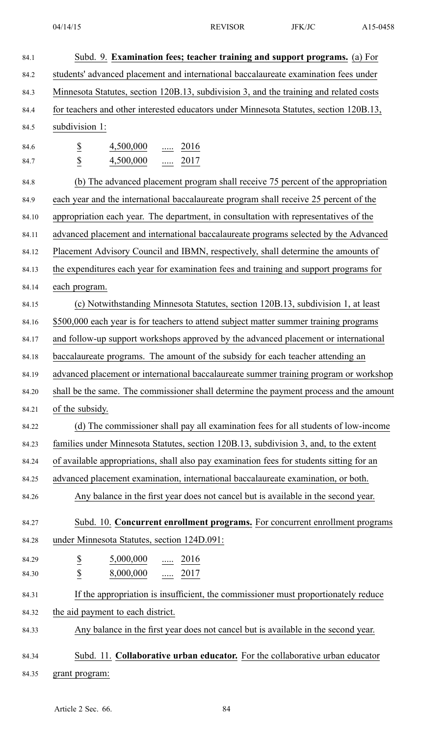84.1 Subd. 9. **Examination fees; teacher training and suppor<sup>t</sup> programs.** (a) For 84.2 students' advanced placement and international baccalaureate examination fees under 84.3 Minnesota Statutes, section 120B.13, subdivision 3, and the training and related costs 84.4 for teachers and other interested educators under Minnesota Statutes, section 120B.13, 84.5 subdivision 1: 84.6  $\frac{\$}{2016}$   $\frac{4,500,000}{4,000}$  ..... 2016 84.7 **\$** 4,500,000 ..... 2017 84.8 (b) The advanced placement program shall receive 75 percen<sup>t</sup> of the appropriation 84.9 each year and the international baccalaureate program shall receive 25 percen<sup>t</sup> of the 84.10 appropriation each year. The department, in consultation with representatives of the 84.11 advanced placement and international baccalaureate programs selected by the Advanced 84.12 Placement Advisory Council and IBMN, respectively, shall determine the amounts of 84.13 the expenditures each year for examination fees and training and suppor<sup>t</sup> programs for 84.14 each program. 84.15 (c) Notwithstanding Minnesota Statutes, section 120B.13, subdivision 1, at least 84.16 \$500,000 each year is for teachers to attend subject matter summer training programs 84.17 and follow-up suppor<sup>t</sup> workshops approved by the advanced placement or international 84.18 baccalaureate programs. The amount of the subsidy for each teacher attending an 84.19 advanced placement or international baccalaureate summer training program or workshop 84.20 shall be the same. The commissioner shall determine the paymen<sup>t</sup> process and the amount 84.21 of the subsidy. 84.22 (d) The commissioner shall pay all examination fees for all students of low-income 84.23 families under Minnesota Statutes, section 120B.13, subdivision 3, and, to the extent 84.24 of available appropriations, shall also pay examination fees for students sitting for an 84.25 advanced placement examination, international baccalaureate examination, or both. 84.26 Any balance in the first year does not cancel but is available in the second year. 84.27 Subd. 10. **Concurrent enrollment programs.** For concurrent enrollment programs 84.28 under Minnesota Statutes, section 124D.091: 84.29  $\frac{\$}{ }$   $\frac{5,000,000}{0}$  ..... 2016 84.30 **\$** 8,000,000 ..... 2017 84.31 If the appropriation is insufficient, the commissioner must proportionately reduce 84.32 the aid paymen<sup>t</sup> to each district. 84.33 Any balance in the first year does not cancel but is available in the second year. 84.34 Subd. 11. **Collaborative urban educator.** For the collaborative urban educator 84.35 grant program: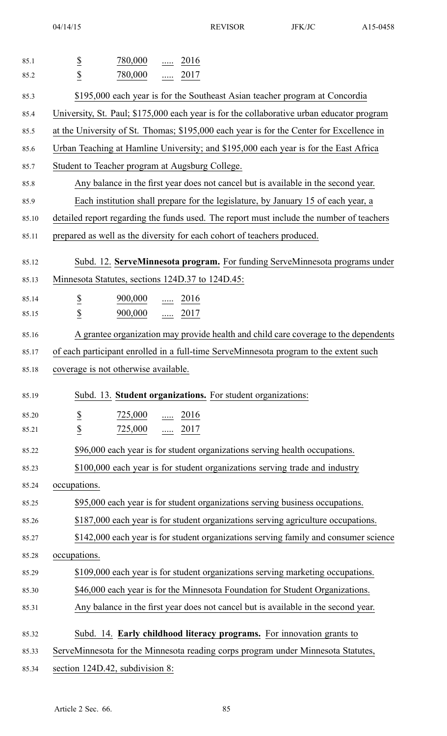| 85.1  | 780,000<br>$\ldots$ 2016                                                                  |
|-------|-------------------------------------------------------------------------------------------|
| 85.2  | $rac{S}{S}$<br>780,000<br>$\ldots$ 2017                                                   |
| 85.3  | \$195,000 each year is for the Southeast Asian teacher program at Concordia               |
| 85.4  | University, St. Paul; \$175,000 each year is for the collaborative urban educator program |
| 85.5  | at the University of St. Thomas; \$195,000 each year is for the Center for Excellence in  |
| 85.6  | Urban Teaching at Hamline University; and \$195,000 each year is for the East Africa      |
| 85.7  | Student to Teacher program at Augsburg College.                                           |
| 85.8  | Any balance in the first year does not cancel but is available in the second year.        |
| 85.9  | Each institution shall prepare for the legislature, by January 15 of each year, a         |
| 85.10 | detailed report regarding the funds used. The report must include the number of teachers  |
| 85.11 | prepared as well as the diversity for each cohort of teachers produced.                   |
| 85.12 | Subd. 12. ServeMinnesota program. For funding ServeMinnesota programs under               |
| 85.13 | Minnesota Statutes, sections 124D.37 to 124D.45:                                          |
| 85.14 | $\overline{\mathcal{E}}$<br>$\frac{900,000}{\cdots}$ 2016                                 |
| 85.15 | $\underline{\mathbb{S}}$<br>900,000<br>$\frac{1}{2017}$                                   |
| 85.16 | A grantee organization may provide health and child care coverage to the dependents       |
| 85.17 | of each participant enrolled in a full-time ServeMinnesota program to the extent such     |
| 85.18 | coverage is not otherwise available.                                                      |
| 85.19 | Subd. 13. Student organizations. For student organizations:                               |
| 85.20 | $rac{S}{S}$<br>725,000<br>$\frac{1}{2016}$                                                |
| 85.21 | 725,000  2017                                                                             |
| 85.22 | \$96,000 each year is for student organizations serving health occupations.               |
| 85.23 | \$100,000 each year is for student organizations serving trade and industry               |
| 85.24 | occupations.                                                                              |
| 85.25 | \$95,000 each year is for student organizations serving business occupations.             |
| 85.26 | \$187,000 each year is for student organizations serving agriculture occupations.         |
| 85.27 | \$142,000 each year is for student organizations serving family and consumer science      |
| 85.28 | occupations.                                                                              |
| 85.29 | \$109,000 each year is for student organizations serving marketing occupations.           |
| 85.30 | \$46,000 each year is for the Minnesota Foundation for Student Organizations.             |
| 85.31 | Any balance in the first year does not cancel but is available in the second year.        |
| 85.32 | Subd. 14. Early childhood literacy programs. For innovation grants to                     |
| 85.33 | ServeMinnesota for the Minnesota reading corps program under Minnesota Statutes,          |
| 85.34 | section 124D.42, subdivision 8:                                                           |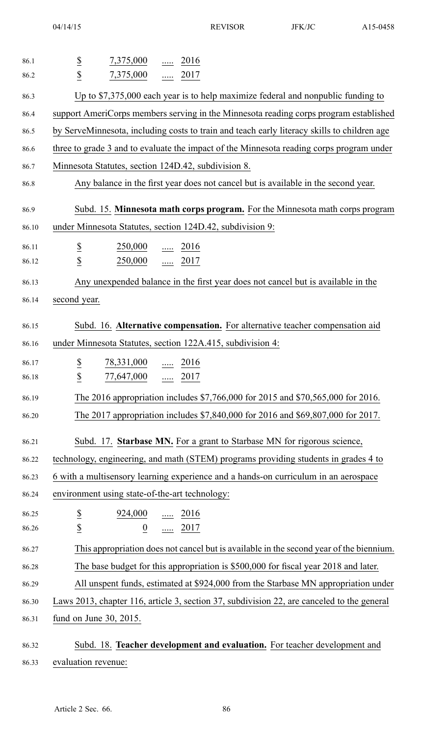| 86.1  | $7,375,000$ 2016                                                                            |
|-------|---------------------------------------------------------------------------------------------|
| 86.2  | $rac{S}{S}$<br>7,375,000  2017                                                              |
| 86.3  | Up to $$7,375,000$ each year is to help maximize federal and nonpublic funding to           |
| 86.4  | support AmeriCorps members serving in the Minnesota reading corps program established       |
| 86.5  | by ServeMinnesota, including costs to train and teach early literacy skills to children age |
| 86.6  | three to grade 3 and to evaluate the impact of the Minnesota reading corps program under    |
| 86.7  | Minnesota Statutes, section 124D.42, subdivision 8.                                         |
| 86.8  | Any balance in the first year does not cancel but is available in the second year.          |
| 86.9  | Subd. 15. Minnesota math corps program. For the Minnesota math corps program                |
| 86.10 | under Minnesota Statutes, section 124D.42, subdivision 9:                                   |
| 86.11 | $\frac{250,000}{\cdots}$ $\frac{2016}{\cdots}$                                              |
| 86.12 | $rac{S}{S}$<br>$250,000$ 2017                                                               |
| 86.13 | Any unexpended balance in the first year does not cancel but is available in the            |
| 86.14 | second year.                                                                                |
| 86.15 | Subd. 16. Alternative compensation. For alternative teacher compensation aid                |
| 86.16 | under Minnesota Statutes, section 122A.415, subdivision 4:                                  |
| 86.17 | $\overline{\mathbf{z}}$<br>$\frac{78,331,000}{}$ 2016                                       |
| 86.18 | $\overline{\mathcal{C}}$<br>$77,647,000$ 2017                                               |
| 86.19 | The 2016 appropriation includes \$7,766,000 for 2015 and \$70,565,000 for 2016.             |
| 86.20 | The 2017 appropriation includes \$7,840,000 for 2016 and \$69,807,000 for 2017.             |
| 86.21 | Subd. 17. Starbase MN. For a grant to Starbase MN for rigorous science,                     |
| 86.22 | technology, engineering, and math (STEM) programs providing students in grades 4 to         |
| 86.23 | 6 with a multisensory learning experience and a hands-on curriculum in an aerospace         |
| 86.24 | environment using state-of-the-art technology:                                              |
| 86.25 |                                                                                             |
| 86.26 | $rac{S}{S}$<br>$\frac{924,000}{0}$ 2016                                                     |
| 86.27 | This appropriation does not cancel but is available in the second year of the biennium.     |
| 86.28 | The base budget for this appropriation is \$500,000 for fiscal year 2018 and later.         |
| 86.29 | All unspent funds, estimated at \$924,000 from the Starbase MN appropriation under          |
| 86.30 | Laws 2013, chapter 116, article 3, section 37, subdivision 22, are canceled to the general  |
| 86.31 | fund on June 30, 2015.                                                                      |
| 86.32 | Subd. 18. Teacher development and evaluation. For teacher development and                   |
| 86.33 | evaluation revenue:                                                                         |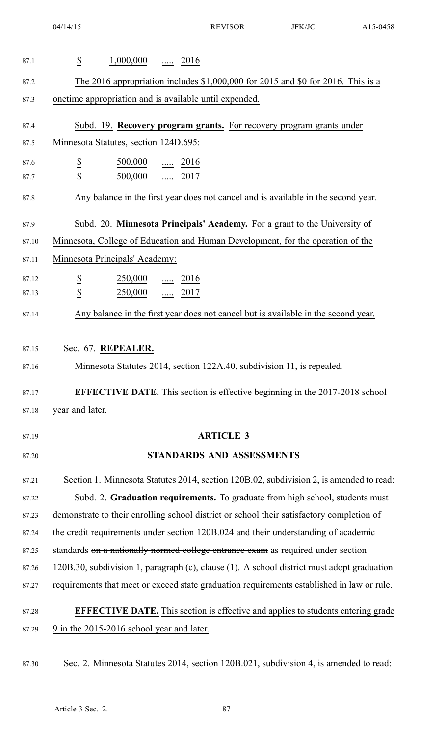| 87.1  | $\overline{\mathcal{E}}$<br>$1,000,000$ 2016                                               |
|-------|--------------------------------------------------------------------------------------------|
| 87.2  | The 2016 appropriation includes $$1,000,000$ for 2015 and $$0$ for 2016. This is a         |
| 87.3  | onetime appropriation and is available until expended.                                     |
| 87.4  | Subd. 19. Recovery program grants. For recovery program grants under                       |
| 87.5  | Minnesota Statutes, section 124D.695:                                                      |
| 87.6  | $\overline{\mathcal{E}}$<br>$\frac{500,000}{\cdots}$ $\frac{2016}{\cdots}$                 |
| 87.7  | $\overline{2}$<br>500,000  2017                                                            |
| 87.8  | Any balance in the first year does not cancel and is available in the second year.         |
| 87.9  | Subd. 20. Minnesota Principals' Academy. For a grant to the University of                  |
| 87.10 | Minnesota, College of Education and Human Development, for the operation of the            |
| 87.11 | Minnesota Principals' Academy:                                                             |
| 87.12 | $\overline{\mathcal{E}}$<br>$\frac{250,000}{\cdots}$ 2016                                  |
| 87.13 | $\overline{2}$<br>$\cdots$ 2017<br>250,000                                                 |
| 87.14 | Any balance in the first year does not cancel but is available in the second year.         |
| 87.15 | Sec. 67. REPEALER.                                                                         |
| 87.16 | Minnesota Statutes 2014, section 122A.40, subdivision 11, is repealed.                     |
| 87.17 | <b>EFFECTIVE DATE.</b> This section is effective beginning in the 2017-2018 school         |
| 87.18 | year and later.                                                                            |
| 87.19 | <b>ARTICLE 3</b>                                                                           |
| 87.20 | STANDARDS AND ASSESSMENTS                                                                  |
| 87.21 | Section 1. Minnesota Statutes 2014, section 120B.02, subdivision 2, is amended to read:    |
| 87.22 | Subd. 2. Graduation requirements. To graduate from high school, students must              |
| 87.23 | demonstrate to their enrolling school district or school their satisfactory completion of  |
| 87.24 | the credit requirements under section 120B.024 and their understanding of academic         |
| 87.25 | standards on a nationally normed college entrance exam as required under section           |
| 87.26 | 120B.30, subdivision 1, paragraph (c), clause (1). A school district must adopt graduation |
| 87.27 | requirements that meet or exceed state graduation requirements established in law or rule. |
| 87.28 | <b>EFFECTIVE DATE.</b> This section is effective and applies to students entering grade    |
| 87.29 | 9 in the 2015-2016 school year and later.                                                  |

87.30 Sec. 2. Minnesota Statutes 2014, section 120B.021, subdivision 4, is amended to read: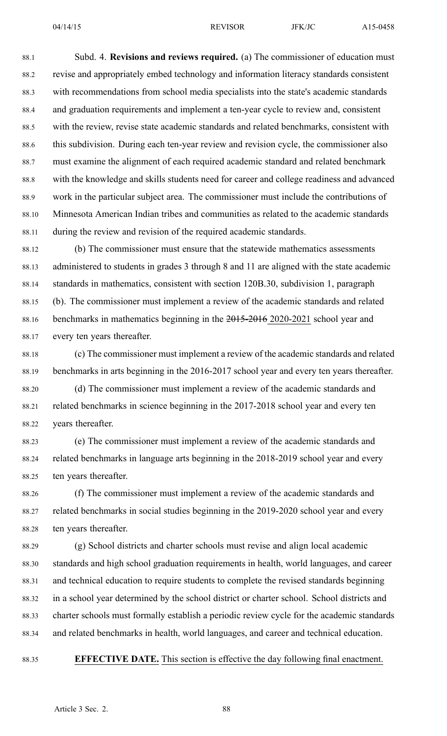88.1 Subd. 4. **Revisions and reviews required.** (a) The commissioner of education must 88.2 revise and appropriately embed technology and information literacy standards consistent 88.3 with recommendations from school media specialists into the state's academic standards 88.4 and graduation requirements and implement <sup>a</sup> ten-year cycle to review and, consistent 88.5 with the review, revise state academic standards and related benchmarks, consistent with 88.6 this subdivision. During each ten-year review and revision cycle, the commissioner also 88.7 must examine the alignment of each required academic standard and related benchmark 88.8 with the knowledge and skills students need for career and college readiness and advanced 88.9 work in the particular subject area. The commissioner must include the contributions of 88.10 Minnesota American Indian tribes and communities as related to the academic standards 88.11 during the review and revision of the required academic standards.

88.12 (b) The commissioner must ensure that the statewide mathematics assessments 88.13 administered to students in grades 3 through 8 and 11 are aligned with the state academic 88.14 standards in mathematics, consistent with section 120B.30, subdivision 1, paragraph 88.15 (b). The commissioner must implement <sup>a</sup> review of the academic standards and related 88.16 benchmarks in mathematics beginning in the 2015-2016 2020-2021 school year and 88.17 every ten years thereafter.

- 88.18 (c) The commissioner must implement <sup>a</sup> review of the academic standards and related 88.19 benchmarks in arts beginning in the 2016-2017 school year and every ten years thereafter.
- 88.20 (d) The commissioner must implement <sup>a</sup> review of the academic standards and 88.21 related benchmarks in science beginning in the 2017-2018 school year and every ten 88.22 years thereafter.
- 88.23 (e) The commissioner must implement <sup>a</sup> review of the academic standards and 88.24 related benchmarks in language arts beginning in the 2018-2019 school year and every 88.25 ten years thereafter.

88.26 (f) The commissioner must implement <sup>a</sup> review of the academic standards and 88.27 related benchmarks in social studies beginning in the 2019-2020 school year and every 88.28 ten years thereafter.

88.29 (g) School districts and charter schools must revise and align local academic 88.30 standards and high school graduation requirements in health, world languages, and career 88.31 and technical education to require students to complete the revised standards beginning 88.32 in <sup>a</sup> school year determined by the school district or charter school. School districts and 88.33 charter schools must formally establish <sup>a</sup> periodic review cycle for the academic standards 88.34 and related benchmarks in health, world languages, and career and technical education.

88.35 **EFFECTIVE DATE.** This section is effective the day following final enactment.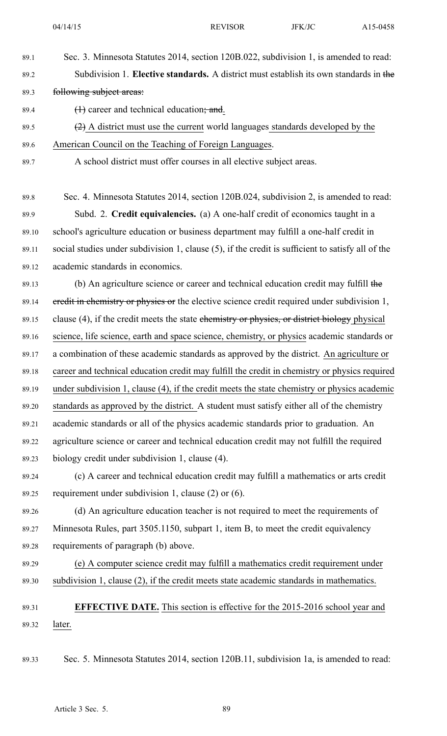89.1 Sec. 3. Minnesota Statutes 2014, section 120B.022, subdivision 1, is amended to read:

- 
- 89.2 Subdivision 1. **Elective standards.** A district must establish its own standards in the 89.3 following subject areas: 89.4  $(1)$  career and technical education; and. 89.5  $(2)$  A district must use the current world languages standards developed by the 89.6 American Council on the Teaching of Foreign Languages. 89.7 A school district must offer courses in all elective subject areas. 89.8 Sec. 4. Minnesota Statutes 2014, section 120B.024, subdivision 2, is amended to read: 89.9 Subd. 2. **Credit equivalencies.** (a) A one-half credit of economics taught in <sup>a</sup> 89.10 school's agriculture education or business department may fulfill <sup>a</sup> one-half credit in 89.11 social studies under subdivision 1, clause (5), if the credit is sufficient to satisfy all of the 89.12 academic standards in economics. 89.13 (b) An agriculture science or career and technical education credit may fulfill the 89.14 eredit in chemistry or physics or the elective science credit required under subdivision 1, 89.15 clause  $(4)$ , if the credit meets the state chemistry or physics, or district biology physical 89.16 science, life science, earth and space science, chemistry, or physics academic standards or 89.17 <sup>a</sup> combination of these academic standards as approved by the district. An agriculture or 89.18 career and technical education credit may fulfill the credit in chemistry or physics required 89.19 under subdivision 1, clause (4), if the credit meets the state chemistry or physics academic 89.20 standards as approved by the district. A student must satisfy either all of the chemistry 89.21 academic standards or all of the physics academic standards prior to graduation. An 89.22 agriculture science or career and technical education credit may not fulfill the required 89.23 biology credit under subdivision 1, clause (4). 89.24 (c) A career and technical education credit may fulfill <sup>a</sup> mathematics or arts credit 89.25 requirement under subdivision 1, clause (2) or (6). 89.26 (d) An agriculture education teacher is not required to meet the requirements of 89.27 Minnesota Rules, par<sup>t</sup> 3505.1150, subpart 1, item B, to meet the credit equivalency 89.28 requirements of paragraph (b) above. 89.29 (e) A computer science credit may fulfill <sup>a</sup> mathematics credit requirement under 89.30 subdivision 1, clause (2), if the credit meets state academic standards in mathematics. 89.31 **EFFECTIVE DATE.** This section is effective for the 2015-2016 school year and 89.32 later. 89.33 Sec. 5. Minnesota Statutes 2014, section 120B.11, subdivision 1a, is amended to read: Article 3 Sec. 5. 89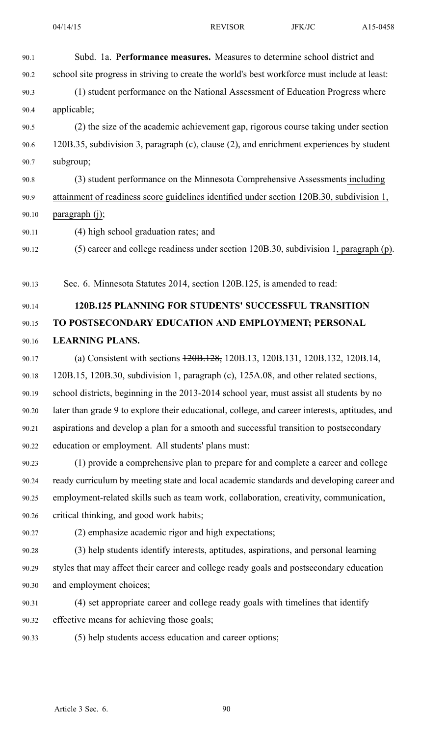90.1 Subd. 1a. **Performance measures.** Measures to determine school district and

90.2 school site progress in striving to create the world's best workforce must include at least: 90.3 (1) student performance on the National Assessment of Education Progress where 90.4 applicable; 90.5 (2) the size of the academic achievement gap, rigorous course taking under section 90.6 120B.35, subdivision 3, paragraph (c), clause (2), and enrichment experiences by student 90.7 subgroup; 90.8 (3) student performance on the Minnesota Comprehensive Assessments including 90.9 attainment of readiness score guidelines identified under section 120B.30, subdivision 1, 90.10 paragraph (j); 90.11 (4) high school graduation rates; and 90.12 (5) career and college readiness under section 120B.30, subdivision 1, paragraph (p). 90.13 Sec. 6. Minnesota Statutes 2014, section 120B.125, is amended to read: 90.14 **120B.125 PLANNING FOR STUDENTS' SUCCESSFUL TRANSITION** 90.15 **TO POSTSECONDARY EDUCATION AND EMPLOYMENT; PERSONAL** 90.16 **LEARNING PLANS.** 90.17 (a) Consistent with sections 120B.128, 120B.13, 120B.131, 120B.132, 120B.14, 90.18 120B.15, 120B.30, subdivision 1, paragraph (c), 125A.08, and other related sections, 90.19 school districts, beginning in the 2013-2014 school year, must assist all students by no 90.20 later than grade 9 to explore their educational, college, and career interests, aptitudes, and 90.21 aspirations and develop <sup>a</sup> plan for <sup>a</sup> smooth and successful transition to postsecondary 90.22 education or employment. All students' plans must: 90.23 (1) provide <sup>a</sup> comprehensive plan to prepare for and complete <sup>a</sup> career and college 90.24 ready curriculum by meeting state and local academic standards and developing career and 90.25 employment-related skills such as team work, collaboration, creativity, communication, 90.26 critical thinking, and good work habits; 90.27 (2) emphasize academic rigor and high expectations; 90.28 (3) help students identify interests, aptitudes, aspirations, and personal learning 90.29 styles that may affect their career and college ready goals and postsecondary education 90.30 and employment choices; 90.31 (4) set appropriate career and college ready goals with timelines that identify 90.32 effective means for achieving those goals; 90.33 (5) help students access education and career options; Article 3 Sec. 6. 90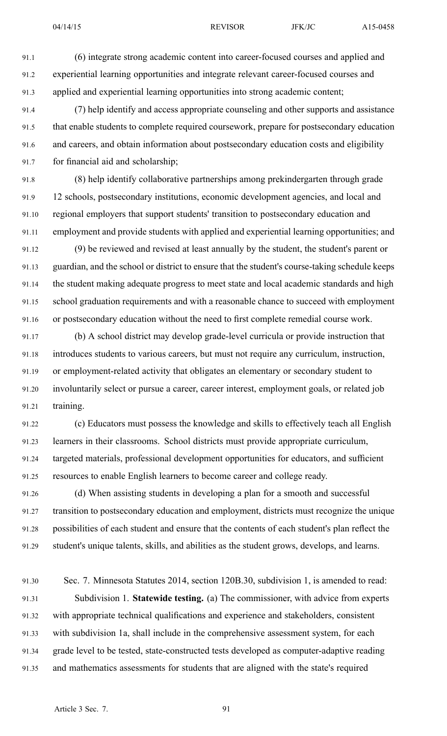91.1 (6) integrate strong academic content into career-focused courses and applied and 91.2 experiential learning opportunities and integrate relevant career-focused courses and 91.3 applied and experiential learning opportunities into strong academic content;

91.4 (7) help identify and access appropriate counseling and other supports and assistance 91.5 that enable students to complete required coursework, prepare for postsecondary education 91.6 and careers, and obtain information about postsecondary education costs and eligibility 91.7 for financial aid and scholarship;

91.8 (8) help identify collaborative partnerships among prekindergarten through grade 91.9 12 schools, postsecondary institutions, economic development agencies, and local and 91.10 regional employers that suppor<sup>t</sup> students' transition to postsecondary education and 91.11 employment and provide students with applied and experiential learning opportunities; and

91.12 (9) be reviewed and revised at least annually by the student, the student's paren<sup>t</sup> or 91.13 guardian, and the school or district to ensure that the student's course-taking schedule keeps 91.14 the student making adequate progress to meet state and local academic standards and high 91.15 school graduation requirements and with <sup>a</sup> reasonable chance to succeed with employment 91.16 or postsecondary education without the need to first complete remedial course work.

91.17 (b) A school district may develop grade-level curricula or provide instruction that 91.18 introduces students to various careers, but must not require any curriculum, instruction, 91.19 or employment-related activity that obligates an elementary or secondary student to 91.20 involuntarily select or pursue <sup>a</sup> career, career interest, employment goals, or related job 91.21 training.

91.22 (c) Educators must possess the knowledge and skills to effectively teach all English 91.23 learners in their classrooms. School districts must provide appropriate curriculum, 91.24 targeted materials, professional development opportunities for educators, and sufficient 91.25 resources to enable English learners to become career and college ready.

91.26 (d) When assisting students in developing <sup>a</sup> plan for <sup>a</sup> smooth and successful 91.27 transition to postsecondary education and employment, districts must recognize the unique 91.28 possibilities of each student and ensure that the contents of each student's plan reflect the 91.29 student's unique talents, skills, and abilities as the student grows, develops, and learns.

91.30 Sec. 7. Minnesota Statutes 2014, section 120B.30, subdivision 1, is amended to read: 91.31 Subdivision 1. **Statewide testing.** (a) The commissioner, with advice from experts 91.32 with appropriate technical qualifications and experience and stakeholders, consistent 91.33 with subdivision 1a, shall include in the comprehensive assessment system, for each 91.34 grade level to be tested, state-constructed tests developed as computer-adaptive reading 91.35 and mathematics assessments for students that are aligned with the state's required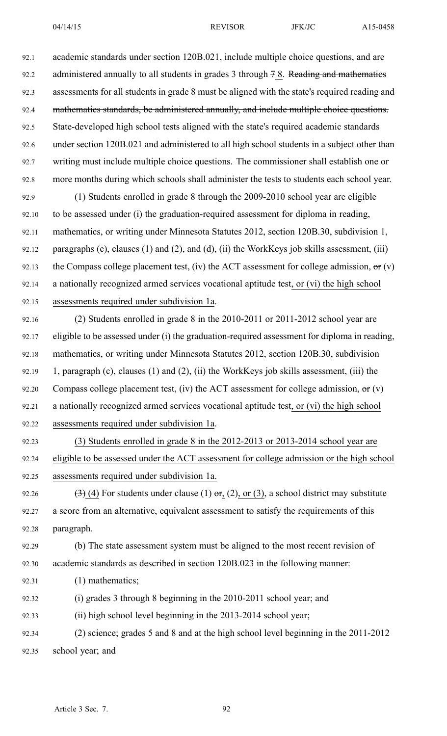| 92.1  | academic standards under section 120B.021, include multiple choice questions, and are                                            |
|-------|----------------------------------------------------------------------------------------------------------------------------------|
| 92.2  | administered annually to all students in grades 3 through 7 8. Reading and mathematics                                           |
| 92.3  | assessments for all students in grade 8 must be aligned with the state's required reading and                                    |
| 92.4  | mathematics standards, be administered annually, and include multiple choice questions.                                          |
| 92.5  | State-developed high school tests aligned with the state's required academic standards                                           |
| 92.6  | under section 120B.021 and administered to all high school students in a subject other than                                      |
| 92.7  | writing must include multiple choice questions. The commissioner shall establish one or                                          |
| 92.8  | more months during which schools shall administer the tests to students each school year.                                        |
| 92.9  | (1) Students enrolled in grade 8 through the 2009-2010 school year are eligible                                                  |
| 92.10 | to be assessed under (i) the graduation-required assessment for diploma in reading,                                              |
| 92.11 | mathematics, or writing under Minnesota Statutes 2012, section 120B.30, subdivision 1,                                           |
| 92.12 | paragraphs (c), clauses (1) and (2), and (d), (ii) the WorkKeys job skills assessment, (iii)                                     |
| 92.13 | the Compass college placement test, (iv) the ACT assessment for college admission, $\Theta$ r (v)                                |
| 92.14 | a nationally recognized armed services vocational aptitude test, or (vi) the high school                                         |
| 92.15 | assessments required under subdivision 1a.                                                                                       |
| 92.16 | (2) Students enrolled in grade 8 in the 2010-2011 or 2011-2012 school year are                                                   |
| 92.17 | eligible to be assessed under (i) the graduation-required assessment for diploma in reading,                                     |
| 92.18 | mathematics, or writing under Minnesota Statutes 2012, section 120B.30, subdivision                                              |
| 92.19 | 1, paragraph (c), clauses (1) and (2), (ii) the WorkKeys job skills assessment, (iii) the                                        |
| 92.20 | Compass college placement test, (iv) the ACT assessment for college admission, $\sigma$ (v)                                      |
| 92.21 | a nationally recognized armed services vocational aptitude test, or (vi) the high school                                         |
| 92.22 | assessments required under subdivision 1a.                                                                                       |
| 92.23 | (3) Students enrolled in grade 8 in the 2012-2013 or 2013-2014 school year are                                                   |
| 92.24 | eligible to be assessed under the ACT assessment for college admission or the high school                                        |
| 92.25 | assessments required under subdivision 1a.                                                                                       |
| 92.26 | $\left(\frac{3}{2}\right)\left(4\right)$ For students under clause (1) $\sigma$ r, (2), or (3), a school district may substitute |
| 92.27 | a score from an alternative, equivalent assessment to satisfy the requirements of this                                           |
| 92.28 | paragraph.                                                                                                                       |
| 92.29 | (b) The state assessment system must be aligned to the most recent revision of                                                   |
| 92.30 | academic standards as described in section 120B.023 in the following manner:                                                     |
| 92.31 | $(1)$ mathematics;                                                                                                               |
| 92.32 | (i) grades 3 through 8 beginning in the 2010-2011 school year; and                                                               |
| 92.33 | (ii) high school level beginning in the 2013-2014 school year;                                                                   |
| 92.34 | (2) science; grades 5 and 8 and at the high school level beginning in the 2011-2012                                              |
| 92.35 | school year; and                                                                                                                 |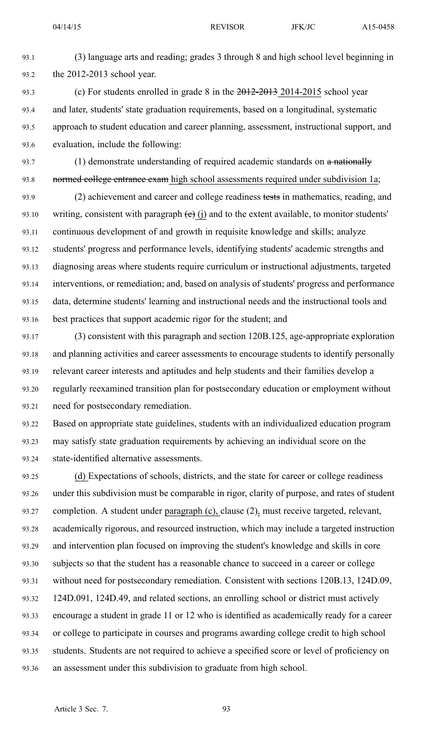93.1 (3) language arts and reading; grades 3 through 8 and high school level beginning in 93.2 the 2012-2013 school year.

93.3 (c) For students enrolled in grade 8 in the 2012-2013 2014-2015 school year 93.4 and later, students' state graduation requirements, based on <sup>a</sup> longitudinal, systematic 93.5 approach to student education and career planning, assessment, instructional support, and 93.6 evaluation, include the following:

93.7 (1) demonstrate understanding of required academic standards on a nationally 93.8 normed college entrance exam high school assessments required under subdivision 1a;

93.9 (2) achievement and career and college readiness tests in mathematics, reading, and 93.10 writing, consistent with paragraph  $(e)$  (j) and to the extent available, to monitor students' 93.11 continuous development of and growth in requisite knowledge and skills; analyze 93.12 students' progress and performance levels, identifying students' academic strengths and 93.13 diagnosing areas where students require curriculum or instructional adjustments, targeted 93.14 interventions, or remediation; and, based on analysis of students' progress and performance 93.15 data, determine students' learning and instructional needs and the instructional tools and 93.16 best practices that suppor<sup>t</sup> academic rigor for the student; and

93.17 (3) consistent with this paragraph and section 120B.125, age-appropriate exploration 93.18 and planning activities and career assessments to encourage students to identify personally 93.19 relevant career interests and aptitudes and help students and their families develop <sup>a</sup> 93.20 regularly reexamined transition plan for postsecondary education or employment without 93.21 need for postsecondary remediation.

93.22 Based on appropriate state guidelines, students with an individualized education program 93.23 may satisfy state graduation requirements by achieving an individual score on the 93.24 state-identified alternative assessments.

93.25 (d) Expectations of schools, districts, and the state for career or college readiness 93.26 under this subdivision must be comparable in rigor, clarity of purpose, and rates of student 93.27 completion. A student under paragraph  $(c)$ , clause  $(2)$ , must receive targeted, relevant, 93.28 academically rigorous, and resourced instruction, which may include <sup>a</sup> targeted instruction 93.29 and intervention plan focused on improving the student's knowledge and skills in core 93.30 subjects so that the student has <sup>a</sup> reasonable chance to succeed in <sup>a</sup> career or college 93.31 without need for postsecondary remediation. Consistent with sections 120B.13, 124D.09, 93.32 124D.091, 124D.49, and related sections, an enrolling school or district must actively 93.33 encourage <sup>a</sup> student in grade 11 or 12 who is identified as academically ready for <sup>a</sup> career 93.34 or college to participate in courses and programs awarding college credit to high school 93.35 students. Students are not required to achieve <sup>a</sup> specified score or level of proficiency on 93.36 an assessment under this subdivision to graduate from high school.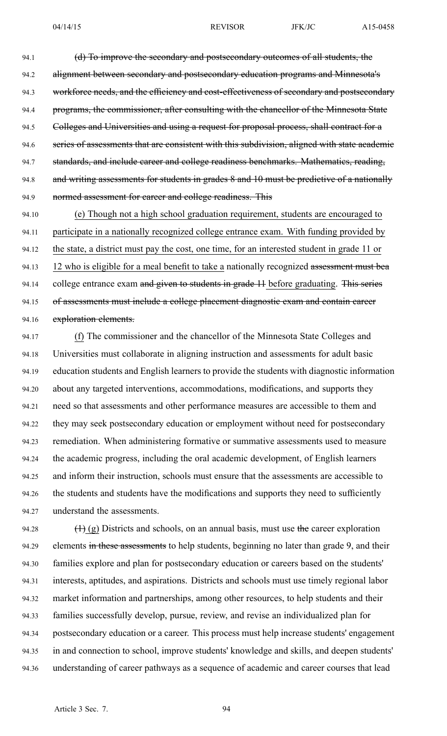94.1 (d) To improve the secondary and postsecondary outcomes of all students, the 94.2 alignment between secondary and postsecondary education programs and Minnesota's 94.3 workforce needs, and the efficiency and cost-effectiveness of secondary and postsecondary 94.4 programs, the commissioner, after consulting with the chancellor of the Minnesota State 94.5 Colleges and Universities and using a request for proposal process, shall contract for a 94.6 series of assessments that are consistent with this subdivision, aligned with state academic 94.7 standards, and include career and college readiness benchmarks. Mathematics, reading, 94.8 and writing assessments for students in grades 8 and 10 must be predictive of a nationally 94.9 normed assessment for career and college readiness. This

94.10 (e) Though not <sup>a</sup> high school graduation requirement, students are encouraged to 94.11 participate in <sup>a</sup> nationally recognized college entrance exam. With funding provided by 94.12 the state, <sup>a</sup> district must pay the cost, one time, for an interested student in grade 11 or 94.13 12 who is eligible for a meal benefit to take a nationally recognized assessment must bea 94.14 college entrance exam and given to students in grade 11 before graduating. This series 94.15 of assessments must include a college placement diagnostic exam and contain career 94.16 exploration elements.

94.17 (f) The commissioner and the chancellor of the Minnesota State Colleges and 94.18 Universities must collaborate in aligning instruction and assessments for adult basic 94.19 education students and English learners to provide the students with diagnostic information 94.20 about any targeted interventions, accommodations, modifications, and supports they 94.21 need so that assessments and other performance measures are accessible to them and 94.22 they may seek postsecondary education or employment without need for postsecondary 94.23 remediation. When administering formative or summative assessments used to measure 94.24 the academic progress, including the oral academic development, of English learners 94.25 and inform their instruction, schools must ensure that the assessments are accessible to 94.26 the students and students have the modifications and supports they need to sufficiently 94.27 understand the assessments.

94.28  $(1)$  (g) Districts and schools, on an annual basis, must use the career exploration 94.29 elements in these assessments to help students, beginning no later than grade 9, and their 94.30 families explore and plan for postsecondary education or careers based on the students' 94.31 interests, aptitudes, and aspirations. Districts and schools must use timely regional labor 94.32 market information and partnerships, among other resources, to help students and their 94.33 families successfully develop, pursue, review, and revise an individualized plan for 94.34 postsecondary education or <sup>a</sup> career. This process must help increase students' engagemen<sup>t</sup> 94.35 in and connection to school, improve students' knowledge and skills, and deepen students' 94.36 understanding of career pathways as <sup>a</sup> sequence of academic and career courses that lead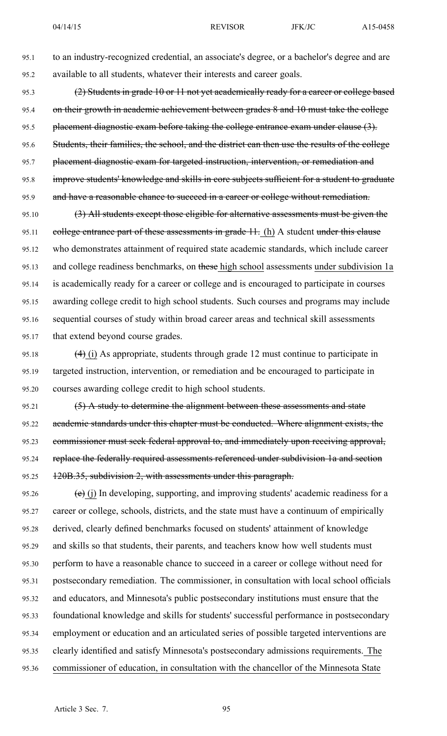95.1 to an industry-recognized credential, an associate's degree, or <sup>a</sup> bachelor's degree and are 95.2 available to all students, whatever their interests and career goals.

95.3 (2) Students in grade 10 or 11 not ye<sup>t</sup> academically ready for <sup>a</sup> career or college based 95.4 on their growth in academic achievement between grades 8 and 10 must take the college 95.5 placement diagnostic exam before taking the college entrance exam under clause (3). 95.6 Students, their families, the school, and the district can then use the results of the college 95.7 placement diagnostic exam for targeted instruction, intervention, or remediation and 95.8 improve students' knowledge and skills in core subjects sufficient for <sup>a</sup> student to graduate 95.9 and have a reasonable chance to succeed in a career or college without remediation.

95.10  $(3)$  All students except those eligible for alternative assessments must be given the 95.11 college entrance part of these assessments in grade 11. (h) A student under this clause 95.12 who demonstrates attainment of required state academic standards, which include career 95.13 and college readiness benchmarks, on these high school assessments under subdivision 1a 95.14 is academically ready for <sup>a</sup> career or college and is encouraged to participate in courses 95.15 awarding college credit to high school students. Such courses and programs may include 95.16 sequential courses of study within broad career areas and technical skill assessments 95.17 that extend beyond course grades.

95.18  $(4)$  (i) As appropriate, students through grade 12 must continue to participate in 95.19 targeted instruction, intervention, or remediation and be encouraged to participate in 95.20 courses awarding college credit to high school students.

95.21 (5) A study to determine the alignment between these assessments and state 95.22 academic standards under this chapter must be conducted. Where alignment exists, the 95.23 commissioner must seek federal approval to, and immediately upon receiving approval, 95.24 replace the federally required assessments referenced under subdivision 1a and section 95.25 120B.35, subdivision 2, with assessments under this paragraph.

95.26  $\left(e\right)$  (j) In developing, supporting, and improving students' academic readiness for a 95.27 career or college, schools, districts, and the state must have <sup>a</sup> continuum of empirically 95.28 derived, clearly defined benchmarks focused on students' attainment of knowledge 95.29 and skills so that students, their parents, and teachers know how well students must 95.30 perform to have <sup>a</sup> reasonable chance to succeed in <sup>a</sup> career or college without need for 95.31 postsecondary remediation. The commissioner, in consultation with local school officials 95.32 and educators, and Minnesota's public postsecondary institutions must ensure that the 95.33 foundational knowledge and skills for students' successful performance in postsecondary 95.34 employment or education and an articulated series of possible targeted interventions are 95.35 clearly identified and satisfy Minnesota's postsecondary admissions requirements. The 95.36 commissioner of education, in consultation with the chancellor of the Minnesota State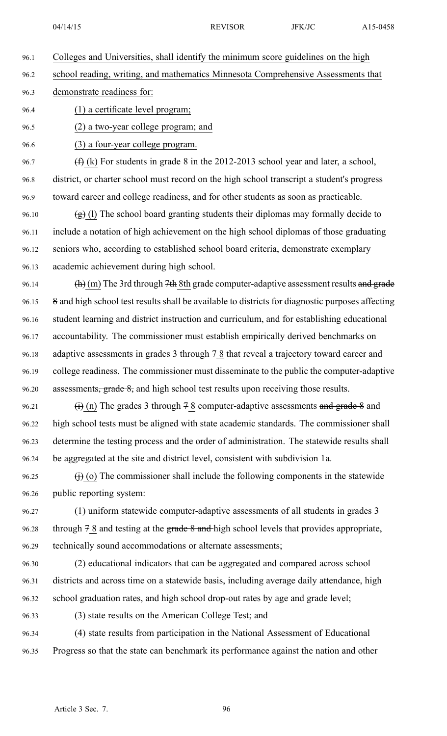- 96.1 Colleges and Universities, shall identify the minimum score guidelines on the high 96.2 school reading, writing, and mathematics Minnesota Comprehensive Assessments that 96.3 demonstrate readiness for: 96.4 (1) <sup>a</sup> certificate level program; 96.5 (2) <sup>a</sup> two-year college program; and 96.6 (3) <sup>a</sup> four-year college program. 96.7  $(f)$  (k) For students in grade 8 in the 2012-2013 school year and later, a school, 96.8 district, or charter school must record on the high school transcript <sup>a</sup> student's progress 96.9 toward career and college readiness, and for other students as soon as practicable. 96.10  $(g)$  (l) The school board granting students their diplomas may formally decide to 96.11 include <sup>a</sup> notation of high achievement on the high school diplomas of those graduating 96.12 seniors who, according to established school board criteria, demonstrate exemplary 96.13 academic achievement during high school. 96.14 (h) (m) The 3rd through 7th 8th grade computer-adaptive assessment results and grade 96.15 8 and high school test results shall be available to districts for diagnostic purposes affecting 96.16 student learning and district instruction and curriculum, and for establishing educational 96.17 accountability. The commissioner must establish empirically derived benchmarks on 96.18 adaptive assessments in grades 3 through 7 8 that reveal <sup>a</sup> trajectory toward career and 96.19 college readiness. The commissioner must disseminate to the public the computer-adaptive 96.20 assessments<del>, grade 8,</del> and high school test results upon receiving those results. 96.21  $(i)$  (n) The grades 3 through 7 8 computer-adaptive assessments and grade 8 and 96.22 high school tests must be aligned with state academic standards. The commissioner shall 96.23 determine the testing process and the order of administration. The statewide results shall 96.24 be aggregated at the site and district level, consistent with subdivision 1a. 96.25  $(i)$  (o) The commissioner shall include the following components in the statewide 96.26 public reporting system: 96.27 (1) uniform statewide computer-adaptive assessments of all students in grades 3 96.28 through  $78$  and testing at the grade  $8$  and high school levels that provides appropriate, 96.29 technically sound accommodations or alternate assessments;
- 96.30 (2) educational indicators that can be aggregated and compared across school 96.31 districts and across time on <sup>a</sup> statewide basis, including average daily attendance, high 96.32 school graduation rates, and high school drop-out rates by age and grade level;
- 

96.33 (3) state results on the American College Test; and

96.34 (4) state results from participation in the National Assessment of Educational 96.35 Progress so that the state can benchmark its performance against the nation and other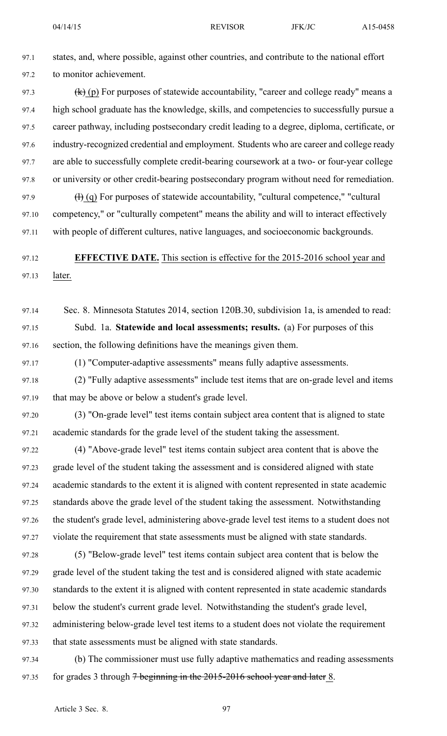97.2 to monitor achievement.

04/14/15 **REVISOR** JFK/JC A15-0458

97.1 states, and, where possible, against other countries, and contribute to the national effort

97.3  $(k)$  (p) For purposes of statewide accountability, "career and college ready" means a 97.4 high school graduate has the knowledge, skills, and competencies to successfully pursue <sup>a</sup> 97.5 career pathway, including postsecondary credit leading to <sup>a</sup> degree, diploma, certificate, or 97.6 industry-recognized credential and employment. Students who are career and college ready 97.7 are able to successfully complete credit-bearing coursework at <sup>a</sup> two- or four-year college 97.8 or university or other credit-bearing postsecondary program without need for remediation. 97.9  $\left(\frac{1}{1}\right)$  (q) For purposes of statewide accountability, "cultural competence," "cultural 97.10 competency," or "culturally competent" means the ability and will to interact effectively 97.11 with people of different cultures, native languages, and socioeconomic backgrounds. 97.12 **EFFECTIVE DATE.** This section is effective for the 2015-2016 school year and 97.13 later. 97.14 Sec. 8. Minnesota Statutes 2014, section 120B.30, subdivision 1a, is amended to read: 97.15 Subd. 1a. **Statewide and local assessments; results.** (a) For purposes of this 97.16 section, the following definitions have the meanings given them. 97.17 (1) "Computer-adaptive assessments" means fully adaptive assessments. 97.18 (2) "Fully adaptive assessments" include test items that are on-grade level and items 97.19 that may be above or below <sup>a</sup> student's grade level. 97.20 (3) "On-grade level" test items contain subject area content that is aligned to state 97.21 academic standards for the grade level of the student taking the assessment. 97.22 (4) "Above-grade level" test items contain subject area content that is above the 97.23 grade level of the student taking the assessment and is considered aligned with state 97.24 academic standards to the extent it is aligned with content represented in state academic 97.25 standards above the grade level of the student taking the assessment. Notwithstanding 97.26 the student's grade level, administering above-grade level test items to <sup>a</sup> student does not 97.27 violate the requirement that state assessments must be aligned with state standards. 97.28 (5) "Below-grade level" test items contain subject area content that is below the 97.29 grade level of the student taking the test and is considered aligned with state academic 97.30 standards to the extent it is aligned with content represented in state academic standards 97.31 below the student's current grade level. Notwithstanding the student's grade level, 97.32 administering below-grade level test items to <sup>a</sup> student does not violate the requirement 97.33 that state assessments must be aligned with state standards. 97.34 (b) The commissioner must use fully adaptive mathematics and reading assessments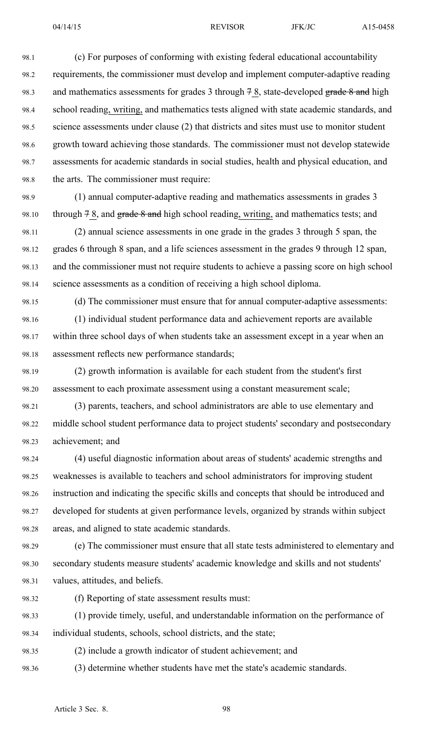98.1 (c) For purposes of conforming with existing federal educational accountability 98.2 requirements, the commissioner must develop and implement computer-adaptive reading 98.3 and mathematics assessments for grades 3 through  $78$ , state-developed grade  $8$  and high 98.4 school reading, writing, and mathematics tests aligned with state academic standards, and 98.5 science assessments under clause (2) that districts and sites must use to monitor student 98.6 growth toward achieving those standards. The commissioner must not develop statewide 98.7 assessments for academic standards in social studies, health and physical education, and 98.8 the arts. The commissioner must require:

98.9 (1) annual computer-adaptive reading and mathematics assessments in grades 3 98.10 through  $78$ , and grade  $8$  and high school reading, writing, and mathematics tests; and

98.11 (2) annual science assessments in one grade in the grades 3 through 5 span, the 98.12 grades 6 through 8 span, and <sup>a</sup> life sciences assessment in the grades 9 through 12 span, 98.13 and the commissioner must not require students to achieve <sup>a</sup> passing score on high school 98.14 science assessments as <sup>a</sup> condition of receiving <sup>a</sup> high school diploma.

98.15 (d) The commissioner must ensure that for annual computer-adaptive assessments:

98.16 (1) individual student performance data and achievement reports are available 98.17 within three school days of when students take an assessment excep<sup>t</sup> in <sup>a</sup> year when an 98.18 assessment reflects new performance standards;

98.19 (2) growth information is available for each student from the student's first 98.20 assessment to each proximate assessment using <sup>a</sup> constant measurement scale;

98.21 (3) parents, teachers, and school administrators are able to use elementary and 98.22 middle school student performance data to project students' secondary and postsecondary 98.23 achievement; and

98.24 (4) useful diagnostic information about areas of students' academic strengths and 98.25 weaknesses is available to teachers and school administrators for improving student 98.26 instruction and indicating the specific skills and concepts that should be introduced and 98.27 developed for students at given performance levels, organized by strands within subject 98.28 areas, and aligned to state academic standards.

98.29 (e) The commissioner must ensure that all state tests administered to elementary and 98.30 secondary students measure students' academic knowledge and skills and not students' 98.31 values, attitudes, and beliefs.

98.32 (f) Reporting of state assessment results must:

98.33 (1) provide timely, useful, and understandable information on the performance of 98.34 individual students, schools, school districts, and the state;

98.35 (2) include <sup>a</sup> growth indicator of student achievement; and

98.36 (3) determine whether students have met the state's academic standards.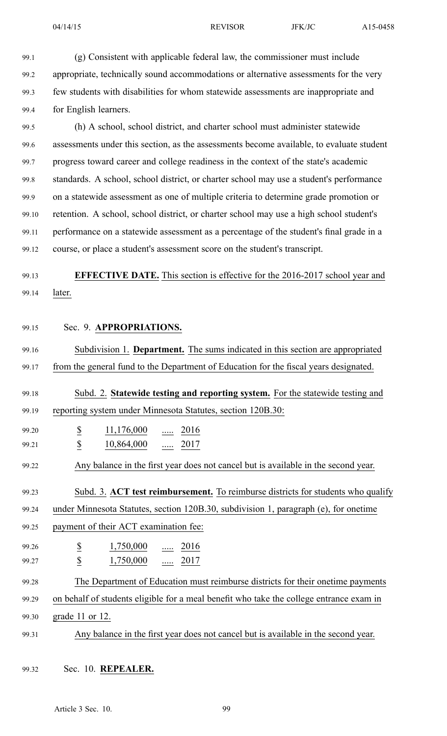- 99.1 (g) Consistent with applicable federal law, the commissioner must include 99.2 appropriate, technically sound accommodations or alternative assessments for the very 99.3 few students with disabilities for whom statewide assessments are inappropriate and 99.4 for English learners. 99.5 (h) A school, school district, and charter school must administer statewide 99.6 assessments under this section, as the assessments become available, to evaluate student 99.7 progress toward career and college readiness in the context of the state's academic 99.8 standards. A school, school district, or charter school may use <sup>a</sup> student's performance 99.9 on <sup>a</sup> statewide assessment as one of multiple criteria to determine grade promotion or 99.10 retention. A school, school district, or charter school may use <sup>a</sup> high school student's 99.11 performance on <sup>a</sup> statewide assessment as <sup>a</sup> percentage of the student's final grade in <sup>a</sup> 99.12 course, or place <sup>a</sup> student's assessment score on the student's transcript. 99.13 **EFFECTIVE DATE.** This section is effective for the 2016-2017 school year and 99.14 later. 99.15 Sec. 9. **APPROPRIATIONS.** 99.16 Subdivision 1. **Department.** The sums indicated in this section are appropriated 99.17 from the general fund to the Department of Education for the fiscal years designated. 99.18 Subd. 2. **Statewide testing and reporting system.** For the statewide testing and 99.19 reporting system under Minnesota Statutes, section 120B.30: 99.20 \$ 11,176,000 ..... 2016 99.21 **\$** 10,864,000 ..... 2017 99.22 Any balance in the first year does not cancel but is available in the second year. 99.23 Subd. 3. **ACT test reimbursement.** To reimburse districts for students who qualify 99.24 under Minnesota Statutes, section 120B.30, subdivision 1, paragraph (e), for onetime 99.25 paymen<sup>t</sup> of their ACT examination fee: 99.26 \$ 1,750,000 ..... 2016 99.27 \$ 1,750,000 ..... 2017 99.28 The Department of Education must reimburse districts for their onetime payments 99.29 on behalf of students eligible for <sup>a</sup> meal benefit who take the college entrance exam in 99.30 grade 11 or 12. 99.31 Any balance in the first year does not cancel but is available in the second year.
	- 99.32 Sec. 10. **REPEALER.**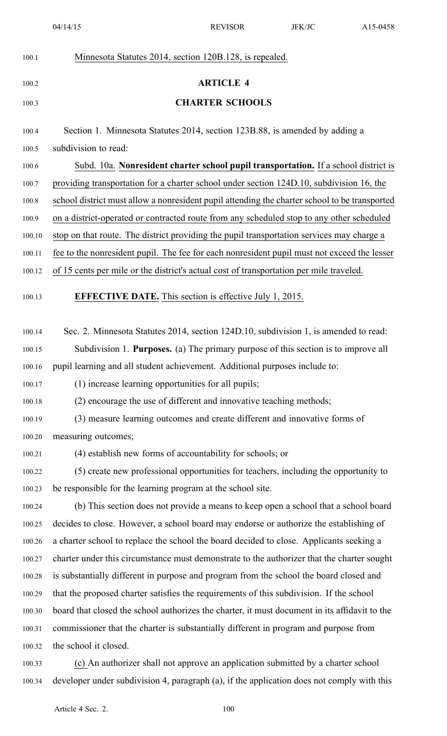| 100.1  | Minnesota Statutes 2014, section 120B.128, is repealed.                                       |
|--------|-----------------------------------------------------------------------------------------------|
| 100.2  | <b>ARTICLE 4</b>                                                                              |
| 100.3  | <b>CHARTER SCHOOLS</b>                                                                        |
| 100.4  | Section 1. Minnesota Statutes 2014, section 123B.88, is amended by adding a                   |
| 100.5  | subdivision to read:                                                                          |
| 100.6  | Subd. 10a. Nonresident charter school pupil transportation. If a school district is           |
| 100.7  | providing transportation for a charter school under section 124D.10, subdivision 16, the      |
| 100.8  | school district must allow a nonresident pupil attending the charter school to be transported |
| 100.9  | on a district-operated or contracted route from any scheduled stop to any other scheduled     |
| 100.10 | stop on that route. The district providing the pupil transportation services may charge a     |
| 100.11 | fee to the nonresident pupil. The fee for each nonresident pupil must not exceed the lesser   |
| 100.12 | of 15 cents per mile or the district's actual cost of transportation per mile traveled.       |
| 100.13 | <b>EFFECTIVE DATE.</b> This section is effective July 1, 2015.                                |
| 100.14 | Sec. 2. Minnesota Statutes 2014, section 124D.10, subdivision 1, is amended to read:          |
| 100.15 | Subdivision 1. <b>Purposes.</b> (a) The primary purpose of this section is to improve all     |
| 100.16 | pupil learning and all student achievement. Additional purposes include to:                   |
| 100.17 | (1) increase learning opportunities for all pupils;                                           |
| 100.18 | (2) encourage the use of different and innovative teaching methods;                           |
| 100.19 | (3) measure learning outcomes and create different and innovative forms of                    |
| 100.20 | measuring outcomes;                                                                           |
| 100.21 | (4) establish new forms of accountability for schools; or                                     |
| 100.22 | (5) create new professional opportunities for teachers, including the opportunity to          |
| 100.23 | be responsible for the learning program at the school site.                                   |
| 100.24 | (b) This section does not provide a means to keep open a school that a school board           |
| 100.25 | decides to close. However, a school board may endorse or authorize the establishing of        |
| 100.26 | a charter school to replace the school the board decided to close. Applicants seeking a       |
| 100.27 | charter under this circumstance must demonstrate to the authorizer that the charter sought    |
| 100.28 | is substantially different in purpose and program from the school the board closed and        |
| 100.29 | that the proposed charter satisfies the requirements of this subdivision. If the school       |
| 100.30 | board that closed the school authorizes the charter, it must document in its affidavit to the |
| 100.31 | commissioner that the charter is substantially different in program and purpose from          |
| 100.32 | the school it closed.                                                                         |
| 100.33 | (c) An authorizer shall not approve an application submitted by a charter school              |
| 100.34 | developer under subdivision 4, paragraph (a), if the application does not comply with this    |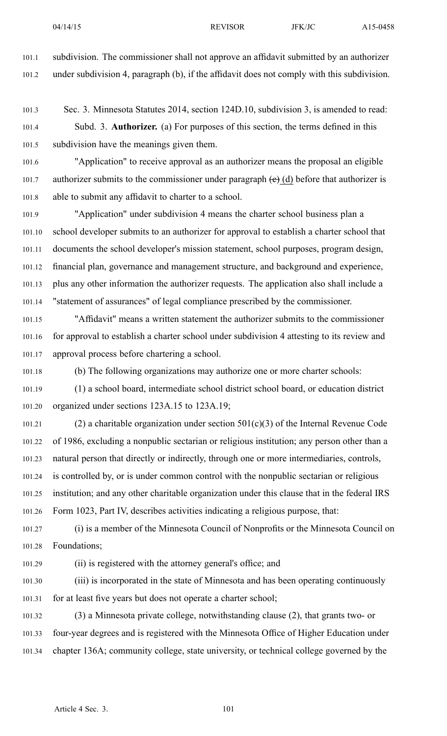101.1 subdivision. The commissioner shall not approve an affidavit submitted by an authorizer 101.2 under subdivision 4, paragraph (b), if the affidavit does not comply with this subdivision.

101.3 Sec. 3. Minnesota Statutes 2014, section 124D.10, subdivision 3, is amended to read: 101.4 Subd. 3. **Authorizer.** (a) For purposes of this section, the terms defined in this 101.5 subdivision have the meanings given them.

101.6 "Application" to receive approval as an authorizer means the proposal an eligible 101.7 authorizer submits to the commissioner under paragraph  $(e)$  (d) before that authorizer is 101.8 able to submit any affidavit to charter to <sup>a</sup> school.

101.9 "Application" under subdivision 4 means the charter school business plan <sup>a</sup> 101.10 school developer submits to an authorizer for approval to establish <sup>a</sup> charter school that 101.11 documents the school developer's mission statement, school purposes, program design, 101.12 financial plan, governance and managemen<sup>t</sup> structure, and background and experience, 101.13 plus any other information the authorizer requests. The application also shall include <sup>a</sup> 101.14 "statement of assurances" of legal compliance prescribed by the commissioner.

101.15 "Affidavit" means <sup>a</sup> written statement the authorizer submits to the commissioner 101.16 for approval to establish <sup>a</sup> charter school under subdivision 4 attesting to its review and 101.17 approval process before chartering <sup>a</sup> school.

101.18 (b) The following organizations may authorize one or more charter schools:

101.19 (1) <sup>a</sup> school board, intermediate school district school board, or education district 101.20 organized under sections 123A.15 to 123A.19;

101.21 (2) a charitable organization under section  $501(c)(3)$  of the Internal Revenue Code 101.22 of 1986, excluding <sup>a</sup> nonpublic sectarian or religious institution; any person other than <sup>a</sup> 101.23 natural person that directly or indirectly, through one or more intermediaries, controls, 101.24 is controlled by, or is under common control with the nonpublic sectarian or religious 101.25 institution; and any other charitable organization under this clause that in the federal IRS 101.26 Form 1023, Part IV, describes activities indicating <sup>a</sup> religious purpose, that:

101.27 (i) is <sup>a</sup> member of the Minnesota Council of Nonprofits or the Minnesota Council on 101.28 Foundations;

101.29 (ii) is registered with the attorney general's office; and

101.30 (iii) is incorporated in the state of Minnesota and has been operating continuously 101.31 for at least five years but does not operate <sup>a</sup> charter school;

101.32 (3) <sup>a</sup> Minnesota private college, notwithstanding clause (2), that grants two- or 101.33 four-year degrees and is registered with the Minnesota Office of Higher Education under 101.34 chapter 136A; community college, state university, or technical college governed by the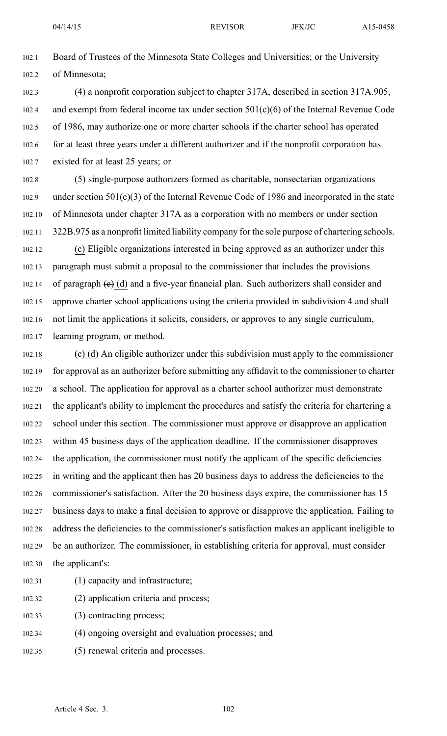102.1 Board of Trustees of the Minnesota State Colleges and Universities; or the University 102.2 of Minnesota;

- 102.3 (4) <sup>a</sup> nonprofit corporation subject to chapter 317A, described in section 317A.905, 102.4 and exemp<sup>t</sup> from federal income tax under section 501(c)(6) of the Internal Revenue Code 102.5 of 1986, may authorize one or more charter schools if the charter school has operated 102.6 for at least three years under <sup>a</sup> different authorizer and if the nonprofit corporation has 102.7 existed for at least 25 years; or
- 102.8 (5) single-purpose authorizers formed as charitable, nonsectarian organizations 102.9 under section 501(c)(3) of the Internal Revenue Code of 1986 and incorporated in the state 102.10 of Minnesota under chapter 317A as <sup>a</sup> corporation with no members or under section 102.11 322B.975 as <sup>a</sup> nonprofit limited liability company for the sole purpose of chartering schools.
- 102.12 (c) Eligible organizations interested in being approved as an authorizer under this 102.13 paragraph must submit <sup>a</sup> proposal to the commissioner that includes the provisions 102.14 of paragraph  $(e)$  (d) and a five-year financial plan. Such authorizers shall consider and 102.15 approve charter school applications using the criteria provided in subdivision 4 and shall 102.16 not limit the applications it solicits, considers, or approves to any single curriculum, 102.17 learning program, or method.
- 102.18  $\left(\text{e}\right)$  (d) An eligible authorizer under this subdivision must apply to the commissioner 102.19 for approval as an authorizer before submitting any affidavit to the commissioner to charter 102.20 <sup>a</sup> school. The application for approval as <sup>a</sup> charter school authorizer must demonstrate 102.21 the applicant's ability to implement the procedures and satisfy the criteria for chartering <sup>a</sup> 102.22 school under this section. The commissioner must approve or disapprove an application 102.23 within 45 business days of the application deadline. If the commissioner disapproves 102.24 the application, the commissioner must notify the applicant of the specific deficiencies 102.25 in writing and the applicant then has 20 business days to address the deficiencies to the 102.26 commissioner's satisfaction. After the 20 business days expire, the commissioner has 15 102.27 business days to make <sup>a</sup> final decision to approve or disapprove the application. Failing to 102.28 address the deficiencies to the commissioner's satisfaction makes an applicant ineligible to 102.29 be an authorizer. The commissioner, in establishing criteria for approval, must consider 102.30 the applicant's:
- 102.31 (1) capacity and infrastructure;
- 102.32 (2) application criteria and process;
- 102.33 (3) contracting process;
- 102.34 (4) ongoing oversight and evaluation processes; and
- 102.35 (5) renewal criteria and processes.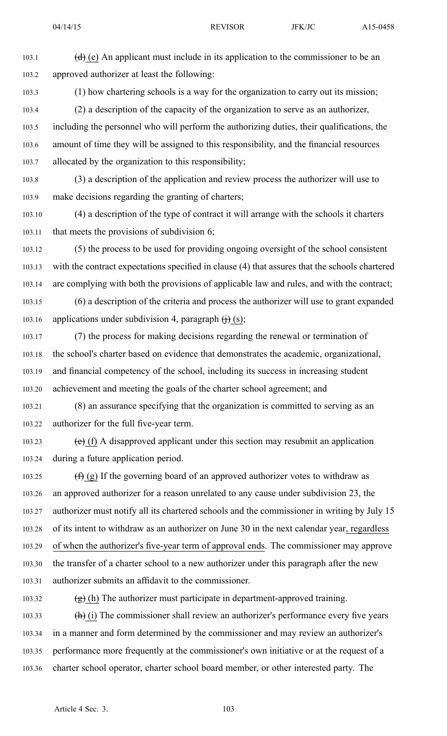103.1 (d) (e) An applicant must include in its application to the commissioner to be an 103.2 approved authorizer at least the following:

103.3 (1) how chartering schools is <sup>a</sup> way for the organization to carry out its mission;

103.4 (2) <sup>a</sup> description of the capacity of the organization to serve as an authorizer, 103.5 including the personnel who will perform the authorizing duties, their qualifications, the 103.6 amount of time they will be assigned to this responsibility, and the financial resources 103.7 allocated by the organization to this responsibility;

103.8 (3) <sup>a</sup> description of the application and review process the authorizer will use to 103.9 make decisions regarding the granting of charters;

103.10 (4) <sup>a</sup> description of the type of contract it will arrange with the schools it charters 103.11 that meets the provisions of subdivision 6;

103.12 (5) the process to be used for providing ongoing oversight of the school consistent 103.13 with the contract expectations specified in clause (4) that assures that the schools chartered 103.14 are complying with both the provisions of applicable law and rules, and with the contract;

103.15 (6) <sup>a</sup> description of the criteria and process the authorizer will use to gran<sup>t</sup> expanded 103.16 applications under subdivision 4, paragraph  $\leftrightarrow$  (s);

103.17 (7) the process for making decisions regarding the renewal or termination of 103.18 the school's charter based on evidence that demonstrates the academic, organizational, 103.19 and financial competency of the school, including its success in increasing student 103.20 achievement and meeting the goals of the charter school agreement; and

103.21 (8) an assurance specifying that the organization is committed to serving as an 103.22 authorizer for the full five-year term.

103.23 (e) (f) A disapproved applicant under this section may resubmit an application 103.24 during <sup>a</sup> future application period.

103.25  $(f)(g)$  If the governing board of an approved authorizer votes to withdraw as 103.26 an approved authorizer for <sup>a</sup> reason unrelated to any cause under subdivision 23, the 103.27 authorizer must notify all its chartered schools and the commissioner in writing by July 15 103.28 of its intent to withdraw as an authorizer on June 30 in the next calendar year, regardless 103.29 of when the authorizer's five-year term of approval ends. The commissioner may approve 103.30 the transfer of <sup>a</sup> charter school to <sup>a</sup> new authorizer under this paragraph after the new 103.31 authorizer submits an affidavit to the commissioner.

103.32  $(g)$  (h) The authorizer must participate in department-approved training. 103.33  $(h)$  (i) The commissioner shall review an authorizer's performance every five years 103.34 in <sup>a</sup> manner and form determined by the commissioner and may review an authorizer's 103.35 performance more frequently at the commissioner's own initiative or at the reques<sup>t</sup> of <sup>a</sup> 103.36 charter school operator, charter school board member, or other interested party. The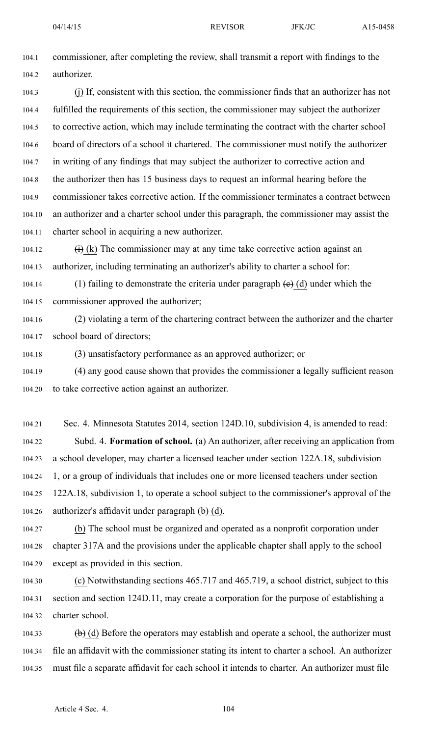104.1 commissioner, after completing the review, shall transmit <sup>a</sup> repor<sup>t</sup> with findings to the 104.2 authorizer.

104.3 (j) If, consistent with this section, the commissioner finds that an authorizer has not 104.4 fulfilled the requirements of this section, the commissioner may subject the authorizer 104.5 to corrective action, which may include terminating the contract with the charter school 104.6 board of directors of <sup>a</sup> school it chartered. The commissioner must notify the authorizer 104.7 in writing of any findings that may subject the authorizer to corrective action and 104.8 the authorizer then has 15 business days to reques<sup>t</sup> an informal hearing before the 104.9 commissioner takes corrective action. If the commissioner terminates <sup>a</sup> contract between 104.10 an authorizer and <sup>a</sup> charter school under this paragraph, the commissioner may assist the 104.11 charter school in acquiring <sup>a</sup> new authorizer.

104.12  $(i)$  (k) The commissioner may at any time take corrective action against an 104.13 authorizer, including terminating an authorizer's ability to charter <sup>a</sup> school for:

104.14 (1) failing to demonstrate the criteria under paragraph  $(e)$  (d) under which the 104.15 commissioner approved the authorizer;

104.16 (2) violating <sup>a</sup> term of the chartering contract between the authorizer and the charter 104.17 school board of directors;

104.18 (3) unsatisfactory performance as an approved authorizer; or

104.19 (4) any good cause shown that provides the commissioner <sup>a</sup> legally sufficient reason 104.20 to take corrective action against an authorizer.

104.21 Sec. 4. Minnesota Statutes 2014, section 124D.10, subdivision 4, is amended to read: 104.22 Subd. 4. **Formation of school.** (a) An authorizer, after receiving an application from 104.23 <sup>a</sup> school developer, may charter <sup>a</sup> licensed teacher under section 122A.18, subdivision 104.24 1, or <sup>a</sup> group of individuals that includes one or more licensed teachers under section 104.25 122A.18, subdivision 1, to operate <sup>a</sup> school subject to the commissioner's approval of the 104.26 authorizer's affidavit under paragraph  $(\theta)$  (d).

104.27 (b) The school must be organized and operated as <sup>a</sup> nonprofit corporation under 104.28 chapter 317A and the provisions under the applicable chapter shall apply to the school 104.29 excep<sup>t</sup> as provided in this section.

104.30 (c) Notwithstanding sections 465.717 and 465.719, <sup>a</sup> school district, subject to this 104.31 section and section 124D.11, may create <sup>a</sup> corporation for the purpose of establishing <sup>a</sup> 104.32 charter school.

104.33 (b) (d) Before the operators may establish and operate a school, the authorizer must 104.34 file an affidavit with the commissioner stating its intent to charter <sup>a</sup> school. An authorizer 104.35 must file <sup>a</sup> separate affidavit for each school it intends to charter. An authorizer must file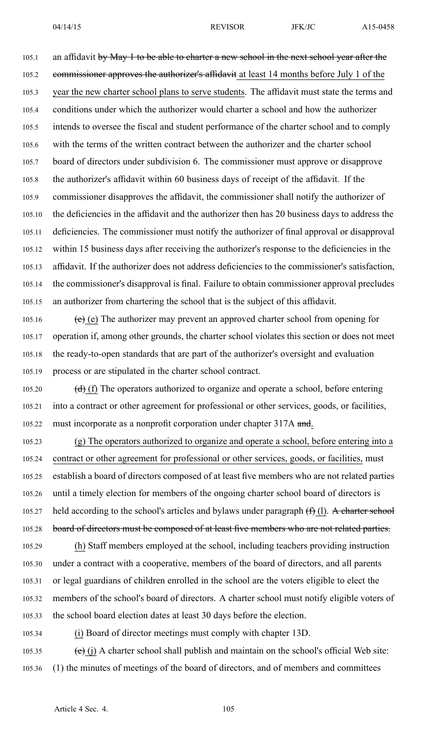105.1 an affidavit by May 1 to be able to charter a new school in the next school year after the 105.2 commissioner approves the authorizer's affidavit at least 14 months before July 1 of the 105.3 year the new charter school plans to serve students. The affidavit must state the terms and 105.4 conditions under which the authorizer would charter <sup>a</sup> school and how the authorizer 105.5 intends to oversee the fiscal and student performance of the charter school and to comply 105.6 with the terms of the written contract between the authorizer and the charter school 105.7 board of directors under subdivision 6. The commissioner must approve or disapprove 105.8 the authorizer's affidavit within 60 business days of receipt of the affidavit. If the 105.9 commissioner disapproves the affidavit, the commissioner shall notify the authorizer of 105.10 the deficiencies in the affidavit and the authorizer then has 20 business days to address the 105.11 deficiencies. The commissioner must notify the authorizer of final approval or disapproval 105.12 within 15 business days after receiving the authorizer's response to the deficiencies in the 105.13 affidavit. If the authorizer does not address deficiencies to the commissioner's satisfaction, 105.14 the commissioner's disapproval is final. Failure to obtain commissioner approval precludes 105.15 an authorizer from chartering the school that is the subject of this affidavit.

105.16 (e) The authorizer may prevent an approved charter school from opening for 105.17 operation if, among other grounds, the charter school violates this section or does not meet 105.18 the ready-to-open standards that are par<sup>t</sup> of the authorizer's oversight and evaluation 105.19 process or are stipulated in the charter school contract.

105.20 (d) (f) The operators authorized to organize and operate a school, before entering 105.21 into <sup>a</sup> contract or other agreemen<sup>t</sup> for professional or other services, goods, or facilities, 105.22 must incorporate as a nonprofit corporation under chapter 317A and.

105.23 (g) The operators authorized to organize and operate <sup>a</sup> school, before entering into <sup>a</sup> 105.24 contract or other agreemen<sup>t</sup> for professional or other services, goods, or facilities, must 105.25 establish <sup>a</sup> board of directors composed of at least five members who are not related parties 105.26 until <sup>a</sup> timely election for members of the ongoing charter school board of directors is 105.27 held according to the school's articles and bylaws under paragraph  $(\text{f})$  (1). A charter school 105.28 board of directors must be composed of at least five members who are not related parties. 105.29 (h) Staff members employed at the school, including teachers providing instruction

105.30 under <sup>a</sup> contract with <sup>a</sup> cooperative, members of the board of directors, and all parents 105.31 or legal guardians of children enrolled in the school are the voters eligible to elect the 105.32 members of the school's board of directors. A charter school must notify eligible voters of 105.33 the school board election dates at least 30 days before the election.

105.34 (i) Board of director meetings must comply with chapter 13D.

105.35 (e) (j) A charter school shall publish and maintain on the school's official Web site: 105.36 (1) the minutes of meetings of the board of directors, and of members and committees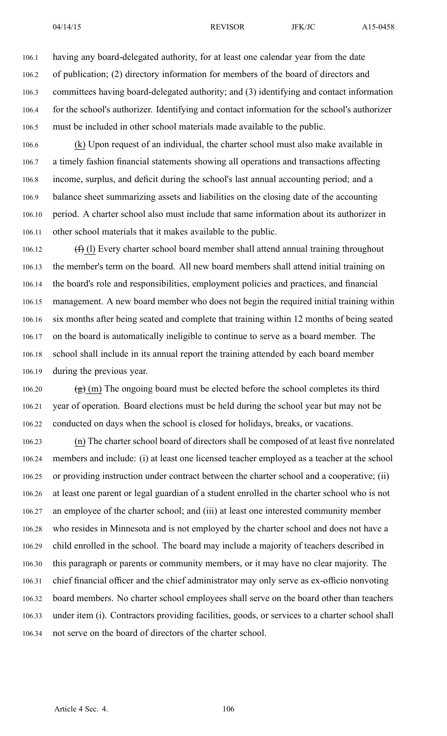106.1 having any board-delegated authority, for at least one calendar year from the date 106.2 of publication; (2) directory information for members of the board of directors and 106.3 committees having board-delegated authority; and (3) identifying and contact information 106.4 for the school's authorizer. Identifying and contact information for the school's authorizer 106.5 must be included in other school materials made available to the public.

106.6 (k) Upon reques<sup>t</sup> of an individual, the charter school must also make available in 106.7 <sup>a</sup> timely fashion financial statements showing all operations and transactions affecting 106.8 income, surplus, and deficit during the school's last annual accounting period; and <sup>a</sup> 106.9 balance sheet summarizing assets and liabilities on the closing date of the accounting 106.10 period. A charter school also must include that same information about its authorizer in 106.11 other school materials that it makes available to the public.

106.12  $(f)$  (l) Every charter school board member shall attend annual training throughout 106.13 the member's term on the board. All new board members shall attend initial training on 106.14 the board's role and responsibilities, employment policies and practices, and financial 106.15 management. A new board member who does not begin the required initial training within 106.16 six months after being seated and complete that training within 12 months of being seated 106.17 on the board is automatically ineligible to continue to serve as <sup>a</sup> board member. The 106.18 school shall include in its annual repor<sup>t</sup> the training attended by each board member 106.19 during the previous year.

106.20  $\left(\frac{g}{g}\right)$  (m) The ongoing board must be elected before the school completes its third 106.21 year of operation. Board elections must be held during the school year but may not be 106.22 conducted on days when the school is closed for holidays, breaks, or vacations.

106.23 (n) The charter school board of directors shall be composed of at least five nonrelated 106.24 members and include: (i) at least one licensed teacher employed as <sup>a</sup> teacher at the school 106.25 or providing instruction under contract between the charter school and <sup>a</sup> cooperative; (ii) 106.26 at least one paren<sup>t</sup> or legal guardian of <sup>a</sup> student enrolled in the charter school who is not 106.27 an employee of the charter school; and (iii) at least one interested community member 106.28 who resides in Minnesota and is not employed by the charter school and does not have <sup>a</sup> 106.29 child enrolled in the school. The board may include <sup>a</sup> majority of teachers described in 106.30 this paragraph or parents or community members, or it may have no clear majority. The 106.31 chief financial officer and the chief administrator may only serve as ex-officio nonvoting 106.32 board members. No charter school employees shall serve on the board other than teachers 106.33 under item (i). Contractors providing facilities, goods, or services to <sup>a</sup> charter school shall 106.34 not serve on the board of directors of the charter school.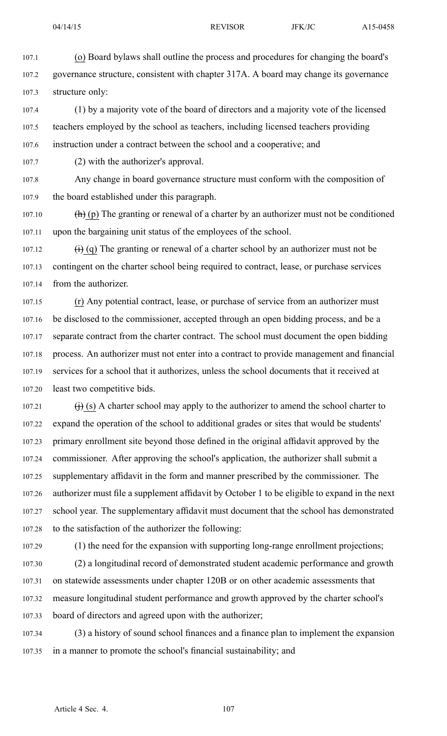107.1 (o) Board bylaws shall outline the process and procedures for changing the board's 107.2 governance structure, consistent with chapter 317A. Aboard may change its governance 107.3 structure only:

107.4 (1) by <sup>a</sup> majority vote of the board of directors and <sup>a</sup> majority vote of the licensed 107.5 teachers employed by the school as teachers, including licensed teachers providing 107.6 instruction under <sup>a</sup> contract between the school and <sup>a</sup> cooperative; and

107.7 (2) with the authorizer's approval.

107.8 Any change in board governance structure must conform with the composition of 107.9 the board established under this paragraph.

107.10  $\left(\mathbf{h}\right)$  (p) The granting or renewal of a charter by an authorizer must not be conditioned 107.11 upon the bargaining unit status of the employees of the school.

107.12  $(i)$  (q) The granting or renewal of a charter school by an authorizer must not be 107.13 contingent on the charter school being required to contract, lease, or purchase services 107.14 from the authorizer.

107.15 (r) Any potential contract, lease, or purchase of service from an authorizer must 107.16 be disclosed to the commissioner, accepted through an open bidding process, and be <sup>a</sup> 107.17 separate contract from the charter contract. The school must document the open bidding 107.18 process. An authorizer must not enter into <sup>a</sup> contract to provide managemen<sup>t</sup> and financial 107.19 services for <sup>a</sup> school that it authorizes, unless the school documents that it received at 107.20 least two competitive bids.

107.21  $\qquad$  (i) (s) A charter school may apply to the authorizer to amend the school charter to 107.22 expand the operation of the school to additional grades or sites that would be students' 107.23 primary enrollment site beyond those defined in the original affidavit approved by the 107.24 commissioner. After approving the school's application, the authorizer shall submit <sup>a</sup> 107.25 supplementary affidavit in the form and manner prescribed by the commissioner. The 107.26 authorizer must file <sup>a</sup> supplement affidavit by October 1 to be eligible to expand in the next 107.27 school year. The supplementary affidavit must document that the school has demonstrated 107.28 to the satisfaction of the authorizer the following:

107.29 (1) the need for the expansion with supporting long-range enrollment projections;

107.30 (2) <sup>a</sup> longitudinal record of demonstrated student academic performance and growth 107.31 on statewide assessments under chapter 120B or on other academic assessments that 107.32 measure longitudinal student performance and growth approved by the charter school's 107.33 board of directors and agreed upon with the authorizer;

107.34 (3) <sup>a</sup> history of sound school finances and <sup>a</sup> finance plan to implement the expansion 107.35 in <sup>a</sup> manner to promote the school's financial sustainability; and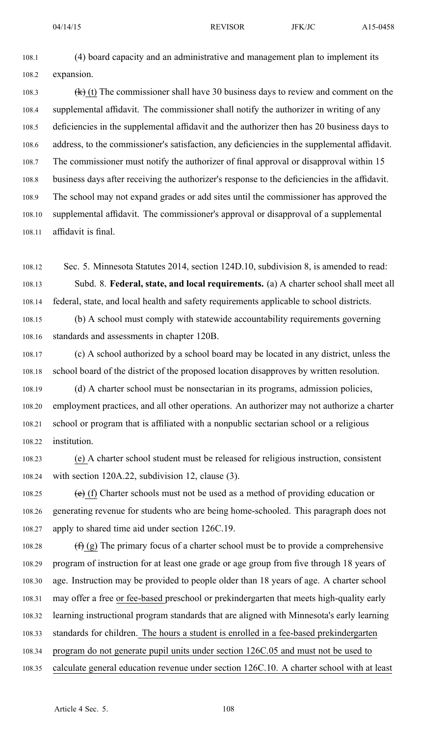108.1 (4) board capacity and an administrative and managemen<sup>t</sup> plan to implement its 108.2 expansion.

108.3 (k) (t) The commissioner shall have 30 business days to review and comment on the 108.4 supplemental affidavit. The commissioner shall notify the authorizer in writing of any 108.5 deficiencies in the supplemental affidavit and the authorizer then has 20 business days to 108.6 address, to the commissioner's satisfaction, any deficiencies in the supplemental affidavit. 108.7 The commissioner must notify the authorizer of final approval or disapproval within 15 108.8 business days after receiving the authorizer's response to the deficiencies in the affidavit. 108.9 The school may not expand grades or add sites until the commissioner has approved the 108.10 supplemental affidavit. The commissioner's approval or disapproval of <sup>a</sup> supplemental 108.11 affidavit is final.

108.12 Sec. 5. Minnesota Statutes 2014, section 124D.10, subdivision 8, is amended to read: 108.13 Subd. 8. **Federal, state, and local requirements.** (a) A charter school shall meet all 108.14 federal, state, and local health and safety requirements applicable to school districts.

108.15 (b) A school must comply with statewide accountability requirements governing 108.16 standards and assessments in chapter 120B.

108.17 (c) A school authorized by <sup>a</sup> school board may be located in any district, unless the 108.18 school board of the district of the proposed location disapproves by written resolution.

108.19 (d) A charter school must be nonsectarian in its programs, admission policies, 108.20 employment practices, and all other operations. An authorizer may not authorize <sup>a</sup> charter 108.21 school or program that is affiliated with <sup>a</sup> nonpublic sectarian school or <sup>a</sup> religious 108.22 institution.

108.23 (e) A charter school student must be released for religious instruction, consistent 108.24 with section 120A.22, subdivision 12, clause (3).

108.25 (e) (f) Charter schools must not be used as a method of providing education or 108.26 generating revenue for students who are being home-schooled. This paragraph does not 108.27 apply to shared time aid under section 126C.19.

108.28  $(f)$  (g) The primary focus of a charter school must be to provide a comprehensive 108.29 program of instruction for at least one grade or age group from five through 18 years of 108.30 age. Instruction may be provided to people older than 18 years of age. A charter school 108.31 may offer <sup>a</sup> free or fee-based preschool or prekindergarten that meets high-quality early 108.32 learning instructional program standards that are aligned with Minnesota's early learning 108.33 standards for children. The hours <sup>a</sup> student is enrolled in <sup>a</sup> fee-based prekindergarten 108.34 program do not generate pupil units under section 126C.05 and must not be used to

108.35 calculate general education revenue under section 126C.10. A charter school with at least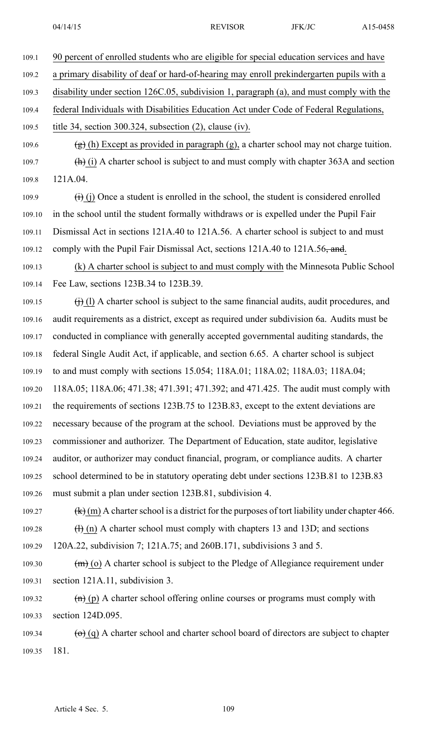109.1 90 percen<sup>t</sup> of enrolled students who are eligible for special education services and have 109.2 <sup>a</sup> primary disability of deaf or hard-of-hearing may enroll prekindergarten pupils with <sup>a</sup> 109.3 disability under section 126C.05, subdivision 1, paragraph (a), and must comply with the 109.4 federal Individuals with Disabilities Education Act under Code of Federal Regulations, 109.5 title 34, section 300.324, subsection (2), clause (iv). 109.6 (g) (h) Except as provided in paragraph (g), a charter school may not charge tuition. 109.7 (h) (i) A charter school is subject to and must comply with chapter  $363A$  and section 109.8 121A.04. 109.9  $(i)$  (i) Once a student is enrolled in the school, the student is considered enrolled 109.10 in the school until the student formally withdraws or is expelled under the Pupil Fair 109.11 Dismissal Act in sections 121A.40 to 121A.56. A charter school is subject to and must 109.12 comply with the Pupil Fair Dismissal Act, sections 121A.40 to 121A.56, and. 109.13 (k) A charter school is subject to and must comply with the Minnesota Public School 109.14 Fee Law, sections 123B.34 to 123B.39. 109.15  $(i)$  (l) A charter school is subject to the same financial audits, audit procedures, and 109.16 audit requirements as <sup>a</sup> district, excep<sup>t</sup> as required under subdivision 6a. Audits must be 109.17 conducted in compliance with generally accepted governmental auditing standards, the 109.18 federal Single Audit Act, if applicable, and section 6.65. A charter school is subject 109.19 to and must comply with sections 15.054; 118A.01; 118A.02; 118A.03; 118A.04; 109.20 118A.05; 118A.06; 471.38; 471.391; 471.392; and 471.425. The audit must comply with 109.21 the requirements of sections 123B.75 to 123B.83, excep<sup>t</sup> to the extent deviations are 109.22 necessary because of the program at the school. Deviations must be approved by the 109.23 commissioner and authorizer. The Department of Education, state auditor, legislative 109.24 auditor, or authorizer may conduct financial, program, or compliance audits. A charter 109.25 school determined to be in statutory operating debt under sections 123B.81 to 123B.83 109.26 must submit <sup>a</sup> plan under section 123B.81, subdivision 4. 109.27 (k) (m) A charter school is a district for the purposes of tort liability under chapter 466. 109.28  $\qquad$  (h) A charter school must comply with chapters 13 and 13D; and sections 109.29 120A.22, subdivision 7; 121A.75; and 260B.171, subdivisions 3 and 5. 109.30  $(m)$  (o) A charter school is subject to the Pledge of Allegiance requirement under 109.31 section 121A.11, subdivision 3. 109.32  $\text{(h)}$  (p) A charter school offering online courses or programs must comply with

109.33 section 124D.095.

109.34 (o) (q) A charter school and charter school board of directors are subject to chapter 109.35 181.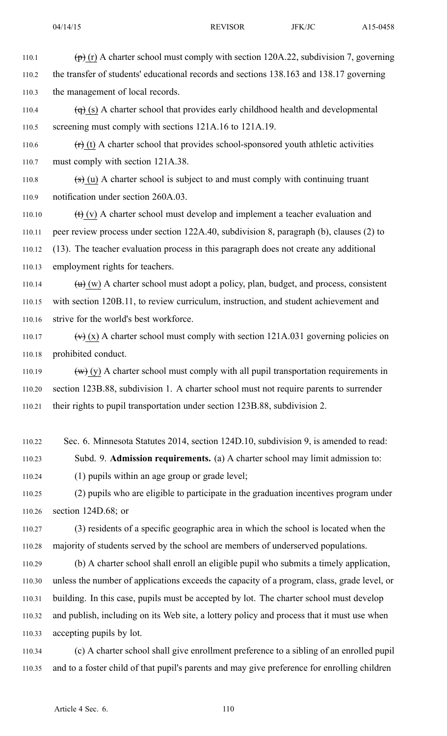110.1 (p) (r) A charter school must comply with section 120A.22, subdivision 7, governing 110.2 the transfer of students' educational records and sections 138.163 and 138.17 governing 110.3 the managemen<sup>t</sup> of local records.

110.4  $\left(\right)$  (s) A charter school that provides early childhood health and developmental 110.5 screening must comply with sections 121A.16 to 121A.19.

110.6  $(r)$  (t) A charter school that provides school-sponsored youth athletic activities 110.7 must comply with section 121A.38.

110.8  $(s)$  (u) A charter school is subject to and must comply with continuing truant 110.9 notification under section 260A.03.

110.10  $(t)$  (v) A charter school must develop and implement a teacher evaluation and 110.11 peer review process under section 122A.40, subdivision 8, paragraph (b), clauses (2) to 110.12 (13). The teacher evaluation process in this paragraph does not create any additional 110.13 employment rights for teachers.

110.14  $(u)$  (w) A charter school must adopt a policy, plan, budget, and process, consistent 110.15 with section 120B.11, to review curriculum, instruction, and student achievement and 110.16 strive for the world's best workforce.

110.17  $(v)$  (x) A charter school must comply with section 121A.031 governing policies on 110.18 prohibited conduct.

110.19  $(w)$  (y) A charter school must comply with all pupil transportation requirements in 110.20 section 123B.88, subdivision 1. A charter school must not require parents to surrender 110.21 their rights to pupil transportation under section 123B.88, subdivision 2.

110.22 Sec. 6. Minnesota Statutes 2014, section 124D.10, subdivision 9, is amended to read:

110.23 Subd. 9. **Admission requirements.** (a) A charter school may limit admission to:

110.24 (1) pupils within an age group or grade level;

110.25 (2) pupils who are eligible to participate in the graduation incentives program under 110.26 section 124D.68; or

110.27 (3) residents of <sup>a</sup> specific geographic area in which the school is located when the 110.28 majority of students served by the school are members of underserved populations.

110.29 (b) A charter school shall enroll an eligible pupil who submits <sup>a</sup> timely application, 110.30 unless the number of applications exceeds the capacity of <sup>a</sup> program, class, grade level, or 110.31 building. In this case, pupils must be accepted by lot. The charter school must develop 110.32 and publish, including on its Web site, <sup>a</sup> lottery policy and process that it must use when 110.33 accepting pupils by lot.

110.34 (c) A charter school shall give enrollment preference to <sup>a</sup> sibling of an enrolled pupil 110.35 and to <sup>a</sup> foster child of that pupil's parents and may give preference for enrolling children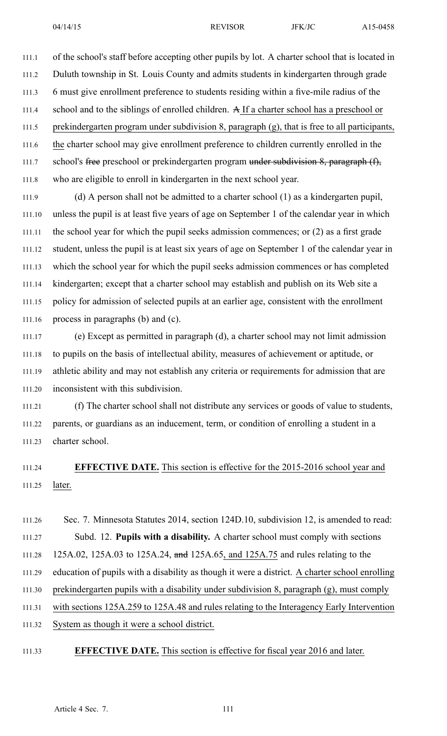111.1 of the school's staff before accepting other pupils by lot. A charter school that is located in 111.2 Duluth township in St. Louis County and admits students in kindergarten through grade 111.3 6 must give enrollment preference to students residing within <sup>a</sup> five-mile radius of the 111.4 school and to the siblings of enrolled children. A If <sup>a</sup> charter school has <sup>a</sup> preschool or 111.5 prekindergarten program under subdivision 8, paragraph (g), that is free to all participants, 111.6 the charter school may give enrollment preference to children currently enrolled in the 111.7 school's free preschool or prekindergarten program under subdivision 8, paragraph (f), 111.8 who are eligible to enroll in kindergarten in the next school year.

111.9 (d) A person shall not be admitted to <sup>a</sup> charter school (1) as <sup>a</sup> kindergarten pupil, 111.10 unless the pupil is at least five years of age on September 1 of the calendar year in which 111.11 the school year for which the pupil seeks admission commences; or (2) as <sup>a</sup> first grade 111.12 student, unless the pupil is at least six years of age on September 1 of the calendar year in 111.13 which the school year for which the pupil seeks admission commences or has completed 111.14 kindergarten; excep<sup>t</sup> that <sup>a</sup> charter school may establish and publish on its Web site <sup>a</sup> 111.15 policy for admission of selected pupils at an earlier age, consistent with the enrollment 111.16 process in paragraphs (b) and (c).

111.17 (e) Except as permitted in paragraph (d), <sup>a</sup> charter school may not limit admission 111.18 to pupils on the basis of intellectual ability, measures of achievement or aptitude, or 111.19 athletic ability and may not establish any criteria or requirements for admission that are 111.20 inconsistent with this subdivision.

111.21 (f) The charter school shall not distribute any services or goods of value to students, 111.22 parents, or guardians as an inducement, term, or condition of enrolling <sup>a</sup> student in <sup>a</sup> 111.23 charter school.

# 111.24 **EFFECTIVE DATE.** This section is effective for the 2015-2016 school year and 111.25 later.

111.26 Sec. 7. Minnesota Statutes 2014, section 124D.10, subdivision 12, is amended to read: 111.27 Subd. 12. **Pupils with <sup>a</sup> disability.** A charter school must comply with sections 111.28 125A.02, 125A.03 to 125A.24, and 125A.65, and 125A.75 and rules relating to the 111.29 education of pupils with <sup>a</sup> disability as though it were <sup>a</sup> district. A charter school enrolling 111.30 prekindergarten pupils with <sup>a</sup> disability under subdivision 8, paragraph (g), must comply 111.31 with sections 125A.259 to 125A.48 and rules relating to the Interagency Early Intervention 111.32 System as though it were <sup>a</sup> school district.

## 111.33 **EFFECTIVE DATE.** This section is effective for fiscal year 2016 and later.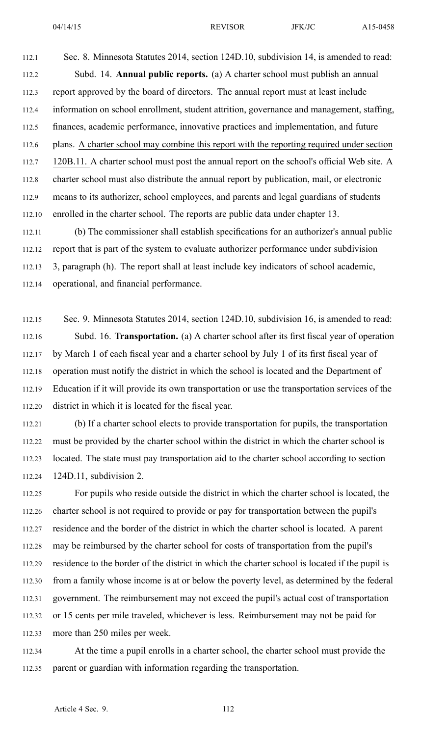112.1 Sec. 8. Minnesota Statutes 2014, section 124D.10, subdivision 14, is amended to read: 112.2 Subd. 14. **Annual public reports.** (a) A charter school must publish an annual 112.3 repor<sup>t</sup> approved by the board of directors. The annual repor<sup>t</sup> must at least include 112.4 information on school enrollment, student attrition, governance and management, staffing, 112.5 finances, academic performance, innovative practices and implementation, and future 112.6 plans. A charter school may combine this repor<sup>t</sup> with the reporting required under section 112.7 120B.11. A charter school must pos<sup>t</sup> the annual repor<sup>t</sup> on the school's official Web site. A 112.8 charter school must also distribute the annual repor<sup>t</sup> by publication, mail, or electronic 112.9 means to its authorizer, school employees, and parents and legal guardians of students 112.10 enrolled in the charter school. The reports are public data under chapter 13.

112.11 (b) The commissioner shall establish specifications for an authorizer's annual public 112.12 repor<sup>t</sup> that is par<sup>t</sup> of the system to evaluate authorizer performance under subdivision 112.13 3, paragraph (h). The repor<sup>t</sup> shall at least include key indicators of school academic, 112.14 operational, and financial performance.

112.15 Sec. 9. Minnesota Statutes 2014, section 124D.10, subdivision 16, is amended to read: 112.16 Subd. 16. **Transportation.** (a) A charter school after its first fiscal year of operation 112.17 by March 1 of each fiscal year and <sup>a</sup> charter school by July 1 of its first fiscal year of 112.18 operation must notify the district in which the school is located and the Department of 112.19 Education if it will provide its own transportation or use the transportation services of the 112.20 district in which it is located for the fiscal year.

112.21 (b) If <sup>a</sup> charter school elects to provide transportation for pupils, the transportation 112.22 must be provided by the charter school within the district in which the charter school is 112.23 located. The state must pay transportation aid to the charter school according to section 112.24 124D.11, subdivision 2.

112.25 For pupils who reside outside the district in which the charter school is located, the 112.26 charter school is not required to provide or pay for transportation between the pupil's 112.27 residence and the border of the district in which the charter school is located. A paren<sup>t</sup> 112.28 may be reimbursed by the charter school for costs of transportation from the pupil's 112.29 residence to the border of the district in which the charter school is located if the pupil is 112.30 from <sup>a</sup> family whose income is at or below the poverty level, as determined by the federal 112.31 government. The reimbursement may not exceed the pupil's actual cost of transportation 112.32 or 15 cents per mile traveled, whichever is less. Reimbursement may not be paid for 112.33 more than 250 miles per week.

112.34 At the time <sup>a</sup> pupil enrolls in <sup>a</sup> charter school, the charter school must provide the 112.35 paren<sup>t</sup> or guardian with information regarding the transportation.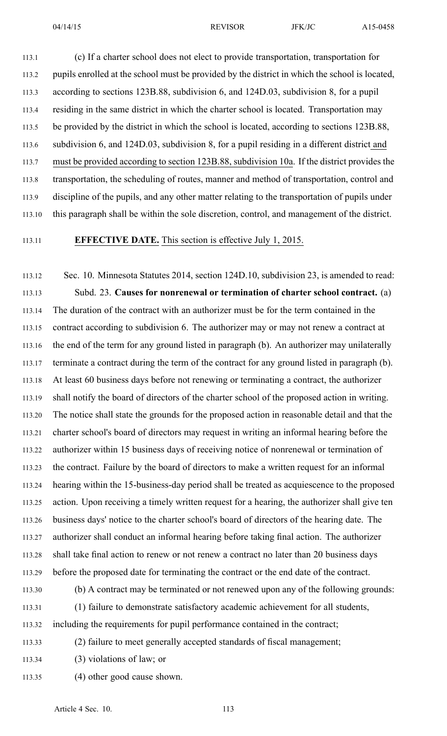113.1 (c) If <sup>a</sup> charter school does not elect to provide transportation, transportation for 113.2 pupils enrolled at the school must be provided by the district in which the school is located, 113.3 according to sections 123B.88, subdivision 6, and 124D.03, subdivision 8, for <sup>a</sup> pupil 113.4 residing in the same district in which the charter school is located. Transportation may 113.5 be provided by the district in which the school is located, according to sections 123B.88, 113.6 subdivision 6, and 124D.03, subdivision 8, for <sup>a</sup> pupil residing in <sup>a</sup> different district and 113.7 must be provided according to section 123B.88, subdivision 10a. If the district provides the 113.8 transportation, the scheduling of routes, manner and method of transportation, control and 113.9 discipline of the pupils, and any other matter relating to the transportation of pupils under 113.10 this paragraph shall be within the sole discretion, control, and managemen<sup>t</sup> of the district.

## 113.11 **EFFECTIVE DATE.** This section is effective July 1, 2015.

113.12 Sec. 10. Minnesota Statutes 2014, section 124D.10, subdivision 23, is amended to read: 113.13 Subd. 23. **Causes for nonrenewal or termination of charter school contract.** (a) 113.14 The duration of the contract with an authorizer must be for the term contained in the 113.15 contract according to subdivision 6. The authorizer may or may not renew <sup>a</sup> contract at 113.16 the end of the term for any ground listed in paragraph (b). An authorizer may unilaterally 113.17 terminate <sup>a</sup> contract during the term of the contract for any ground listed in paragraph (b). 113.18 At least 60 business days before not renewing or terminating <sup>a</sup> contract, the authorizer 113.19 shall notify the board of directors of the charter school of the proposed action in writing. 113.20 The notice shall state the grounds for the proposed action in reasonable detail and that the 113.21 charter school's board of directors may reques<sup>t</sup> in writing an informal hearing before the 113.22 authorizer within 15 business days of receiving notice of nonrenewal or termination of 113.23 the contract. Failure by the board of directors to make <sup>a</sup> written reques<sup>t</sup> for an informal 113.24 hearing within the 15-business-day period shall be treated as acquiescence to the proposed 113.25 action. Upon receiving <sup>a</sup> timely written reques<sup>t</sup> for <sup>a</sup> hearing, the authorizer shall give ten 113.26 business days' notice to the charter school's board of directors of the hearing date. The 113.27 authorizer shall conduct an informal hearing before taking final action. The authorizer 113.28 shall take final action to renew or not renew <sup>a</sup> contract no later than 20 business days 113.29 before the proposed date for terminating the contract or the end date of the contract. 113.30 (b) A contract may be terminated or not renewed upon any of the following grounds:

113.31 (1) failure to demonstrate satisfactory academic achievement for all students, 113.32 including the requirements for pupil performance contained in the contract;

113.33 (2) failure to meet generally accepted standards of fiscal management;

113.34 (3) violations of law; or

113.35 (4) other good cause shown.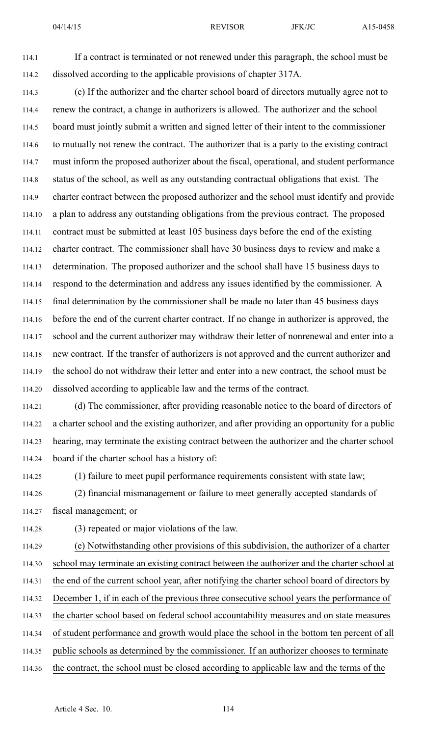114.1 If <sup>a</sup> contract is terminated or not renewed under this paragraph, the school must be 114.2 dissolved according to the applicable provisions of chapter 317A.

114.3 (c) If the authorizer and the charter school board of directors mutually agree not to 114.4 renew the contract, <sup>a</sup> change in authorizers is allowed. The authorizer and the school 114.5 board must jointly submit <sup>a</sup> written and signed letter of their intent to the commissioner 114.6 to mutually not renew the contract. The authorizer that is <sup>a</sup> party to the existing contract 114.7 must inform the proposed authorizer about the fiscal, operational, and student performance 114.8 status of the school, as well as any outstanding contractual obligations that exist. The 114.9 charter contract between the proposed authorizer and the school must identify and provide 114.10 <sup>a</sup> plan to address any outstanding obligations from the previous contract. The proposed 114.11 contract must be submitted at least 105 business days before the end of the existing 114.12 charter contract. The commissioner shall have 30 business days to review and make <sup>a</sup> 114.13 determination. The proposed authorizer and the school shall have 15 business days to 114.14 respond to the determination and address any issues identified by the commissioner. A 114.15 final determination by the commissioner shall be made no later than 45 business days 114.16 before the end of the current charter contract. If no change in authorizer is approved, the 114.17 school and the current authorizer may withdraw their letter of nonrenewal and enter into <sup>a</sup> 114.18 new contract. If the transfer of authorizers is not approved and the current authorizer and 114.19 the school do not withdraw their letter and enter into <sup>a</sup> new contract, the school must be 114.20 dissolved according to applicable law and the terms of the contract.

114.21 (d) The commissioner, after providing reasonable notice to the board of directors of 114.22 <sup>a</sup> charter school and the existing authorizer, and after providing an opportunity for <sup>a</sup> public 114.23 hearing, may terminate the existing contract between the authorizer and the charter school 114.24 board if the charter school has <sup>a</sup> history of:

114.25 (1) failure to meet pupil performance requirements consistent with state law; 114.26 (2) financial mismanagement or failure to meet generally accepted standards of

114.27 fiscal management; or

114.28 (3) repeated or major violations of the law.

114.29 (e) Notwithstanding other provisions of this subdivision, the authorizer of <sup>a</sup> charter 114.30 school may terminate an existing contract between the authorizer and the charter school at 114.31 the end of the current school year, after notifying the charter school board of directors by 114.32 December 1, if in each of the previous three consecutive school years the performance of 114.33 the charter school based on federal school accountability measures and on state measures 114.34 of student performance and growth would place the school in the bottom ten percen<sup>t</sup> of all 114.35 public schools as determined by the commissioner. If an authorizer chooses to terminate 114.36 the contract, the school must be closed according to applicable law and the terms of the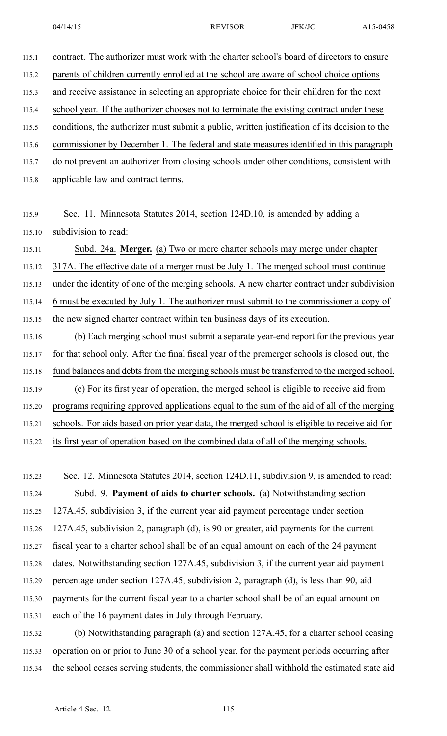115.1 contract. The authorizer must work with the charter school's board of directors to ensure 115.2 parents of children currently enrolled at the school are aware of school choice options 115.3 and receive assistance in selecting an appropriate choice for their children for the next 115.4 school year. If the authorizer chooses not to terminate the existing contract under these 115.5 conditions, the authorizer must submit <sup>a</sup> public, written justification of its decision to the 115.6 commissioner by December 1. The federal and state measures identified in this paragraph 115.7 do not preven<sup>t</sup> an authorizer from closing schools under other conditions, consistent with 115.8 applicable law and contract terms.

115.9 Sec. 11. Minnesota Statutes 2014, section 124D.10, is amended by adding <sup>a</sup> 115.10 subdivision to read:

115.11 Subd. 24a. **Merger.** (a) Two or more charter schools may merge under chapter 115.12 317A. The effective date of <sup>a</sup> merger must be July 1. The merged school must continue 115.13 under the identity of one of the merging schools. A new charter contract under subdivision 115.14 6 must be executed by July 1. The authorizer must submit to the commissioner <sup>a</sup> copy of 115.15 the new signed charter contract within ten business days of its execution. 115.16 (b) Each merging school must submit <sup>a</sup> separate year-end repor<sup>t</sup> for the previous year 115.17 for that school only. After the final fiscal year of the premerger schools is closed out, the 115.18 fund balances and debts from the merging schools must be transferred to the merged school. 115.19 (c) For its first year of operation, the merged school is eligible to receive aid from 115.20 programs requiring approved applications equal to the sum of the aid of all of the merging 115.21 schools. For aids based on prior year data, the merged school is eligible to receive aid for

115.22 its first year of operation based on the combined data of all of the merging schools.

115.23 Sec. 12. Minnesota Statutes 2014, section 124D.11, subdivision 9, is amended to read: 115.24 Subd. 9. **Payment of aids to charter schools.** (a) Notwithstanding section 115.25 127A.45, subdivision 3, if the current year aid paymen<sup>t</sup> percentage under section 115.26 127A.45, subdivision 2, paragraph (d), is 90 or greater, aid payments for the current 115.27 fiscal year to <sup>a</sup> charter school shall be of an equal amount on each of the 24 paymen<sup>t</sup> 115.28 dates. Notwithstanding section 127A.45, subdivision 3, if the current year aid paymen<sup>t</sup> 115.29 percentage under section 127A.45, subdivision 2, paragraph (d), is less than 90, aid 115.30 payments for the current fiscal year to <sup>a</sup> charter school shall be of an equal amount on 115.31 each of the 16 paymen<sup>t</sup> dates in July through February.

115.32 (b) Notwithstanding paragraph (a) and section 127A.45, for <sup>a</sup> charter school ceasing 115.33 operation on or prior to June 30 of <sup>a</sup> school year, for the paymen<sup>t</sup> periods occurring after 115.34 the school ceases serving students, the commissioner shall withhold the estimated state aid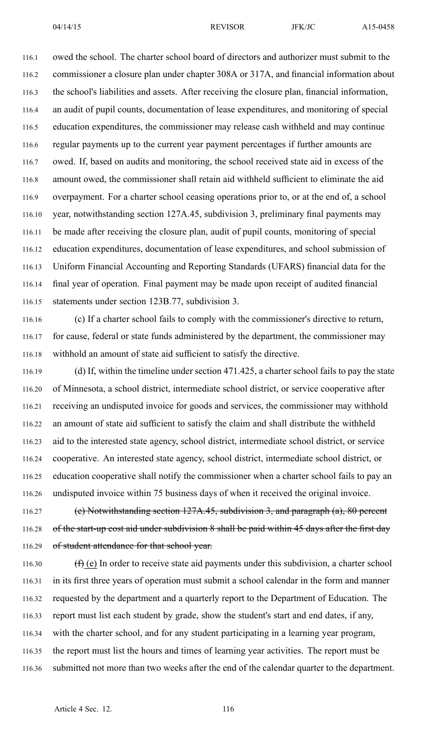116.1 owed the school. The charter school board of directors and authorizer must submit to the 116.2 commissioner <sup>a</sup> closure plan under chapter 308A or 317A, and financial information about 116.3 the school's liabilities and assets. After receiving the closure plan, financial information, 116.4 an audit of pupil counts, documentation of lease expenditures, and monitoring of special 116.5 education expenditures, the commissioner may release cash withheld and may continue 116.6 regular payments up to the current year paymen<sup>t</sup> percentages if further amounts are 116.7 owed. If, based on audits and monitoring, the school received state aid in excess of the 116.8 amount owed, the commissioner shall retain aid withheld sufficient to eliminate the aid 116.9 overpayment. For <sup>a</sup> charter school ceasing operations prior to, or at the end of, <sup>a</sup> school 116.10 year, notwithstanding section 127A.45, subdivision 3, preliminary final payments may 116.11 be made after receiving the closure plan, audit of pupil counts, monitoring of special 116.12 education expenditures, documentation of lease expenditures, and school submission of 116.13 Uniform Financial Accounting and Reporting Standards (UFARS) financial data for the 116.14 final year of operation. Final paymen<sup>t</sup> may be made upon receipt of audited financial 116.15 statements under section 123B.77, subdivision 3.

116.16 (c) If <sup>a</sup> charter school fails to comply with the commissioner's directive to return, 116.17 for cause, federal or state funds administered by the department, the commissioner may 116.18 withhold an amount of state aid sufficient to satisfy the directive.

116.19 (d) If, within the timeline under section 471.425, <sup>a</sup> charter school fails to pay the state 116.20 of Minnesota, <sup>a</sup> school district, intermediate school district, or service cooperative after 116.21 receiving an undisputed invoice for goods and services, the commissioner may withhold 116.22 an amount of state aid sufficient to satisfy the claim and shall distribute the withheld 116.23 aid to the interested state agency, school district, intermediate school district, or service 116.24 cooperative. An interested state agency, school district, intermediate school district, or 116.25 education cooperative shall notify the commissioner when <sup>a</sup> charter school fails to pay an 116.26 undisputed invoice within 75 business days of when it received the original invoice.

116.27 (e) Notwithstanding section 127A.45, subdivision 3, and paragraph (a), 80 percen<sup>t</sup> 116.28 of the start-up cost aid under subdivision 8 shall be paid within 45 days after the first day 116.29 of student attendance for that school year.

116.30  $(f)(e)$  In order to receive state aid payments under this subdivision, a charter school 116.31 in its first three years of operation must submit <sup>a</sup> school calendar in the form and manner 116.32 requested by the department and <sup>a</sup> quarterly repor<sup>t</sup> to the Department of Education. The 116.33 repor<sup>t</sup> must list each student by grade, show the student's start and end dates, if any, 116.34 with the charter school, and for any student participating in <sup>a</sup> learning year program, 116.35 the repor<sup>t</sup> must list the hours and times of learning year activities. The repor<sup>t</sup> must be 116.36 submitted not more than two weeks after the end of the calendar quarter to the department.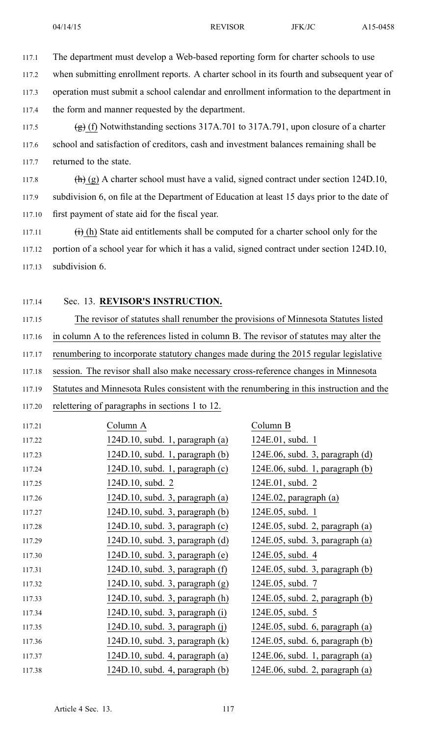117.1 The department must develop <sup>a</sup> Web-based reporting form for charter schools to use

117.2 when submitting enrollment reports. A charter school in its fourth and subsequent year of

117.3 operation must submit <sup>a</sup> school calendar and enrollment information to the department in

117.4 the form and manner requested by the department.

117.5 (g) (f) Notwithstanding sections  $317A.701$  to  $317A.791$ , upon closure of a charter 117.6 school and satisfaction of creditors, cash and investment balances remaining shall be 117.7 returned to the state.

117.8 (h) (g) A charter school must have a valid, signed contract under section  $124D.10$ , 117.9 subdivision 6, on file at the Department of Education at least 15 days prior to the date of 117.10 first paymen<sup>t</sup> of state aid for the fiscal year.

117.11  $(i)$  (h) State aid entitlements shall be computed for a charter school only for the 117.12 portion of <sup>a</sup> school year for which it has <sup>a</sup> valid, signed contract under section 124D.10, 117.13 subdivision 6.

## 117.14 Sec. 13. **REVISOR'S INSTRUCTION.**

117.15 The revisor of statutes shall renumber the provisions of Minnesota Statutes listed 117.16 in column A to the references listed in column B. The revisor of statutes may alter the 117.17 renumbering to incorporate statutory changes made during the 2015 regular legislative 117.18 session. The revisor shall also make necessary cross-reference changes in Minnesota 117.19 Statutes and Minnesota Rules consistent with the renumbering in this instruction and the

117.20 relettering of paragraphs in sections 1 to 12.

| 117.21 | Column A                             | Column B                           |
|--------|--------------------------------------|------------------------------------|
| 117.22 | $124D.10$ , subd. 1, paragraph $(a)$ | 124E.01, subd. 1                   |
| 117.23 | $124D.10$ , subd. 1, paragraph (b)   | 124E.06, subd. 3, paragraph (d)    |
| 117.24 | $124D.10$ , subd. 1, paragraph $(c)$ | $124E.06$ , subd. 1, paragraph (b) |
| 117.25 | 124D.10, subd. 2                     | 124E.01, subd. 2                   |
| 117.26 | $124D.10$ , subd. 3, paragraph (a)   | 124E.02, paragraph (a)             |
| 117.27 | $124D.10$ , subd. 3, paragraph (b)   | 124E.05, subd. 1                   |
| 117.28 | 124D.10, subd. 3, paragraph (c)      | $124E.05$ , subd. 2, paragraph (a) |
| 117.29 | $124D.10$ , subd. 3, paragraph (d)   | $124E.05$ , subd. 3, paragraph (a) |
| 117.30 | 124D.10, subd. 3, paragraph (e)      | 124E.05, subd. 4                   |
| 117.31 | 124D.10, subd. $3$ , paragraph $(f)$ | $124E.05$ , subd. 3, paragraph (b) |
| 117.32 | $124D.10$ , subd. 3, paragraph $(g)$ | 124E.05, subd. 7                   |
| 117.33 | 124D.10, subd. 3, paragraph (h)      | $124E.05$ , subd. 2, paragraph (b) |
| 117.34 | 124D.10, subd. 3, paragraph (i)      | 124E.05, subd. 5                   |
| 117.35 | 124D.10, subd. $3$ , paragraph $(j)$ | $124E.05$ , subd. 6, paragraph (a) |
| 117.36 | 124D.10, subd. 3, paragraph (k)      | 124E.05, subd. 6, paragraph (b)    |
| 117.37 | 124D.10, subd. $4$ , paragraph $(a)$ | $124E.06$ , subd. 1, paragraph (a) |
| 117.38 | $124D.10$ , subd. 4, paragraph (b)   | $124E.06$ , subd. 2, paragraph (a) |
|        |                                      |                                    |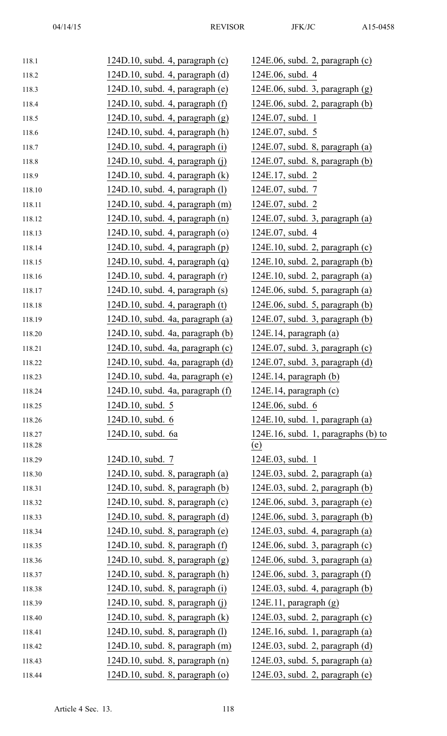| 118.1  | $124D.10$ , subd. 4, paragraph (c)    | 124E.06, subd. 2, paragraph (c)      |
|--------|---------------------------------------|--------------------------------------|
| 118.2  | $124D.10$ , subd. 4, paragraph (d)    | 124E.06, subd. 4                     |
| 118.3  | 124D.10, subd. 4, paragraph (e)       | $124E.06$ , subd. 3, paragraph $(g)$ |
| 118.4  | 124D.10, subd. $4$ , paragraph $(f)$  | $124E.06$ , subd. 2, paragraph (b)   |
| 118.5  | 124D.10, subd. 4, paragraph $(g)$     | 124E.07, subd. 1                     |
| 118.6  | $124D.10$ , subd. 4, paragraph $(h)$  | 124E.07, subd. 5                     |
| 118.7  | 124D.10, subd. 4, paragraph (i)       | $124E.07$ , subd. 8, paragraph (a)   |
| 118.8  | 124D.10, subd. $4$ , paragraph (j)    | $124E.07$ , subd. 8, paragraph (b)   |
| 118.9  | $124D.10$ , subd. 4, paragraph $(k)$  | 124E.17, subd. 2                     |
| 118.10 | 124D.10, subd. 4, paragraph (1)       | 124E.07, subd. 7                     |
| 118.11 | $124D.10$ , subd. 4, paragraph $(m)$  | 124E.07, subd. 2                     |
| 118.12 | $124D.10$ , subd. 4, paragraph $(n)$  | $124E.07$ , subd. 3, paragraph (a)   |
| 118.13 | $124D.10$ , subd. 4, paragraph (o)    | 124E.07, subd. 4                     |
| 118.14 | $124D.10$ , subd. 4, paragraph $(p)$  | $124E.10$ , subd. 2, paragraph (c)   |
| 118.15 | 124D.10, subd. 4, paragraph $(q)$     | $124E.10$ , subd. 2, paragraph (b)   |
| 118.16 | $124D.10$ , subd. 4, paragraph $(r)$  | $124E.10$ , subd. 2, paragraph $(a)$ |
| 118.17 | $124D.10$ , subd. 4, paragraph $(s)$  | $124E.06$ , subd. 5, paragraph (a)   |
| 118.18 | 124D.10, subd. 4, paragraph (t)       | $124E.06$ , subd. 5, paragraph (b)   |
| 118.19 | 124D.10, subd. 4a, paragraph (a)      | $124E.07$ , subd. 3, paragraph (b)   |
| 118.20 | 124D.10, subd. 4a, paragraph (b)      | $124E.14$ , paragraph (a)            |
| 118.21 | 124D.10, subd. 4a, paragraph (c)      | $124E.07$ , subd. 3, paragraph (c)   |
| 118.22 | $124D.10$ , subd. 4a, paragraph (d)   | $124E.07$ , subd. 3, paragraph (d)   |
| 118.23 | 124D.10, subd. 4a, paragraph (e)      | $124E.14$ , paragraph (b)            |
| 118.24 | $124D.10$ , subd. 4a, paragraph $(f)$ | $124E.14$ , paragraph (c)            |
| 118.25 | 124D.10, subd. 5                      | 124E.06, subd. 6                     |
| 118.26 | 124D.10, subd. 6                      | $124E.10$ , subd. 1, paragraph (a)   |
| 118.27 | 124D.10, subd. 6a                     | 124E.16, subd. 1, paragraphs (b) to  |
| 118.28 |                                       | <u>(e)</u>                           |
| 118.29 | 124D.10, subd. 7                      | 124E.03, subd. 1                     |
| 118.30 | $124D.10$ , subd. 8, paragraph (a)    | $124E.03$ , subd. 2, paragraph (a)   |
| 118.31 | $124D.10$ , subd. 8, paragraph $(b)$  | $124E.03$ , subd. 2, paragraph (b)   |
| 118.32 | $124D.10$ , subd. 8, paragraph $(c)$  | $124E.06$ , subd. 3, paragraph (e)   |
| 118.33 | $124D.10$ , subd. 8, paragraph (d)    | $124E.06$ , subd. 3, paragraph (b)   |
| 118.34 | $124D.10$ , subd. 8, paragraph (e)    | $124E.03$ , subd. 4, paragraph (a)   |
| 118.35 | $124D.10$ , subd. 8, paragraph $(f)$  | $124E.06$ , subd. 3, paragraph $(c)$ |
| 118.36 | $124D.10$ , subd. 8, paragraph $(g)$  | $124E.06$ , subd. 3, paragraph (a)   |
| 118.37 | $124D.10$ , subd. 8, paragraph $(h)$  | $124E.06$ , subd. 3, paragraph $(f)$ |
| 118.38 | $124D.10$ , subd. 8, paragraph (i)    | $124E.03$ , subd. 4, paragraph (b)   |
| 118.39 | $124D.10$ , subd. 8, paragraph (j)    | $124E.11$ , paragraph $(g)$          |
| 118.40 | $124D.10$ , subd. 8, paragraph $(k)$  | $124E.03$ , subd. 2, paragraph $(c)$ |
| 118.41 | $124D.10$ , subd. 8, paragraph $(l)$  | $124E.16$ , subd. 1, paragraph (a)   |
| 118.42 | $124D.10$ , subd. 8, paragraph $(m)$  | $124E.03$ , subd. 2, paragraph (d)   |
| 118.43 | $124D.10$ , subd. 8, paragraph $(n)$  | $124E.03$ , subd. 5, paragraph (a)   |
| 118.44 | 124D.10, subd. 8, paragraph (o)       | $124E.03$ , subd. 2, paragraph (e)   |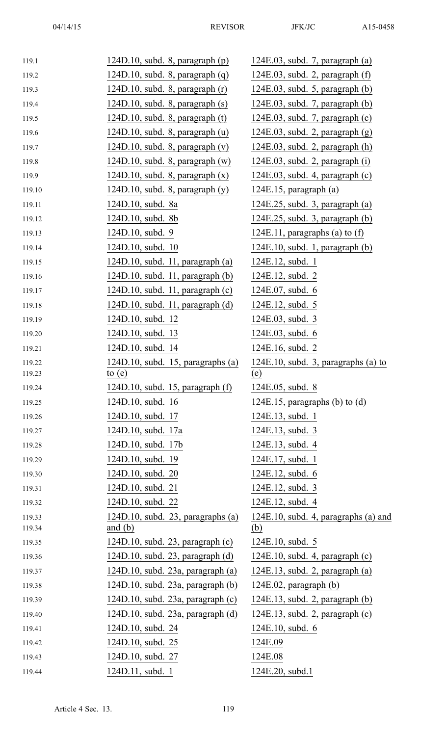| 119.1  | $124D.10$ , subd. 8, paragraph (p)        | $124E.03$ , subd. 7, paragraph (a)     |
|--------|-------------------------------------------|----------------------------------------|
| 119.2  | $124D.10$ , subd. 8, paragraph $(q)$      | $124E.03$ , subd. 2, paragraph $(f)$   |
| 119.3  | $124D.10$ , subd. 8, paragraph $(r)$      | $124E.03$ , subd. 5, paragraph (b)     |
| 119.4  | $124D.10$ , subd. 8, paragraph $(s)$      | $124E.03$ , subd. 7, paragraph (b)     |
| 119.5  | $124D.10$ , subd. 8, paragraph $(t)$      | $124E.03$ , subd. 7, paragraph $(c)$   |
| 119.6  | $124D.10$ , subd. 8, paragraph (u)        | $124E.03$ , subd. 2, paragraph $(g)$   |
| 119.7  | 124D.10, subd. $8$ , paragraph $(v)$      | $124E.03$ , subd. 2, paragraph $(h)$   |
| 119.8  | $124D.10$ , subd. 8, paragraph $(w)$      | $124E.03$ , subd. 2, paragraph (i)     |
| 119.9  | 124D.10, subd. 8, paragraph $(x)$         | $124E.03$ , subd. 4, paragraph (c)     |
| 119.10 | $124D.10$ , subd. 8, paragraph $(y)$      | $124E.15$ , paragraph $(a)$            |
| 119.11 | 124D.10, subd. 8a                         | $124E.25$ , subd. 3, paragraph (a)     |
| 119.12 | 124D.10, subd. 8b                         | $124E.25$ , subd. 3, paragraph (b)     |
| 119.13 | 124D.10, subd. 9                          | 124E.11, paragraphs (a) to $(f)$       |
| 119.14 | 124D.10, subd. 10                         | $124E.10$ , subd. 1, paragraph (b)     |
| 119.15 | $124D.10$ , subd. 11, paragraph (a)       | 124E.12, subd. 1                       |
| 119.16 | $124D.10$ , subd. 11, paragraph (b)       | 124E.12, subd. 2                       |
| 119.17 | $124D.10$ , subd. 11, paragraph $(c)$     | 124E.07, subd. 6                       |
| 119.18 | $124D.10$ , subd. 11, paragraph (d)       | 124E.12, subd. 5                       |
| 119.19 | 124D.10, subd. 12                         | 124E.03, subd. 3                       |
| 119.20 | 124D.10, subd. 13                         | 124E.03, subd. 6                       |
| 119.21 | 124D.10, subd. 14                         | 124E.16, subd. 2                       |
| 119.22 | 124D.10, subd. 15, paragraphs (a)         | $124E.10$ , subd. 3, paragraphs (a) to |
| 119.23 | to $(e)$                                  | (e)                                    |
| 119.24 | 124D.10, subd. 15, paragraph (f)          | 124E.05, subd. 8                       |
| 119.25 | 124D.10, subd. 16                         | 124E.15, paragraphs $(b)$ to $(d)$     |
| 119.26 | 124D.10, subd. 17                         | 124E.13, subd. 1                       |
| 119.27 | 124D.10, subd. 17a                        | 124E.13, subd. 3                       |
| 119.28 | 124D.10, subd. 17b                        | 124E.13, subd. 4                       |
| 119.29 | 124D.10, subd. 19                         | 124E.17, subd. 1                       |
| 119.30 | 124D.10, subd. 20                         | 124E.12, subd. 6                       |
| 119.31 | 124D.10, subd. 21                         | 124E.12, subd. 3                       |
| 119.32 | 124D.10, subd. 22                         | 124E.12, subd. 4                       |
| 119.33 | $124D.10$ , subd. 23, paragraphs (a)      | 124E.10, subd. 4, paragraphs (a) and   |
| 119.34 | and $(b)$                                 | <u>(b)</u>                             |
| 119.35 | $124D.10$ , subd. 23, paragraph $(c)$     | 124E.10, subd. 5                       |
| 119.36 | $124D.10$ , subd. 23, paragraph (d)       | $124E.10$ , subd. 4, paragraph (c)     |
| 119.37 | $124D.10$ , subd. $23a$ , paragraph $(a)$ | $124E.13$ , subd. 2, paragraph (a)     |
| 119.38 | $124D.10$ , subd. $23a$ , paragraph (b)   | $124E.02$ , paragraph (b)              |
| 119.39 | $124D.10$ , subd. 23a, paragraph (c)      | $124E.13$ , subd. 2, paragraph (b)     |
| 119.40 | $124D.10$ , subd. $23a$ , paragraph $(d)$ | $124E.13$ , subd. 2, paragraph $(c)$   |
| 119.41 | 124D.10, subd. 24                         | 124E.10, subd. 6                       |
| 119.42 | 124D.10, subd. 25                         | 124E.09                                |
| 119.43 | 124D.10, subd. 27                         | 124E.08                                |
| 119.44 | 124D.11, subd. 1                          | 124E.20, subd.1                        |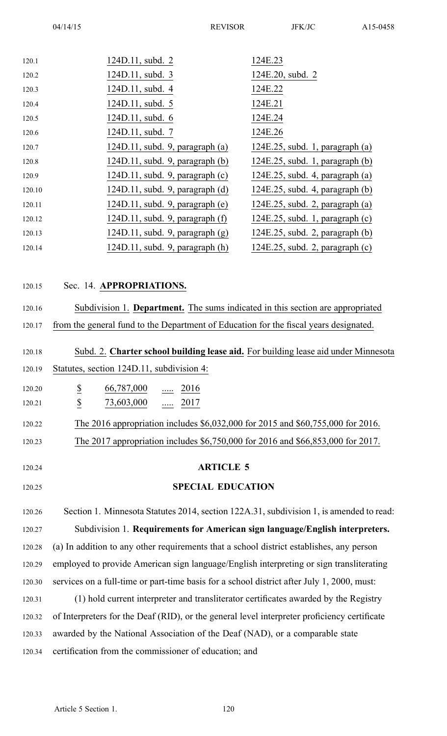| 120.1  | 124D.11, subd. 2                                                                             | 124E.23                              |  |
|--------|----------------------------------------------------------------------------------------------|--------------------------------------|--|
| 120.2  | 124D.11, subd. 3                                                                             | 124E.20, subd. 2                     |  |
| 120.3  | 124D.11, subd. 4                                                                             | 124E.22                              |  |
| 120.4  | 124D.11, subd. 5                                                                             | 124E.21                              |  |
| 120.5  | 124D.11, subd. 6                                                                             | 124E.24                              |  |
| 120.6  | 124D.11, subd. 7                                                                             | 124E.26                              |  |
| 120.7  | $124D.11$ , subd. 9, paragraph (a)                                                           | $124E.25$ , subd. 1, paragraph (a)   |  |
| 120.8  | $124D.11$ , subd. 9, paragraph (b)                                                           | $124E.25$ , subd. 1, paragraph (b)   |  |
| 120.9  | $124D.11$ , subd. 9, paragraph $(c)$                                                         | $124E.25$ , subd. 4, paragraph (a)   |  |
| 120.10 | $124D.11$ , subd. 9, paragraph $(d)$                                                         | $124E.25$ , subd. 4, paragraph (b)   |  |
| 120.11 | $124D.11$ , subd. 9, paragraph (e)                                                           | $124E.25$ , subd. 2, paragraph (a)   |  |
| 120.12 | 124D.11, subd. 9, paragraph $(f)$                                                            | $124E.25$ , subd. 1, paragraph $(c)$ |  |
| 120.13 | $124D.11$ , subd. 9, paragraph $(g)$                                                         | 124E.25, subd. 2, paragraph (b)      |  |
| 120.14 | $124D.11$ , subd. 9, paragraph $(h)$                                                         | $124E.25$ , subd. 2, paragraph (c)   |  |
|        |                                                                                              |                                      |  |
| 120.15 | Sec. 14. APPROPRIATIONS.                                                                     |                                      |  |
|        |                                                                                              |                                      |  |
| 120.16 | Subdivision 1. Department. The sums indicated in this section are appropriated               |                                      |  |
| 120.17 | from the general fund to the Department of Education for the fiscal years designated.        |                                      |  |
|        |                                                                                              |                                      |  |
| 120.18 | Subd. 2. Charter school building lease aid. For building lease aid under Minnesota           |                                      |  |
| 120.19 | Statutes, section 124D.11, subdivision 4:                                                    |                                      |  |
| 120.20 | $\overline{\mathcal{E}}$<br>66,787,000<br>2016                                               |                                      |  |
| 120.21 | $\underline{\mathbb{S}}$<br>73,603,000<br>2017                                               |                                      |  |
| 120.22 | The 2016 appropriation includes \$6,032,000 for 2015 and \$60,755,000 for 2016.              |                                      |  |
| 120.23 | The 2017 appropriation includes \$6,750,000 for 2016 and \$66,853,000 for 2017.              |                                      |  |
|        |                                                                                              |                                      |  |
| 120.24 | <b>ARTICLE 5</b>                                                                             |                                      |  |
| 120.25 | <b>SPECIAL EDUCATION</b>                                                                     |                                      |  |
|        |                                                                                              |                                      |  |
| 120.26 | Section 1. Minnesota Statutes 2014, section 122A.31, subdivision 1, is amended to read:      |                                      |  |
| 120.27 | Subdivision 1. Requirements for American sign language/English interpreters.                 |                                      |  |
| 120.28 | (a) In addition to any other requirements that a school district establishes, any person     |                                      |  |
| 120.29 | employed to provide American sign language/English interpreting or sign transliterating      |                                      |  |
| 120.30 | services on a full-time or part-time basis for a school district after July 1, 2000, must:   |                                      |  |
| 120.31 | (1) hold current interpreter and transliterator certificates awarded by the Registry         |                                      |  |
| 120.32 | of Interpreters for the Deaf (RID), or the general level interpreter proficiency certificate |                                      |  |
| 120.33 | awarded by the National Association of the Deaf (NAD), or a comparable state                 |                                      |  |
| 120.34 | certification from the commissioner of education; and                                        |                                      |  |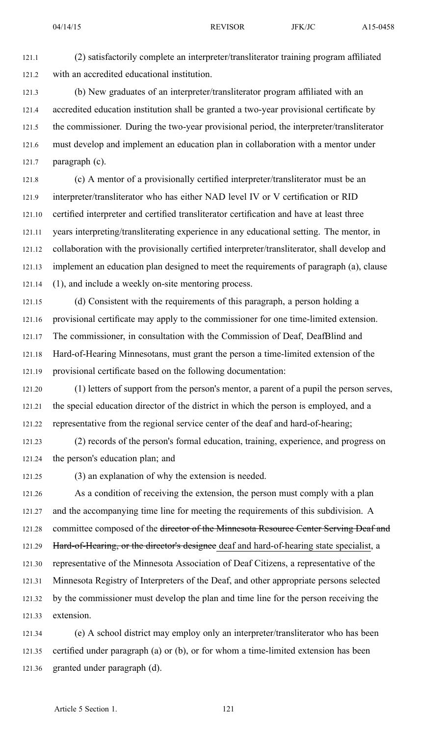121.1 (2) satisfactorily complete an interpreter/transliterator training program affiliated 121.2 with an accredited educational institution.

121.3 (b) New graduates of an interpreter/transliterator program affiliated with an 121.4 accredited education institution shall be granted <sup>a</sup> two-year provisional certificate by 121.5 the commissioner. During the two-year provisional period, the interpreter/transliterator 121.6 must develop and implement an education plan in collaboration with <sup>a</sup> mentor under 121.7 paragraph (c).

121.8 (c) A mentor of <sup>a</sup> provisionally certified interpreter/transliterator must be an 121.9 interpreter/transliterator who has either NAD level IV or V certification or RID 121.10 certified interpreter and certified transliterator certification and have at least three 121.11 years interpreting/transliterating experience in any educational setting. The mentor, in 121.12 collaboration with the provisionally certified interpreter/transliterator, shall develop and 121.13 implement an education plan designed to meet the requirements of paragraph (a), clause 121.14 (1), and include <sup>a</sup> weekly on-site mentoring process.

121.15 (d) Consistent with the requirements of this paragraph, <sup>a</sup> person holding <sup>a</sup> 121.16 provisional certificate may apply to the commissioner for one time-limited extension. 121.17 The commissioner, in consultation with the Commission of Deaf, DeafBlind and 121.18 Hard-of-Hearing Minnesotans, must gran<sup>t</sup> the person <sup>a</sup> time-limited extension of the 121.19 provisional certificate based on the following documentation:

121.20 (1) letters of suppor<sup>t</sup> from the person's mentor, <sup>a</sup> paren<sup>t</sup> of <sup>a</sup> pupil the person serves, 121.21 the special education director of the district in which the person is employed, and <sup>a</sup> 121.22 representative from the regional service center of the deaf and hard-of-hearing;

121.23 (2) records of the person's formal education, training, experience, and progress on 121.24 the person's education plan; and

121.25 (3) an explanation of why the extension is needed.

121.26 As <sup>a</sup> condition of receiving the extension, the person must comply with <sup>a</sup> plan 121.27 and the accompanying time line for meeting the requirements of this subdivision. A 121.28 committee composed of the director of the Minnesota Resource Center Serving Deaf and 121.29 Hard-of-Hearing, or the director's designee deaf and hard-of-hearing state specialist, a 121.30 representative of the Minnesota Association of Deaf Citizens, <sup>a</sup> representative of the 121.31 Minnesota Registry of Interpreters of the Deaf, and other appropriate persons selected 121.32 by the commissioner must develop the plan and time line for the person receiving the 121.33 extension.

121.34 (e) A school district may employ only an interpreter/transliterator who has been 121.35 certified under paragraph (a) or (b), or for whom <sup>a</sup> time-limited extension has been 121.36 granted under paragraph (d).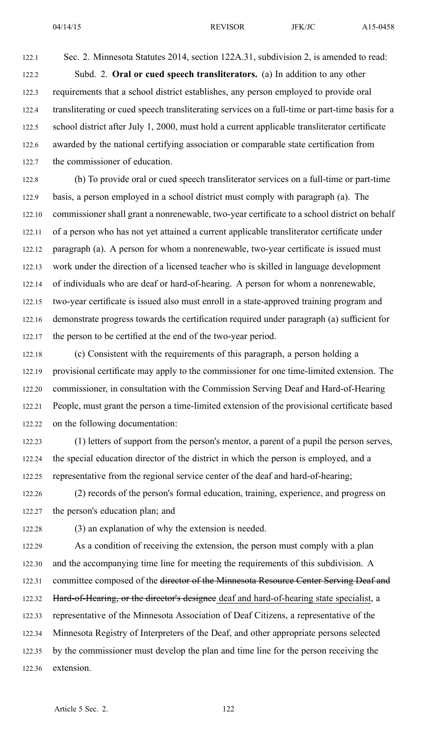122.1 Sec. 2. Minnesota Statutes 2014, section 122A.31, subdivision 2, is amended to read: 122.2 Subd. 2. **Oral or cued speech transliterators.** (a) In addition to any other 122.3 requirements that <sup>a</sup> school district establishes, any person employed to provide oral 122.4 transliterating or cued speech transliterating services on <sup>a</sup> full-time or part-time basis for <sup>a</sup> 122.5 school district after July 1, 2000, must hold <sup>a</sup> current applicable transliterator certificate 122.6 awarded by the national certifying association or comparable state certification from 122.7 the commissioner of education.

122.8 (b) To provide oral or cued speech transliterator services on <sup>a</sup> full-time or part-time 122.9 basis, <sup>a</sup> person employed in <sup>a</sup> school district must comply with paragraph (a). The 122.10 commissioner shall gran<sup>t</sup> <sup>a</sup> nonrenewable, two-year certificate to <sup>a</sup> school district on behalf 122.11 of <sup>a</sup> person who has not ye<sup>t</sup> attained <sup>a</sup> current applicable transliterator certificate under 122.12 paragraph (a). A person for whom <sup>a</sup> nonrenewable, two-year certificate is issued must 122.13 work under the direction of <sup>a</sup> licensed teacher who is skilled in language development 122.14 of individuals who are deaf or hard-of-hearing. A person for whom <sup>a</sup> nonrenewable, 122.15 two-year certificate is issued also must enroll in <sup>a</sup> state-approved training program and 122.16 demonstrate progress towards the certification required under paragraph (a) sufficient for 122.17 the person to be certified at the end of the two-year period.

122.18 (c) Consistent with the requirements of this paragraph, <sup>a</sup> person holding <sup>a</sup> 122.19 provisional certificate may apply to the commissioner for one time-limited extension. The 122.20 commissioner, in consultation with the Commission Serving Deaf and Hard-of-Hearing 122.21 People, must gran<sup>t</sup> the person <sup>a</sup> time-limited extension of the provisional certificate based 122.22 on the following documentation:

122.23 (1) letters of suppor<sup>t</sup> from the person's mentor, <sup>a</sup> paren<sup>t</sup> of <sup>a</sup> pupil the person serves, 122.24 the special education director of the district in which the person is employed, and <sup>a</sup> 122.25 representative from the regional service center of the deaf and hard-of-hearing;

122.26 (2) records of the person's formal education, training, experience, and progress on 122.27 the person's education plan; and

122.28 (3) an explanation of why the extension is needed.

122.29 As <sup>a</sup> condition of receiving the extension, the person must comply with <sup>a</sup> plan 122.30 and the accompanying time line for meeting the requirements of this subdivision. A 122.31 committee composed of the director of the Minnesota Resource Center Serving Deaf and 122.32 Hard-of-Hearing, or the director's designee deaf and hard-of-hearing state specialist, a 122.33 representative of the Minnesota Association of Deaf Citizens, <sup>a</sup> representative of the 122.34 Minnesota Registry of Interpreters of the Deaf, and other appropriate persons selected 122.35 by the commissioner must develop the plan and time line for the person receiving the 122.36 extension.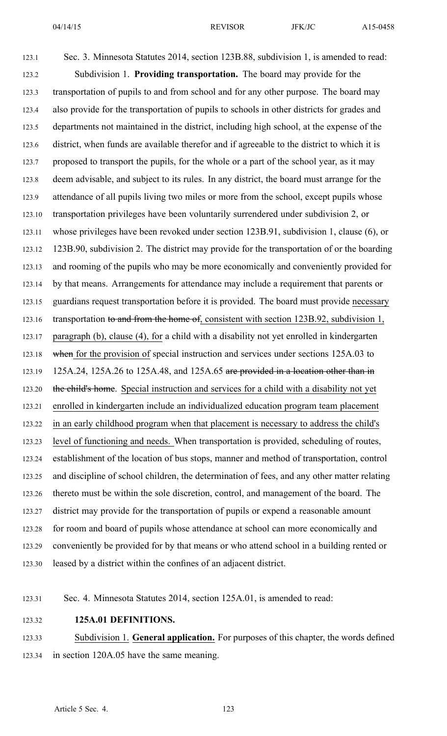123.1 Sec. 3. Minnesota Statutes 2014, section 123B.88, subdivision 1, is amended to read: 123.2 Subdivision 1. **Providing transportation.** The board may provide for the 123.3 transportation of pupils to and from school and for any other purpose. The board may 123.4 also provide for the transportation of pupils to schools in other districts for grades and 123.5 departments not maintained in the district, including high school, at the expense of the 123.6 district, when funds are available therefor and if agreeable to the district to which it is 123.7 proposed to transport the pupils, for the whole or <sup>a</sup> par<sup>t</sup> of the school year, as it may 123.8 deem advisable, and subject to its rules. In any district, the board must arrange for the 123.9 attendance of all pupils living two miles or more from the school, excep<sup>t</sup> pupils whose 123.10 transportation privileges have been voluntarily surrendered under subdivision 2, or 123.11 whose privileges have been revoked under section 123B.91, subdivision 1, clause (6), or 123.12 123B.90, subdivision 2. The district may provide for the transportation of or the boarding 123.13 and rooming of the pupils who may be more economically and conveniently provided for 123.14 by that means. Arrangements for attendance may include <sup>a</sup> requirement that parents or 123.15 guardians reques<sup>t</sup> transportation before it is provided. The board must provide necessary 123.16 transportation to and from the home of, consistent with section 123B.92, subdivision 1, 123.17 paragraph (b), clause (4), for <sup>a</sup> child with <sup>a</sup> disability not ye<sup>t</sup> enrolled in kindergarten 123.18 when for the provision of special instruction and services under sections 125A.03 to 123.19 125A.24, 125A.26 to 125A.48, and 125A.65 are provided in a location other than in 123.20 the child's home. Special instruction and services for a child with a disability not yet 123.21 enrolled in kindergarten include an individualized education program team placement 123.22 in an early childhood program when that placement is necessary to address the child's 123.23 level of functioning and needs. When transportation is provided, scheduling of routes, 123.24 establishment of the location of bus stops, manner and method of transportation, control 123.25 and discipline of school children, the determination of fees, and any other matter relating 123.26 thereto must be within the sole discretion, control, and managemen<sup>t</sup> of the board. The 123.27 district may provide for the transportation of pupils or expend <sup>a</sup> reasonable amount 123.28 for room and board of pupils whose attendance at school can more economically and 123.29 conveniently be provided for by that means or who attend school in <sup>a</sup> building rented or 123.30 leased by <sup>a</sup> district within the confines of an adjacent district.

- 123.31 Sec. 4. Minnesota Statutes 2014, section 125A.01, is amended to read:
- 123.32 **125A.01 DEFINITIONS.**

123.33 Subdivision 1. **General application.** For purposes of this chapter, the words defined 123.34 in section 120A.05 have the same meaning.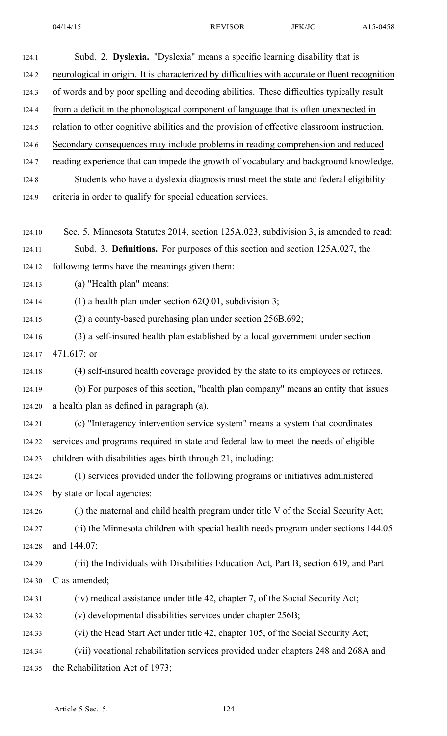| 124.1  | Subd. 2. Dyslexia. "Dyslexia" means a specific learning disability that is                      |
|--------|-------------------------------------------------------------------------------------------------|
| 124.2  | neurological in origin. It is characterized by difficulties with accurate or fluent recognition |
| 124.3  | of words and by poor spelling and decoding abilities. These difficulties typically result       |
| 124.4  | from a deficit in the phonological component of language that is often unexpected in            |
| 124.5  | relation to other cognitive abilities and the provision of effective classroom instruction.     |
| 124.6  | Secondary consequences may include problems in reading comprehension and reduced                |
| 124.7  | reading experience that can impede the growth of vocabulary and background knowledge.           |
| 124.8  | Students who have a dyslexia diagnosis must meet the state and federal eligibility              |
| 124.9  | criteria in order to qualify for special education services.                                    |
|        |                                                                                                 |
| 124.10 | Sec. 5. Minnesota Statutes 2014, section 125A.023, subdivision 3, is amended to read:           |
| 124.11 | Subd. 3. Definitions. For purposes of this section and section 125A.027, the                    |
| 124.12 | following terms have the meanings given them:                                                   |
| 124.13 | (a) "Health plan" means:                                                                        |
| 124.14 | (1) a health plan under section $62Q.01$ , subdivision 3;                                       |
| 124.15 | (2) a county-based purchasing plan under section 256B.692;                                      |
| 124.16 | (3) a self-insured health plan established by a local government under section                  |
| 124.17 | $471.617$ ; or                                                                                  |
| 124.18 | (4) self-insured health coverage provided by the state to its employees or retirees.            |
| 124.19 | (b) For purposes of this section, "health plan company" means an entity that issues             |
| 124.20 | a health plan as defined in paragraph (a).                                                      |
| 124.21 | (c) "Interagency intervention service system" means a system that coordinates                   |
| 124.22 | services and programs required in state and federal law to meet the needs of eligible           |
| 124.23 | children with disabilities ages birth through 21, including:                                    |
| 124.24 | (1) services provided under the following programs or initiatives administered                  |
| 124.25 | by state or local agencies:                                                                     |
| 124.26 | (i) the maternal and child health program under title V of the Social Security Act;             |
| 124.27 | (ii) the Minnesota children with special health needs program under sections 144.05             |
| 124.28 | and 144.07;                                                                                     |
| 124.29 | (iii) the Individuals with Disabilities Education Act, Part B, section 619, and Part            |
| 124.30 | C as amended;                                                                                   |
| 124.31 | (iv) medical assistance under title 42, chapter 7, of the Social Security Act;                  |
| 124.32 | (v) developmental disabilities services under chapter 256B;                                     |
| 124.33 | (vi) the Head Start Act under title 42, chapter 105, of the Social Security Act;                |
| 124.34 | (vii) vocational rehabilitation services provided under chapters 248 and 268A and               |
| 124.35 | the Rehabilitation Act of 1973;                                                                 |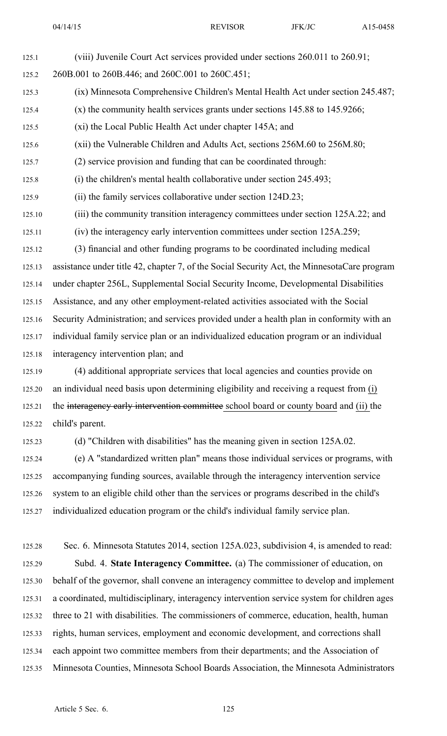125.1 (viii) Juvenile Court Act services provided under sections 260.011 to 260.91;

125.2 260B.001 to 260B.446; and 260C.001 to 260C.451; 125.3 (ix) Minnesota Comprehensive Children's Mental Health Act under section 245.487; 125.4 (x) the community health services grants under sections 145.88 to 145.9266; 125.5 (xi) the Local Public Health Act under chapter 145A; and 125.6 (xii) the Vulnerable Children and Adults Act, sections 256M.60 to 256M.80; 125.7 (2) service provision and funding that can be coordinated through: 125.8 (i) the children's mental health collaborative under section 245.493; 125.9 (ii) the family services collaborative under section 124D.23; 125.10 (iii) the community transition interagency committees under section 125A.22; and 125.11 (iv) the interagency early intervention committees under section 125A.259; 125.12 (3) financial and other funding programs to be coordinated including medical 125.13 assistance under title 42, chapter 7, of the Social Security Act, the MinnesotaCare program 125.14 under chapter 256L, Supplemental Social Security Income, Developmental Disabilities 125.15 Assistance, and any other employment-related activities associated with the Social 125.16 Security Administration; and services provided under <sup>a</sup> health plan in conformity with an 125.17 individual family service plan or an individualized education program or an individual 125.18 interagency intervention plan; and 125.19 (4) additional appropriate services that local agencies and counties provide on 125.20 an individual need basis upon determining eligibility and receiving <sup>a</sup> reques<sup>t</sup> from (i) 125.21 the interagency early intervention committee school board or county board and (ii) the 125.22 child's parent. 125.23 (d) "Children with disabilities" has the meaning given in section 125A.02. 125.24 (e) A "standardized written plan" means those individual services or programs, with 125.25 accompanying funding sources, available through the interagency intervention service 125.26 system to an eligible child other than the services or programs described in the child's 125.27 individualized education program or the child's individual family service plan. 125.28 Sec. 6. Minnesota Statutes 2014, section 125A.023, subdivision 4, is amended to read: 125.29 Subd. 4. **State Interagency Committee.** (a) The commissioner of education, on 125.30 behalf of the governor, shall convene an interagency committee to develop and implement 125.31 <sup>a</sup> coordinated, multidisciplinary, interagency intervention service system for children ages 125.32 three to 21 with disabilities. The commissioners of commerce, education, health, human 125.33 rights, human services, employment and economic development, and corrections shall 125.34 each appoint two committee members from their departments; and the Association of 125.35 Minnesota Counties, Minnesota School Boards Association, the Minnesota Administrators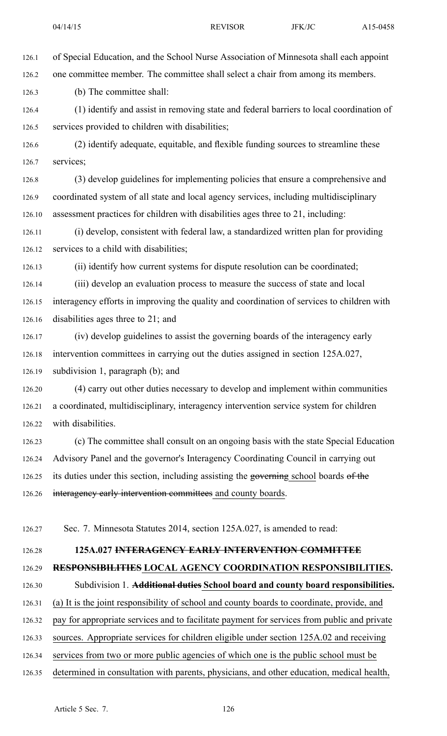126.1 of Special Education, and the School Nurse Association of Minnesota shall each appoint 126.2 one committee member. The committee shall select <sup>a</sup> chair from among its members. 126.3 (b) The committee shall: 126.4 (1) identify and assist in removing state and federal barriers to local coordination of 126.5 services provided to children with disabilities; 126.6 (2) identify adequate, equitable, and flexible funding sources to streamline these 126.7 services; 126.8 (3) develop guidelines for implementing policies that ensure <sup>a</sup> comprehensive and 126.9 coordinated system of all state and local agency services, including multidisciplinary 126.10 assessment practices for children with disabilities ages three to 21, including: 126.11 (i) develop, consistent with federal law, <sup>a</sup> standardized written plan for providing 126.12 services to <sup>a</sup> child with disabilities; 126.13 (ii) identify how current systems for dispute resolution can be coordinated; 126.14 (iii) develop an evaluation process to measure the success of state and local 126.15 interagency efforts in improving the quality and coordination of services to children with 126.16 disabilities ages three to 21; and 126.17 (iv) develop guidelines to assist the governing boards of the interagency early 126.18 intervention committees in carrying out the duties assigned in section 125A.027, 126.19 subdivision 1, paragraph (b); and 126.20 (4) carry out other duties necessary to develop and implement within communities

126.21 <sup>a</sup> coordinated, multidisciplinary, interagency intervention service system for children 126.22 with disabilities.

126.23 (c) The committee shall consult on an ongoing basis with the state Special Education 126.24 Advisory Panel and the governor's Interagency Coordinating Council in carrying out 126.25 its duties under this section, including assisting the governing school boards of the 126.26 interagency early intervention committees and county boards.

126.27 Sec. 7. Minnesota Statutes 2014, section 125A.027, is amended to read:

## 126.28 **125A.027 INTERAGENCY EARLY INTERVENTION COMMITTEE**

## 126.29 **RESPONSIBILITIES LOCAL AGENCY COORDINATION RESPONSIBILITIES.**

## 126.30 Subdivision 1. **Additional duties School board and county board responsibilities.**

- 126.31 (a) It is the joint responsibility of school and county boards to coordinate, provide, and
- 126.32 pay for appropriate services and to facilitate paymen<sup>t</sup> for services from public and private
- 126.33 sources. Appropriate services for children eligible under section 125A.02 and receiving
- 126.34 services from two or more public agencies of which one is the public school must be
- 126.35 determined in consultation with parents, physicians, and other education, medical health,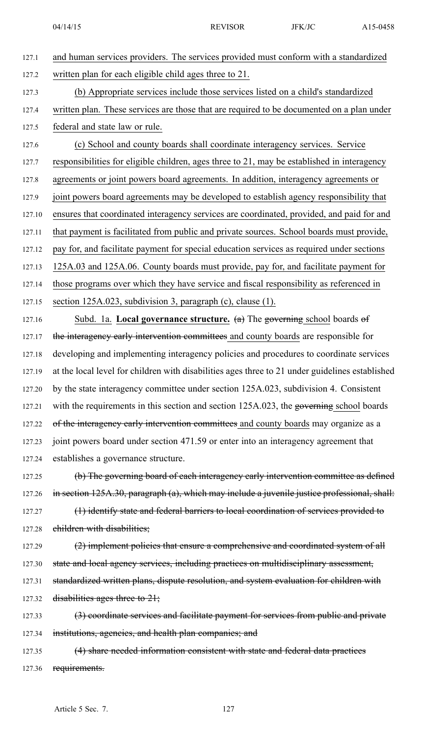| written plan for each eligible child ages three to 21.<br>(b) Appropriate services include those services listed on a child's standardized<br>written plan. These services are those that are required to be documented on a plan under<br>federal and state law or rule.<br>(c) School and county boards shall coordinate interagency services. Service<br>responsibilities for eligible children, ages three to 21, may be established in interagency<br>agreements or joint powers board agreements. In addition, interagency agreements or<br>joint powers board agreements may be developed to establish agency responsibility that<br>ensures that coordinated interagency services are coordinated, provided, and paid for and<br>that payment is facilitated from public and private sources. School boards must provide,<br>pay for, and facilitate payment for special education services as required under sections<br>125A.03 and 125A.06. County boards must provide, pay for, and facilitate payment for |
|------------------------------------------------------------------------------------------------------------------------------------------------------------------------------------------------------------------------------------------------------------------------------------------------------------------------------------------------------------------------------------------------------------------------------------------------------------------------------------------------------------------------------------------------------------------------------------------------------------------------------------------------------------------------------------------------------------------------------------------------------------------------------------------------------------------------------------------------------------------------------------------------------------------------------------------------------------------------------------------------------------------------|
|                                                                                                                                                                                                                                                                                                                                                                                                                                                                                                                                                                                                                                                                                                                                                                                                                                                                                                                                                                                                                        |
|                                                                                                                                                                                                                                                                                                                                                                                                                                                                                                                                                                                                                                                                                                                                                                                                                                                                                                                                                                                                                        |
|                                                                                                                                                                                                                                                                                                                                                                                                                                                                                                                                                                                                                                                                                                                                                                                                                                                                                                                                                                                                                        |
|                                                                                                                                                                                                                                                                                                                                                                                                                                                                                                                                                                                                                                                                                                                                                                                                                                                                                                                                                                                                                        |
|                                                                                                                                                                                                                                                                                                                                                                                                                                                                                                                                                                                                                                                                                                                                                                                                                                                                                                                                                                                                                        |
|                                                                                                                                                                                                                                                                                                                                                                                                                                                                                                                                                                                                                                                                                                                                                                                                                                                                                                                                                                                                                        |
|                                                                                                                                                                                                                                                                                                                                                                                                                                                                                                                                                                                                                                                                                                                                                                                                                                                                                                                                                                                                                        |
|                                                                                                                                                                                                                                                                                                                                                                                                                                                                                                                                                                                                                                                                                                                                                                                                                                                                                                                                                                                                                        |
|                                                                                                                                                                                                                                                                                                                                                                                                                                                                                                                                                                                                                                                                                                                                                                                                                                                                                                                                                                                                                        |
|                                                                                                                                                                                                                                                                                                                                                                                                                                                                                                                                                                                                                                                                                                                                                                                                                                                                                                                                                                                                                        |
|                                                                                                                                                                                                                                                                                                                                                                                                                                                                                                                                                                                                                                                                                                                                                                                                                                                                                                                                                                                                                        |
|                                                                                                                                                                                                                                                                                                                                                                                                                                                                                                                                                                                                                                                                                                                                                                                                                                                                                                                                                                                                                        |
| those programs over which they have service and fiscal responsibility as referenced in                                                                                                                                                                                                                                                                                                                                                                                                                                                                                                                                                                                                                                                                                                                                                                                                                                                                                                                                 |
| section 125A.023, subdivision 3, paragraph (c), clause (1).                                                                                                                                                                                                                                                                                                                                                                                                                                                                                                                                                                                                                                                                                                                                                                                                                                                                                                                                                            |
| Subd. 1a. Local governance structure. $(a)$ The governing school boards of                                                                                                                                                                                                                                                                                                                                                                                                                                                                                                                                                                                                                                                                                                                                                                                                                                                                                                                                             |
| the interagency early intervention committees and county boards are responsible for                                                                                                                                                                                                                                                                                                                                                                                                                                                                                                                                                                                                                                                                                                                                                                                                                                                                                                                                    |
| developing and implementing interagency policies and procedures to coordinate services                                                                                                                                                                                                                                                                                                                                                                                                                                                                                                                                                                                                                                                                                                                                                                                                                                                                                                                                 |
| at the local level for children with disabilities ages three to 21 under guidelines established                                                                                                                                                                                                                                                                                                                                                                                                                                                                                                                                                                                                                                                                                                                                                                                                                                                                                                                        |
| by the state interagency committee under section 125A.023, subdivision 4. Consistent                                                                                                                                                                                                                                                                                                                                                                                                                                                                                                                                                                                                                                                                                                                                                                                                                                                                                                                                   |
| with the requirements in this section and section 125A.023, the governing school boards                                                                                                                                                                                                                                                                                                                                                                                                                                                                                                                                                                                                                                                                                                                                                                                                                                                                                                                                |
| of the interagency early intervention committees and county boards may organize as a                                                                                                                                                                                                                                                                                                                                                                                                                                                                                                                                                                                                                                                                                                                                                                                                                                                                                                                                   |
| joint powers board under section 471.59 or enter into an interagency agreement that                                                                                                                                                                                                                                                                                                                                                                                                                                                                                                                                                                                                                                                                                                                                                                                                                                                                                                                                    |
| establishes a governance structure.                                                                                                                                                                                                                                                                                                                                                                                                                                                                                                                                                                                                                                                                                                                                                                                                                                                                                                                                                                                    |
| (b) The governing board of each interagency early intervention committee as defined                                                                                                                                                                                                                                                                                                                                                                                                                                                                                                                                                                                                                                                                                                                                                                                                                                                                                                                                    |
| in section 125A.30, paragraph (a), which may include a juvenile justice professional, shall:                                                                                                                                                                                                                                                                                                                                                                                                                                                                                                                                                                                                                                                                                                                                                                                                                                                                                                                           |
| (1) identify state and federal barriers to local coordination of services provided to                                                                                                                                                                                                                                                                                                                                                                                                                                                                                                                                                                                                                                                                                                                                                                                                                                                                                                                                  |
| children with disabilities;                                                                                                                                                                                                                                                                                                                                                                                                                                                                                                                                                                                                                                                                                                                                                                                                                                                                                                                                                                                            |
| (2) implement policies that ensure a comprehensive and coordinated system of all                                                                                                                                                                                                                                                                                                                                                                                                                                                                                                                                                                                                                                                                                                                                                                                                                                                                                                                                       |
| state and local agency services, including practices on multidisciplinary assessment,                                                                                                                                                                                                                                                                                                                                                                                                                                                                                                                                                                                                                                                                                                                                                                                                                                                                                                                                  |
| standardized written plans, dispute resolution, and system evaluation for children with                                                                                                                                                                                                                                                                                                                                                                                                                                                                                                                                                                                                                                                                                                                                                                                                                                                                                                                                |
| disabilities ages three to $21$ ;                                                                                                                                                                                                                                                                                                                                                                                                                                                                                                                                                                                                                                                                                                                                                                                                                                                                                                                                                                                      |
| (3) coordinate services and facilitate payment for services from public and private                                                                                                                                                                                                                                                                                                                                                                                                                                                                                                                                                                                                                                                                                                                                                                                                                                                                                                                                    |
| institutions, agencies, and health plan companies; and                                                                                                                                                                                                                                                                                                                                                                                                                                                                                                                                                                                                                                                                                                                                                                                                                                                                                                                                                                 |
| (4) share needed information consistent with state and federal data practices                                                                                                                                                                                                                                                                                                                                                                                                                                                                                                                                                                                                                                                                                                                                                                                                                                                                                                                                          |
|                                                                                                                                                                                                                                                                                                                                                                                                                                                                                                                                                                                                                                                                                                                                                                                                                                                                                                                                                                                                                        |

127.36 requirements.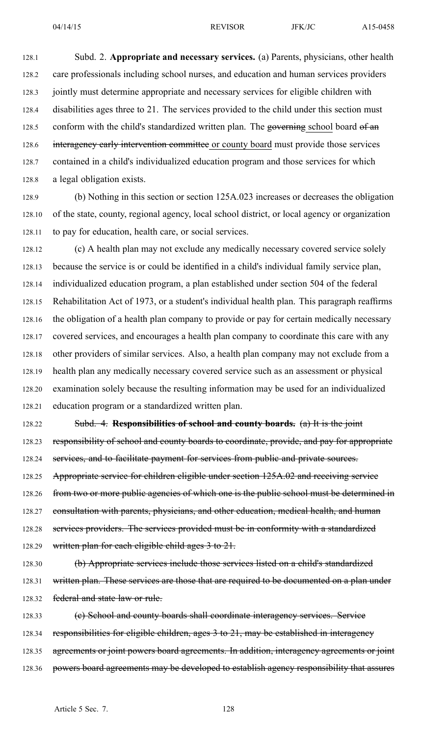128.1 Subd. 2. **Appropriate and necessary services.** (a) Parents, physicians, other health 128.2 care professionals including school nurses, and education and human services providers 128.3 jointly must determine appropriate and necessary services for eligible children with 128.4 disabilities ages three to 21. The services provided to the child under this section must 128.5 conform with the child's standardized written plan. The governing school board of an 128.6 interagency early intervention committee or county board must provide those services 128.7 contained in <sup>a</sup> child's individualized education program and those services for which 128.8 <sup>a</sup> legal obligation exists.

128.9 (b) Nothing in this section or section 125A.023 increases or decreases the obligation 128.10 of the state, county, regional agency, local school district, or local agency or organization 128.11 to pay for education, health care, or social services.

128.12 (c) A health plan may not exclude any medically necessary covered service solely 128.13 because the service is or could be identified in <sup>a</sup> child's individual family service plan, 128.14 individualized education program, <sup>a</sup> plan established under section 504 of the federal 128.15 Rehabilitation Act of 1973, or <sup>a</sup> student's individual health plan. This paragraph reaffirms 128.16 the obligation of <sup>a</sup> health plan company to provide or pay for certain medically necessary 128.17 covered services, and encourages <sup>a</sup> health plan company to coordinate this care with any 128.18 other providers of similar services. Also, <sup>a</sup> health plan company may not exclude from <sup>a</sup> 128.19 health plan any medically necessary covered service such as an assessment or physical 128.20 examination solely because the resulting information may be used for an individualized 128.21 education program or <sup>a</sup> standardized written plan.

128.22 Subd. 4. **Responsibilities of school and county boards.** (a) It is the joint 128.23 responsibility of school and county boards to coordinate, provide, and pay for appropriate 128.24 services, and to facilitate payment for services from public and private sources. 128.25 Appropriate service for children eligible under section 125A.02 and receiving service

128.26 from two or more public agencies of which one is the public school must be determined in

128.27 consultation with parents, physicians, and other education, medical health, and human

128.28 services providers. The services provided must be in conformity with a standardized

128.29 written plan for each eligible child ages 3 to 21.

128.30 (b) Appropriate services include those services listed on <sup>a</sup> child's standardized 128.31 written plan. These services are those that are required to be documented on a plan under 128.32 federal and state law or rule.

128.33 (c) School and county boards shall coordinate interagency services. Service 128.34 responsibilities for eligible children, ages 3 to 21, may be established in interagency 128.35 agreements or joint powers board agreements. In addition, interagency agreements or joint 128.36 powers board agreements may be developed to establish agency responsibility that assures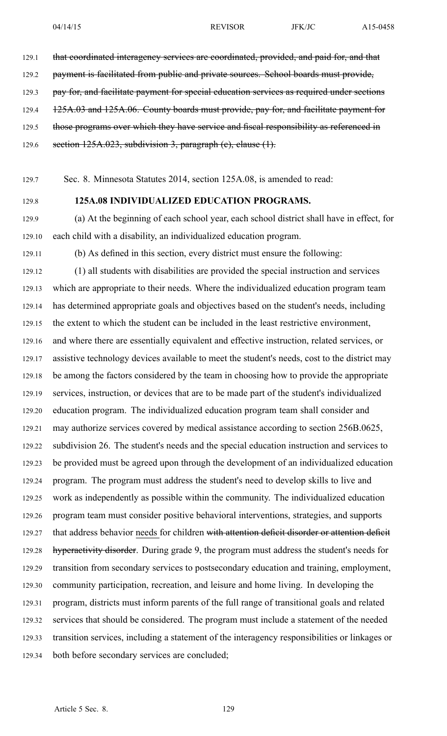- 129.1 that coordinated interagency services are coordinated, provided, and paid for, and that
- 129.2 payment is facilitated from public and private sources. School boards must provide,
- 129.3 pay for, and facilitate payment for special education services as required under sections
- 129.4 125A.03 and 125A.06. County boards must provide, pay for, and facilitate payment for
- 129.5 those programs over which they have service and fiscal responsibility as referenced in
- 129.6 section  $125A.023$ , subdivision 3, paragraph (e), clause  $(1)$ .
- 129.7 Sec. 8. Minnesota Statutes 2014, section 125A.08, is amended to read:
- 

## 129.8 **125A.08 INDIVIDUALIZED EDUCATION PROGRAMS.**

- 129.9 (a) At the beginning of each school year, each school district shall have in effect, for 129.10 each child with <sup>a</sup> disability, an individualized education program.
- 129.11 (b) As defined in this section, every district must ensure the following:

129.12 (1) all students with disabilities are provided the special instruction and services 129.13 which are appropriate to their needs. Where the individualized education program team 129.14 has determined appropriate goals and objectives based on the student's needs, including 129.15 the extent to which the student can be included in the least restrictive environment, 129.16 and where there are essentially equivalent and effective instruction, related services, or 129.17 assistive technology devices available to meet the student's needs, cost to the district may 129.18 be among the factors considered by the team in choosing how to provide the appropriate 129.19 services, instruction, or devices that are to be made par<sup>t</sup> of the student's individualized 129.20 education program. The individualized education program team shall consider and 129.21 may authorize services covered by medical assistance according to section 256B.0625, 129.22 subdivision 26. The student's needs and the special education instruction and services to 129.23 be provided must be agreed upon through the development of an individualized education 129.24 program. The program must address the student's need to develop skills to live and 129.25 work as independently as possible within the community. The individualized education 129.26 program team must consider positive behavioral interventions, strategies, and supports 129.27 that address behavior needs for children with attention deficit disorder or attention deficit 129.28 hyperactivity disorder. During grade 9, the program must address the student's needs for 129.29 transition from secondary services to postsecondary education and training, employment, 129.30 community participation, recreation, and leisure and home living. In developing the 129.31 program, districts must inform parents of the full range of transitional goals and related 129.32 services that should be considered. The program must include <sup>a</sup> statement of the needed 129.33 transition services, including <sup>a</sup> statement of the interagency responsibilities or linkages or 129.34 both before secondary services are concluded;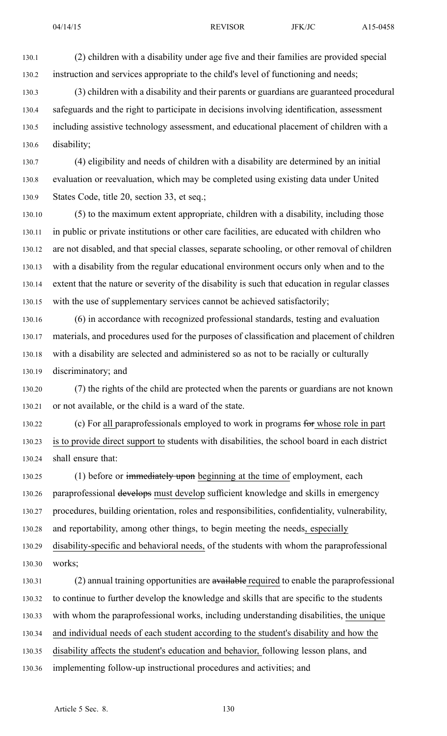130.1 (2) children with <sup>a</sup> disability under age five and their families are provided special 130.2 instruction and services appropriate to the child's level of functioning and needs;

130.3 (3) children with <sup>a</sup> disability and their parents or guardians are guaranteed procedural 130.4 safeguards and the right to participate in decisions involving identification, assessment 130.5 including assistive technology assessment, and educational placement of children with <sup>a</sup> 130.6 disability;

130.7 (4) eligibility and needs of children with <sup>a</sup> disability are determined by an initial 130.8 evaluation or reevaluation, which may be completed using existing data under United 130.9 States Code, title 20, section 33, et seq.;

130.10 (5) to the maximum extent appropriate, children with <sup>a</sup> disability, including those 130.11 in public or private institutions or other care facilities, are educated with children who 130.12 are not disabled, and that special classes, separate schooling, or other removal of children 130.13 with <sup>a</sup> disability from the regular educational environment occurs only when and to the 130.14 extent that the nature or severity of the disability is such that education in regular classes 130.15 with the use of supplementary services cannot be achieved satisfactorily;

130.16 (6) in accordance with recognized professional standards, testing and evaluation 130.17 materials, and procedures used for the purposes of classification and placement of children 130.18 with <sup>a</sup> disability are selected and administered so as not to be racially or culturally 130.19 discriminatory; and

130.20 (7) the rights of the child are protected when the parents or guardians are not known 130.21 or not available, or the child is <sup>a</sup> ward of the state.

130.22 (c) For all paraprofessionals employed to work in programs for whose role in part 130.23 is to provide direct suppor<sup>t</sup> to students with disabilities, the school board in each district 130.24 shall ensure that:

130.25 (1) before or immediately upon beginning at the time of employment, each 130.26 paraprofessional develops must develop sufficient knowledge and skills in emergency 130.27 procedures, building orientation, roles and responsibilities, confidentiality, vulnerability, 130.28 and reportability, among other things, to begin meeting the needs, especially 130.29 disability-specific and behavioral needs, of the students with whom the paraprofessional

130.30 works;

130.31 (2) annual training opportunities are available required to enable the paraprofessional 130.32 to continue to further develop the knowledge and skills that are specific to the students

130.33 with whom the paraprofessional works, including understanding disabilities, the unique

130.34 and individual needs of each student according to the student's disability and how the

130.35 disability affects the student's education and behavior, following lesson plans, and

130.36 implementing follow-up instructional procedures and activities; and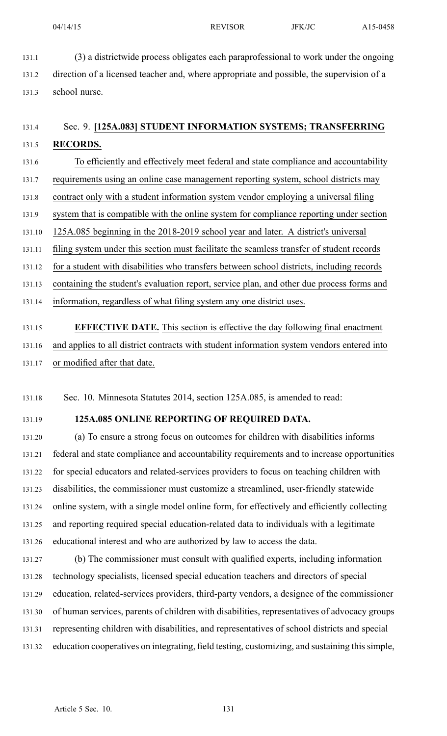131.1 (3) <sup>a</sup> districtwide process obligates each paraprofessional to work under the ongoing 131.2 direction of <sup>a</sup> licensed teacher and, where appropriate and possible, the supervision of <sup>a</sup> 131.3 school nurse.

# 131.4 Sec. 9. **[125A.083] STUDENT INFORMATION SYSTEMS; TRANSFERRING** 131.5 **RECORDS.**

131.6 To efficiently and effectively meet federal and state compliance and accountability 131.7 requirements using an online case managemen<sup>t</sup> reporting system, school districts may 131.8 contract only with <sup>a</sup> student information system vendor employing <sup>a</sup> universal filing 131.9 system that is compatible with the online system for compliance reporting under section 131.10 125A.085 beginning in the 2018-2019 school year and later. A district's universal 131.11 filing system under this section must facilitate the seamless transfer of student records 131.12 for <sup>a</sup> student with disabilities who transfers between school districts, including records 131.13 containing the student's evaluation report, service plan, and other due process forms and 131.14 information, regardless of what filing system any one district uses. 131.15 **EFFECTIVE DATE.** This section is effective the day following final enactment

131.16 and applies to all district contracts with student information system vendors entered into 131.17 or modified after that date.

131.18 Sec. 10. Minnesota Statutes 2014, section 125A.085, is amended to read:

## 131.19 **125A.085 ONLINE REPORTING OF REQUIRED DATA.**

131.20 (a) To ensure <sup>a</sup> strong focus on outcomes for children with disabilities informs 131.21 federal and state compliance and accountability requirements and to increase opportunities 131.22 for special educators and related-services providers to focus on teaching children with 131.23 disabilities, the commissioner must customize <sup>a</sup> streamlined, user-friendly statewide 131.24 online system, with <sup>a</sup> single model online form, for effectively and efficiently collecting 131.25 and reporting required special education-related data to individuals with <sup>a</sup> legitimate 131.26 educational interest and who are authorized by law to access the data.

131.27 (b) The commissioner must consult with qualified experts, including information 131.28 technology specialists, licensed special education teachers and directors of special 131.29 education, related-services providers, third-party vendors, <sup>a</sup> designee of the commissioner 131.30 of human services, parents of children with disabilities, representatives of advocacy groups 131.31 representing children with disabilities, and representatives of school districts and special 131.32 education cooperatives on integrating, field testing, customizing, and sustaining this simple,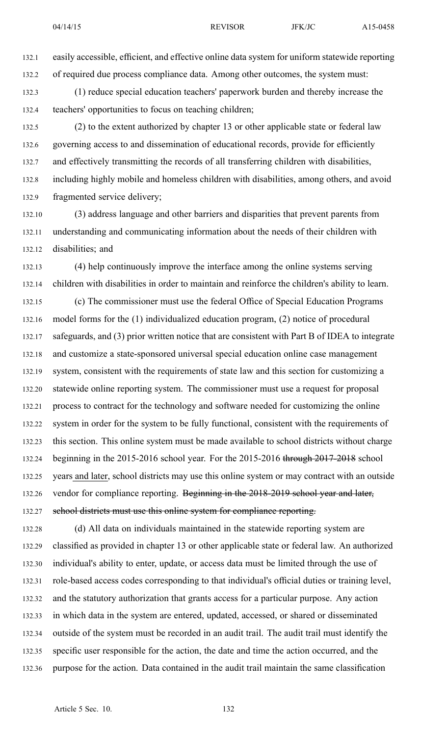132.1 easily accessible, efficient, and effective online data system for uniform statewide reporting 132.2 of required due process compliance data. Among other outcomes, the system must:

132.3 (1) reduce special education teachers' paperwork burden and thereby increase the 132.4 teachers' opportunities to focus on teaching children;

132.5 (2) to the extent authorized by chapter 13 or other applicable state or federal law 132.6 governing access to and dissemination of educational records, provide for efficiently 132.7 and effectively transmitting the records of all transferring children with disabilities, 132.8 including highly mobile and homeless children with disabilities, among others, and avoid 132.9 fragmented service delivery;

132.10 (3) address language and other barriers and disparities that preven<sup>t</sup> parents from 132.11 understanding and communicating information about the needs of their children with 132.12 disabilities; and

132.13 (4) help continuously improve the interface among the online systems serving 132.14 children with disabilities in order to maintain and reinforce the children's ability to learn. 132.15 (c) The commissioner must use the federal Office of Special Education Programs 132.16 model forms for the (1) individualized education program, (2) notice of procedural 132.17 safeguards, and (3) prior written notice that are consistent with Part B of IDEA to integrate 132.18 and customize <sup>a</sup> state-sponsored universal special education online case managemen<sup>t</sup> 132.19 system, consistent with the requirements of state law and this section for customizing <sup>a</sup> 132.20 statewide online reporting system. The commissioner must use <sup>a</sup> reques<sup>t</sup> for proposal 132.21 process to contract for the technology and software needed for customizing the online 132.22 system in order for the system to be fully functional, consistent with the requirements of 132.23 this section. This online system must be made available to school districts without charge 132.24 beginning in the 2015-2016 school year. For the 2015-2016 through 2017-2018 school 132.25 years and later, school districts may use this online system or may contract with an outside 132.26 vendor for compliance reporting. Beginning in the 2018-2019 school year and later, 132.27 school districts must use this online system for compliance reporting.

132.28 (d) All data on individuals maintained in the statewide reporting system are 132.29 classified as provided in chapter 13 or other applicable state or federal law. An authorized 132.30 individual's ability to enter, update, or access data must be limited through the use of 132.31 role-based access codes corresponding to that individual's official duties or training level, 132.32 and the statutory authorization that grants access for <sup>a</sup> particular purpose. Any action 132.33 in which data in the system are entered, updated, accessed, or shared or disseminated 132.34 outside of the system must be recorded in an audit trail. The audit trail must identify the 132.35 specific user responsible for the action, the date and time the action occurred, and the 132.36 purpose for the action. Data contained in the audit trail maintain the same classification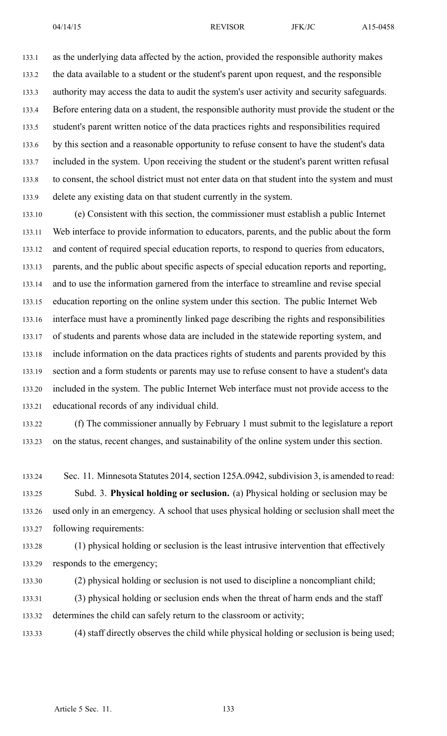133.1 as the underlying data affected by the action, provided the responsible authority makes 133.2 the data available to <sup>a</sup> student or the student's paren<sup>t</sup> upon request, and the responsible 133.3 authority may access the data to audit the system's user activity and security safeguards. 133.4 Before entering data on <sup>a</sup> student, the responsible authority must provide the student or the 133.5 student's paren<sup>t</sup> written notice of the data practices rights and responsibilities required 133.6 by this section and <sup>a</sup> reasonable opportunity to refuse consent to have the student's data 133.7 included in the system. Upon receiving the student or the student's paren<sup>t</sup> written refusal 133.8 to consent, the school district must not enter data on that student into the system and must 133.9 delete any existing data on that student currently in the system.

133.10 (e) Consistent with this section, the commissioner must establish <sup>a</sup> public Internet 133.11 Web interface to provide information to educators, parents, and the public about the form 133.12 and content of required special education reports, to respond to queries from educators, 133.13 parents, and the public about specific aspects of special education reports and reporting, 133.14 and to use the information garnered from the interface to streamline and revise special 133.15 education reporting on the online system under this section. The public Internet Web 133.16 interface must have <sup>a</sup> prominently linked page describing the rights and responsibilities 133.17 of students and parents whose data are included in the statewide reporting system, and 133.18 include information on the data practices rights of students and parents provided by this 133.19 section and <sup>a</sup> form students or parents may use to refuse consent to have <sup>a</sup> student's data 133.20 included in the system. The public Internet Web interface must not provide access to the 133.21 educational records of any individual child.

133.22 (f) The commissioner annually by February 1 must submit to the legislature <sup>a</sup> repor<sup>t</sup> 133.23 on the status, recent changes, and sustainability of the online system under this section.

133.24 Sec. 11. Minnesota Statutes 2014, section 125A.0942, subdivision 3, is amended to read: 133.25 Subd. 3. **Physical holding or seclusion.** (a) Physical holding or seclusion may be 133.26 used only in an emergency. A school that uses physical holding or seclusion shall meet the 133.27 following requirements:

133.28 (1) physical holding or seclusion is the least intrusive intervention that effectively 133.29 responds to the emergency;

133.30 (2) physical holding or seclusion is not used to discipline <sup>a</sup> noncompliant child;

133.31 (3) physical holding or seclusion ends when the threat of harm ends and the staff 133.32 determines the child can safely return to the classroom or activity;

133.33 (4) staff directly observes the child while physical holding or seclusion is being used;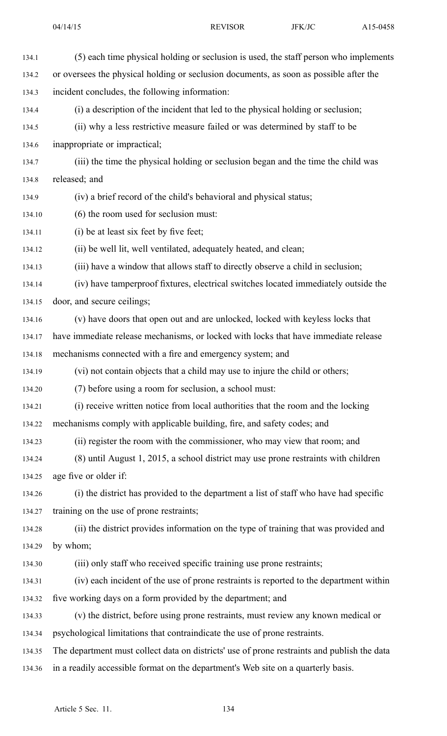134.5 (ii) why <sup>a</sup> less restrictive measure failed or was determined by staff to be 134.6 inappropriate or impractical;

134.7 (iii) the time the physical holding or seclusion began and the time the child was 134.8 released; and

134.9 (iv) <sup>a</sup> brief record of the child's behavioral and physical status;

134.10 (6) the room used for seclusion must:

134.11 (i) be at least six feet by five feet;

134.12 (ii) be well lit, well ventilated, adequately heated, and clean;

134.13 (iii) have <sup>a</sup> window that allows staff to directly observe <sup>a</sup> child in seclusion;

134.14 (iv) have tamperproof fixtures, electrical switches located immediately outside the 134.15 door, and secure ceilings;

- 134.16 (v) have doors that open out and are unlocked, locked with keyless locks that
- 134.17 have immediate release mechanisms, or locked with locks that have immediate release

134.18 mechanisms connected with <sup>a</sup> fire and emergency system; and

134.19 (vi) not contain objects that <sup>a</sup> child may use to injure the child or others;

134.20 (7) before using <sup>a</sup> room for seclusion, <sup>a</sup> school must:

134.21 (i) receive written notice from local authorities that the room and the locking 134.22 mechanisms comply with applicable building, fire, and safety codes; and

134.23 (ii) register the room with the commissioner, who may view that room; and

134.24 (8) until August 1, 2015, <sup>a</sup> school district may use prone restraints with children 134.25 age five or older if:

134.26 (i) the district has provided to the department <sup>a</sup> list of staff who have had specific 134.27 training on the use of prone restraints;

134.28 (ii) the district provides information on the type of training that was provided and 134.29 by whom;

134.30 (iii) only staff who received specific training use prone restraints;

134.31 (iv) each incident of the use of prone restraints is reported to the department within

134.32 five working days on <sup>a</sup> form provided by the department; and

134.33 (v) the district, before using prone restraints, must review any known medical or 134.34 psychological limitations that contraindicate the use of prone restraints.

134.35 The department must collect data on districts' use of prone restraints and publish the data 134.36 in <sup>a</sup> readily accessible format on the department's Web site on <sup>a</sup> quarterly basis.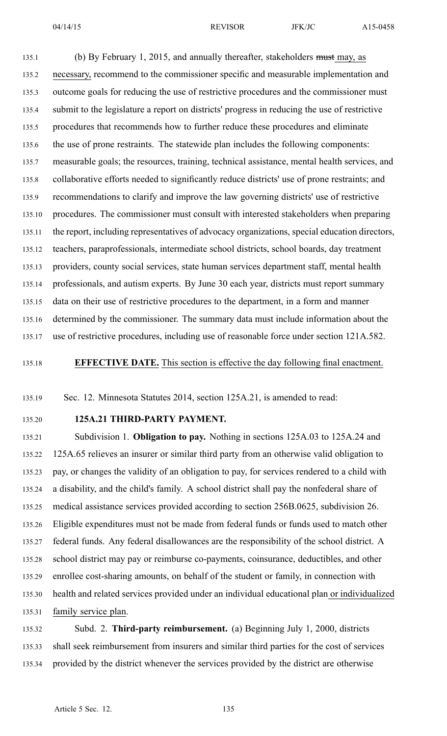135.1 (b) By February 1, 2015, and annually thereafter, stakeholders must may, as 135.2 necessary, recommend to the commissioner specific and measurable implementation and 135.3 outcome goals for reducing the use of restrictive procedures and the commissioner must 135.4 submit to the legislature <sup>a</sup> repor<sup>t</sup> on districts' progress in reducing the use of restrictive 135.5 procedures that recommends how to further reduce these procedures and eliminate 135.6 the use of prone restraints. The statewide plan includes the following components: 135.7 measurable goals; the resources, training, technical assistance, mental health services, and 135.8 collaborative efforts needed to significantly reduce districts' use of prone restraints; and 135.9 recommendations to clarify and improve the law governing districts' use of restrictive 135.10 procedures. The commissioner must consult with interested stakeholders when preparing 135.11 the report, including representatives of advocacy organizations, special education directors, 135.12 teachers, paraprofessionals, intermediate school districts, school boards, day treatment 135.13 providers, county social services, state human services department staff, mental health 135.14 professionals, and autism experts. By June 30 each year, districts must repor<sup>t</sup> summary 135.15 data on their use of restrictive procedures to the department, in <sup>a</sup> form and manner 135.16 determined by the commissioner. The summary data must include information about the 135.17 use of restrictive procedures, including use of reasonable force under section 121A.582.

135.18 **EFFECTIVE DATE.** This section is effective the day following final enactment.

135.19 Sec. 12. Minnesota Statutes 2014, section 125A.21, is amended to read:

### 135.20 **125A.21 THIRD-PARTY PAYMENT.**

135.21 Subdivision 1. **Obligation to pay.** Nothing in sections 125A.03 to 125A.24 and 135.22 125A.65 relieves an insurer or similar third party from an otherwise valid obligation to 135.23 pay, or changes the validity of an obligation to pay, for services rendered to <sup>a</sup> child with 135.24 <sup>a</sup> disability, and the child's family. A school district shall pay the nonfederal share of 135.25 medical assistance services provided according to section 256B.0625, subdivision 26. 135.26 Eligible expenditures must not be made from federal funds or funds used to match other 135.27 federal funds. Any federal disallowances are the responsibility of the school district. A 135.28 school district may pay or reimburse co-payments, coinsurance, deductibles, and other 135.29 enrollee cost-sharing amounts, on behalf of the student or family, in connection with 135.30 health and related services provided under an individual educational plan or individualized 135.31 family service plan.

135.32 Subd. 2. **Third-party reimbursement.** (a) Beginning July 1, 2000, districts 135.33 shall seek reimbursement from insurers and similar third parties for the cost of services 135.34 provided by the district whenever the services provided by the district are otherwise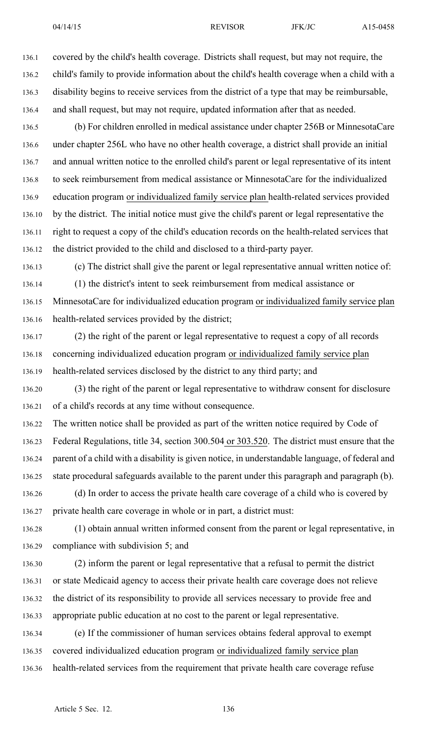136.1 covered by the child's health coverage. Districts shall request, but may not require, the 136.2 child's family to provide information about the child's health coverage when <sup>a</sup> child with <sup>a</sup> 136.3 disability begins to receive services from the district of <sup>a</sup> type that may be reimbursable, 136.4 and shall request, but may not require, updated information after that as needed.

136.5 (b) For children enrolled in medical assistance under chapter 256B or MinnesotaCare 136.6 under chapter 256L who have no other health coverage, <sup>a</sup> district shall provide an initial 136.7 and annual written notice to the enrolled child's paren<sup>t</sup> or legal representative of its intent 136.8 to seek reimbursement from medical assistance or MinnesotaCare for the individualized 136.9 education program or individualized family service plan health-related services provided 136.10 by the district. The initial notice must give the child's paren<sup>t</sup> or legal representative the 136.11 right to reques<sup>t</sup> <sup>a</sup> copy of the child's education records on the health-related services that 136.12 the district provided to the child and disclosed to <sup>a</sup> third-party payer.

136.13 (c) The district shall give the paren<sup>t</sup> or legal representative annual written notice of: 136.14 (1) the district's intent to seek reimbursement from medical assistance or 136.15 MinnesotaCare for individualized education program or individualized family service plan 136.16 health-related services provided by the district;

136.17 (2) the right of the paren<sup>t</sup> or legal representative to reques<sup>t</sup> <sup>a</sup> copy of all records 136.18 concerning individualized education program or individualized family service plan 136.19 health-related services disclosed by the district to any third party; and

136.20 (3) the right of the paren<sup>t</sup> or legal representative to withdraw consent for disclosure 136.21 of <sup>a</sup> child's records at any time without consequence.

136.22 The written notice shall be provided as par<sup>t</sup> of the written notice required by Code of 136.23 Federal Regulations, title 34, section 300.504 or 303.520. The district must ensure that the 136.24 paren<sup>t</sup> of <sup>a</sup> child with <sup>a</sup> disability is given notice, in understandable language, of federal and 136.25 state procedural safeguards available to the paren<sup>t</sup> under this paragraph and paragraph (b).

136.26 (d) In order to access the private health care coverage of <sup>a</sup> child who is covered by 136.27 private health care coverage in whole or in part, <sup>a</sup> district must:

136.28 (1) obtain annual written informed consent from the paren<sup>t</sup> or legal representative, in 136.29 compliance with subdivision 5; and

136.30 (2) inform the paren<sup>t</sup> or legal representative that <sup>a</sup> refusal to permit the district 136.31 or state Medicaid agency to access their private health care coverage does not relieve 136.32 the district of its responsibility to provide all services necessary to provide free and 136.33 appropriate public education at no cost to the paren<sup>t</sup> or legal representative.

136.34 (e) If the commissioner of human services obtains federal approval to exemp<sup>t</sup> 136.35 covered individualized education program or individualized family service plan 136.36 health-related services from the requirement that private health care coverage refuse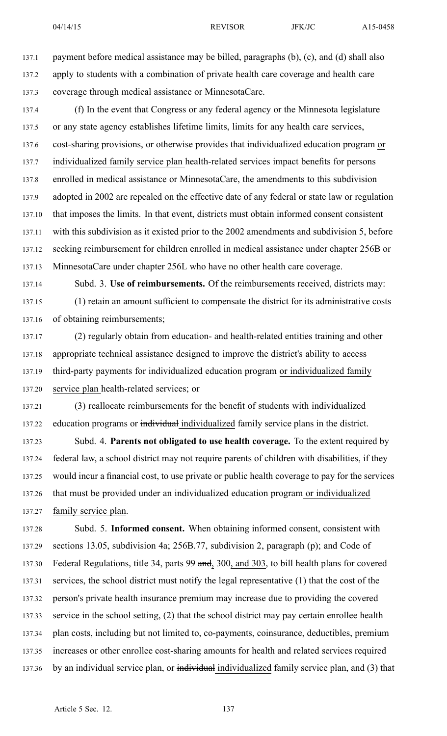137.1 paymen<sup>t</sup> before medical assistance may be billed, paragraphs (b), (c), and (d) shall also 137.2 apply to students with <sup>a</sup> combination of private health care coverage and health care 137.3 coverage through medical assistance or MinnesotaCare.

137.4 (f) In the event that Congress or any federal agency or the Minnesota legislature 137.5 or any state agency establishes lifetime limits, limits for any health care services, 137.6 cost-sharing provisions, or otherwise provides that individualized education program or 137.7 individualized family service plan health-related services impact benefits for persons 137.8 enrolled in medical assistance or MinnesotaCare, the amendments to this subdivision 137.9 adopted in 2002 are repealed on the effective date of any federal or state law or regulation 137.10 that imposes the limits. In that event, districts must obtain informed consent consistent 137.11 with this subdivision as it existed prior to the 2002 amendments and subdivision 5, before 137.12 seeking reimbursement for children enrolled in medical assistance under chapter 256B or 137.13 MinnesotaCare under chapter 256L who have no other health care coverage.

137.14 Subd. 3. **Use of reimbursements.** Of the reimbursements received, districts may: 137.15 (1) retain an amount sufficient to compensate the district for its administrative costs 137.16 of obtaining reimbursements;

137.17 (2) regularly obtain from education- and health-related entities training and other 137.18 appropriate technical assistance designed to improve the district's ability to access 137.19 third-party payments for individualized education program or individualized family 137.20 service plan health-related services; or

137.21 (3) reallocate reimbursements for the benefit of students with individualized 137.22 education programs or individual individualized family service plans in the district.

137.23 Subd. 4. **Parents not obligated to use health coverage.** To the extent required by 137.24 federal law, <sup>a</sup> school district may not require parents of children with disabilities, if they 137.25 would incur <sup>a</sup> financial cost, to use private or public health coverage to pay for the services 137.26 that must be provided under an individualized education program or individualized 137.27 family service plan.

137.28 Subd. 5. **Informed consent.** When obtaining informed consent, consistent with 137.29 sections 13.05, subdivision 4a; 256B.77, subdivision 2, paragraph (p); and Code of 137.30 Federal Regulations, title 34, parts 99 and, 300, and 303, to bill health plans for covered 137.31 services, the school district must notify the legal representative (1) that the cost of the 137.32 person's private health insurance premium may increase due to providing the covered 137.33 service in the school setting, (2) that the school district may pay certain enrollee health 137.34 plan costs, including but not limited to, co-payments, coinsurance, deductibles, premium 137.35 increases or other enrollee cost-sharing amounts for health and related services required 137.36 by an individual service plan, or individual individualized family service plan, and (3) that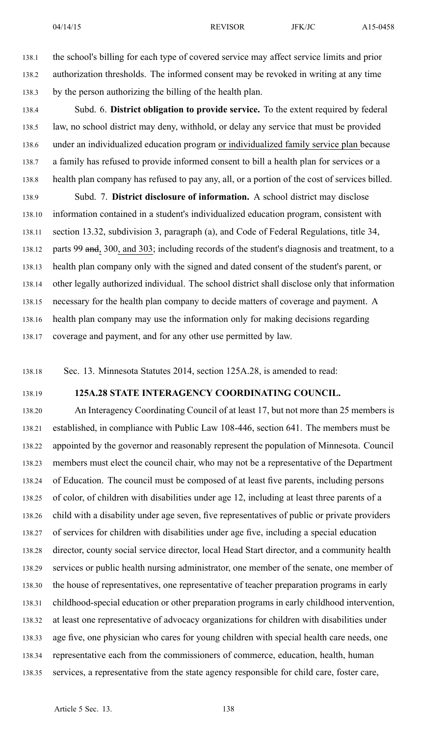138.1 the school's billing for each type of covered service may affect service limits and prior 138.2 authorization thresholds. The informed consent may be revoked in writing at any time 138.3 by the person authorizing the billing of the health plan.

138.4 Subd. 6. **District obligation to provide service.** To the extent required by federal 138.5 law, no school district may deny, withhold, or delay any service that must be provided 138.6 under an individualized education program or individualized family service plan because 138.7 <sup>a</sup> family has refused to provide informed consent to bill <sup>a</sup> health plan for services or <sup>a</sup> 138.8 health plan company has refused to pay any, all, or <sup>a</sup> portion of the cost of services billed. 138.9 Subd. 7. **District disclosure of information.** A school district may disclose 138.10 information contained in <sup>a</sup> student's individualized education program, consistent with 138.11 section 13.32, subdivision 3, paragraph (a), and Code of Federal Regulations, title 34, 138.12 parts 99 and, 300, and 303; including records of the student's diagnosis and treatment, to a 138.13 health plan company only with the signed and dated consent of the student's parent, or 138.14 other legally authorized individual. The school district shall disclose only that information 138.15 necessary for the health plan company to decide matters of coverage and payment. A 138.16 health plan company may use the information only for making decisions regarding 138.17 coverage and payment, and for any other use permitted by law.

138.18 Sec. 13. Minnesota Statutes 2014, section 125A.28, is amended to read:

# 138.19 **125A.28 STATE INTERAGENCY COORDINATING COUNCIL.**

138.20 An Interagency Coordinating Council of at least 17, but not more than 25 members is 138.21 established, in compliance with Public Law 108-446, section 641. The members must be 138.22 appointed by the governor and reasonably represen<sup>t</sup> the population of Minnesota. Council 138.23 members must elect the council chair, who may not be <sup>a</sup> representative of the Department 138.24 of Education. The council must be composed of at least five parents, including persons 138.25 of color, of children with disabilities under age 12, including at least three parents of <sup>a</sup> 138.26 child with <sup>a</sup> disability under age seven, five representatives of public or private providers 138.27 of services for children with disabilities under age five, including <sup>a</sup> special education 138.28 director, county social service director, local Head Start director, and <sup>a</sup> community health 138.29 services or public health nursing administrator, one member of the senate, one member of 138.30 the house of representatives, one representative of teacher preparation programs in early 138.31 childhood-special education or other preparation programs in early childhood intervention, 138.32 at least one representative of advocacy organizations for children with disabilities under 138.33 age five, one physician who cares for young children with special health care needs, one 138.34 representative each from the commissioners of commerce, education, health, human 138.35 services, <sup>a</sup> representative from the state agency responsible for child care, foster care,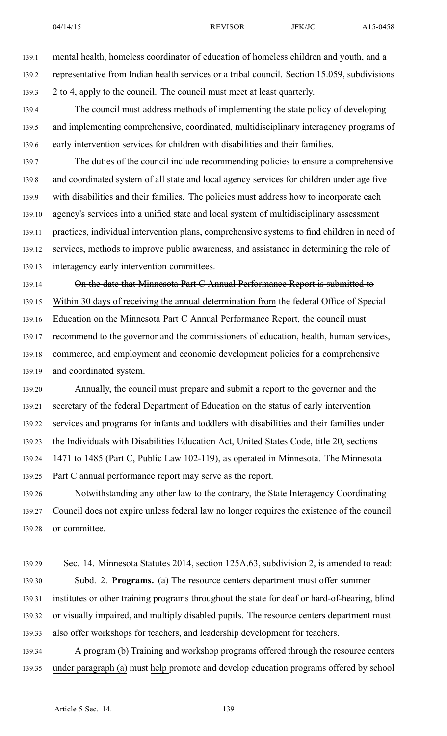139.1 mental health, homeless coordinator of education of homeless children and youth, and <sup>a</sup> 139.2 representative from Indian health services or <sup>a</sup> tribal council. Section 15.059, subdivisions 139.3 2 to 4, apply to the council. The council must meet at least quarterly.

139.4 The council must address methods of implementing the state policy of developing 139.5 and implementing comprehensive, coordinated, multidisciplinary interagency programs of 139.6 early intervention services for children with disabilities and their families.

139.7 The duties of the council include recommending policies to ensure <sup>a</sup> comprehensive 139.8 and coordinated system of all state and local agency services for children under age five 139.9 with disabilities and their families. The policies must address how to incorporate each 139.10 agency's services into <sup>a</sup> unified state and local system of multidisciplinary assessment 139.11 practices, individual intervention plans, comprehensive systems to find children in need of 139.12 services, methods to improve public awareness, and assistance in determining the role of 139.13 interagency early intervention committees.

139.14 On the date that Minnesota Part C Annual Performance Report is submitted to 139.15 Within 30 days of receiving the annual determination from the federal Office of Special 139.16 Education on the Minnesota Part C Annual Performance Report, the council must 139.17 recommend to the governor and the commissioners of education, health, human services, 139.18 commerce, and employment and economic development policies for <sup>a</sup> comprehensive 139.19 and coordinated system.

139.20 Annually, the council must prepare and submit <sup>a</sup> repor<sup>t</sup> to the governor and the 139.21 secretary of the federal Department of Education on the status of early intervention 139.22 services and programs for infants and toddlers with disabilities and their families under 139.23 the Individuals with Disabilities Education Act, United States Code, title 20, sections 139.24 1471 to 1485 (Part C, Public Law 102-119), as operated in Minnesota. The Minnesota 139.25 Part C annual performance repor<sup>t</sup> may serve as the report.

139.26 Notwithstanding any other law to the contrary, the State Interagency Coordinating 139.27 Council does not expire unless federal law no longer requires the existence of the council 139.28 or committee.

139.29 Sec. 14. Minnesota Statutes 2014, section 125A.63, subdivision 2, is amended to read: 139.30 Subd. 2. **Programs.** (a) The resource centers department must offer summer 139.31 institutes or other training programs throughout the state for deaf or hard-of-hearing, blind 139.32 or visually impaired, and multiply disabled pupils. The resource centers department must 139.33 also offer workshops for teachers, and leadership development for teachers. 139.34 A program (b) Training and workshop programs offered through the resource centers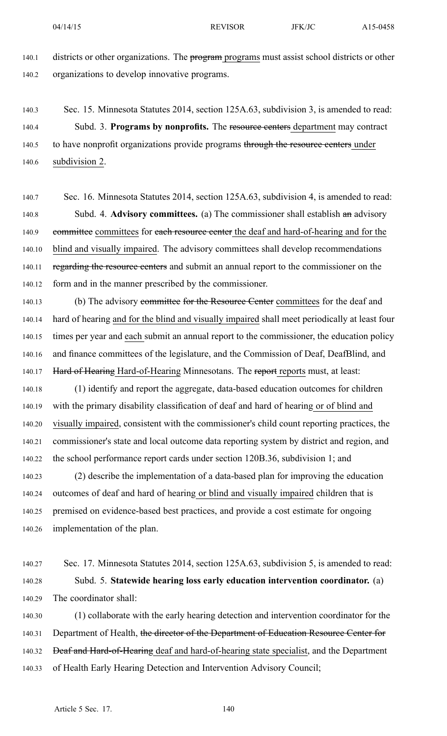140.1 districts or other organizations. The program programs must assist school districts or other 140.2 organizations to develop innovative programs.

140.3 Sec. 15. Minnesota Statutes 2014, section 125A.63, subdivision 3, is amended to read: 140.4 Subd. 3. **Programs by nonprofits.** The resource centers department may contract 140.5 to have nonprofit organizations provide programs through the resource centers under 140.6 subdivision 2.

140.7 Sec. 16. Minnesota Statutes 2014, section 125A.63, subdivision 4, is amended to read: 140.8 Subd. 4. **Advisory committees.** (a) The commissioner shall establish an advisory 140.9 committee committees for each resource center the deaf and hard-of-hearing and for the 140.10 blind and visually impaired. The advisory committees shall develop recommendations 140.11 regarding the resource centers and submit an annual report to the commissioner on the 140.12 form and in the manner prescribed by the commissioner.

140.13 (b) The advisory committee for the Resource Center committees for the deaf and 140.14 hard of hearing and for the blind and visually impaired shall meet periodically at least four 140.15 times per year and each submit an annual repor<sup>t</sup> to the commissioner, the education policy 140.16 and finance committees of the legislature, and the Commission of Deaf, DeafBlind, and 140.17 Hard of Hearing Hard-of-Hearing Minnesotans. The report reports must, at least:

140.18 (1) identify and repor<sup>t</sup> the aggregate, data-based education outcomes for children 140.19 with the primary disability classification of deaf and hard of hearing or of blind and 140.20 visually impaired, consistent with the commissioner's child count reporting practices, the 140.21 commissioner's state and local outcome data reporting system by district and region, and 140.22 the school performance repor<sup>t</sup> cards under section 120B.36, subdivision 1; and

140.23 (2) describe the implementation of <sup>a</sup> data-based plan for improving the education 140.24 outcomes of deaf and hard of hearing or blind and visually impaired children that is 140.25 premised on evidence-based best practices, and provide <sup>a</sup> cost estimate for ongoing 140.26 implementation of the plan.

140.27 Sec. 17. Minnesota Statutes 2014, section 125A.63, subdivision 5, is amended to read: 140.28 Subd. 5. **Statewide hearing loss early education intervention coordinator.** (a) 140.29 The coordinator shall:

140.30 (1) collaborate with the early hearing detection and intervention coordinator for the 140.31 Department of Health, the director of the Department of Education Resource Center for 140.32 <del>Deaf and Hard-of-Hearing</del> deaf and hard-of-hearing state specialist, and the Department 140.33 of Health Early Hearing Detection and Intervention Advisory Council;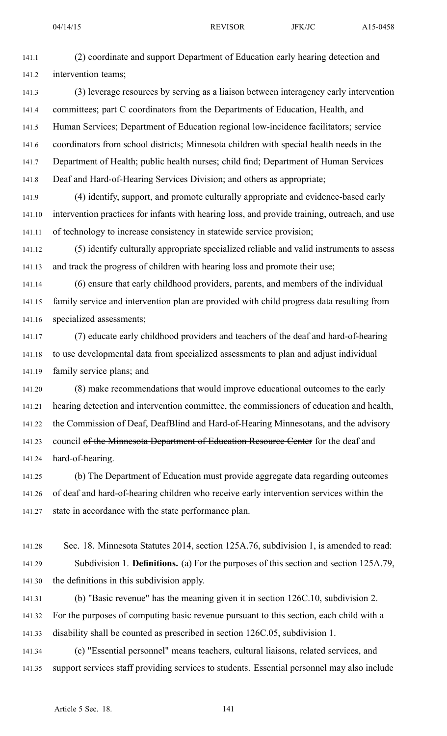141.1 (2) coordinate and suppor<sup>t</sup> Department of Education early hearing detection and 141.2 intervention teams;

141.3 (3) leverage resources by serving as <sup>a</sup> liaison between interagency early intervention 141.4 committees; par<sup>t</sup> C coordinators from the Departments of Education, Health, and 141.5 Human Services; Department of Education regional low-incidence facilitators; service 141.6 coordinators from school districts; Minnesota children with special health needs in the 141.7 Department of Health; public health nurses; child find; Department of Human Services 141.8 Deaf and Hard-of-Hearing Services Division; and others as appropriate;

141.9 (4) identify, support, and promote culturally appropriate and evidence-based early 141.10 intervention practices for infants with hearing loss, and provide training, outreach, and use 141.11 of technology to increase consistency in statewide service provision;

141.12 (5) identify culturally appropriate specialized reliable and valid instruments to assess 141.13 and track the progress of children with hearing loss and promote their use;

141.14 (6) ensure that early childhood providers, parents, and members of the individual 141.15 family service and intervention plan are provided with child progress data resulting from 141.16 specialized assessments;

141.17 (7) educate early childhood providers and teachers of the deaf and hard-of-hearing 141.18 to use developmental data from specialized assessments to plan and adjust individual 141.19 family service plans; and

141.20 (8) make recommendations that would improve educational outcomes to the early 141.21 hearing detection and intervention committee, the commissioners of education and health, 141.22 the Commission of Deaf, DeafBlind and Hard-of-Hearing Minnesotans, and the advisory 141.23 council of the Minnesota Department of Education Resource Center for the deaf and 141.24 hard-of-hearing.

141.25 (b) The Department of Education must provide aggregate data regarding outcomes 141.26 of deaf and hard-of-hearing children who receive early intervention services within the 141.27 state in accordance with the state performance plan.

141.28 Sec. 18. Minnesota Statutes 2014, section 125A.76, subdivision 1, is amended to read: 141.29 Subdivision 1. **Definitions.** (a) For the purposes of this section and section 125A.79, 141.30 the definitions in this subdivision apply.

141.31 (b) "Basic revenue" has the meaning given it in section 126C.10, subdivision 2. 141.32 For the purposes of computing basic revenue pursuan<sup>t</sup> to this section, each child with <sup>a</sup> 141.33 disability shall be counted as prescribed in section 126C.05, subdivision 1.

141.34 (c) "Essential personnel" means teachers, cultural liaisons, related services, and 141.35 suppor<sup>t</sup> services staff providing services to students. Essential personnel may also include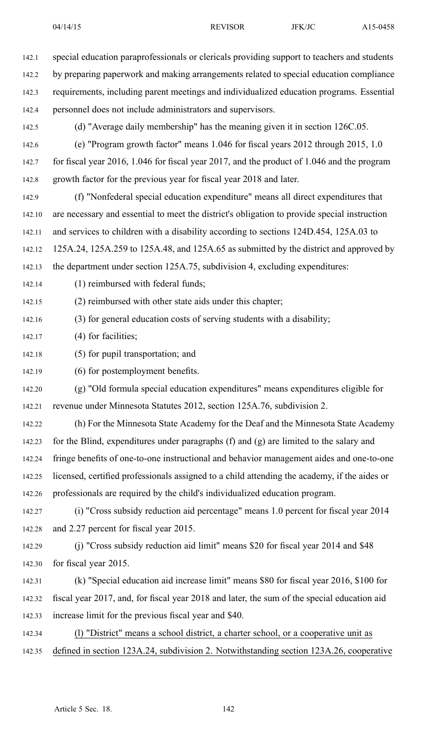142.1 special education paraprofessionals or clericals providing suppor<sup>t</sup> to teachers and students 142.2 by preparing paperwork and making arrangements related to special education compliance 142.3 requirements, including paren<sup>t</sup> meetings and individualized education programs. Essential 142.4 personnel does not include administrators and supervisors. 142.5 (d) "Average daily membership" has the meaning given it in section 126C.05. 142.6 (e) "Program growth factor" means 1.046 for fiscal years 2012 through 2015, 1.0 142.7 for fiscal year 2016, 1.046 for fiscal year 2017, and the product of 1.046 and the program 142.8 growth factor for the previous year for fiscal year 2018 and later. 142.9 (f) "Nonfederal special education expenditure" means all direct expenditures that 142.10 are necessary and essential to meet the district's obligation to provide special instruction 142.11 and services to children with <sup>a</sup> disability according to sections 124D.454, 125A.03 to 142.12 125A.24, 125A.259 to 125A.48, and 125A.65 as submitted by the district and approved by 142.13 the department under section 125A.75, subdivision 4, excluding expenditures: 142.14 (1) reimbursed with federal funds; 142.15 (2) reimbursed with other state aids under this chapter; 142.16 (3) for general education costs of serving students with <sup>a</sup> disability; 142.17 (4) for facilities; 142.18 (5) for pupil transportation; and 142.19 (6) for postemployment benefits. 142.20 (g) "Old formula special education expenditures" means expenditures eligible for 142.21 revenue under Minnesota Statutes 2012, section 125A.76, subdivision 2. 142.22 (h) For the Minnesota State Academy for the Deaf and the Minnesota State Academy 142.23 for the Blind, expenditures under paragraphs (f) and (g) are limited to the salary and 142.24 fringe benefits of one-to-one instructional and behavior managemen<sup>t</sup> aides and one-to-one 142.25 licensed, certified professionals assigned to <sup>a</sup> child attending the academy, if the aides or 142.26 professionals are required by the child's individualized education program. 142.27 (i) "Cross subsidy reduction aid percentage" means 1.0 percen<sup>t</sup> for fiscal year 2014 142.28 and 2.27 percen<sup>t</sup> for fiscal year 2015.

142.29 (j) "Cross subsidy reduction aid limit" means \$20 for fiscal year 2014 and \$48 142.30 for fiscal year 2015.

142.31 (k) "Special education aid increase limit" means \$80 for fiscal year 2016, \$100 for 142.32 fiscal year 2017, and, for fiscal year 2018 and later, the sum of the special education aid 142.33 increase limit for the previous fiscal year and \$40.

142.34 (l) "District" means <sup>a</sup> school district, <sup>a</sup> charter school, or <sup>a</sup> cooperative unit as 142.35 defined in section 123A.24, subdivision 2. Notwithstanding section 123A.26, cooperative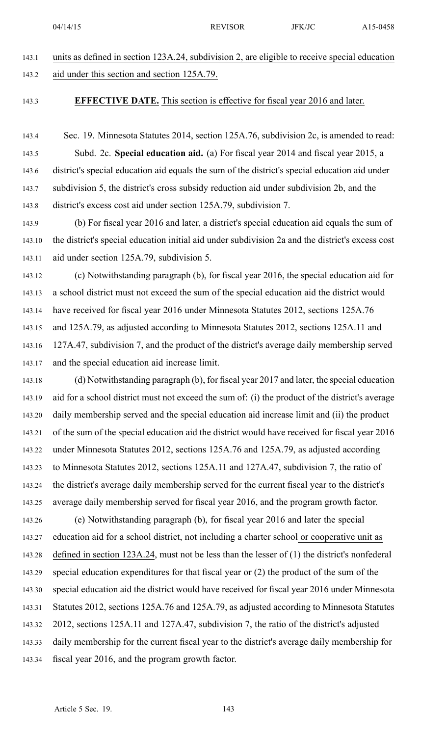|       | 04/14/15                                                                                      | <b>REVISOR</b> | <b>JFK/JC</b> | A15-0458 |
|-------|-----------------------------------------------------------------------------------------------|----------------|---------------|----------|
|       |                                                                                               |                |               |          |
| 143.1 | units as defined in section 123A.24, subdivision 2, are eligible to receive special education |                |               |          |
| 143.2 | aid under this section and section 125A.79.                                                   |                |               |          |

## 143.3 **EFFECTIVE DATE.** This section is effective for fiscal year 2016 and later.

143.4 Sec. 19. Minnesota Statutes 2014, section 125A.76, subdivision 2c, is amended to read: 143.5 Subd. 2c. **Special education aid.** (a) For fiscal year 2014 and fiscal year 2015, <sup>a</sup> 143.6 district's special education aid equals the sum of the district's special education aid under 143.7 subdivision 5, the district's cross subsidy reduction aid under subdivision 2b, and the 143.8 district's excess cost aid under section 125A.79, subdivision 7.

143.9 (b) For fiscal year 2016 and later, <sup>a</sup> district's special education aid equals the sum of 143.10 the district's special education initial aid under subdivision 2a and the district's excess cost 143.11 aid under section 125A.79, subdivision 5.

143.12 (c) Notwithstanding paragraph (b), for fiscal year 2016, the special education aid for 143.13 <sup>a</sup> school district must not exceed the sum of the special education aid the district would 143.14 have received for fiscal year 2016 under Minnesota Statutes 2012, sections 125A.76 143.15 and 125A.79, as adjusted according to Minnesota Statutes 2012, sections 125A.11 and 143.16 127A.47, subdivision 7, and the product of the district's average daily membership served 143.17 and the special education aid increase limit.

143.18 (d) Notwithstanding paragraph (b), for fiscal year 2017 and later, the special education 143.19 aid for <sup>a</sup> school district must not exceed the sum of: (i) the product of the district's average 143.20 daily membership served and the special education aid increase limit and (ii) the product 143.21 of the sum of the special education aid the district would have received for fiscal year 2016 143.22 under Minnesota Statutes 2012, sections 125A.76 and 125A.79, as adjusted according 143.23 to Minnesota Statutes 2012, sections 125A.11 and 127A.47, subdivision 7, the ratio of 143.24 the district's average daily membership served for the current fiscal year to the district's 143.25 average daily membership served for fiscal year 2016, and the program growth factor. 143.26 (e) Notwithstanding paragraph (b), for fiscal year 2016 and later the special 143.27 education aid for <sup>a</sup> school district, not including <sup>a</sup> charter school or cooperative unit as 143.28 defined in section 123A.24, must not be less than the lesser of (1) the district's nonfederal 143.29 special education expenditures for that fiscal year or (2) the product of the sum of the 143.30 special education aid the district would have received for fiscal year 2016 under Minnesota 143.31 Statutes 2012, sections 125A.76 and 125A.79, as adjusted according to Minnesota Statutes 143.32 2012, sections 125A.11 and 127A.47, subdivision 7, the ratio of the district's adjusted 143.33 daily membership for the current fiscal year to the district's average daily membership for 143.34 fiscal year 2016, and the program growth factor.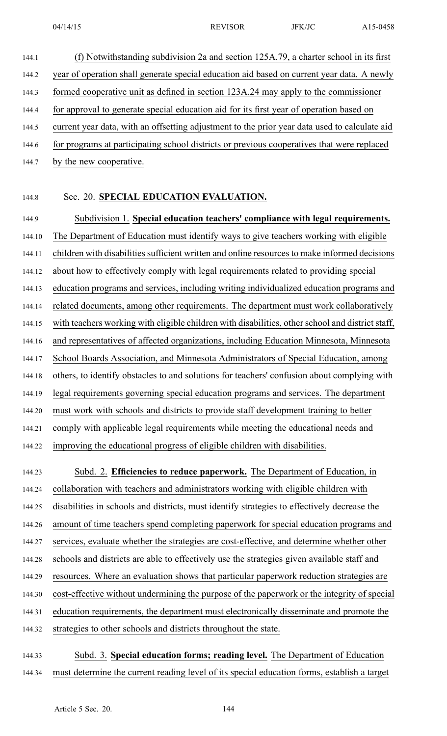- 144.1 (f) Notwithstanding subdivision 2a and section 125A.79, <sup>a</sup> charter school in its first 144.2 year of operation shall generate special education aid based on current year data. A newly 144.3 formed cooperative unit as defined in section 123A.24 may apply to the commissioner 144.4 for approval to generate special education aid for its first year of operation based on 144.5 current year data, with an offsetting adjustment to the prior year data used to calculate aid 144.6 for programs at participating school districts or previous cooperatives that were replaced
- 144.7 by the new cooperative.

## 144.8 Sec. 20. **SPECIAL EDUCATION EVALUATION.**

144.9 Subdivision 1. **Special education teachers' compliance with legal requirements.** 144.10 The Department of Education must identify ways to give teachers working with eligible 144.11 children with disabilities sufficient written and online resources to make informed decisions 144.12 about how to effectively comply with legal requirements related to providing special 144.13 education programs and services, including writing individualized education programs and 144.14 related documents, among other requirements. The department must work collaboratively 144.15 with teachers working with eligible children with disabilities, other school and district staff, 144.16 and representatives of affected organizations, including Education Minnesota, Minnesota 144.17 School Boards Association, and Minnesota Administrators of Special Education, among 144.18 others, to identify obstacles to and solutions for teachers' confusion about complying with 144.19 legal requirements governing special education programs and services. The department 144.20 must work with schools and districts to provide staff development training to better 144.21 comply with applicable legal requirements while meeting the educational needs and 144.22 improving the educational progress of eligible children with disabilities. 144.23 Subd. 2. **Efficiencies to reduce paperwork.** The Department of Education, in 144.24 collaboration with teachers and administrators working with eligible children with 144.25 disabilities in schools and districts, must identify strategies to effectively decrease the 144.26 amount of time teachers spend completing paperwork for special education programs and 144.27 services, evaluate whether the strategies are cost-effective, and determine whether other 144.28 schools and districts are able to effectively use the strategies given available staff and 144.29 resources. Where an evaluation shows that particular paperwork reduction strategies are 144.30 cost-effective without undermining the purpose of the paperwork or the integrity of special 144.31 education requirements, the department must electronically disseminate and promote the

144.32 strategies to other schools and districts throughout the state.

144.33 Subd. 3. **Special education forms; reading level.** The Department of Education 144.34 must determine the current reading level of its special education forms, establish <sup>a</sup> target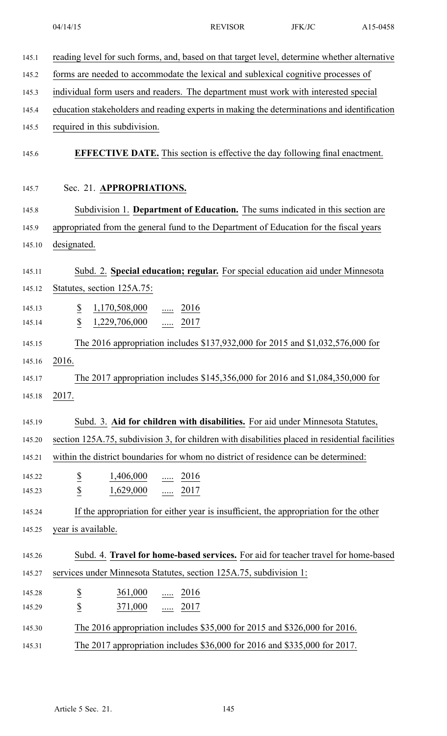|        | 04/14/15                                                                                        | <b>REVISOR</b> | JFK/JC | A15-0458 |
|--------|-------------------------------------------------------------------------------------------------|----------------|--------|----------|
| 145.1  | reading level for such forms, and, based on that target level, determine whether alternative    |                |        |          |
| 145.2  | forms are needed to accommodate the lexical and sublexical cognitive processes of               |                |        |          |
| 145.3  | individual form users and readers. The department must work with interested special             |                |        |          |
| 145.4  | education stakeholders and reading experts in making the determinations and identification      |                |        |          |
| 145.5  | required in this subdivision.                                                                   |                |        |          |
| 145.6  | <b>EFFECTIVE DATE.</b> This section is effective the day following final enactment.             |                |        |          |
| 145.7  | Sec. 21. APPROPRIATIONS.                                                                        |                |        |          |
| 145.8  | Subdivision 1. Department of Education. The sums indicated in this section are                  |                |        |          |
| 145.9  | appropriated from the general fund to the Department of Education for the fiscal years          |                |        |          |
| 145.10 | designated.                                                                                     |                |        |          |
| 145.11 | Subd. 2. Special education; regular. For special education aid under Minnesota                  |                |        |          |
| 145.12 | Statutes, section 125A.75:                                                                      |                |        |          |
| 145.13 | $\overline{\mathcal{E}}$<br>$1,170,508,000$ 2016                                                |                |        |          |
| 145.14 | $\overline{\mathcal{L}}$<br>1,229,706,000<br>$rac{1}{2017}$                                     |                |        |          |
| 145.15 | The 2016 appropriation includes \$137,932,000 for 2015 and \$1,032,576,000 for                  |                |        |          |
| 145.16 | 2016.                                                                                           |                |        |          |
| 145.17 | The 2017 appropriation includes \$145,356,000 for 2016 and \$1,084,350,000 for                  |                |        |          |
| 145.18 | 2017.                                                                                           |                |        |          |
|        |                                                                                                 |                |        |          |
| 145.19 | Subd. 3. Aid for children with disabilities. For aid under Minnesota Statutes,                  |                |        |          |
| 145.20 | section 125A.75, subdivision 3, for children with disabilities placed in residential facilities |                |        |          |
| 145.21 | within the district boundaries for whom no district of residence can be determined:             |                |        |          |
| 145.22 | $\frac{\mathbb{S}}{\mathbb{S}}$<br>$\frac{1,406,000}{}$ 2016                                    |                |        |          |
| 145.23 | 1,629,000  2017                                                                                 |                |        |          |
| 145.24 | If the appropriation for either year is insufficient, the appropriation for the other           |                |        |          |
| 145.25 | year is available.                                                                              |                |        |          |
| 145.26 | Subd. 4. Travel for home-based services. For aid for teacher travel for home-based              |                |        |          |
| 145.27 | services under Minnesota Statutes, section 125A.75, subdivision 1:                              |                |        |          |
| 145.28 | 361,000<br>$\frac{1}{2016}$                                                                     |                |        |          |
| 145.29 | $rac{S}{S}$<br>371,000<br>$\frac{1}{2017}$                                                      |                |        |          |
| 145.30 | The 2016 appropriation includes \$35,000 for 2015 and \$326,000 for 2016.                       |                |        |          |
| 145.31 | The 2017 appropriation includes \$36,000 for 2016 and \$335,000 for 2017.                       |                |        |          |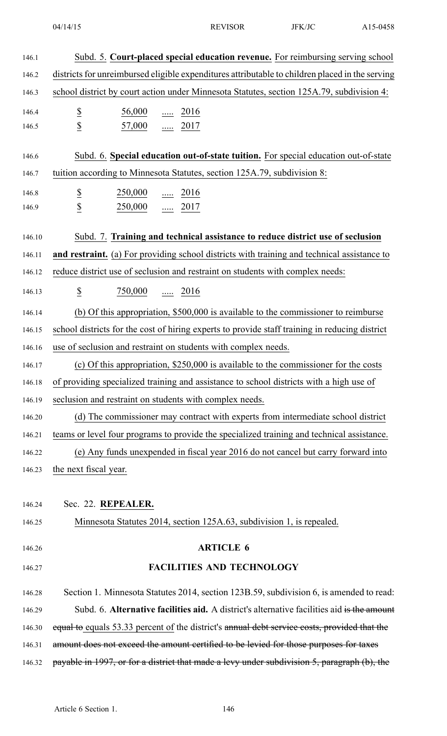| 146.1  | Subd. 5. Court-placed special education revenue. For reimbursing serving school                 |
|--------|-------------------------------------------------------------------------------------------------|
| 146.2  | districts for unreimbursed eligible expenditures attributable to children placed in the serving |
| 146.3  | school district by court action under Minnesota Statutes, section 125A.79, subdivision 4:       |
| 146.4  | $\underline{\mathbb{S}}$<br>$\frac{56,000}{\cdots}$ 2016                                        |
| 146.5  | $\underline{\mathbb{S}}$<br>$\frac{57,000}{}$ 2017                                              |
|        |                                                                                                 |
| 146.6  | Subd. 6. Special education out-of-state tuition. For special education out-of-state             |
| 146.7  | tuition according to Minnesota Statutes, section 125A.79, subdivision 8:                        |
| 146.8  | $\overline{\mathcal{E}}$<br>$\frac{250,000}{\cdots}$ 2016                                       |
| 146.9  | $\underline{\$}$<br>$250,000$ 2017                                                              |
| 146.10 | Subd. 7. Training and technical assistance to reduce district use of seclusion                  |
| 146.11 | and restraint. (a) For providing school districts with training and technical assistance to     |
| 146.12 | reduce district use of seclusion and restraint on students with complex needs:                  |
| 146.13 | $\overline{\mathcal{E}}$<br>$\frac{750,000}{\cdots}$ 2016                                       |
| 146.14 | (b) Of this appropriation, \$500,000 is available to the commissioner to reimburse              |
| 146.15 | school districts for the cost of hiring experts to provide staff training in reducing district  |
| 146.16 | use of seclusion and restraint on students with complex needs.                                  |
| 146.17 | (c) Of this appropriation, \$250,000 is available to the commissioner for the costs             |
| 146.18 | of providing specialized training and assistance to school districts with a high use of         |
| 146.19 | seclusion and restraint on students with complex needs.                                         |
| 146.20 | (d) The commissioner may contract with experts from intermediate school district                |
| 146.21 | teams or level four programs to provide the specialized training and technical assistance.      |
| 146.22 | (e) Any funds unexpended in fiscal year 2016 do not cancel but carry forward into               |
| 146.23 | the next fiscal year.                                                                           |
|        |                                                                                                 |
| 146.24 | Sec. 22. REPEALER.                                                                              |
| 146.25 | Minnesota Statutes 2014, section 125A.63, subdivision 1, is repealed.                           |
| 146.26 | <b>ARTICLE 6</b>                                                                                |
| 146.27 | <b>FACILITIES AND TECHNOLOGY</b>                                                                |
| 146.28 | Section 1. Minnesota Statutes 2014, section 123B.59, subdivision 6, is amended to read:         |
| 146.29 | Subd. 6. Alternative facilities aid. A district's alternative facilities aid is the amount      |
| 146.30 | equal to equals 53.33 percent of the district's annual debt service costs, provided that the    |
| 146.31 | amount does not exceed the amount certified to be levied for those purposes for taxes           |
| 146.32 | payable in 1997, or for a district that made a levy under subdivision 5, paragraph (b), the     |
|        |                                                                                                 |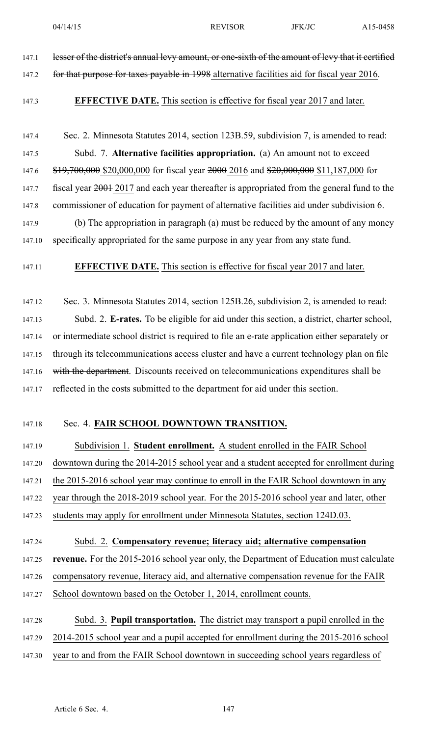147.1 lesser of the district's annual levy amount, or one-sixth of the amount of levy that it certified 147.2 for that purpose for taxes payable in 1998 alternative facilities aid for fiscal year 2016. 147.3 **EFFECTIVE DATE.** This section is effective for fiscal year 2017 and later. 147.4 Sec. 2. Minnesota Statutes 2014, section 123B.59, subdivision 7, is amended to read: 147.5 Subd. 7. **Alternative facilities appropriation.** (a) An amount not to exceed 147.6 \$19,700,000 \$20,000,000 for fiscal year 2000 2016 and \$20,000,000 \$11,187,000 for 147.7 fiscal year  $2001$  2017 and each year thereafter is appropriated from the general fund to the 147.8 commissioner of education for paymen<sup>t</sup> of alternative facilities aid under subdivision 6. 147.9 (b) The appropriation in paragraph (a) must be reduced by the amount of any money 147.10 specifically appropriated for the same purpose in any year from any state fund. 147.11 **EFFECTIVE DATE.** This section is effective for fiscal year 2017 and later. 147.12 Sec. 3. Minnesota Statutes 2014, section 125B.26, subdivision 2, is amended to read: 147.13 Subd. 2. **E-rates.** To be eligible for aid under this section, <sup>a</sup> district, charter school, 147.14 or intermediate school district is required to file an e-rate application either separately or 147.15 through its telecommunications access cluster and have a current technology plan on file 147.16 with the department. Discounts received on telecommunications expenditures shall be 147.17 reflected in the costs submitted to the department for aid under this section. 147.18 Sec. 4. **FAIR SCHOOL DOWNTOWN TRANSITION.** 147.19 Subdivision 1. **Student enrollment.** A student enrolled in the FAIR School 147.20 downtown during the 2014-2015 school year and <sup>a</sup> student accepted for enrollment during 147.21 the 2015-2016 school year may continue to enroll in the FAIR School downtown in any 147.22 year through the 2018-2019 school year. For the 2015-2016 school year and later, other 147.23 students may apply for enrollment under Minnesota Statutes, section 124D.03. 147.24 Subd. 2. **Compensatory revenue; literacy aid; alternative compensation** 147.25 **revenue.** For the 2015-2016 school year only, the Department of Education must calculate 147.26 compensatory revenue, literacy aid, and alternative compensation revenue for the FAIR 147.27 School downtown based on the October 1, 2014, enrollment counts. 147.28 Subd. 3. **Pupil transportation.** The district may transport <sup>a</sup> pupil enrolled in the 147.29 2014-2015 school year and <sup>a</sup> pupil accepted for enrollment during the 2015-2016 school 147.30 year to and from the FAIR School downtown in succeeding school years regardless of Article 6 Sec. 4. 147

04/14/15 REVISOR JFK/JC A15-0458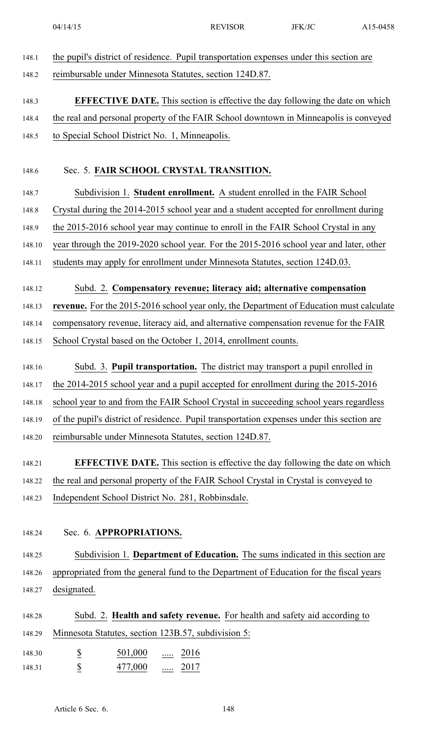| 148.1  | the pupil's district of residence. Pupil transportation expenses under this section are    |
|--------|--------------------------------------------------------------------------------------------|
| 148.2  | reimbursable under Minnesota Statutes, section 124D.87.                                    |
| 148.3  | <b>EFFECTIVE DATE.</b> This section is effective the day following the date on which       |
| 148.4  | the real and personal property of the FAIR School downtown in Minneapolis is conveyed      |
| 148.5  | to Special School District No. 1, Minneapolis.                                             |
| 148.6  | Sec. 5. FAIR SCHOOL CRYSTAL TRANSITION.                                                    |
| 148.7  | Subdivision 1. Student enrollment. A student enrolled in the FAIR School                   |
| 148.8  | Crystal during the 2014-2015 school year and a student accepted for enrollment during      |
| 148.9  | the 2015-2016 school year may continue to enroll in the FAIR School Crystal in any         |
| 148.10 | year through the 2019-2020 school year. For the 2015-2016 school year and later, other     |
| 148.11 | students may apply for enrollment under Minnesota Statutes, section 124D.03.               |
| 148.12 | Subd. 2. Compensatory revenue; literacy aid; alternative compensation                      |
| 148.13 | revenue. For the 2015-2016 school year only, the Department of Education must calculate    |
| 148.14 | compensatory revenue, literacy aid, and alternative compensation revenue for the FAIR      |
| 148.15 | School Crystal based on the October 1, 2014, enrollment counts.                            |
| 148.16 | Subd. 3. <b>Pupil transportation.</b> The district may transport a pupil enrolled in       |
| 148.17 | the 2014-2015 school year and a pupil accepted for enrollment during the 2015-2016         |
| 148.18 | school year to and from the FAIR School Crystal in succeeding school years regardless      |
| 148.19 | of the pupil's district of residence. Pupil transportation expenses under this section are |
| 148.20 | reimbursable under Minnesota Statutes, section 124D.87.                                    |
| 148.21 | <b>EFFECTIVE DATE.</b> This section is effective the day following the date on which       |
| 148.22 | the real and personal property of the FAIR School Crystal in Crystal is conveyed to        |
| 148.23 | Independent School District No. 281, Robbinsdale.                                          |
|        |                                                                                            |
| 148.24 | Sec. 6. APPROPRIATIONS.                                                                    |
| 148.25 | Subdivision 1. Department of Education. The sums indicated in this section are             |
| 148.26 | appropriated from the general fund to the Department of Education for the fiscal years     |
| 148.27 | designated.                                                                                |
| 148.28 | Subd. 2. Health and safety revenue. For health and safety aid according to                 |
| 148.29 | Minnesota Statutes, section 123B.57, subdivision 5:                                        |
| 148.30 | $\overline{\mathcal{C}}$<br>501,000<br>$\ldots$ 2016                                       |
| 148.31 | $\overline{2}$<br>477,000<br>$rac{1}{2017}$                                                |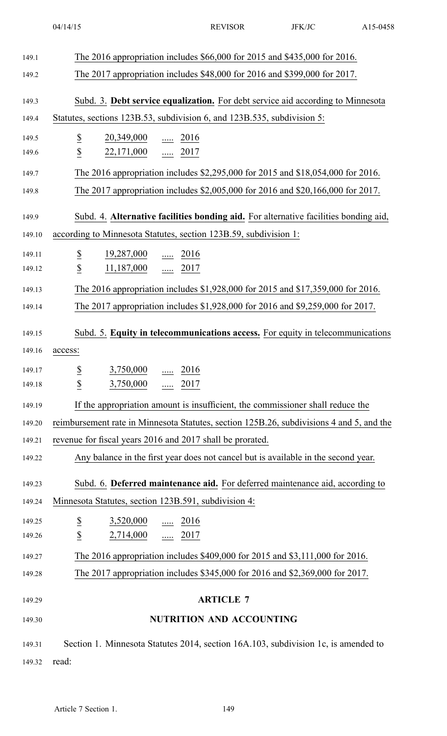| 149.1  | The 2016 appropriation includes \$66,000 for 2015 and \$435,000 for 2016.                |
|--------|------------------------------------------------------------------------------------------|
| 149.2  | The 2017 appropriation includes \$48,000 for 2016 and \$399,000 for 2017.                |
| 149.3  | Subd. 3. Debt service equalization. For debt service aid according to Minnesota          |
| 149.4  | Statutes, sections 123B.53, subdivision 6, and 123B.535, subdivision 5:                  |
| 149.5  | $\overline{\mathcal{E}}$<br>$\frac{20,349,000}{}$ 2016                                   |
| 149.6  | $\overline{2}$<br>$22,171,000$ 2017                                                      |
| 149.7  | The 2016 appropriation includes \$2,295,000 for 2015 and \$18,054,000 for 2016.          |
| 149.8  | The 2017 appropriation includes \$2,005,000 for 2016 and \$20,166,000 for 2017.          |
| 149.9  | Subd. 4. Alternative facilities bonding aid. For alternative facilities bonding aid,     |
| 149.10 | according to Minnesota Statutes, section 123B.59, subdivision 1:                         |
| 149.11 | $\underline{\$}$<br>$\frac{19,287,000}{}$ 2016                                           |
| 149.12 | $\overline{\mathbb{S}}$<br>11,187,000  2017                                              |
| 149.13 | The 2016 appropriation includes \$1,928,000 for 2015 and \$17,359,000 for 2016.          |
| 149.14 | The 2017 appropriation includes \$1,928,000 for 2016 and \$9,259,000 for 2017.           |
| 149.15 | Subd. 5. Equity in telecommunications access. For equity in telecommunications           |
| 149.16 | access:                                                                                  |
| 149.17 | 2016<br>3,750,000<br>.                                                                   |
| 149.18 | $\overline{\mathbf{z}}$<br>$\underline{\$}$<br>3,750,000<br>2017                         |
| 149.19 | If the appropriation amount is insufficient, the commissioner shall reduce the           |
| 149.20 | reimbursement rate in Minnesota Statutes, section 125B.26, subdivisions 4 and 5, and the |
| 149.21 | revenue for fiscal years 2016 and 2017 shall be prorated.                                |
| 149.22 | Any balance in the first year does not cancel but is available in the second year.       |
|        |                                                                                          |
| 149.23 | Subd. 6. Deferred maintenance aid. For deferred maintenance aid, according to            |
| 149.24 | Minnesota Statutes, section 123B.591, subdivision 4:                                     |
| 149.25 | $\underline{\$}$<br>3,520,000<br>$\underline{\cdots}$ 2016                               |
| 149.26 | $\underline{\mathbb{S}}$<br>$2,714,000$ 2017                                             |
| 149.27 | The 2016 appropriation includes \$409,000 for 2015 and \$3,111,000 for 2016.             |
| 149.28 | The 2017 appropriation includes \$345,000 for 2016 and \$2,369,000 for 2017.             |
| 149.29 | <b>ARTICLE 7</b>                                                                         |
| 149.30 | <b>NUTRITION AND ACCOUNTING</b>                                                          |
| 149.31 | Section 1. Minnesota Statutes 2014, section 16A.103, subdivision 1c, is amended to       |
| 149.32 | read:                                                                                    |
|        |                                                                                          |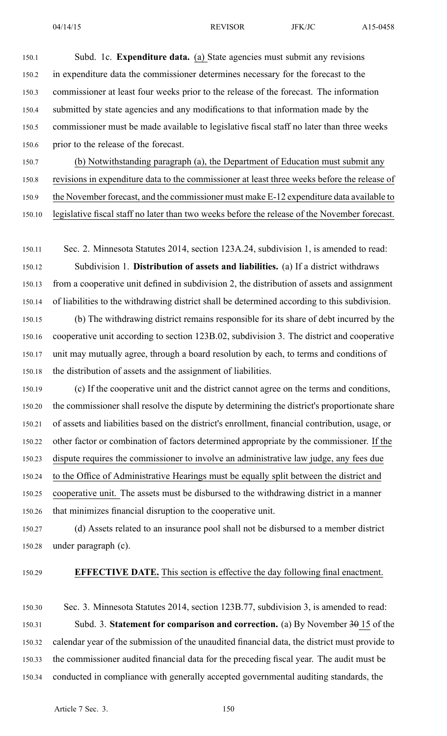150.5 commissioner must be made available to legislative fiscal staff no later than three weeks

150.6 prior to the release of the forecast.

150.7 (b) Notwithstanding paragraph (a), the Department of Education must submit any 150.8 revisions in expenditure data to the commissioner at least three weeks before the release of 150.9 the November forecast, and the commissioner must make E-12 expenditure data available to

150.10 legislative fiscal staff no later than two weeks before the release of the November forecast.

150.11 Sec. 2. Minnesota Statutes 2014, section 123A.24, subdivision 1, is amended to read: 150.12 Subdivision 1. **Distribution of assets and liabilities.** (a) If <sup>a</sup> district withdraws 150.13 from <sup>a</sup> cooperative unit defined in subdivision 2, the distribution of assets and assignment 150.14 of liabilities to the withdrawing district shall be determined according to this subdivision. 150.15 (b) The withdrawing district remains responsible for its share of debt incurred by the 150.16 cooperative unit according to section 123B.02, subdivision 3. The district and cooperative 150.17 unit may mutually agree, through <sup>a</sup> board resolution by each, to terms and conditions of 150.18 the distribution of assets and the assignment of liabilities.

150.19 (c) If the cooperative unit and the district cannot agree on the terms and conditions, 150.20 the commissioner shall resolve the dispute by determining the district's proportionate share 150.21 of assets and liabilities based on the district's enrollment, financial contribution, usage, or 150.22 other factor or combination of factors determined appropriate by the commissioner. If the 150.23 dispute requires the commissioner to involve an administrative law judge, any fees due 150.24 to the Office of Administrative Hearings must be equally split between the district and 150.25 cooperative unit. The assets must be disbursed to the withdrawing district in <sup>a</sup> manner 150.26 that minimizes financial disruption to the cooperative unit.

150.27 (d) Assets related to an insurance pool shall not be disbursed to <sup>a</sup> member district 150.28 under paragraph (c).

### 150.29 **EFFECTIVE DATE.** This section is effective the day following final enactment.

150.30 Sec. 3. Minnesota Statutes 2014, section 123B.77, subdivision 3, is amended to read: 150.31 Subd. 3. **Statement for comparison and correction.** (a) By November 30 15 of the 150.32 calendar year of the submission of the unaudited financial data, the district must provide to 150.33 the commissioner audited financial data for the preceding fiscal year. The audit must be 150.34 conducted in compliance with generally accepted governmental auditing standards, the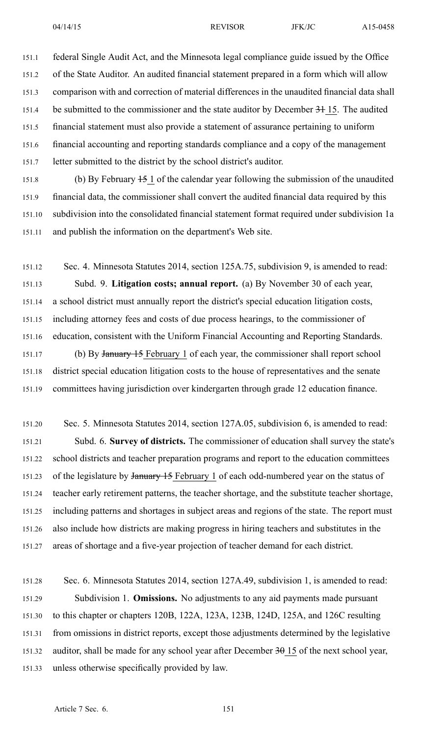151.1 federal Single Audit Act, and the Minnesota legal compliance guide issued by the Office 151.2 of the State Auditor. An audited financial statement prepared in <sup>a</sup> form which will allow 151.3 comparison with and correction of material differences in the unaudited financial data shall 151.4 be submitted to the commissioner and the state auditor by December 31 15. The audited 151.5 financial statement must also provide <sup>a</sup> statement of assurance pertaining to uniform 151.6 financial accounting and reporting standards compliance and <sup>a</sup> copy of the managemen<sup>t</sup> 151.7 letter submitted to the district by the school district's auditor.

151.8 (b) By February 15 1 of the calendar year following the submission of the unaudited 151.9 financial data, the commissioner shall convert the audited financial data required by this 151.10 subdivision into the consolidated financial statement format required under subdivision 1a 151.11 and publish the information on the department's Web site.

151.12 Sec. 4. Minnesota Statutes 2014, section 125A.75, subdivision 9, is amended to read: 151.13 Subd. 9. **Litigation costs; annual report.** (a) By November 30 of each year, 151.14 <sup>a</sup> school district must annually repor<sup>t</sup> the district's special education litigation costs, 151.15 including attorney fees and costs of due process hearings, to the commissioner of 151.16 education, consistent with the Uniform Financial Accounting and Reporting Standards. 151.17 (b) By January 15 February 1 of each year, the commissioner shall repor<sup>t</sup> school 151.18 district special education litigation costs to the house of representatives and the senate 151.19 committees having jurisdiction over kindergarten through grade 12 education finance.

151.20 Sec. 5. Minnesota Statutes 2014, section 127A.05, subdivision 6, is amended to read: 151.21 Subd. 6. **Survey of districts.** The commissioner of education shall survey the state's 151.22 school districts and teacher preparation programs and repor<sup>t</sup> to the education committees 151.23 of the legislature by January 15 February 1 of each odd-numbered year on the status of 151.24 teacher early retirement patterns, the teacher shortage, and the substitute teacher shortage, 151.25 including patterns and shortages in subject areas and regions of the state. The repor<sup>t</sup> must 151.26 also include how districts are making progress in hiring teachers and substitutes in the 151.27 areas of shortage and <sup>a</sup> five-year projection of teacher demand for each district.

151.28 Sec. 6. Minnesota Statutes 2014, section 127A.49, subdivision 1, is amended to read: 151.29 Subdivision 1. **Omissions.** No adjustments to any aid payments made pursuan<sup>t</sup> 151.30 to this chapter or chapters 120B, 122A, 123A, 123B, 124D, 125A, and 126C resulting 151.31 from omissions in district reports, excep<sup>t</sup> those adjustments determined by the legislative 151.32 auditor, shall be made for any school year after December 30 15 of the next school year, 151.33 unless otherwise specifically provided by law.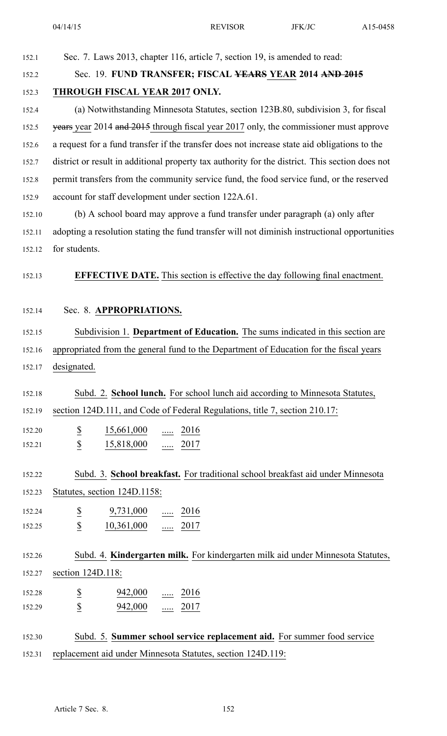|        | 04/14/15                                                                                        | <b>REVISOR</b> | JFK/JC | A15-0458 |
|--------|-------------------------------------------------------------------------------------------------|----------------|--------|----------|
| 152.1  | Sec. 7. Laws 2013, chapter 116, article 7, section 19, is amended to read:                      |                |        |          |
| 152.2  | Sec. 19. FUND TRANSFER; FISCAL YEARS YEAR 2014 AND 2015                                         |                |        |          |
| 152.3  | THROUGH FISCAL YEAR 2017 ONLY.                                                                  |                |        |          |
| 152.4  | (a) Notwithstanding Minnesota Statutes, section 123B.80, subdivision 3, for fiscal              |                |        |          |
| 152.5  | years year 2014 and 2015 through fiscal year 2017 only, the commissioner must approve           |                |        |          |
| 152.6  | a request for a fund transfer if the transfer does not increase state aid obligations to the    |                |        |          |
| 152.7  | district or result in additional property tax authority for the district. This section does not |                |        |          |
| 152.8  | permit transfers from the community service fund, the food service fund, or the reserved        |                |        |          |
| 152.9  | account for staff development under section 122A.61.                                            |                |        |          |
| 152.10 | (b) A school board may approve a fund transfer under paragraph (a) only after                   |                |        |          |
| 152.11 | adopting a resolution stating the fund transfer will not diminish instructional opportunities   |                |        |          |
| 152.12 | for students.                                                                                   |                |        |          |
| 152.13 | <b>EFFECTIVE DATE.</b> This section is effective the day following final enactment.             |                |        |          |
| 152.14 | Sec. 8. APPROPRIATIONS.                                                                         |                |        |          |
| 152.15 | Subdivision 1. Department of Education. The sums indicated in this section are                  |                |        |          |
| 152.16 | appropriated from the general fund to the Department of Education for the fiscal years          |                |        |          |
| 152.17 | designated.                                                                                     |                |        |          |
| 152.18 | Subd. 2. School lunch. For school lunch aid according to Minnesota Statutes,                    |                |        |          |
| 152.19 | section 124D.111, and Code of Federal Regulations, title 7, section 210.17:                     |                |        |          |
| 152.20 | $\frac{15,661,000}{\ldots}$ $\frac{2016}{\ldots}$                                               |                |        |          |
| 152.21 | $rac{S}{S}$<br>$\frac{15,818,000}{}$ 2017                                                       |                |        |          |
|        |                                                                                                 |                |        |          |
| 152.22 | Subd. 3. School breakfast. For traditional school breakfast aid under Minnesota                 |                |        |          |
| 152.23 | Statutes, section 124D.1158:                                                                    |                |        |          |
| 152.24 | $rac{S}{S}$<br>$9,731,000$ 2016                                                                 |                |        |          |
| 152.25 | 10,361,000  2017                                                                                |                |        |          |
| 152.26 | Subd. 4. Kindergarten milk. For kindergarten milk aid under Minnesota Statutes,                 |                |        |          |
| 152.27 | section 124D.118:                                                                               |                |        |          |
| 152.28 | $\frac{942,000}{\phantom{000}}$ 2016                                                            |                |        |          |
| 152.29 | $\frac{\mathbb{S}}{\mathbb{S}}$<br>942,000  2017                                                |                |        |          |
|        |                                                                                                 |                |        |          |
| 152.30 | Subd. 5. Summer school service replacement aid. For summer food service                         |                |        |          |
| 152.31 | replacement aid under Minnesota Statutes, section 124D.119:                                     |                |        |          |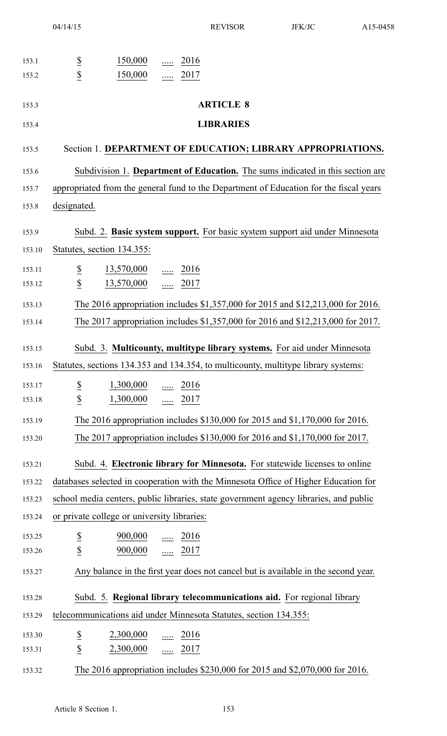| 153.1  |                          | 150,000                                     | $\ldots$ | 2016                      |                                                                                        |
|--------|--------------------------|---------------------------------------------|----------|---------------------------|----------------------------------------------------------------------------------------|
| 153.2  | $rac{1}{2}$              | 150,000                                     |          | $\frac{1}{2017}$          |                                                                                        |
|        |                          |                                             |          |                           |                                                                                        |
| 153.3  |                          |                                             |          |                           | <b>ARTICLE 8</b>                                                                       |
| 153.4  |                          |                                             |          |                           | <b>LIBRARIES</b>                                                                       |
|        |                          |                                             |          |                           |                                                                                        |
| 153.5  |                          |                                             |          |                           | Section 1. DEPARTMENT OF EDUCATION; LIBRARY APPROPRIATIONS.                            |
| 153.6  |                          |                                             |          |                           | Subdivision 1. Department of Education. The sums indicated in this section are         |
| 153.7  |                          |                                             |          |                           | appropriated from the general fund to the Department of Education for the fiscal years |
| 153.8  | designated.              |                                             |          |                           |                                                                                        |
|        |                          |                                             |          |                           |                                                                                        |
| 153.9  |                          |                                             |          |                           | Subd. 2. Basic system support. For basic system support aid under Minnesota            |
| 153.10 |                          | Statutes, section 134.355:                  |          |                           |                                                                                        |
| 153.11 | $\underline{\$}$         | $13,570,000$ 2016                           |          |                           |                                                                                        |
| 153.12 | $\overline{\mathcal{E}}$ | 13,570,000  2017                            |          |                           |                                                                                        |
| 153.13 |                          |                                             |          |                           | The 2016 appropriation includes \$1,357,000 for 2015 and \$12,213,000 for 2016.        |
| 153.14 |                          |                                             |          |                           | The 2017 appropriation includes \$1,357,000 for 2016 and \$12,213,000 for 2017.        |
|        |                          |                                             |          |                           |                                                                                        |
| 153.15 |                          |                                             |          |                           | Subd. 3. Multicounty, multitype library systems. For aid under Minnesota               |
| 153.16 |                          |                                             |          |                           | Statutes, sections 134.353 and 134.354, to multicounty, multitype library systems:     |
| 153.17 | $\overline{\partial}$    | 1,300,000                                   |          | 2016                      |                                                                                        |
| 153.18 | $\overline{\mathcal{C}}$ | 1,300,000                                   | $\cdots$ | 2017                      |                                                                                        |
| 153.19 |                          |                                             |          |                           | The 2016 appropriation includes \$130,000 for 2015 and \$1,170,000 for 2016.           |
| 153.20 |                          |                                             |          |                           | The 2017 appropriation includes \$130,000 for 2016 and \$1,170,000 for 2017.           |
|        |                          |                                             |          |                           |                                                                                        |
| 153.21 |                          |                                             |          |                           | Subd. 4. Electronic library for Minnesota. For statewide licenses to online            |
| 153.22 |                          |                                             |          |                           | databases selected in cooperation with the Minnesota Office of Higher Education for    |
| 153.23 |                          |                                             |          |                           | school media centers, public libraries, state government agency libraries, and public  |
| 153.24 |                          | or private college or university libraries: |          |                           |                                                                                        |
| 153.25 | $\overline{\mathcal{C}}$ | 900,000                                     |          | $\ldots$ 2016             |                                                                                        |
| 153.26 | $\overline{\mathcal{C}}$ | 900,000                                     |          | $\frac{1}{2017}$          |                                                                                        |
| 153.27 |                          |                                             |          |                           | Any balance in the first year does not cancel but is available in the second year.     |
|        |                          |                                             |          |                           |                                                                                        |
| 153.28 |                          |                                             |          |                           | Subd. 5. Regional library telecommunications aid. For regional library                 |
| 153.29 |                          |                                             |          |                           | telecommunications aid under Minnesota Statutes, section 134.355:                      |
| 153.30 | $\overline{\partial}$    | 2,300,000                                   |          | $\underline{\cdots}$ 2016 |                                                                                        |
| 153.31 | $\underline{\$}$         | $2,300,000$ 2017                            |          |                           |                                                                                        |
|        |                          |                                             |          |                           | The 2016 appropriation includes \$230,000 for 2015 and \$2,070,000 for 2016.           |
| 153.32 |                          |                                             |          |                           |                                                                                        |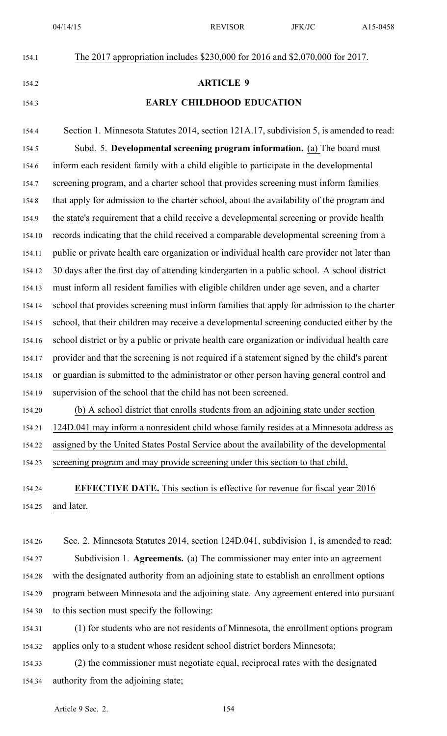# 154.1 The 2017 appropriation includes \$230,000 for 2016 and \$2,070,000 for 2017. 154.2 **ARTICLE 9**

## 154.3 **EARLY CHILDHOOD EDUCATION**

154.4 Section 1. Minnesota Statutes 2014, section 121A.17, subdivision 5, is amended to read: 154.5 Subd. 5. **Developmental screening program information.** (a) The board must 154.6 inform each resident family with <sup>a</sup> child eligible to participate in the developmental 154.7 screening program, and <sup>a</sup> charter school that provides screening must inform families 154.8 that apply for admission to the charter school, about the availability of the program and 154.9 the state's requirement that <sup>a</sup> child receive <sup>a</sup> developmental screening or provide health 154.10 records indicating that the child received <sup>a</sup> comparable developmental screening from <sup>a</sup> 154.11 public or private health care organization or individual health care provider not later than 154.12 30 days after the first day of attending kindergarten in <sup>a</sup> public school. A school district 154.13 must inform all resident families with eligible children under age seven, and <sup>a</sup> charter 154.14 school that provides screening must inform families that apply for admission to the charter 154.15 school, that their children may receive <sup>a</sup> developmental screening conducted either by the 154.16 school district or by <sup>a</sup> public or private health care organization or individual health care 154.17 provider and that the screening is not required if <sup>a</sup> statement signed by the child's paren<sup>t</sup> 154.18 or guardian is submitted to the administrator or other person having general control and 154.19 supervision of the school that the child has not been screened.

154.20 (b) A school district that enrolls students from an adjoining state under section 154.21 124D.041 may inform <sup>a</sup> nonresident child whose family resides at <sup>a</sup> Minnesota address as 154.22 assigned by the United States Postal Service about the availability of the developmental 154.23 screening program and may provide screening under this section to that child.

154.24 **EFFECTIVE DATE.** This section is effective for revenue for fiscal year 2016 154.25 and later.

154.26 Sec. 2. Minnesota Statutes 2014, section 124D.041, subdivision 1, is amended to read: 154.27 Subdivision 1. **Agreements.** (a) The commissioner may enter into an agreemen<sup>t</sup> 154.28 with the designated authority from an adjoining state to establish an enrollment options 154.29 program between Minnesota and the adjoining state. Any agreemen<sup>t</sup> entered into pursuan<sup>t</sup> 154.30 to this section must specify the following:

154.31 (1) for students who are not residents of Minnesota, the enrollment options program 154.32 applies only to <sup>a</sup> student whose resident school district borders Minnesota;

154.33 (2) the commissioner must negotiate equal, reciprocal rates with the designated 154.34 authority from the adjoining state;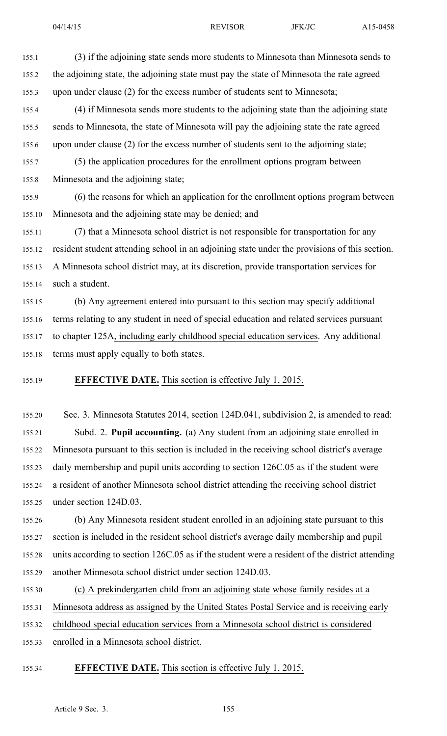155.1 (3) if the adjoining state sends more students to Minnesota than Minnesota sends to 155.2 the adjoining state, the adjoining state must pay the state of Minnesota the rate agreed 155.3 upon under clause (2) for the excess number of students sent to Minnesota; 155.4 (4) if Minnesota sends more students to the adjoining state than the adjoining state 155.5 sends to Minnesota, the state of Minnesota will pay the adjoining state the rate agreed 155.6 upon under clause (2) for the excess number of students sent to the adjoining state; 155.7 (5) the application procedures for the enrollment options program between 155.8 Minnesota and the adjoining state; 155.9 (6) the reasons for which an application for the enrollment options program between 155.10 Minnesota and the adjoining state may be denied; and

155.11 (7) that <sup>a</sup> Minnesota school district is not responsible for transportation for any 155.12 resident student attending school in an adjoining state under the provisions of this section. 155.13 A Minnesota school district may, at its discretion, provide transportation services for 155.14 such <sup>a</sup> student.

155.15 (b) Any agreemen<sup>t</sup> entered into pursuan<sup>t</sup> to this section may specify additional 155.16 terms relating to any student in need of special education and related services pursuan<sup>t</sup> 155.17 to chapter 125A, including early childhood special education services. Any additional 155.18 terms must apply equally to both states.

#### 155.19 **EFFECTIVE DATE.** This section is effective July 1, 2015.

155.20 Sec. 3. Minnesota Statutes 2014, section 124D.041, subdivision 2, is amended to read: 155.21 Subd. 2. **Pupil accounting.** (a) Any student from an adjoining state enrolled in 155.22 Minnesota pursuan<sup>t</sup> to this section is included in the receiving school district's average 155.23 daily membership and pupil units according to section 126C.05 as if the student were 155.24 <sup>a</sup> resident of another Minnesota school district attending the receiving school district 155.25 under section 124D.03.

155.26 (b) Any Minnesota resident student enrolled in an adjoining state pursuan<sup>t</sup> to this 155.27 section is included in the resident school district's average daily membership and pupil 155.28 units according to section 126C.05 as if the student were <sup>a</sup> resident of the district attending 155.29 another Minnesota school district under section 124D.03.

155.30 (c) A prekindergarten child from an adjoining state whose family resides at <sup>a</sup> 155.31 Minnesota address as assigned by the United States Postal Service and is receiving early

155.32 childhood special education services from <sup>a</sup> Minnesota school district is considered

155.33 enrolled in <sup>a</sup> Minnesota school district.

#### 155.34 **EFFECTIVE DATE.** This section is effective July 1, 2015.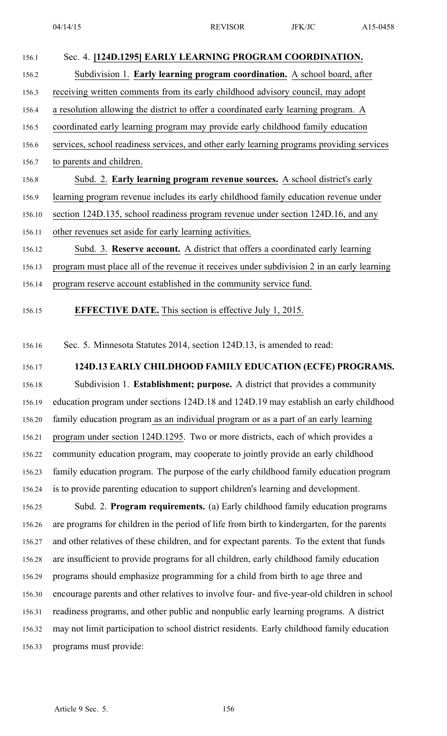| 156.1  | Sec. 4. [124D.1295] EARLY LEARNING PROGRAM COORDINATION.                                   |
|--------|--------------------------------------------------------------------------------------------|
| 156.2  | Subdivision 1. Early learning program coordination. A school board, after                  |
| 156.3  | receiving written comments from its early childhood advisory council, may adopt            |
| 156.4  | a resolution allowing the district to offer a coordinated early learning program. A        |
| 156.5  | coordinated early learning program may provide early childhood family education            |
| 156.6  | services, school readiness services, and other early learning programs providing services  |
| 156.7  | to parents and children.                                                                   |
| 156.8  | Subd. 2. Early learning program revenue sources. A school district's early                 |
| 156.9  | learning program revenue includes its early childhood family education revenue under       |
| 156.10 | section 124D.135, school readiness program revenue under section 124D.16, and any          |
| 156.11 | other revenues set aside for early learning activities.                                    |
| 156.12 | Subd. 3. Reserve account. A district that offers a coordinated early learning              |
| 156.13 | program must place all of the revenue it receives under subdivision 2 in an early learning |
| 156.14 | program reserve account established in the community service fund.                         |

156.15 **EFFECTIVE DATE.** This section is effective July 1, 2015.

156.16 Sec. 5. Minnesota Statutes 2014, section 124D.13, is amended to read:

156.17 **124D.13 EARLY CHILDHOOD FAMILY EDUCATION (ECFE) PROGRAMS.**

156.18 Subdivision 1. **Establishment; purpose.** A district that provides <sup>a</sup> community 156.19 education program under sections 124D.18 and 124D.19 may establish an early childhood 156.20 family education program as an individual program or as <sup>a</sup> par<sup>t</sup> of an early learning 156.21 program under section 124D.1295. Two or more districts, each of which provides <sup>a</sup> 156.22 community education program, may cooperate to jointly provide an early childhood 156.23 family education program. The purpose of the early childhood family education program 156.24 is to provide parenting education to suppor<sup>t</sup> children's learning and development.

156.25 Subd. 2. **Program requirements.** (a) Early childhood family education programs 156.26 are programs for children in the period of life from birth to kindergarten, for the parents 156.27 and other relatives of these children, and for expectant parents. To the extent that funds 156.28 are insufficient to provide programs for all children, early childhood family education 156.29 programs should emphasize programming for <sup>a</sup> child from birth to age three and 156.30 encourage parents and other relatives to involve four- and five-year-old children in school 156.31 readiness programs, and other public and nonpublic early learning programs. A district 156.32 may not limit participation to school district residents. Early childhood family education 156.33 programs must provide: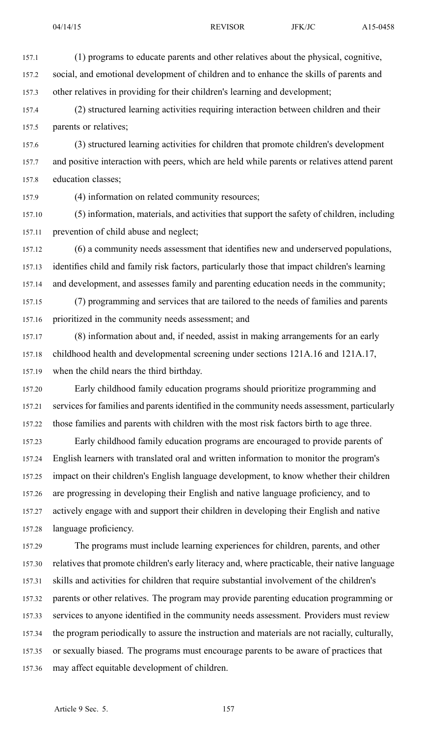- 
- 157.1 (1) programs to educate parents and other relatives about the physical, cognitive, 157.2 social, and emotional development of children and to enhance the skills of parents and 157.3 other relatives in providing for their children's learning and development;
- 157.4 (2) structured learning activities requiring interaction between children and their 157.5 parents or relatives;
- 157.6 (3) structured learning activities for children that promote children's development 157.7 and positive interaction with peers, which are held while parents or relatives attend paren<sup>t</sup> 157.8 education classes;
- 157.9 (4) information on related community resources;
- 157.10 (5) information, materials, and activities that suppor<sup>t</sup> the safety of children, including 157.11 prevention of child abuse and neglect;
- 157.12 (6) <sup>a</sup> community needs assessment that identifies new and underserved populations, 157.13 identifies child and family risk factors, particularly those that impact children's learning 157.14 and development, and assesses family and parenting education needs in the community;
- 157.15 (7) programming and services that are tailored to the needs of families and parents 157.16 prioritized in the community needs assessment; and
- 157.17 (8) information about and, if needed, assist in making arrangements for an early 157.18 childhood health and developmental screening under sections 121A.16 and 121A.17, 157.19 when the child nears the third birthday.
- 157.20 Early childhood family education programs should prioritize programming and 157.21 services for families and parents identified in the community needs assessment, particularly 157.22 those families and parents with children with the most risk factors birth to age three.
- 157.23 Early childhood family education programs are encouraged to provide parents of 157.24 English learners with translated oral and written information to monitor the program's 157.25 impact on their children's English language development, to know whether their children 157.26 are progressing in developing their English and native language proficiency, and to 157.27 actively engage with and suppor<sup>t</sup> their children in developing their English and native 157.28 language proficiency.
- 157.29 The programs must include learning experiences for children, parents, and other 157.30 relatives that promote children's early literacy and, where practicable, their native language 157.31 skills and activities for children that require substantial involvement of the children's 157.32 parents or other relatives. The program may provide parenting education programming or 157.33 services to anyone identified in the community needs assessment. Providers must review 157.34 the program periodically to assure the instruction and materials are not racially, culturally, 157.35 or sexually biased. The programs must encourage parents to be aware of practices that 157.36 may affect equitable development of children.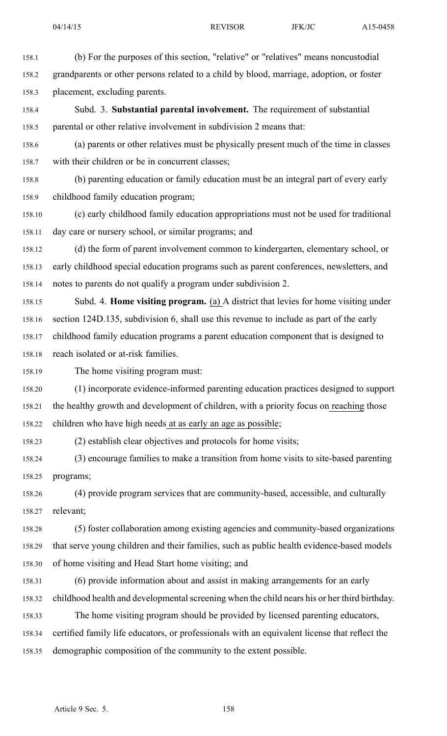158.1 (b) For the purposes of this section, "relative" or "relatives" means noncustodial 158.2 grandparents or other persons related to <sup>a</sup> child by blood, marriage, adoption, or foster 158.3 placement, excluding parents. 158.4 Subd. 3. **Substantial parental involvement.** The requirement of substantial 158.5 parental or other relative involvement in subdivision 2 means that: 158.6 (a) parents or other relatives must be physically presen<sup>t</sup> much of the time in classes 158.7 with their children or be in concurrent classes; 158.8 (b) parenting education or family education must be an integral par<sup>t</sup> of every early 158.9 childhood family education program; 158.10 (c) early childhood family education appropriations must not be used for traditional 158.11 day care or nursery school, or similar programs; and 158.12 (d) the form of paren<sup>t</sup> involvement common to kindergarten, elementary school, or 158.13 early childhood special education programs such as paren<sup>t</sup> conferences, newsletters, and 158.14 notes to parents do not qualify <sup>a</sup> program under subdivision 2. 158.15 Subd. 4. **Home visiting program.** (a) A district that levies for home visiting under 158.16 section 124D.135, subdivision 6, shall use this revenue to include as par<sup>t</sup> of the early 158.17 childhood family education programs <sup>a</sup> paren<sup>t</sup> education componen<sup>t</sup> that is designed to 158.18 reach isolated or at-risk families. 158.19 The home visiting program must: 158.20 (1) incorporate evidence-informed parenting education practices designed to suppor<sup>t</sup> 158.21 the healthy growth and development of children, with <sup>a</sup> priority focus on reaching those 158.22 children who have high needs at as early an age as possible; 158.23 (2) establish clear objectives and protocols for home visits; 158.24 (3) encourage families to make <sup>a</sup> transition from home visits to site-based parenting 158.25 programs; 158.26 (4) provide program services that are community-based, accessible, and culturally 158.27 relevant; 158.28 (5) foster collaboration among existing agencies and community-based organizations 158.29 that serve young children and their families, such as public health evidence-based models 158.30 of home visiting and Head Start home visiting; and

158.31 (6) provide information about and assist in making arrangements for an early

158.32 childhood health and developmental screening when the child nears his or her third birthday.

158.33 The home visiting program should be provided by licensed parenting educators, 158.34 certified family life educators, or professionals with an equivalent license that reflect the

158.35 demographic composition of the community to the extent possible.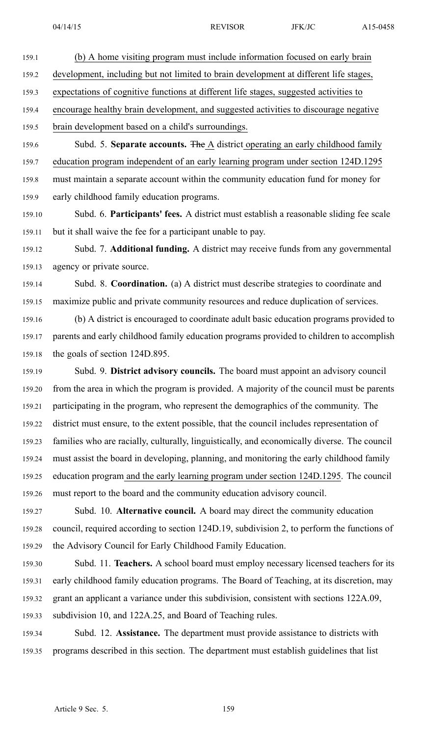159.1 (b) A home visiting program must include information focused on early brain 159.2 development, including but not limited to brain development at different life stages,

159.3 expectations of cognitive functions at different life stages, suggested activities to

159.4 encourage healthy brain development, and suggested activities to discourage negative

159.5 brain development based on <sup>a</sup> child's surroundings.

159.6 Subd. 5. **Separate accounts.** The A district operating an early childhood family 159.7 education program independent of an early learning program under section 124D.1295 159.8 must maintain <sup>a</sup> separate account within the community education fund for money for 159.9 early childhood family education programs.

159.10 Subd. 6. **Participants' fees.** A district must establish <sup>a</sup> reasonable sliding fee scale 159.11 but it shall waive the fee for <sup>a</sup> participant unable to pay.

159.12 Subd. 7. **Additional funding.** A district may receive funds from any governmental 159.13 agency or private source.

159.14 Subd. 8. **Coordination.** (a) A district must describe strategies to coordinate and 159.15 maximize public and private community resources and reduce duplication of services.

159.16 (b) A district is encouraged to coordinate adult basic education programs provided to 159.17 parents and early childhood family education programs provided to children to accomplish 159.18 the goals of section 124D.895.

159.19 Subd. 9. **District advisory councils.** The board must appoint an advisory council 159.20 from the area in which the program is provided. A majority of the council must be parents 159.21 participating in the program, who represen<sup>t</sup> the demographics of the community. The 159.22 district must ensure, to the extent possible, that the council includes representation of 159.23 families who are racially, culturally, linguistically, and economically diverse. The council 159.24 must assist the board in developing, planning, and monitoring the early childhood family 159.25 education program and the early learning program under section 124D.1295. The council 159.26 must repor<sup>t</sup> to the board and the community education advisory council.

159.27 Subd. 10. **Alternative council.** A board may direct the community education 159.28 council, required according to section 124D.19, subdivision 2, to perform the functions of 159.29 the Advisory Council for Early Childhood Family Education.

159.30 Subd. 11. **Teachers.** A school board must employ necessary licensed teachers for its 159.31 early childhood family education programs. The Board of Teaching, at its discretion, may 159.32 gran<sup>t</sup> an applicant <sup>a</sup> variance under this subdivision, consistent with sections 122A.09, 159.33 subdivision 10, and 122A.25, and Board of Teaching rules.

159.34 Subd. 12. **Assistance.** The department must provide assistance to districts with 159.35 programs described in this section. The department must establish guidelines that list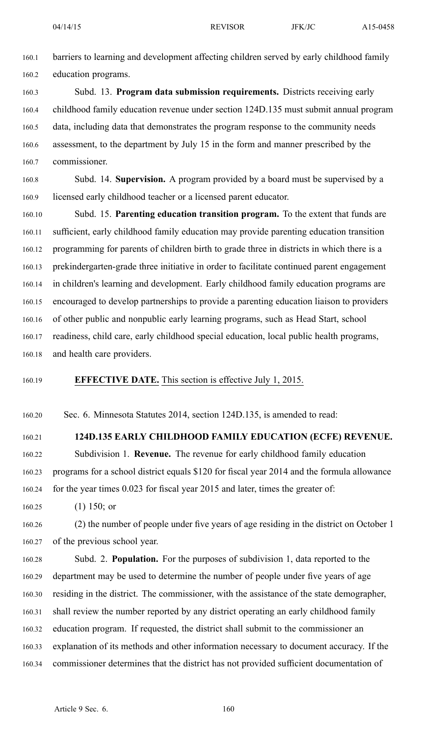160.1 barriers to learning and development affecting children served by early childhood family 160.2 education programs.

160.3 Subd. 13. **Program data submission requirements.** Districts receiving early 160.4 childhood family education revenue under section 124D.135 must submit annual program 160.5 data, including data that demonstrates the program response to the community needs 160.6 assessment, to the department by July 15 in the form and manner prescribed by the 160.7 commissioner.

160.8 Subd. 14. **Supervision.** A program provided by <sup>a</sup> board must be supervised by <sup>a</sup> 160.9 licensed early childhood teacher or <sup>a</sup> licensed paren<sup>t</sup> educator.

160.10 Subd. 15. **Parenting education transition program.** To the extent that funds are 160.11 sufficient, early childhood family education may provide parenting education transition 160.12 programming for parents of children birth to grade three in districts in which there is <sup>a</sup> 160.13 prekindergarten-grade three initiative in order to facilitate continued paren<sup>t</sup> engagemen<sup>t</sup> 160.14 in children's learning and development. Early childhood family education programs are 160.15 encouraged to develop partnerships to provide <sup>a</sup> parenting education liaison to providers 160.16 of other public and nonpublic early learning programs, such as Head Start, school 160.17 readiness, child care, early childhood special education, local public health programs, 160.18 and health care providers.

160.19 **EFFECTIVE DATE.** This section is effective July 1, 2015.

160.20 Sec. 6. Minnesota Statutes 2014, section 124D.135, is amended to read:

160.21 **124D.135 EARLY CHILDHOOD FAMILY EDUCATION (ECFE) REVENUE.**

160.22 Subdivision 1. **Revenue.** The revenue for early childhood family education 160.23 programs for <sup>a</sup> school district equals \$120 for fiscal year 2014 and the formula allowance 160.24 for the year times 0.023 for fiscal year 2015 and later, times the greater of:

160.25 (1) 150; or

160.26 (2) the number of people under five years of age residing in the district on October 1 160.27 of the previous school year.

160.28 Subd. 2. **Population.** For the purposes of subdivision 1, data reported to the 160.29 department may be used to determine the number of people under five years of age 160.30 residing in the district. The commissioner, with the assistance of the state demographer, 160.31 shall review the number reported by any district operating an early childhood family 160.32 education program. If requested, the district shall submit to the commissioner an 160.33 explanation of its methods and other information necessary to document accuracy. If the 160.34 commissioner determines that the district has not provided sufficient documentation of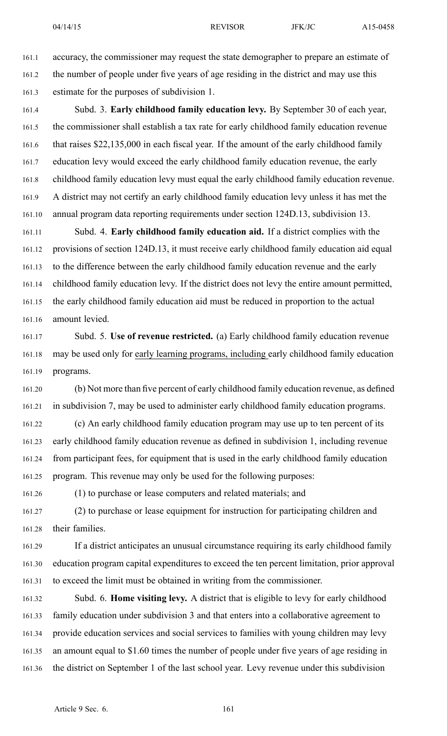161.1 accuracy, the commissioner may reques<sup>t</sup> the state demographer to prepare an estimate of 161.2 the number of people under five years of age residing in the district and may use this 161.3 estimate for the purposes of subdivision 1.

161.4 Subd. 3. **Early childhood family education levy.** By September 30 of each year, 161.5 the commissioner shall establish <sup>a</sup> tax rate for early childhood family education revenue 161.6 that raises \$22,135,000 in each fiscal year. If the amount of the early childhood family 161.7 education levy would exceed the early childhood family education revenue, the early 161.8 childhood family education levy must equal the early childhood family education revenue. 161.9 A district may not certify an early childhood family education levy unless it has met the 161.10 annual program data reporting requirements under section 124D.13, subdivision 13.

161.11 Subd. 4. **Early childhood family education aid.** If <sup>a</sup> district complies with the 161.12 provisions of section 124D.13, it must receive early childhood family education aid equal 161.13 to the difference between the early childhood family education revenue and the early 161.14 childhood family education levy. If the district does not levy the entire amount permitted, 161.15 the early childhood family education aid must be reduced in proportion to the actual 161.16 amount levied.

161.17 Subd. 5. **Use of revenue restricted.** (a) Early childhood family education revenue 161.18 may be used only for early learning programs, including early childhood family education 161.19 programs.

161.20 (b) Not more than five percen<sup>t</sup> of early childhood family education revenue, as defined 161.21 in subdivision 7, may be used to administer early childhood family education programs.

161.22 (c) An early childhood family education program may use up to ten percen<sup>t</sup> of its 161.23 early childhood family education revenue as defined in subdivision 1, including revenue 161.24 from participant fees, for equipment that is used in the early childhood family education 161.25 program. This revenue may only be used for the following purposes:

161.26 (1) to purchase or lease computers and related materials; and

161.27 (2) to purchase or lease equipment for instruction for participating children and 161.28 their families.

161.29 If <sup>a</sup> district anticipates an unusual circumstance requiring its early childhood family 161.30 education program capital expenditures to exceed the ten percen<sup>t</sup> limitation, prior approval 161.31 to exceed the limit must be obtained in writing from the commissioner.

161.32 Subd. 6. **Home visiting levy.** A district that is eligible to levy for early childhood 161.33 family education under subdivision 3 and that enters into <sup>a</sup> collaborative agreemen<sup>t</sup> to 161.34 provide education services and social services to families with young children may levy 161.35 an amount equal to \$1.60 times the number of people under five years of age residing in 161.36 the district on September 1 of the last school year. Levy revenue under this subdivision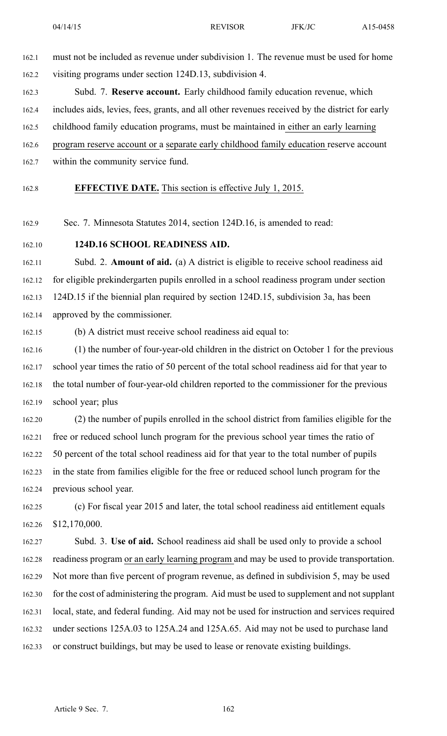162.1 must not be included as revenue under subdivision 1. The revenue must be used for home 162.2 visiting programs under section 124D.13, subdivision 4.

162.3 Subd. 7. **Reserve account.** Early childhood family education revenue, which 162.4 includes aids, levies, fees, grants, and all other revenues received by the district for early 162.5 childhood family education programs, must be maintained in either an early learning 162.6 program reserve account or <sup>a</sup> separate early childhood family education reserve account 162.7 within the community service fund.

162.8 **EFFECTIVE DATE.** This section is effective July 1, 2015.

162.9 Sec. 7. Minnesota Statutes 2014, section 124D.16, is amended to read:

162.10 **124D.16 SCHOOL READINESS AID.**

162.11 Subd. 2. **Amount of aid.** (a) A district is eligible to receive school readiness aid 162.12 for eligible prekindergarten pupils enrolled in <sup>a</sup> school readiness program under section 162.13 124D.15 if the biennial plan required by section 124D.15, subdivision 3a, has been 162.14 approved by the commissioner.

162.15 (b) A district must receive school readiness aid equal to:

162.16 (1) the number of four-year-old children in the district on October 1 for the previous 162.17 school year times the ratio of 50 percen<sup>t</sup> of the total school readiness aid for that year to 162.18 the total number of four-year-old children reported to the commissioner for the previous 162.19 school year; plus

162.20 (2) the number of pupils enrolled in the school district from families eligible for the 162.21 free or reduced school lunch program for the previous school year times the ratio of 162.22 50 percen<sup>t</sup> of the total school readiness aid for that year to the total number of pupils 162.23 in the state from families eligible for the free or reduced school lunch program for the 162.24 previous school year.

162.25 (c) For fiscal year 2015 and later, the total school readiness aid entitlement equals 162.26 \$12,170,000.

162.27 Subd. 3. **Use of aid.** School readiness aid shall be used only to provide <sup>a</sup> school 162.28 readiness program or an early learning program and may be used to provide transportation. 162.29 Not more than five percen<sup>t</sup> of program revenue, as defined in subdivision 5, may be used 162.30 for the cost of administering the program. Aid must be used to supplement and not supplant 162.31 local, state, and federal funding. Aid may not be used for instruction and services required 162.32 under sections 125A.03 to 125A.24 and 125A.65. Aid may not be used to purchase land 162.33 or construct buildings, but may be used to lease or renovate existing buildings.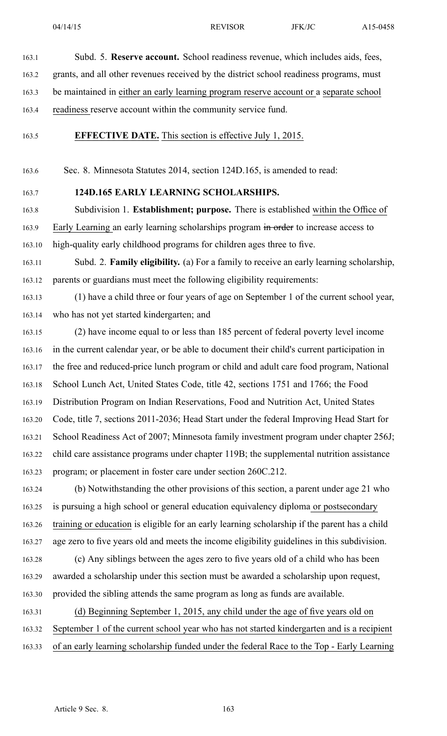163.1 Subd. 5. **Reserve account.** School readiness revenue, which includes aids, fees,

163.2 grants, and all other revenues received by the district school readiness programs, must

163.3 be maintained in either an early learning program reserve account or <sup>a</sup> separate school

163.4 readiness reserve account within the community service fund.

163.5 **EFFECTIVE DATE.** This section is effective July 1, 2015.

163.6 Sec. 8. Minnesota Statutes 2014, section 124D.165, is amended to read:

163.7 **124D.165 EARLY LEARNING SCHOLARSHIPS.**

163.8 Subdivision 1. **Establishment; purpose.** There is established within the Office of 163.9 Early Learning an early learning scholarships program in order to increase access to 163.10 high-quality early childhood programs for children ages three to five.

163.11 Subd. 2. **Family eligibility.** (a) For <sup>a</sup> family to receive an early learning scholarship, 163.12 parents or guardians must meet the following eligibility requirements:

163.13 (1) have <sup>a</sup> child three or four years of age on September 1 of the current school year, 163.14 who has not ye<sup>t</sup> started kindergarten; and

163.15 (2) have income equal to or less than 185 percen<sup>t</sup> of federal poverty level income 163.16 in the current calendar year, or be able to document their child's current participation in 163.17 the free and reduced-price lunch program or child and adult care food program, National 163.18 School Lunch Act, United States Code, title 42, sections 1751 and 1766; the Food 163.19 Distribution Program on Indian Reservations, Food and Nutrition Act, United States 163.20 Code, title 7, sections 2011-2036; Head Start under the federal Improving Head Start for 163.21 School Readiness Act of 2007; Minnesota family investment program under chapter 256J; 163.22 child care assistance programs under chapter 119B; the supplemental nutrition assistance 163.23 program; or placement in foster care under section 260C.212.

163.24 (b) Notwithstanding the other provisions of this section, <sup>a</sup> paren<sup>t</sup> under age 21 who 163.25 is pursuing <sup>a</sup> high school or general education equivalency diploma or postsecondary 163.26 training or education is eligible for an early learning scholarship if the paren<sup>t</sup> has <sup>a</sup> child 163.27 age zero to five years old and meets the income eligibility guidelines in this subdivision.

163.28 (c) Any siblings between the ages zero to five years old of <sup>a</sup> child who has been 163.29 awarded <sup>a</sup> scholarship under this section must be awarded <sup>a</sup> scholarship upon request, 163.30 provided the sibling attends the same program as long as funds are available.

163.31 (d) Beginning September 1, 2015, any child under the age of five years old on 163.32 September 1 of the current school year who has not started kindergarten and is <sup>a</sup> recipient 163.33 of an early learning scholarship funded under the federal Race to the Top - Early Learning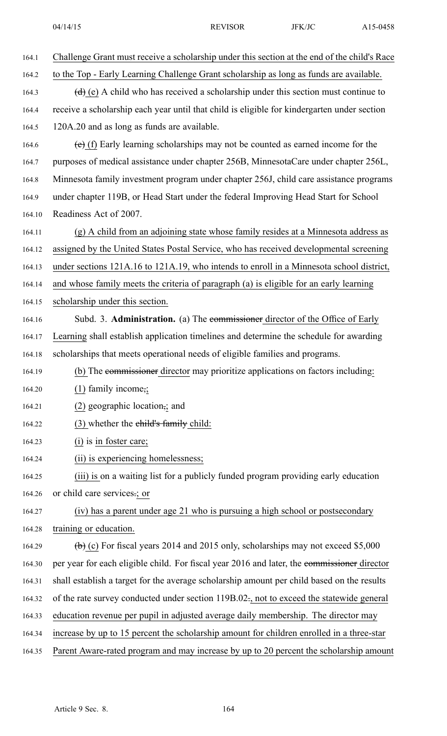| 164.1  | Challenge Grant must receive a scholarship under this section at the end of the child's Race            |
|--------|---------------------------------------------------------------------------------------------------------|
| 164.2  | to the Top - Early Learning Challenge Grant scholarship as long as funds are available.                 |
| 164.3  | $(d)$ (e) A child who has received a scholarship under this section must continue to                    |
| 164.4  | receive a scholarship each year until that child is eligible for kindergarten under section             |
| 164.5  | 120A.20 and as long as funds are available.                                                             |
| 164.6  | $(e)$ (f) Early learning scholarships may not be counted as earned income for the                       |
| 164.7  | purposes of medical assistance under chapter 256B, MinnesotaCare under chapter 256L,                    |
| 164.8  | Minnesota family investment program under chapter 256J, child care assistance programs                  |
| 164.9  | under chapter 119B, or Head Start under the federal Improving Head Start for School                     |
| 164.10 | Readiness Act of 2007.                                                                                  |
| 164.11 | (g) A child from an adjoining state whose family resides at a Minnesota address as                      |
| 164.12 | assigned by the United States Postal Service, who has received developmental screening                  |
| 164.13 | under sections 121A.16 to 121A.19, who intends to enroll in a Minnesota school district,                |
| 164.14 | and whose family meets the criteria of paragraph (a) is eligible for an early learning                  |
| 164.15 | scholarship under this section.                                                                         |
| 164.16 | Subd. 3. <b>Administration.</b> (a) The commissioner director of the Office of Early                    |
| 164.17 | Learning shall establish application timelines and determine the schedule for awarding                  |
| 164.18 | scholarships that meets operational needs of eligible families and programs.                            |
| 164.19 | (b) The commissioner director may prioritize applications on factors including:                         |
| 164.20 | $(1)$ family income;;                                                                                   |
| 164.21 | $(2)$ geographic location; and                                                                          |
| 164.22 | $(3)$ whether the child's family child:                                                                 |
| 164.23 | (i) is in foster care;                                                                                  |
| 164.24 | (ii) is experiencing homelessness;                                                                      |
| 164.25 | (iii) is on a waiting list for a publicly funded program providing early education                      |
| 164.26 | or child care services.; or                                                                             |
| 164.27 | (iv) has a parent under age 21 who is pursuing a high school or postsecondary                           |
| 164.28 | training or education.                                                                                  |
| 164.29 | $\left(\frac{1}{2}\right)$ (c) For fiscal years 2014 and 2015 only, scholarships may not exceed \$5,000 |
| 164.30 | per year for each eligible child. For fiscal year 2016 and later, the commissioner director             |
| 164.31 | shall establish a target for the average scholarship amount per child based on the results              |
| 164.32 | of the rate survey conducted under section 119B.02., not to exceed the statewide general                |
| 164.33 | education revenue per pupil in adjusted average daily membership. The director may                      |
| 164.34 | increase by up to 15 percent the scholarship amount for children enrolled in a three-star               |
| 164.35 | Parent Aware-rated program and may increase by up to 20 percent the scholarship amount                  |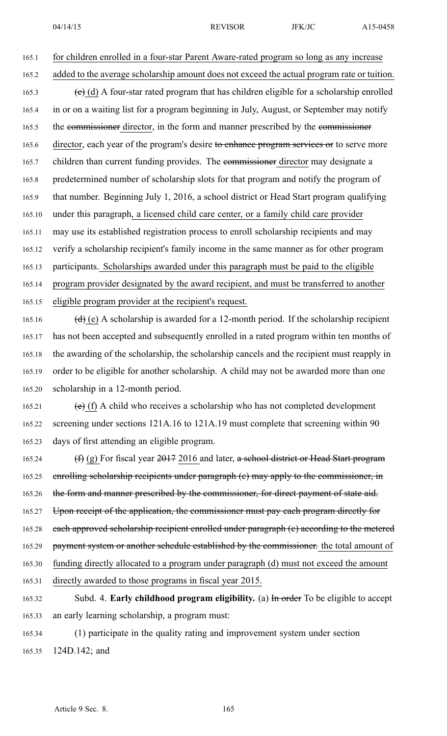165.1 for children enrolled in a four-star Parent Aware-rated program so long as any increase

- 165.2 added to the average scholarship amount does not exceed the actual program rate or tuition. 165.3 (c) (d) A four-star rated program that has children eligible for a scholarship enrolled 165.4 in or on <sup>a</sup> waiting list for <sup>a</sup> program beginning in July, August, or September may notify 165.5 the commissioner director, in the form and manner prescribed by the commissioner 165.6 director, each year of the program's desire to enhance program services or to serve more 165.7 children than current funding provides. The commissioner director may designate a 165.8 predetermined number of scholarship slots for that program and notify the program of 165.9 that number. Beginning July 1, 2016, <sup>a</sup> school district or Head Start program qualifying 165.10 under this paragraph, <sup>a</sup> licensed child care center, or <sup>a</sup> family child care provider 165.11 may use its established registration process to enroll scholarship recipients and may 165.12 verify <sup>a</sup> scholarship recipient's family income in the same manner as for other program 165.13 participants. Scholarships awarded under this paragraph must be paid to the eligible 165.14 program provider designated by the award recipient, and must be transferred to another
- 165.15 eligible program provider at the recipient's request.

165.16 (d) (e) A scholarship is awarded for a 12-month period. If the scholarship recipient 165.17 has not been accepted and subsequently enrolled in <sup>a</sup> rated program within ten months of 165.18 the awarding of the scholarship, the scholarship cancels and the recipient must reapply in 165.19 order to be eligible for another scholarship. A child may not be awarded more than one 165.20 scholarship in <sup>a</sup> 12-month period.

- 165.21 (e) (f) A child who receives a scholarship who has not completed development 165.22 screening under sections 121A.16 to 121A.19 must complete that screening within 90 165.23 days of first attending an eligible program.
- 165.24  $(f)$  (g) For fiscal year  $2017$  2016 and later, a school district or Head Start program 165.25 enrolling scholarship recipients under paragraph (e) may apply to the commissioner, in 165.26 the form and manner prescribed by the commissioner, for direct payment of state aid. 165.27 Upon receipt of the application, the commissioner must pay each program directly for 165.28 each approved scholarship recipient enrolled under paragraph (e) according to the metered 165.29 payment system or another schedule established by the commissioner. the total amount of 165.30 funding directly allocated to <sup>a</sup> program under paragraph (d) must not exceed the amount
- 165.31 directly awarded to those programs in fiscal year 2015.
- 165.32 Subd. 4. **Early childhood program eligibility.** (a) In order To be eligible to accep<sup>t</sup> 165.33 an early learning scholarship, <sup>a</sup> program must:
- 165.34 (1) participate in the quality rating and improvement system under section 165.35 124D.142; and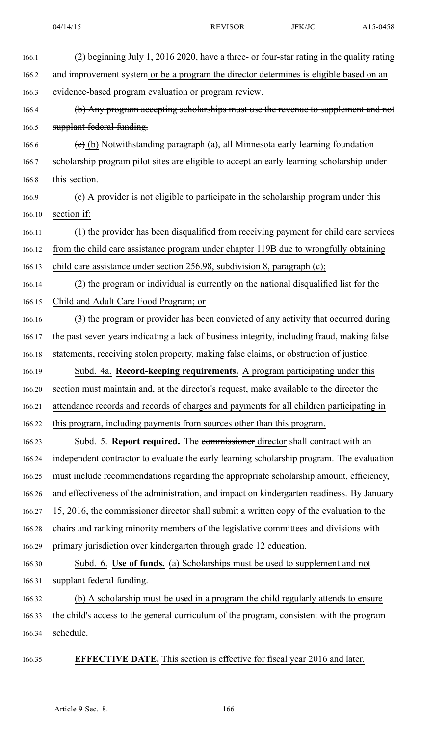| 166.1  | (2) beginning July 1, $2016$ 2020, have a three- or four-star rating in the quality rating  |
|--------|---------------------------------------------------------------------------------------------|
| 166.2  | and improvement system or be a program the director determines is eligible based on an      |
| 166.3  | evidence-based program evaluation or program review.                                        |
| 166.4  | (b) Any program accepting scholarships must use the revenue to supplement and not           |
| 166.5  | supplant federal funding.                                                                   |
| 166.6  | $(e)$ (b) Notwithstanding paragraph (a), all Minnesota early learning foundation            |
| 166.7  | scholarship program pilot sites are eligible to accept an early learning scholarship under  |
| 166.8  | this section.                                                                               |
| 166.9  | (c) A provider is not eligible to participate in the scholarship program under this         |
| 166.10 | section if:                                                                                 |
| 166.11 | (1) the provider has been disqualified from receiving payment for child care services       |
| 166.12 | from the child care assistance program under chapter 119B due to wrongfully obtaining       |
| 166.13 | child care assistance under section 256.98, subdivision 8, paragraph (c);                   |
| 166.14 | (2) the program or individual is currently on the national disqualified list for the        |
| 166.15 | Child and Adult Care Food Program; or                                                       |
| 166.16 | (3) the program or provider has been convicted of any activity that occurred during         |
| 166.17 | the past seven years indicating a lack of business integrity, including fraud, making false |
| 166.18 | statements, receiving stolen property, making false claims, or obstruction of justice.      |
| 166.19 | Subd. 4a. Record-keeping requirements. A program participating under this                   |
| 166.20 | section must maintain and, at the director's request, make available to the director the    |
| 166.21 | attendance records and records of charges and payments for all children participating in    |
| 166.22 | this program, including payments from sources other than this program.                      |
| 166.23 | Subd. 5. Report required. The commissioner director shall contract with an                  |
| 166.24 | independent contractor to evaluate the early learning scholarship program. The evaluation   |
| 166.25 | must include recommendations regarding the appropriate scholarship amount, efficiency,      |
| 166.26 | and effectiveness of the administration, and impact on kindergarten readiness. By January   |
| 166.27 | 15, 2016, the commissioner director shall submit a written copy of the evaluation to the    |
| 166.28 | chairs and ranking minority members of the legislative committees and divisions with        |
| 166.29 | primary jurisdiction over kindergarten through grade 12 education.                          |
| 166.30 | Subd. 6. Use of funds. (a) Scholarships must be used to supplement and not                  |
| 166.31 | supplant federal funding.                                                                   |
| 166.32 | (b) A scholarship must be used in a program the child regularly attends to ensure           |
| 166.33 | the child's access to the general curriculum of the program, consistent with the program    |
| 166.34 | schedule.                                                                                   |
| 166.35 | <b>EFFECTIVE DATE.</b> This section is effective for fiscal year 2016 and later.            |
|        |                                                                                             |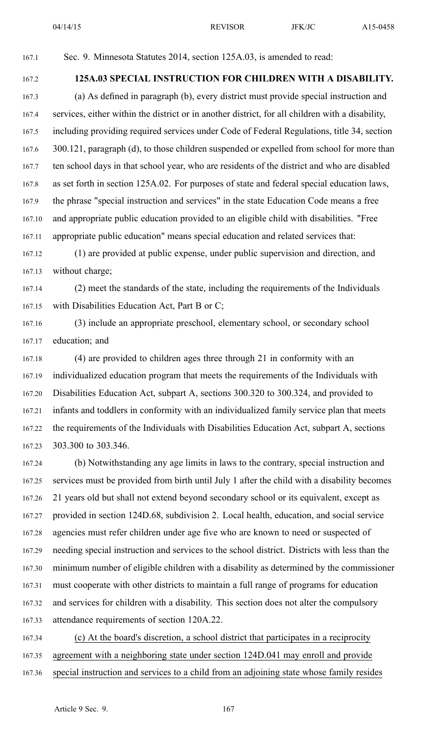167.1 Sec. 9. Minnesota Statutes 2014, section 125A.03, is amended to read:

### 167.2 **125A.03 SPECIAL INSTRUCTION FOR CHILDREN WITH A DISABILITY.**

167.3 (a) As defined in paragraph (b), every district must provide special instruction and 167.4 services, either within the district or in another district, for all children with <sup>a</sup> disability, 167.5 including providing required services under Code of Federal Regulations, title 34, section 167.6 300.121, paragraph (d), to those children suspended or expelled from school for more than 167.7 ten school days in that school year, who are residents of the district and who are disabled 167.8 as set forth in section 125A.02. For purposes of state and federal special education laws, 167.9 the phrase "special instruction and services" in the state Education Code means <sup>a</sup> free 167.10 and appropriate public education provided to an eligible child with disabilities. "Free 167.11 appropriate public education" means special education and related services that:

167.12 (1) are provided at public expense, under public supervision and direction, and 167.13 without charge;

167.14 (2) meet the standards of the state, including the requirements of the Individuals 167.15 with Disabilities Education Act, Part B or C;

167.16 (3) include an appropriate preschool, elementary school, or secondary school 167.17 education; and

167.18 (4) are provided to children ages three through 21 in conformity with an 167.19 individualized education program that meets the requirements of the Individuals with 167.20 Disabilities Education Act, subpart A, sections 300.320 to 300.324, and provided to 167.21 infants and toddlers in conformity with an individualized family service plan that meets 167.22 the requirements of the Individuals with Disabilities Education Act, subpart A, sections 167.23 303.300 to 303.346.

167.24 (b) Notwithstanding any age limits in laws to the contrary, special instruction and 167.25 services must be provided from birth until July 1 after the child with <sup>a</sup> disability becomes 167.26 21 years old but shall not extend beyond secondary school or its equivalent, excep<sup>t</sup> as 167.27 provided in section 124D.68, subdivision 2. Local health, education, and social service 167.28 agencies must refer children under age five who are known to need or suspected of 167.29 needing special instruction and services to the school district. Districts with less than the 167.30 minimum number of eligible children with <sup>a</sup> disability as determined by the commissioner 167.31 must cooperate with other districts to maintain <sup>a</sup> full range of programs for education 167.32 and services for children with <sup>a</sup> disability. This section does not alter the compulsory 167.33 attendance requirements of section 120A.22.

167.34 (c) At the board's discretion, <sup>a</sup> school district that participates in <sup>a</sup> reciprocity 167.35 agreemen<sup>t</sup> with <sup>a</sup> neighboring state under section 124D.041 may enroll and provide 167.36 special instruction and services to <sup>a</sup> child from an adjoining state whose family resides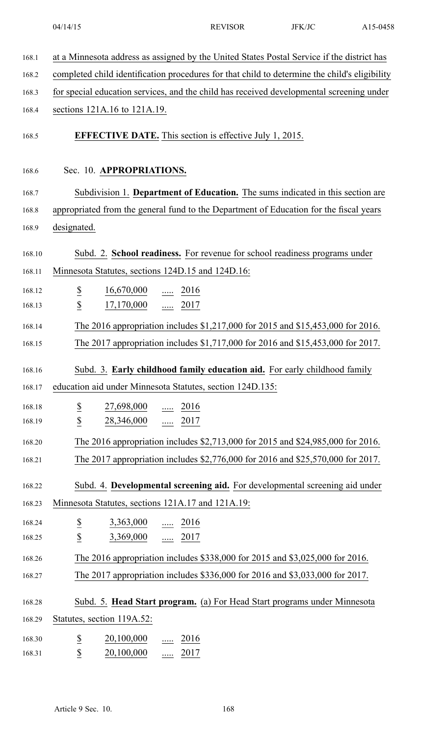| 168.1  | at a Minnesota address as assigned by the United States Postal Service if the district has    |
|--------|-----------------------------------------------------------------------------------------------|
| 168.2  | completed child identification procedures for that child to determine the child's eligibility |
| 168.3  | for special education services, and the child has received developmental screening under      |
| 168.4  | sections 121A.16 to 121A.19.                                                                  |
| 168.5  | <b>EFFECTIVE DATE.</b> This section is effective July 1, 2015.                                |
| 168.6  | Sec. 10. APPROPRIATIONS.                                                                      |
| 168.7  | Subdivision 1. Department of Education. The sums indicated in this section are                |
| 168.8  | appropriated from the general fund to the Department of Education for the fiscal years        |
| 168.9  | designated.                                                                                   |
|        |                                                                                               |
| 168.10 | Subd. 2. School readiness. For revenue for school readiness programs under                    |
| 168.11 | Minnesota Statutes, sections 124D.15 and 124D.16:                                             |
| 168.12 | $\overline{\mathcal{E}}$<br>$\frac{16,670,000}{\ldots}$ $\frac{\ldots}{2016}$                 |
| 168.13 | $\underline{\$}$<br>$\frac{17,170,000}{}$ 2017                                                |
| 168.14 | The 2016 appropriation includes \$1,217,000 for 2015 and \$15,453,000 for 2016.               |
| 168.15 | The 2017 appropriation includes \$1,717,000 for 2016 and \$15,453,000 for 2017.               |
| 168.16 | Subd. 3. Early childhood family education aid. For early childhood family                     |
| 168.17 | education aid under Minnesota Statutes, section 124D.135:                                     |
| 168.18 | $\underline{\mathbb{S}}$<br>27,698,000<br>$\underline{\cdots}$ 2016                           |
| 168.19 | $\overline{\mathcal{L}}$<br>$28,346,000$ 2017                                                 |
| 168.20 | The 2016 appropriation includes \$2,713,000 for 2015 and \$24,985,000 for 2016.               |
| 168.21 | The 2017 appropriation includes \$2,776,000 for 2016 and \$25,570,000 for 2017.               |
|        |                                                                                               |
| 168.22 | Subd. 4. Developmental screening aid. For developmental screening aid under                   |
| 168.23 | Minnesota Statutes, sections 121A.17 and 121A.19:                                             |
| 168.24 | $\overline{\mathcal{E}}$<br>$3,363,000$ 2016                                                  |
| 168.25 | $\overline{\mathcal{E}}$<br>$3,369,000$ 2017                                                  |
| 168.26 | The 2016 appropriation includes \$338,000 for 2015 and \$3,025,000 for 2016.                  |
| 168.27 | The 2017 appropriation includes \$336,000 for 2016 and \$3,033,000 for 2017.                  |
| 168.28 | Subd. 5. Head Start program. (a) For Head Start programs under Minnesota                      |
| 168.29 | Statutes, section 119A.52:                                                                    |
| 168.30 | $\underline{\$}$<br>20,100,000<br>$\underline{\cdots}$ 2016                                   |
| 168.31 | $\underline{\mathbb{S}}$<br>20,100,000<br>$\frac{1}{2017}$                                    |
|        |                                                                                               |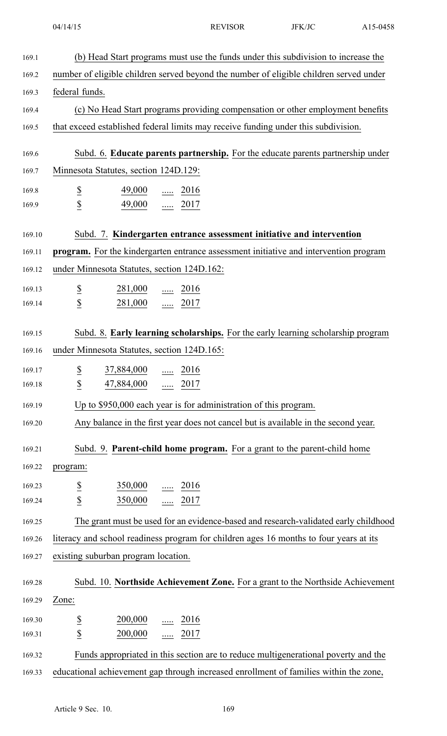169.1 (b) Head Start programs must use the funds under this subdivision to increase the 169.2 number of eligible children served beyond the number of eligible children served under 169.3 federal funds. 169.4 (c) No Head Start programs providing compensation or other employment benefits 169.5 that exceed established federal limits may receive funding under this subdivision. 169.6 Subd. 6. **Educate parents partnership.** For the educate parents partnership under 169.7 Minnesota Statutes, section 124D.129: 169.8  $\frac{\$}{}$   $\frac{49,000}{...}$   $\frac{2016}{...}$ 169.9 \$ 49,000 ..... 2017 169.10 Subd. 7. **Kindergarten entrance assessment initiative and intervention** 169.11 **program.** For the kindergarten entrance assessment initiative and intervention program 169.12 under Minnesota Statutes, section 124D.162: 169.13 \$ 281,000 ...... 2016 169.14 \$ 281,000 ..... 2017 169.15 Subd. 8. **Early learning scholarships.** For the early learning scholarship program 169.16 under Minnesota Statutes, section 124D.165: 169.17  $\frac{\$}{37,884,000}$  ..... 2016 169.18 **\$** 47,884,000 ..... 2017 169.19 Up to \$950,000 each year is for administration of this program. 169.20 Any balance in the first year does not cancel but is available in the second year. 169.21 Subd. 9. **Parent-child home program.** For <sup>a</sup> gran<sup>t</sup> to the parent-child home 169.22 program:  $169.23 \qquad \qquad \underline{\$} \qquad \qquad \underline{350,000} \qquad \dots \qquad \underline{2016}$ 169.24 \$ 350,000 ..... 2017 169.25 The gran<sup>t</sup> must be used for an evidence-based and research-validated early childhood 169.26 literacy and school readiness program for children ages 16 months to four years at its 169.27 existing suburban program location. 169.28 Subd. 10. **Northside Achievement Zone.** For <sup>a</sup> gran<sup>t</sup> to the Northside Achievement 169.29 Zone:  $169.30 \t\t \t\t \frac{\$}{\$} \t\t 200,000 \t\t \t \ldots \t 2016$ 169.31 \$ 200,000 ..... 2017 169.32 Funds appropriated in this section are to reduce multigenerational poverty and the 169.33 educational achievement gap through increased enrollment of families within the zone,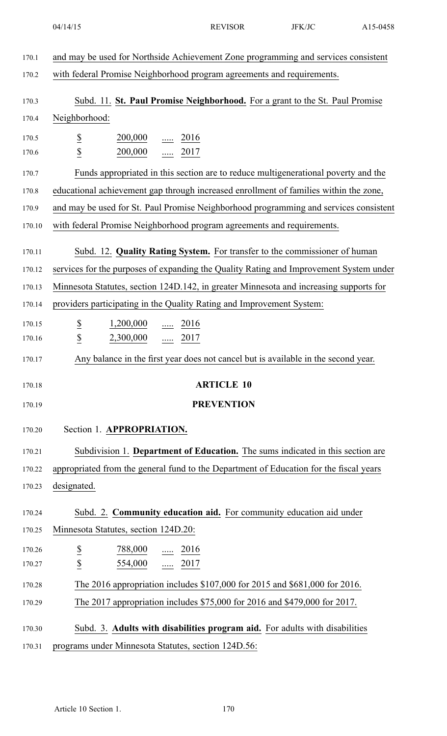| 170.1  | and may be used for Northside Achievement Zone programming and services consistent                 |
|--------|----------------------------------------------------------------------------------------------------|
| 170.2  | with federal Promise Neighborhood program agreements and requirements.                             |
| 170.3  | Subd. 11. St. Paul Promise Neighborhood. For a grant to the St. Paul Promise                       |
| 170.4  | Neighborhood:                                                                                      |
| 170.5  |                                                                                                    |
| 170.6  | $\underline{\mathbb{S}}$<br>$\frac{200,000}{}$ 2016<br>$\underline{\$}$<br>$\frac{200,000}{}$ 2017 |
| 170.7  | Funds appropriated in this section are to reduce multigenerational poverty and the                 |
|        | educational achievement gap through increased enrollment of families within the zone,              |
| 170.8  |                                                                                                    |
| 170.9  | and may be used for St. Paul Promise Neighborhood programming and services consistent              |
| 170.10 | with federal Promise Neighborhood program agreements and requirements.                             |
| 170.11 | Subd. 12. Quality Rating System. For transfer to the commissioner of human                         |
| 170.12 | services for the purposes of expanding the Quality Rating and Improvement System under             |
| 170.13 | Minnesota Statutes, section 124D.142, in greater Minnesota and increasing supports for             |
| 170.14 | providers participating in the Quality Rating and Improvement System:                              |
| 170.15 | $1,200,000$ 2016                                                                                   |
| 170.16 | $rac{S}{S}$<br>$2,300,000$ 2017                                                                    |
| 170.17 | Any balance in the first year does not cancel but is available in the second year.                 |
| 170.18 | <b>ARTICLE 10</b>                                                                                  |
|        |                                                                                                    |
| 170.19 | <b>PREVENTION</b>                                                                                  |
| 170.20 | Section 1. APPROPRIATION.                                                                          |
| 170.21 | Subdivision 1. Department of Education. The sums indicated in this section are                     |
| 170.22 | appropriated from the general fund to the Department of Education for the fiscal years             |
| 170.23 | designated.                                                                                        |
| 170.24 | Subd. 2. Community education aid. For community education aid under                                |
|        |                                                                                                    |
| 170.25 | Minnesota Statutes, section 124D.20:                                                               |
| 170.26 | $\underline{\$}$<br>788,000<br>2016<br>.                                                           |
| 170.27 | $\underline{\$}$<br>554,000<br>$\frac{1}{2017}$                                                    |
| 170.28 | The 2016 appropriation includes \$107,000 for 2015 and \$681,000 for 2016.                         |
| 170.29 | The 2017 appropriation includes \$75,000 for 2016 and \$479,000 for 2017.                          |
| 170.30 | Subd. 3. Adults with disabilities program aid. For adults with disabilities                        |
| 170.31 | programs under Minnesota Statutes, section 124D.56:                                                |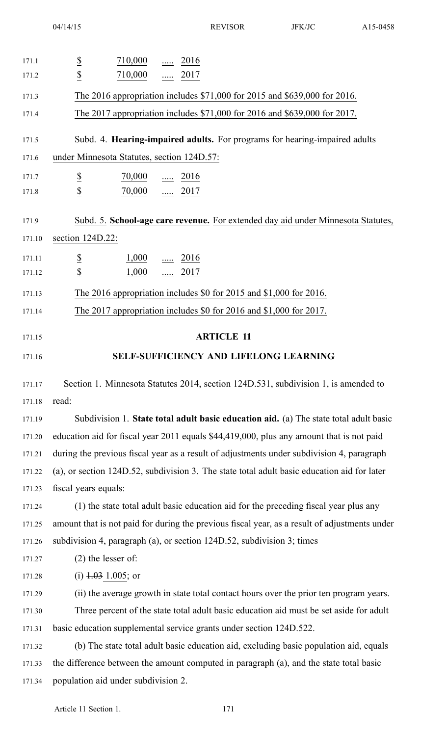| 171.1  | 710,000<br>2016                                                                               |
|--------|-----------------------------------------------------------------------------------------------|
| 171.2  | $rac{S}{S}$<br>710,000<br>$\ldots$ 2017                                                       |
| 171.3  | The 2016 appropriation includes \$71,000 for 2015 and \$639,000 for 2016.                     |
| 171.4  | The 2017 appropriation includes \$71,000 for 2016 and \$639,000 for 2017.                     |
| 171.5  | Subd. 4. Hearing-impaired adults. For programs for hearing-impaired adults                    |
| 171.6  | under Minnesota Statutes, section 124D.57:                                                    |
| 171.7  | $\overline{\mathcal{E}}$<br>70,000<br><u>2016</u>                                             |
| 171.8  | $\underline{\mathbb{S}}$<br>70,000<br>$2017$                                                  |
| 171.9  | Subd. 5. School-age care revenue. For extended day aid under Minnesota Statutes,              |
| 171.10 | section 124D.22:                                                                              |
| 171.11 | $\overline{\mathbf{z}}$<br>$\frac{1,000}{\cdots}$ $\frac{2016}{\cdots}$                       |
| 171.12 | $\underline{\mathbb{S}}$<br>$2017$<br>1,000                                                   |
| 171.13 | The 2016 appropriation includes \$0 for 2015 and \$1,000 for 2016.                            |
| 171.14 | The 2017 appropriation includes $$0$ for 2016 and $$1,000$ for 2017.                          |
| 171.15 | <b>ARTICLE 11</b>                                                                             |
| 171.16 | <b>SELF-SUFFICIENCY AND LIFELONG LEARNING</b>                                                 |
|        |                                                                                               |
| 171.17 | Section 1. Minnesota Statutes 2014, section 124D.531, subdivision 1, is amended to            |
| 171.18 | read:                                                                                         |
| 171.19 | Subdivision 1. State total adult basic education aid. (a) The state total adult basic         |
| 171.20 | education aid for fiscal year 2011 equals \$44,419,000, plus any amount that is not paid      |
| 171.21 | during the previous fiscal year as a result of adjustments under subdivision 4, paragraph     |
| 171.22 | (a), or section 124D.52, subdivision 3. The state total adult basic education aid for later   |
| 171.23 | fiscal years equals:                                                                          |
| 171.24 | (1) the state total adult basic education aid for the preceding fiscal year plus any          |
| 171.25 | amount that is not paid for during the previous fiscal year, as a result of adjustments under |
| 171.26 | subdivision 4, paragraph (a), or section 124D.52, subdivision 3; times                        |
| 171.27 | $(2)$ the lesser of:                                                                          |
| 171.28 | (i) $1.03$ 1.005; or                                                                          |
| 171.29 | (ii) the average growth in state total contact hours over the prior ten program years.        |
| 171.30 | Three percent of the state total adult basic education aid must be set aside for adult        |
| 171.31 | basic education supplemental service grants under section 124D.522.                           |
| 171.32 | (b) The state total adult basic education aid, excluding basic population aid, equals         |
| 171.33 | the difference between the amount computed in paragraph (a), and the state total basic        |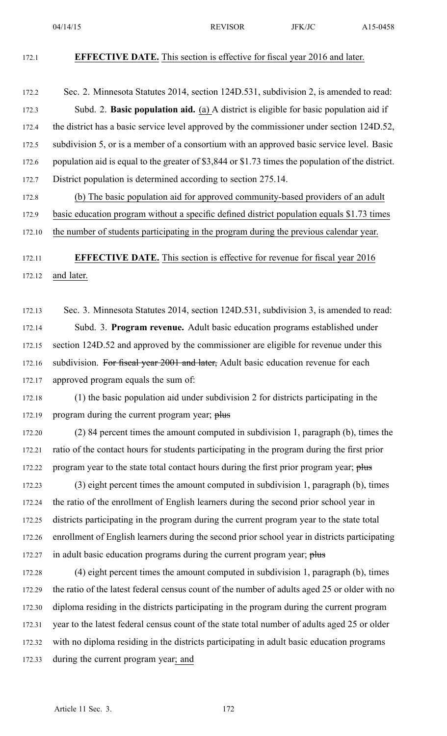#### 172.1 **EFFECTIVE DATE.** This section is effective for fiscal year 2016 and later.

- 172.2 Sec. 2. Minnesota Statutes 2014, section 124D.531, subdivision 2, is amended to read: 172.3 Subd. 2. **Basic population aid.** (a) A district is eligible for basic population aid if 172.4 the district has <sup>a</sup> basic service level approved by the commissioner under section 124D.52, 172.5 subdivision 5, or is <sup>a</sup> member of <sup>a</sup> consortium with an approved basic service level. Basic 172.6 population aid is equal to the greater of \$3,844 or \$1.73 times the population of the district. 172.7 District population is determined according to section 275.14.
- 172.8 (b) The basic population aid for approved community-based providers of an adult 172.9 basic education program without <sup>a</sup> specific defined district population equals \$1.73 times
- 172.10 the number of students participating in the program during the previous calendar year.
- 

## 172.11 **EFFECTIVE DATE.** This section is effective for revenue for fiscal year 2016 172.12 and later.

172.13 Sec. 3. Minnesota Statutes 2014, section 124D.531, subdivision 3, is amended to read: 172.14 Subd. 3. **Program revenue.** Adult basic education programs established under 172.15 section 124D.52 and approved by the commissioner are eligible for revenue under this 172.16 subdivision. For fiscal year 2001 and later, Adult basic education revenue for each 172.17 approved program equals the sum of:

172.18 (1) the basic population aid under subdivision 2 for districts participating in the 172.19 program during the current program year; plus

172.20 (2) 84 percen<sup>t</sup> times the amount computed in subdivision 1, paragraph (b), times the 172.21 ratio of the contact hours for students participating in the program during the first prior 172.22 program year to the state total contact hours during the first prior program year; plus

172.23 (3) eight percen<sup>t</sup> times the amount computed in subdivision 1, paragraph (b), times 172.24 the ratio of the enrollment of English learners during the second prior school year in 172.25 districts participating in the program during the current program year to the state total 172.26 enrollment of English learners during the second prior school year in districts participating 172.27 in adult basic education programs during the current program year; plus

172.28 (4) eight percen<sup>t</sup> times the amount computed in subdivision 1, paragraph (b), times 172.29 the ratio of the latest federal census count of the number of adults aged 25 or older with no 172.30 diploma residing in the districts participating in the program during the current program 172.31 year to the latest federal census count of the state total number of adults aged 25 or older 172.32 with no diploma residing in the districts participating in adult basic education programs 172.33 during the current program year; and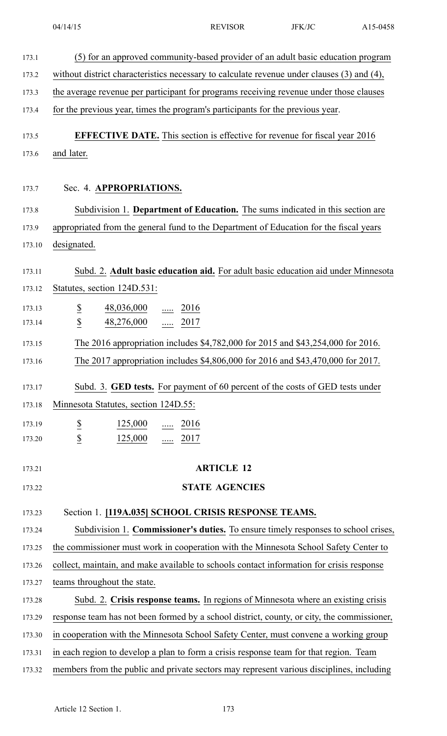| 173.1  | (5) for an approved community-based provider of an adult basic education program           |
|--------|--------------------------------------------------------------------------------------------|
| 173.2  | without district characteristics necessary to calculate revenue under clauses (3) and (4), |
| 173.3  | the average revenue per participant for programs receiving revenue under those clauses     |
| 173.4  | for the previous year, times the program's participants for the previous year.             |
| 173.5  | <b>EFFECTIVE DATE.</b> This section is effective for revenue for fiscal year 2016          |
| 173.6  | and later.                                                                                 |
| 173.7  | Sec. 4. APPROPRIATIONS.                                                                    |
| 173.8  | Subdivision 1. Department of Education. The sums indicated in this section are             |
| 173.9  | appropriated from the general fund to the Department of Education for the fiscal years     |
| 173.10 | designated.                                                                                |
|        |                                                                                            |
| 173.11 | Subd. 2. Adult basic education aid. For adult basic education aid under Minnesota          |
| 173.12 | Statutes, section 124D.531:                                                                |
| 173.13 | $\overline{\mathcal{E}}$<br>48,036,000<br>2016                                             |
| 173.14 | $\underline{\mathbb{S}}$<br>48,276,000<br>$\frac{1}{2017}$                                 |
| 173.15 | The 2016 appropriation includes \$4,782,000 for 2015 and \$43,254,000 for 2016.            |
| 173.16 | The 2017 appropriation includes \$4,806,000 for 2016 and \$43,470,000 for 2017.            |
|        |                                                                                            |
| 173.17 | Subd. 3. <b>GED tests.</b> For payment of 60 percent of the costs of GED tests under       |
| 173.18 | Minnesota Statutes, section 124D.55:                                                       |
| 173.19 | $\overline{\mathbf{z}}$<br>125,000<br>$\frac{1}{2016}$                                     |
| 173.20 | $\overline{\mathcal{L}}$<br>125,000<br>$\underline{\cdots}$ 2017                           |
| 173.21 | <b>ARTICLE 12</b>                                                                          |
|        |                                                                                            |
| 173.22 | <b>STATE AGENCIES</b>                                                                      |
| 173.23 | Section 1. [119A.035] SCHOOL CRISIS RESPONSE TEAMS.                                        |
| 173.24 | Subdivision 1. Commissioner's duties. To ensure timely responses to school crises,         |
| 173.25 | the commissioner must work in cooperation with the Minnesota School Safety Center to       |
| 173.26 | collect, maintain, and make available to schools contact information for crisis response   |
| 173.27 | teams throughout the state.                                                                |
| 173.28 | Subd. 2. Crisis response teams. In regions of Minnesota where an existing crisis           |
| 173.29 | response team has not been formed by a school district, county, or city, the commissioner, |
| 173.30 | in cooperation with the Minnesota School Safety Center, must convene a working group       |
| 173.31 | in each region to develop a plan to form a crisis response team for that region. Team      |
| 173.32 | members from the public and private sectors may represent various disciplines, including   |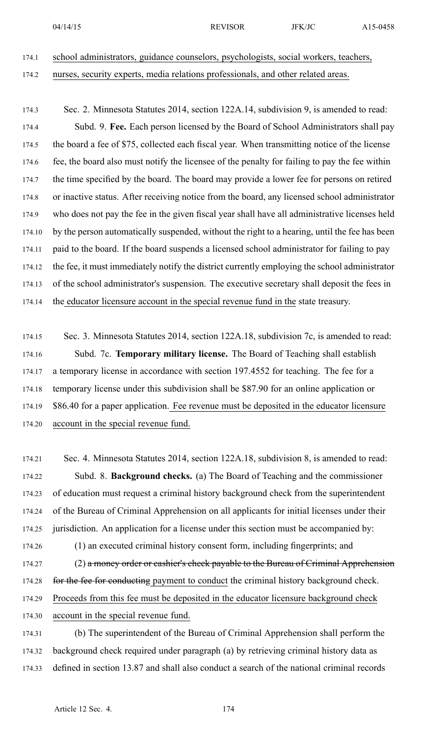- 174.1 school administrators, guidance counselors, psychologists, social workers, teachers,
- 174.2 nurses, security experts, media relations professionals, and other related areas.
- 174.3 Sec. 2. Minnesota Statutes 2014, section 122A.14, subdivision 9, is amended to read: 174.4 Subd. 9. **Fee.** Each person licensed by the Board of School Administrators shall pay 174.5 the board <sup>a</sup> fee of \$75, collected each fiscal year. When transmitting notice of the license 174.6 fee, the board also must notify the licensee of the penalty for failing to pay the fee within 174.7 the time specified by the board. The board may provide <sup>a</sup> lower fee for persons on retired 174.8 or inactive status. After receiving notice from the board, any licensed school administrator 174.9 who does not pay the fee in the given fiscal year shall have all administrative licenses held 174.10 by the person automatically suspended, without the right to <sup>a</sup> hearing, until the fee has been 174.11 paid to the board. If the board suspends <sup>a</sup> licensed school administrator for failing to pay 174.12 the fee, it must immediately notify the district currently employing the school administrator 174.13 of the school administrator's suspension. The executive secretary shall deposit the fees in 174.14 the educator licensure account in the special revenue fund in the state treasury.
- 174.15 Sec. 3. Minnesota Statutes 2014, section 122A.18, subdivision 7c, is amended to read: 174.16 Subd. 7c. **Temporary military license.** The Board of Teaching shall establish 174.17 <sup>a</sup> temporary license in accordance with section 197.4552 for teaching. The fee for <sup>a</sup> 174.18 temporary license under this subdivision shall be \$87.90 for an online application or 174.19 \$86.40 for <sup>a</sup> paper application. Fee revenue must be deposited in the educator licensure 174.20 account in the special revenue fund.
- 174.21 Sec. 4. Minnesota Statutes 2014, section 122A.18, subdivision 8, is amended to read: 174.22 Subd. 8. **Background checks.** (a) The Board of Teaching and the commissioner 174.23 of education must reques<sup>t</sup> <sup>a</sup> criminal history background check from the superintendent 174.24 of the Bureau of Criminal Apprehension on all applicants for initial licenses under their 174.25 jurisdiction. An application for <sup>a</sup> license under this section must be accompanied by: 174.26 (1) an executed criminal history consent form, including fingerprints; and
- 174.27 (2) a money order or cashier's check payable to the Bureau of Criminal Apprehension 174.28 for the fee for conducting payment to conduct the criminal history background check. 174.29 Proceeds from this fee must be deposited in the educator licensure background check
- 174.30 account in the special revenue fund.
- 174.31 (b) The superintendent of the Bureau of Criminal Apprehension shall perform the 174.32 background check required under paragraph (a) by retrieving criminal history data as 174.33 defined in section 13.87 and shall also conduct <sup>a</sup> search of the national criminal records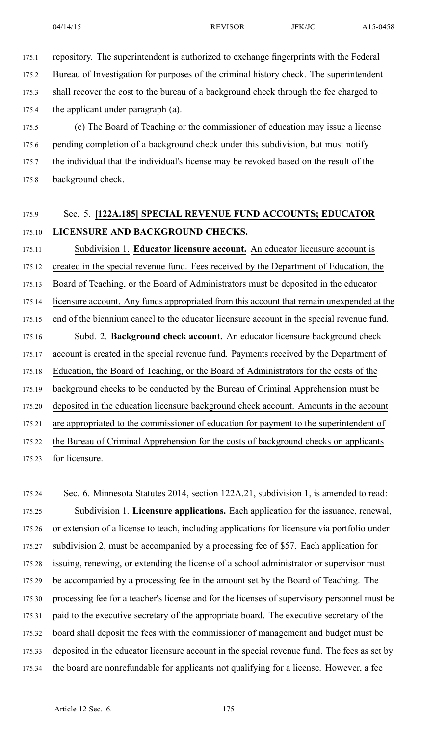175.1 repository. The superintendent is authorized to exchange fingerprints with the Federal

175.2 Bureau of Investigation for purposes of the criminal history check. The superintendent 175.3 shall recover the cost to the bureau of <sup>a</sup> background check through the fee charged to 175.4 the applicant under paragraph (a).

175.5 (c) The Board of Teaching or the commissioner of education may issue <sup>a</sup> license 175.6 pending completion of <sup>a</sup> background check under this subdivision, but must notify 175.7 the individual that the individual's license may be revoked based on the result of the 175.8 background check.

## 175.9 Sec. 5. **[122A.185] SPECIAL REVENUE FUND ACCOUNTS; EDUCATOR** 175.10 **LICENSURE AND BACKGROUND CHECKS.**

175.11 Subdivision 1. **Educator licensure account.** An educator licensure account is 175.12 created in the special revenue fund. Fees received by the Department of Education, the 175.13 Board of Teaching, or the Board of Administrators must be deposited in the educator 175.14 licensure account. Any funds appropriated from this account that remain unexpended at the 175.15 end of the biennium cancel to the educator licensure account in the special revenue fund. 175.16 Subd. 2. **Background check account.** An educator licensure background check 175.17 account is created in the special revenue fund. Payments received by the Department of 175.18 Education, the Board of Teaching, or the Board of Administrators for the costs of the 175.19 background checks to be conducted by the Bureau of Criminal Apprehension must be 175.20 deposited in the education licensure background check account. Amounts in the account 175.21 are appropriated to the commissioner of education for paymen<sup>t</sup> to the superintendent of 175.22 the Bureau of Criminal Apprehension for the costs of background checks on applicants 175.23 for licensure.

175.24 Sec. 6. Minnesota Statutes 2014, section 122A.21, subdivision 1, is amended to read: 175.25 Subdivision 1. **Licensure applications.** Each application for the issuance, renewal, 175.26 or extension of <sup>a</sup> license to teach, including applications for licensure via portfolio under 175.27 subdivision 2, must be accompanied by <sup>a</sup> processing fee of \$57. Each application for 175.28 issuing, renewing, or extending the license of <sup>a</sup> school administrator or supervisor must 175.29 be accompanied by <sup>a</sup> processing fee in the amount set by the Board of Teaching. The 175.30 processing fee for <sup>a</sup> teacher's license and for the licenses of supervisory personnel must be 175.31 paid to the executive secretary of the appropriate board. The executive secretary of the 175.32 board shall deposit the fees with the commissioner of management and budget must be 175.33 deposited in the educator licensure account in the special revenue fund. The fees as set by 175.34 the board are nonrefundable for applicants not qualifying for <sup>a</sup> license. However, <sup>a</sup> fee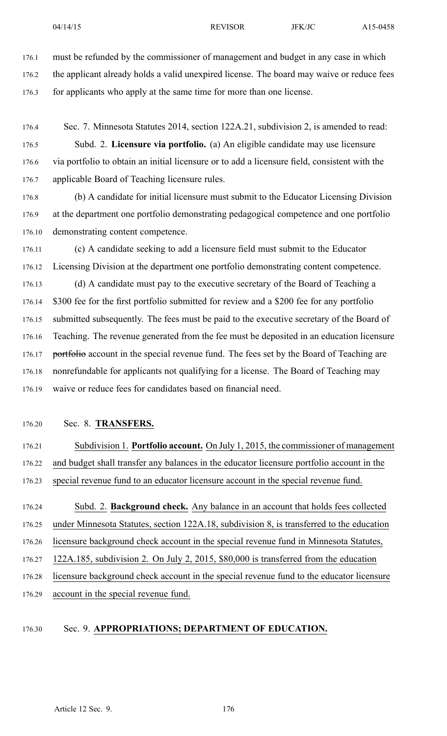176.1 must be refunded by the commissioner of managemen<sup>t</sup> and budget in any case in which 176.2 the applicant already holds <sup>a</sup> valid unexpired license. The board may waive or reduce fees 176.3 for applicants who apply at the same time for more than one license.

176.4 Sec. 7. Minnesota Statutes 2014, section 122A.21, subdivision 2, is amended to read: 176.5 Subd. 2. **Licensure via portfolio.** (a) An eligible candidate may use licensure

176.6 via portfolio to obtain an initial licensure or to add <sup>a</sup> licensure field, consistent with the 176.7 applicable Board of Teaching licensure rules.

176.8 (b) A candidate for initial licensure must submit to the Educator Licensing Division 176.9 at the department one portfolio demonstrating pedagogical competence and one portfolio 176.10 demonstrating content competence.

176.11 (c) A candidate seeking to add <sup>a</sup> licensure field must submit to the Educator 176.12 Licensing Division at the department one portfolio demonstrating content competence. 176.13 (d) A candidate must pay to the executive secretary of the Board of Teaching <sup>a</sup> 176.14 \$300 fee for the first portfolio submitted for review and <sup>a</sup> \$200 fee for any portfolio 176.15 submitted subsequently. The fees must be paid to the executive secretary of the Board of 176.16 Teaching. The revenue generated from the fee must be deposited in an education licensure 176.17 portfolio account in the special revenue fund. The fees set by the Board of Teaching are 176.18 nonrefundable for applicants not qualifying for <sup>a</sup> license. The Board of Teaching may 176.19 waive or reduce fees for candidates based on financial need.

176.20 Sec. 8. **TRANSFERS.**

176.21 Subdivision 1. **Portfolio account.** On July 1, 2015, the commissioner of managemen<sup>t</sup> 176.22 and budget shall transfer any balances in the educator licensure portfolio account in the 176.23 special revenue fund to an educator licensure account in the special revenue fund.

176.24 Subd. 2. **Background check.** Any balance in an account that holds fees collected 176.25 under Minnesota Statutes, section 122A.18, subdivision 8, is transferred to the education

176.26 licensure background check account in the special revenue fund in Minnesota Statutes,

176.27 122A.185, subdivision 2. On July 2, 2015, \$80,000 is transferred from the education

176.28 licensure background check account in the special revenue fund to the educator licensure

176.29 account in the special revenue fund.

#### 176.30 Sec. 9. **APPROPRIATIONS; DEPARTMENT OF EDUCATION.**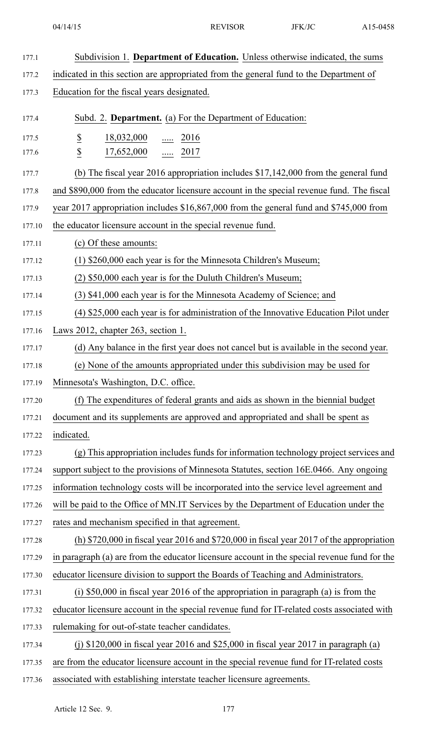| 177.1  | Subdivision 1. Department of Education. Unless otherwise indicated, the sums                 |
|--------|----------------------------------------------------------------------------------------------|
| 177.2  | indicated in this section are appropriated from the general fund to the Department of        |
| 177.3  | Education for the fiscal years designated.                                                   |
| 177.4  | Subd. 2. Department. (a) For the Department of Education:                                    |
| 177.5  | $\overline{\mathbf{z}}$<br>$\frac{18,032,000}{}$ 2016                                        |
| 177.6  | $\underline{\$}$<br>$\frac{17,652,000}{\ldots}$ $\frac{\ldots}{2017}$                        |
| 177.7  | (b) The fiscal year 2016 appropriation includes $$17,142,000$ from the general fund          |
| 177.8  | and \$890,000 from the educator licensure account in the special revenue fund. The fiscal    |
| 177.9  | year 2017 appropriation includes \$16,867,000 from the general fund and \$745,000 from       |
| 177.10 | the educator licensure account in the special revenue fund.                                  |
| 177.11 | (c) Of these amounts:                                                                        |
| 177.12 | (1) \$260,000 each year is for the Minnesota Children's Museum;                              |
| 177.13 | (2) \$50,000 each year is for the Duluth Children's Museum;                                  |
| 177.14 | (3) \$41,000 each year is for the Minnesota Academy of Science; and                          |
| 177.15 | (4) \$25,000 each year is for administration of the Innovative Education Pilot under         |
| 177.16 | Laws 2012, chapter 263, section 1.                                                           |
| 177.17 | (d) Any balance in the first year does not cancel but is available in the second year.       |
| 177.18 | (e) None of the amounts appropriated under this subdivision may be used for                  |
| 177.19 | Minnesota's Washington, D.C. office.                                                         |
| 177.20 | (f) The expenditures of federal grants and aids as shown in the biennial budget              |
| 177.21 | document and its supplements are approved and appropriated and shall be spent as             |
| 177.22 | indicated.                                                                                   |
| 177.23 | (g) This appropriation includes funds for information technology project services and        |
| 177.24 | support subject to the provisions of Minnesota Statutes, section 16E.0466. Any ongoing       |
| 177.25 | information technology costs will be incorporated into the service level agreement and       |
| 177.26 | will be paid to the Office of MN.IT Services by the Department of Education under the        |
| 177.27 | rates and mechanism specified in that agreement.                                             |
| 177.28 | (h) $$720,000$ in fiscal year 2016 and $$720,000$ in fiscal year 2017 of the appropriation   |
| 177.29 | in paragraph (a) are from the educator licensure account in the special revenue fund for the |
| 177.30 | educator licensure division to support the Boards of Teaching and Administrators.            |
| 177.31 | (i) $$50,000$ in fiscal year 2016 of the appropriation in paragraph (a) is from the          |
| 177.32 | educator licensure account in the special revenue fund for IT-related costs associated with  |
| 177.33 | rule making for out-of-state teacher candidates.                                             |
| 177.34 | (j) $$120,000$ in fiscal year 2016 and $$25,000$ in fiscal year 2017 in paragraph (a)        |
| 177.35 | are from the educator licensure account in the special revenue fund for IT-related costs     |
| 177.36 | associated with establishing interstate teacher licensure agreements.                        |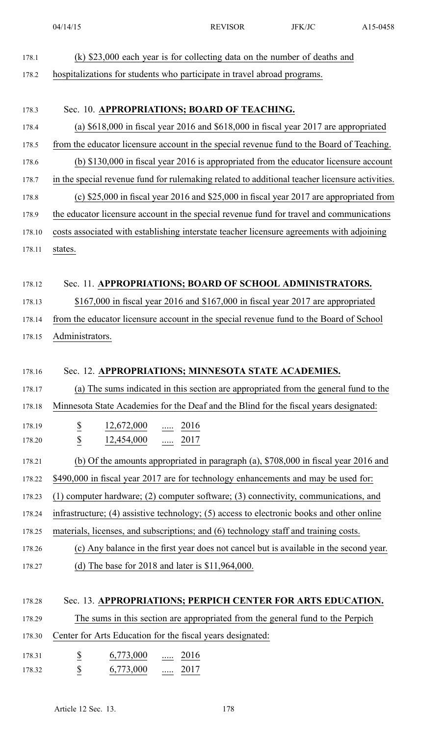- 178.1 (k) \$23,000 each year is for collecting data on the number of deaths and
- 178.2 hospitalizations for students who participate in travel abroad programs.

## 178.3 Sec. 10. **APPROPRIATIONS; BOARD OF TEACHING.**

- 178.4 (a) \$618,000 in fiscal year 2016 and \$618,000 in fiscal year 2017 are appropriated 178.5 from the educator licensure account in the special revenue fund to the Board of Teaching.
- 178.6 (b) \$130,000 in fiscal year 2016 is appropriated from the educator licensure account
- 178.7 in the special revenue fund for rulemaking related to additional teacher licensure activities. 178.8 (c) \$25,000 in fiscal year 2016 and \$25,000 in fiscal year 2017 are appropriated from
- 178.9 the educator licensure account in the special revenue fund for travel and communications
- 178.10 costs associated with establishing interstate teacher licensure agreements with adjoining 178.11 states.

## 178.12 Sec. 11. **APPROPRIATIONS; BOARD OF SCHOOL ADMINISTRATORS.**

178.13 \$167,000 in fiscal year 2016 and \$167,000 in fiscal year 2017 are appropriated

- 178.14 from the educator licensure account in the special revenue fund to the Board of School
- 178.15 Administrators.

## 178.16 Sec. 12. **APPROPRIATIONS; MINNESOTA STATE ACADEMIES.**

178.17 (a) The sums indicated in this section are appropriated from the general fund to the

- 178.18 Minnesota State Academies for the Deaf and the Blind for the fiscal years designated:
- 178.19 \$ 12,672,000 ..... 2016 178.20 **\$** 12,454,000 ..... 2017
- 178.21 (b) Of the amounts appropriated in paragraph (a), \$708,000 in fiscal year 2016 and
- 178.22 \$490,000 in fiscal year 2017 are for technology enhancements and may be used for:
- 178.23 (1) computer hardware; (2) computer software; (3) connectivity, communications, and
- 178.24 infrastructure; (4) assistive technology; (5) access to electronic books and other online
- 178.25 materials, licenses, and subscriptions; and (6) technology staff and training costs.
- 178.26 (c) Any balance in the first year does not cancel but is available in the second year. 178.27 (d) The base for 2018 and later is \$11,964,000.

## 178.28 Sec. 13. **APPROPRIATIONS; PERPICH CENTER FOR ARTS EDUCATION.**

178.29 The sums in this section are appropriated from the general fund to the Perpich

- 178.30 Center for Arts Education for the fiscal years designated:
- 178.31  $\underline{\$}$   $\underline{\$}$   $\underline{\$}$   $\underline{\$}$   $\underline{\$}$   $\underline{\$}$   $\underline{\$}$   $\underline{\$}$   $\underline{\$}$   $\underline{\$}$   $\underline{\$}$   $\underline{\$}$   $\underline{\$}$   $\underline{\$}$   $\underline{\$}$   $\underline{\$}$   $\underline{\$}$   $\underline{\$}$   $\underline{\$}$   $\underline{\$}$   $\underline{\$}$   $\underline{\$}$   $\underline{\$}$   $\underline{\$}$ 178.32 **\$** 6,773,000 ..... 2017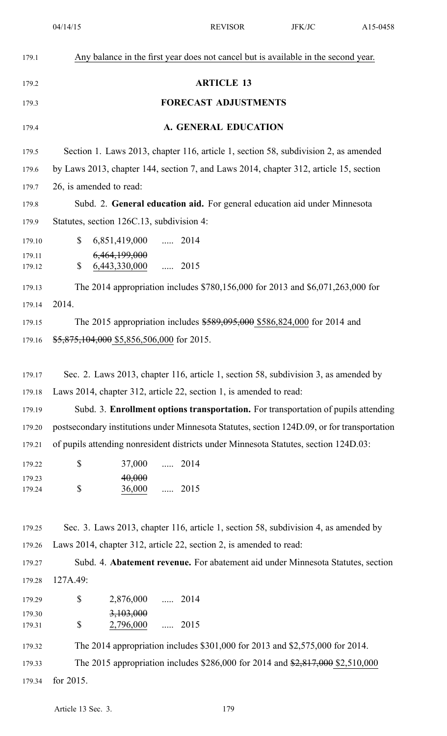| 179.1  | Any balance in the first year does not cancel but is available in the second year.          |
|--------|---------------------------------------------------------------------------------------------|
| 179.2  | <b>ARTICLE 13</b>                                                                           |
| 179.3  | <b>FORECAST ADJUSTMENTS</b>                                                                 |
| 179.4  | A. GENERAL EDUCATION                                                                        |
| 179.5  | Section 1. Laws 2013, chapter 116, article 1, section 58, subdivision 2, as amended         |
| 179.6  | by Laws 2013, chapter 144, section 7, and Laws 2014, chapter 312, article 15, section       |
| 179.7  | 26, is amended to read:                                                                     |
| 179.8  | Subd. 2. General education aid. For general education aid under Minnesota                   |
| 179.9  | Statutes, section 126C.13, subdivision 4:                                                   |
| 179.10 | $\mathbb{S}$<br>6,851,419,000  2014                                                         |
| 179.11 | 6,464,199,000                                                                               |
| 179.12 | 6,443,330,000  2015<br>$\mathbb{S}$                                                         |
| 179.13 | The 2014 appropriation includes \$780,156,000 for 2013 and \$6,071,263,000 for              |
| 179.14 | 2014.                                                                                       |
| 179.15 | The 2015 appropriation includes \$589,095,000 \$586,824,000 for 2014 and                    |
| 179.16 | $$5,875,104,000$ \$5,856,506,000 for 2015.                                                  |
|        |                                                                                             |
| 179.17 | Sec. 2. Laws 2013, chapter 116, article 1, section 58, subdivision 3, as amended by         |
| 179.18 | Laws 2014, chapter 312, article 22, section 1, is amended to read:                          |
| 179.19 | Subd. 3. Enrollment options transportation. For transportation of pupils attending          |
| 179.20 | postsecondary institutions under Minnesota Statutes, section 124D.09, or for transportation |
| 179.21 | of pupils attending nonresident districts under Minnesota Statutes, section 124D.03:        |
| 179.22 | \$<br>37,000  2014                                                                          |
| 179.23 | 40,000                                                                                      |
| 179.24 | \$<br>36,000  2015                                                                          |
|        |                                                                                             |
| 179.25 | Sec. 3. Laws 2013, chapter 116, article 1, section 58, subdivision 4, as amended by         |
| 179.26 | Laws 2014, chapter 312, article 22, section 2, is amended to read:                          |
| 179.27 | Subd. 4. Abatement revenue. For abatement aid under Minnesota Statutes, section             |
| 179.28 | 127A.49:                                                                                    |
|        |                                                                                             |

179.29 \$ 2,876,000 ..... 2014 \$ 179.30 3,103,000 179.31 **\$** 2,796,000 ..... 2015

179.32 The 2014 appropriation includes \$301,000 for 2013 and \$2,575,000 for 2014.

179.33 The 2015 appropriation includes \$286,000 for 2014 and \$2,817,000 \$2,510,000

179.34 for 2015.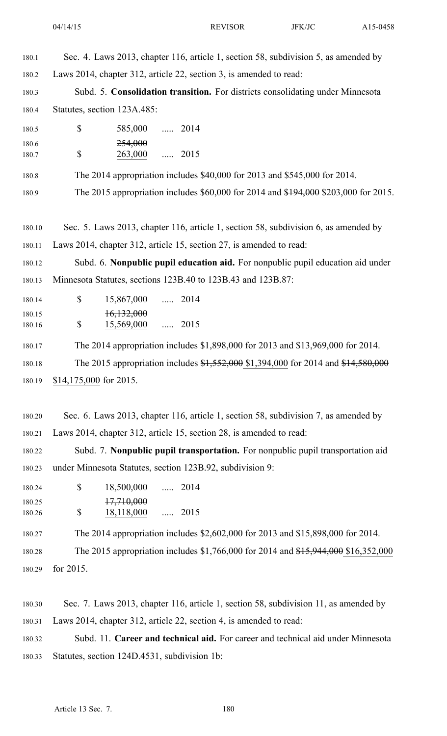| 180.1  | Sec. 4. Laws 2013, chapter 116, article 1, section 58, subdivision 5, as amended by |
|--------|-------------------------------------------------------------------------------------|
| 180.2  | Laws 2014, chapter 312, article 22, section 3, is amended to read:                  |
| 180.3  | Subd. 5. Consolidation transition. For districts consolidating under Minnesota      |
| 180.4  | Statutes, section 123A.485:                                                         |
| 180.5  | \$<br>585,000  2014                                                                 |
| 180.6  | <del>254,000</del>                                                                  |
| 180.7  | \$<br>263,000  2015                                                                 |
| 180.8  | The 2014 appropriation includes \$40,000 for 2013 and \$545,000 for 2014.           |
| 180.9  | The 2015 appropriation includes \$60,000 for 2014 and \$194,000 \$203,000 for 2015. |
|        |                                                                                     |
| 180.10 | Sec. 5. Laws 2013, chapter 116, article 1, section 58, subdivision 6, as amended by |
| 180.11 | Laws 2014, chapter 312, article 15, section 27, is amended to read:                 |
| 180.12 | Subd. 6. Nonpublic pupil education aid. For nonpublic pupil education aid under     |
| 180.13 | Minnesota Statutes, sections 123B.40 to 123B.43 and 123B.87:                        |
| 180.14 | $\mathbb{S}$<br>15,867,000  2014                                                    |
| 180.15 | 16,132,000                                                                          |
| 180.16 | $\mathbb S$<br>15,569,000  2015                                                     |
| 180.17 | The 2014 appropriation includes \$1,898,000 for 2013 and \$13,969,000 for 2014.     |
| 180.18 | The 2015 appropriation includes \$1,552,000 \$1,394,000 for 2014 and \$14,580,000   |
| 180.19 | \$14,175,000 for 2015.                                                              |
|        |                                                                                     |
| 180.20 | Sec. 6. Laws 2013, chapter 116, article 1, section 58, subdivision 7, as amended by |
| 180.21 | Laws 2014, chapter 312, article 15, section 28, is amended to read:                 |
| 180.22 | Subd. 7. Nonpublic pupil transportation. For nonpublic pupil transportation aid     |
|        |                                                                                     |

180.24 \$ 18,500,000 ..... 2014 180.25 17,710,000

180.23 under Minnesota Statutes, section 123B.92, subdivision 9:

\$ 180.26 18,118,000 ..... 2015

180.27 The 2014 appropriation includes \$2,602,000 for 2013 and \$15,898,000 for 2014.

180.28 The 2015 appropriation includes \$1,766,000 for 2014 and \$15,944,000 \$16,352,000

180.29 for 2015.

180.30 Sec. 7. Laws 2013, chapter 116, article 1, section 58, subdivision 11, as amended by 180.31 Laws 2014, chapter 312, article 22, section 4, is amended to read:

180.32 Subd. 11. **Career and technical aid.** For career and technical aid under Minnesota 180.33 Statutes, section 124D.4531, subdivision 1b: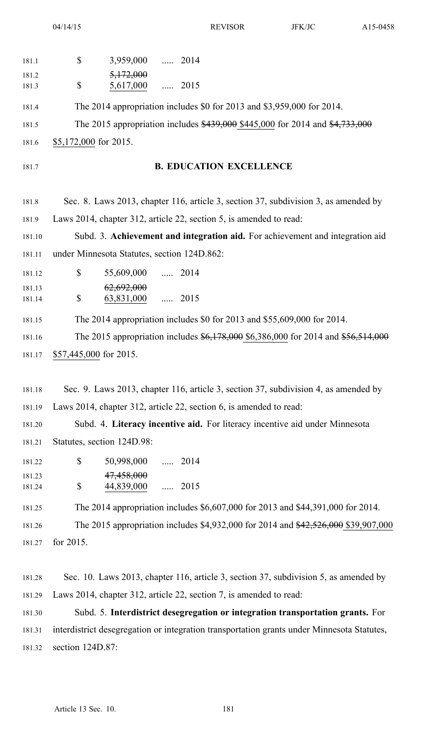04/14/15 REVISOR JFK/JC A15-0458

| 181.1            | \$<br>3,959,000  2014                                                               |
|------------------|-------------------------------------------------------------------------------------|
| 181.2            | 5,172,000                                                                           |
| 181.3            | \$<br>5,617,000  2015                                                               |
| 181.4            | The 2014 appropriation includes \$0 for 2013 and \$3,959,000 for 2014.              |
| 181.5            | The 2015 appropriation includes \$439,000 \$445,000 for 2014 and \$4,733,000        |
| 181.6            | \$5,172,000 for 2015.                                                               |
| 181.7            | <b>B. EDUCATION EXCELLENCE</b>                                                      |
| 181.8            | Sec. 8. Laws 2013, chapter 116, article 3, section 37, subdivision 3, as amended by |
| 181.9            | Laws 2014, chapter 312, article 22, section 5, is amended to read:                  |
| 181.10           | Subd. 3. Achievement and integration aid. For achievement and integration aid       |
| 181.11           | under Minnesota Statutes, section 124D.862:                                         |
| 181.12           | $\mathbb{S}$<br>55,609,000  2014                                                    |
| 181.13<br>181.14 | 62,692,000<br>\$<br>63,831,000<br>$\cdots$ 2015                                     |
| 181.15           | The 2014 appropriation includes \$0 for 2013 and \$55,609,000 for 2014.             |
| 181.16           | The 2015 appropriation includes \$6,178,000 \$6,386,000 for 2014 and \$56,514,000   |
| 181.17           | \$57,445,000 for 2015.                                                              |
|                  |                                                                                     |
| 181.18           | Sec. 9. Laws 2013, chapter 116, article 3, section 37, subdivision 4, as amended by |
| 181.19           | Laws 2014, chapter 312, article 22, section 6, is amended to read:                  |
| 181.20           | Subd. 4. Literacy incentive aid. For literacy incentive aid under Minnesota         |
| 181.21           | Statutes, section 124D.98:                                                          |
| 181.22           | \$<br>50,998,000<br>$\ldots$ 2014                                                   |
| 181.23<br>181.24 | 47,458,000<br>\$<br>44,839,000<br>$\ldots$ 2015                                     |
|                  |                                                                                     |
| 181.25           | The 2014 appropriation includes \$6,607,000 for 2013 and \$44,391,000 for 2014.     |
| 181.26           | The 2015 appropriation includes \$4,932,000 for 2014 and \$42,526,000 \$39,907,000  |

181.27 for 2015.

181.28 Sec. 10. Laws 2013, chapter 116, article 3, section 37, subdivision 5, as amended by 181.29 Laws 2014, chapter 312, article 22, section 7, is amended to read:

181.30 Subd. 5. **Interdistrict desegregation or integration transportation grants.** For 181.31 interdistrict desegregation or integration transportation grants under Minnesota Statutes, 181.32 section 124D.87: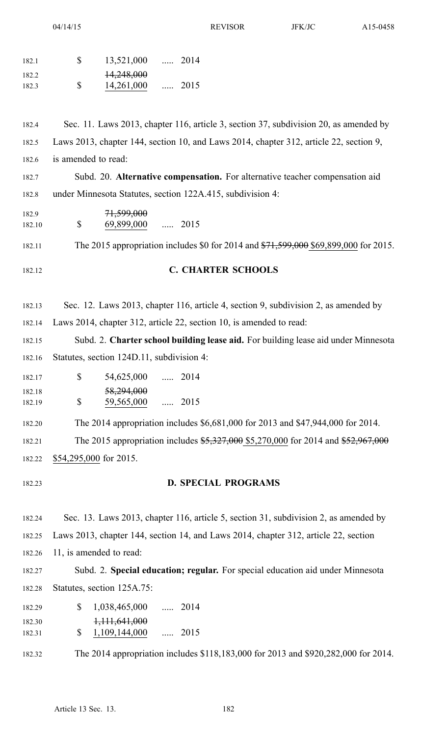04/14/15 REVISOR JFK/JC A15-0458

| 182.1            | \$<br>13,521,000  2014                                                                 |  |  |
|------------------|----------------------------------------------------------------------------------------|--|--|
| 182.2<br>182.3   | 14,248,000<br>\$<br>14,261,000<br>$\ldots$ 2015                                        |  |  |
| 182.4            | Sec. 11. Laws 2013, chapter 116, article 3, section 37, subdivision 20, as amended by  |  |  |
| 182.5            | Laws 2013, chapter 144, section 10, and Laws 2014, chapter 312, article 22, section 9, |  |  |
| 182.6            | is amended to read:                                                                    |  |  |
| 182.7            | Subd. 20. Alternative compensation. For alternative teacher compensation aid           |  |  |
| 182.8            | under Minnesota Statutes, section 122A.415, subdivision 4:                             |  |  |
| 182.9<br>182.10  | 71,599,000<br>\$<br>69,899,000  2015                                                   |  |  |
| 182.11           | The 2015 appropriation includes \$0 for 2014 and \$71,599,000 \$69,899,000 for 2015.   |  |  |
| 182.12           | <b>C. CHARTER SCHOOLS</b>                                                              |  |  |
| 182.13           | Sec. 12. Laws 2013, chapter 116, article 4, section 9, subdivision 2, as amended by    |  |  |
| 182.14           | Laws 2014, chapter 312, article 22, section 10, is amended to read:                    |  |  |
| 182.15           | Subd. 2. Charter school building lease aid. For building lease aid under Minnesota     |  |  |
| 182.16           | Statutes, section 124D.11, subdivision 4:                                              |  |  |
| 182.17           | \$54,625,000<br>$\ldots$ 2014                                                          |  |  |
| 182.18<br>182.19 | 58,294,000<br>\$<br>59,565,000<br>$\ldots$ 2015                                        |  |  |
| 182.20           | The 2014 appropriation includes \$6,681,000 for 2013 and \$47,944,000 for 2014.        |  |  |
| 182.21           | The 2015 appropriation includes \$5,327,000 \$5,270,000 for 2014 and \$52,967,000      |  |  |
| 182.22           | \$54,295,000 for 2015.                                                                 |  |  |
|                  |                                                                                        |  |  |
| 182.23           | <b>D. SPECIAL PROGRAMS</b>                                                             |  |  |
| 182.24           | Sec. 13. Laws 2013, chapter 116, article 5, section 31, subdivision 2, as amended by   |  |  |
| 182.25           | Laws 2013, chapter 144, section 14, and Laws 2014, chapter 312, article 22, section    |  |  |
| 182.26           | 11, is amended to read:                                                                |  |  |
| 182.27           | Subd. 2. Special education; regular. For special education aid under Minnesota         |  |  |
| 182.28           | Statutes, section 125A.75:                                                             |  |  |
| 182.29           | $\mathbb{S}$<br>1,038,465,000<br>$\ldots$ 2014                                         |  |  |
| 182.30<br>182.31 | 1,111,641,000<br>\$<br>1,109,144,000<br>$\ldots$ 2015                                  |  |  |
| 182.32           | The 2014 appropriation includes \$118,183,000 for 2013 and \$920,282,000 for 2014.     |  |  |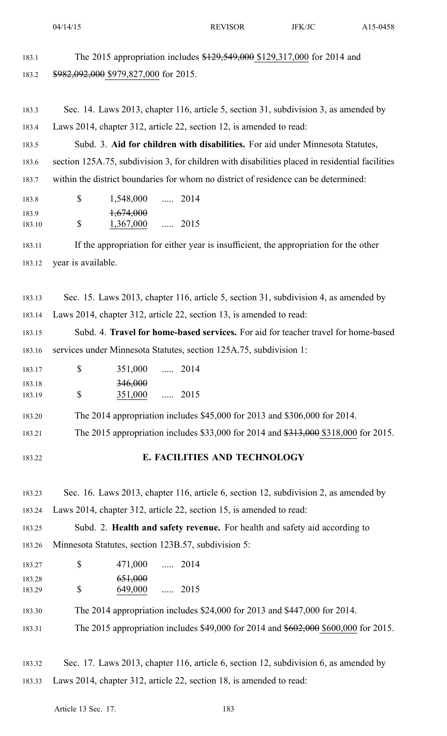|        | 04/14/15                                                                                        | <b>REVISOR</b>                                                                      | JFK/JC | A15-0458 |
|--------|-------------------------------------------------------------------------------------------------|-------------------------------------------------------------------------------------|--------|----------|
| 183.1  |                                                                                                 | The 2015 appropriation includes \$129,549,000 \$129,317,000 for 2014 and            |        |          |
| 183.2  | \$982,092,000 \$979,827,000 for 2015.                                                           |                                                                                     |        |          |
|        |                                                                                                 |                                                                                     |        |          |
| 183.3  | Sec. 14. Laws 2013, chapter 116, article 5, section 31, subdivision 3, as amended by            |                                                                                     |        |          |
| 183.4  | Laws 2014, chapter 312, article 22, section 12, is amended to read:                             |                                                                                     |        |          |
| 183.5  |                                                                                                 | Subd. 3. Aid for children with disabilities. For aid under Minnesota Statutes,      |        |          |
| 183.6  | section 125A.75, subdivision 3, for children with disabilities placed in residential facilities |                                                                                     |        |          |
| 183.7  | within the district boundaries for whom no district of residence can be determined:             |                                                                                     |        |          |
| 183.8  | \$<br>1,548,000  2014                                                                           |                                                                                     |        |          |
| 183.9  | 1,674,000                                                                                       |                                                                                     |        |          |
| 183.10 | \$<br>1,367,000                                                                                 | $\ldots$ 2015                                                                       |        |          |
| 183.11 | If the appropriation for either year is insufficient, the appropriation for the other           |                                                                                     |        |          |
| 183.12 | year is available.                                                                              |                                                                                     |        |          |
|        |                                                                                                 |                                                                                     |        |          |
| 183.13 | Sec. 15. Laws 2013, chapter 116, article 5, section 31, subdivision 4, as amended by            |                                                                                     |        |          |
| 183.14 | Laws 2014, chapter 312, article 22, section 13, is amended to read:                             |                                                                                     |        |          |
| 183.15 |                                                                                                 | Subd. 4. Travel for home-based services. For aid for teacher travel for home-based  |        |          |
| 183.16 | services under Minnesota Statutes, section 125A.75, subdivision 1:                              |                                                                                     |        |          |
| 183.17 | \$<br>351,000                                                                                   | $\ldots$ 2014                                                                       |        |          |
| 183.18 | 346,000                                                                                         |                                                                                     |        |          |
| 183.19 | \$<br>351,000                                                                                   | $\ldots$ 2015                                                                       |        |          |
| 183.20 |                                                                                                 | The 2014 appropriation includes \$45,000 for 2013 and \$306,000 for 2014.           |        |          |
| 183.21 |                                                                                                 | The 2015 appropriation includes \$33,000 for 2014 and \$313,000 \$318,000 for 2015. |        |          |
| 183.22 |                                                                                                 | E. FACILITIES AND TECHNOLOGY                                                        |        |          |
|        |                                                                                                 |                                                                                     |        |          |
| 183.23 | Sec. 16. Laws 2013, chapter 116, article 6, section 12, subdivision 2, as amended by            |                                                                                     |        |          |
| 183.24 | Laws 2014, chapter 312, article 22, section 15, is amended to read:                             |                                                                                     |        |          |
|        |                                                                                                 |                                                                                     |        |          |

183.25 Subd. 2. **Health and safety revenue.** For health and safety aid according to 183.26 Minnesota Statutes, section 123B.57, subdivision 5:

- 183.27 \$ 471,000 ..... 2014 \$ 183.28 651,000 183.29 \$ 649,000 ..... 2015
- 183.30 The 2014 appropriation includes \$24,000 for 2013 and \$447,000 for 2014.
- 183.31 The 2015 appropriation includes \$49,000 for 2014 and \$602,000 \$600,000 for 2015.

183.32 Sec. 17. Laws 2013, chapter 116, article 6, section 12, subdivision 6, as amended by 183.33 Laws 2014, chapter 312, article 22, section 18, is amended to read: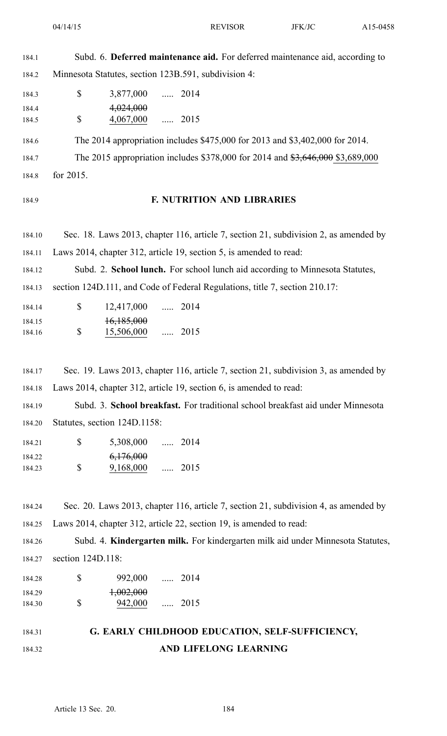184.1 Subd. 6. **Deferred maintenance aid.** For deferred maintenance aid, according to 184.2 Minnesota Statutes, section 123B.591, subdivision 4:

| 184.3 | \$ | 3,877,000 | $\sim$ $\sim$ | 2014 |
|-------|----|-----------|---------------|------|
| 184.4 |    | 4,024,000 |               |      |
| 184.5 | S  | 4,067,000 |               | 2015 |

184.6 The 2014 appropriation includes \$475,000 for 2013 and \$3,402,000 for 2014. 184.7 The 2015 appropriation includes \$378,000 for 2014 and \$3,646,000 \$3,689,000 184.8 for 2015.

## 184.9 **F. NUTRITION AND LIBRARIES**

184.10 Sec. 18. Laws 2013, chapter 116, article 7, section 21, subdivision 2, as amended by 184.11 Laws 2014, chapter 312, article 19, section 5, is amended to read:

184.12 Subd. 2. **School lunch.** For school lunch aid according to Minnesota Statutes, 184.13 section 124D.111, and Code of Federal Regulations, title 7, section 210.17:

| 184.14 | <sup>S</sup> | 12,417,000 |          | $\ldots$ 2014 |
|--------|--------------|------------|----------|---------------|
| 184.15 |              | 16,185,000 |          |               |
| 184.16 | S            | 15,506,000 | $\ldots$ | 2015          |

184.17 Sec. 19. Laws 2013, chapter 116, article 7, section 21, subdivision 3, as amended by 184.18 Laws 2014, chapter 312, article 19, section 6, is amended to read:

184.19 Subd. 3. **School breakfast.** For traditional school breakfast aid under Minnesota 184.20 Statutes, section 124D.1158:

| 184.21 | S. | 5,308,000 |          | $\ldots$ 2014 |
|--------|----|-----------|----------|---------------|
| 184.22 |    | 6,176,000 |          |               |
| 184.23 | S  | 9,168,000 | $\ldots$ | 2015          |

184.24 Sec. 20. Laws 2013, chapter 116, article 7, section 21, subdivision 4, as amended by 184.25 Laws 2014, chapter 312, article 22, section 19, is amended to read:

184.26 Subd. 4. **Kindergarten milk.** For kindergarten milk aid under Minnesota Statutes, 184.27 section 124D.118:

184.28 \$ 992,000 ..... 2014 \$ 184.29  $1,002,000$ 184.30 \$ 942,000 ..... 2015

## 184.31 **G. EARLY CHILDHOOD EDUCATION, SELF-SUFFICIENCY,** 184.32 **AND LIFELONG LEARNING**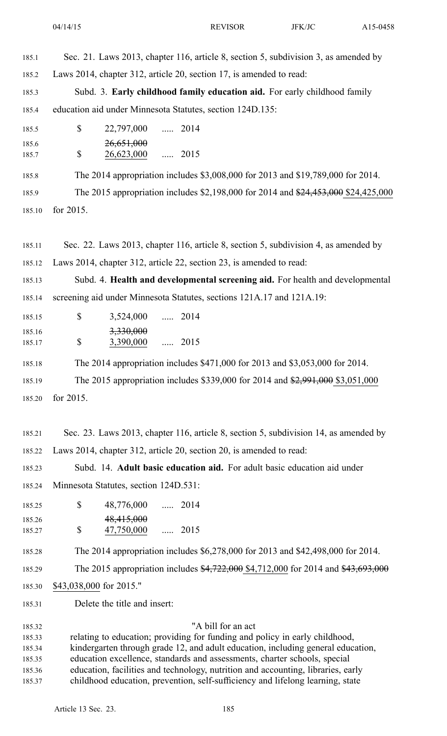| 185.1            | Sec. 21. Laws 2013, chapter 116, article 8, section 5, subdivision 3, as amended by  |
|------------------|--------------------------------------------------------------------------------------|
| 185.2            | Laws 2014, chapter 312, article 20, section 17, is amended to read:                  |
| 185.3            | Subd. 3. Early childhood family education aid. For early childhood family            |
| 185.4            | education aid under Minnesota Statutes, section 124D.135:                            |
| 185.5            | \$<br>22,797,000<br>$\ldots$ 2014                                                    |
| 185.6            | 26,651,000                                                                           |
| 185.7            | \$<br>26,623,000<br>$\cdots$ 2015                                                    |
| 185.8            | The 2014 appropriation includes \$3,008,000 for 2013 and \$19,789,000 for 2014.      |
| 185.9            | The 2015 appropriation includes \$2,198,000 for 2014 and \$24,453,000 \$24,425,000   |
| 185.10           | for 2015.                                                                            |
|                  |                                                                                      |
| 185.11           | Sec. 22. Laws 2013, chapter 116, article 8, section 5, subdivision 4, as amended by  |
| 185.12           | Laws 2014, chapter 312, article 22, section 23, is amended to read:                  |
| 185.13           | Subd. 4. Health and developmental screening aid. For health and developmental        |
| 185.14           | screening aid under Minnesota Statutes, sections 121A.17 and 121A.19:                |
| 185.15           | \$<br>3,524,000  2014                                                                |
| 185.16<br>185.17 | 3,330,000<br>\$<br>3,390,000  2015                                                   |
|                  |                                                                                      |
| 185.18           | The 2014 appropriation includes \$471,000 for 2013 and \$3,053,000 for 2014.         |
| 185.19           | The 2015 appropriation includes \$339,000 for 2014 and \$2,991,000 \$3,051,000       |
| 185.20           | for 2015.                                                                            |
|                  |                                                                                      |
| 185.21           | Sec. 23. Laws 2013, chapter 116, article 8, section 5, subdivision 14, as amended by |
| 185.22           | Laws 2014, chapter 312, article 20, section 20, is amended to read:                  |
| 185.23           | Subd. 14. Adult basic education aid. For adult basic education aid under             |
| 185.24           | Minnesota Statutes, section 124D.531:                                                |
| 185.25           | \$<br>48,776,000  2014                                                               |
| 185.26<br>185.27 | 48,415,000<br>\$<br>$\ldots$ 2015<br>47,750,000                                      |
|                  |                                                                                      |
| 185.28           | The 2014 appropriation includes \$6,278,000 for 2013 and \$42,498,000 for 2014.      |
| 185.29           | The 2015 appropriation includes \$4,722,000 \$4,712,000 for 2014 and \$43,693,000    |
| 185.30           | \$43,038,000 for 2015."                                                              |
| 185.31           | Delete the title and insert:                                                         |

185.32 "A bill for an act 185.33 relating to education; providing for funding and policy in early childhood, 185.34 kindergarten through grade 12, and adult education, including general education, 185.35 education excellence, standards and assessments, charter schools, special 185.36 education, facilities and technology, nutrition and accounting, libraries, early 185.37 childhood education, prevention, self-sufficiency and lifelong learning, state